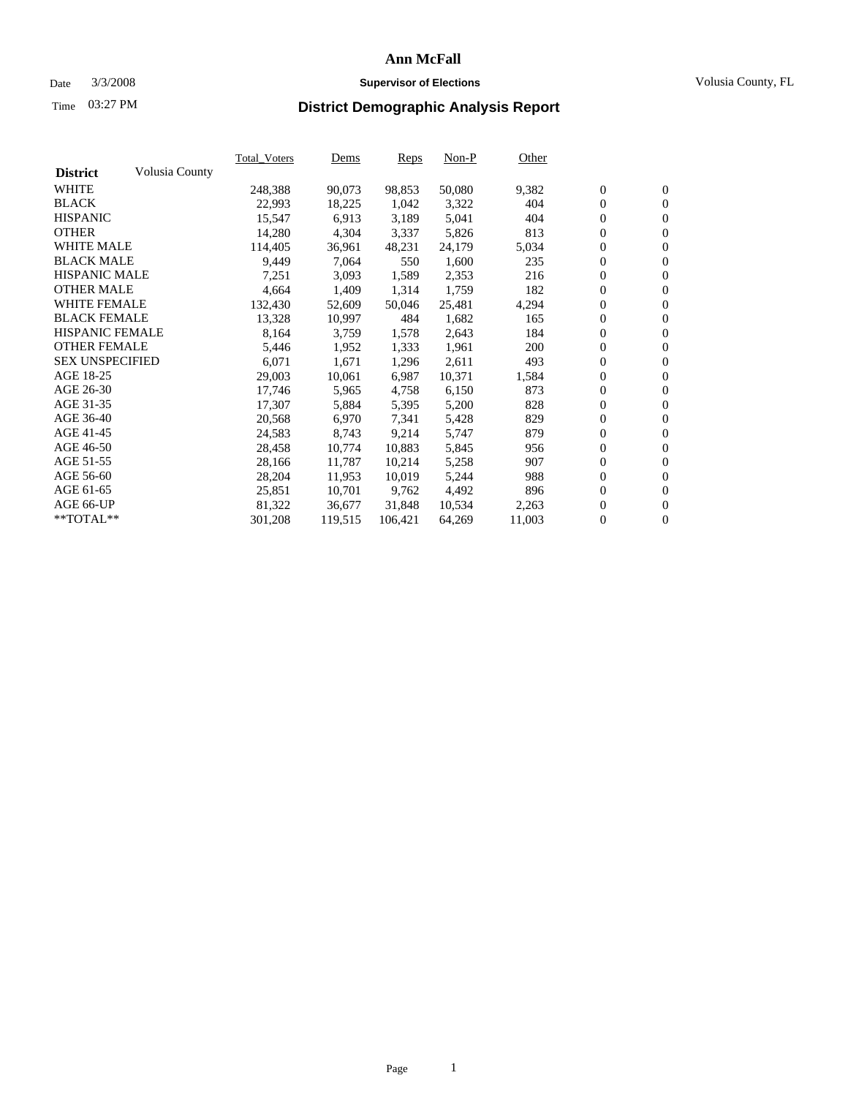#### Date 3/3/2008 **Supervisor of Elections** Volusia County, FL

# Time **District Demographic Analysis Report** 03:27 PM

|                        |                | <b>Total Voters</b> | Dems    | <b>Reps</b> | $Non-P$ | Other  |                  |                  |  |
|------------------------|----------------|---------------------|---------|-------------|---------|--------|------------------|------------------|--|
| <b>District</b>        | Volusia County |                     |         |             |         |        |                  |                  |  |
| <b>WHITE</b>           |                | 248,388             | 90,073  | 98,853      | 50,080  | 9,382  | $\boldsymbol{0}$ | $\mathbf{0}$     |  |
| <b>BLACK</b>           |                | 22,993              | 18,225  | 1,042       | 3,322   | 404    | $\mathbf{0}$     | $\mathbf{0}$     |  |
| <b>HISPANIC</b>        |                | 15,547              | 6,913   | 3,189       | 5,041   | 404    | $\mathbf{0}$     | $\mathbf{0}$     |  |
| <b>OTHER</b>           |                | 14,280              | 4,304   | 3,337       | 5,826   | 813    | $\boldsymbol{0}$ | $\boldsymbol{0}$ |  |
| <b>WHITE MALE</b>      |                | 114,405             | 36,961  | 48,231      | 24,179  | 5,034  | 0                | $\mathbf{0}$     |  |
| <b>BLACK MALE</b>      |                | 9,449               | 7,064   | 550         | 1,600   | 235    | $\boldsymbol{0}$ | $\boldsymbol{0}$ |  |
| <b>HISPANIC MALE</b>   |                | 7,251               | 3,093   | 1,589       | 2,353   | 216    | 0                | $\overline{0}$   |  |
| <b>OTHER MALE</b>      |                | 4,664               | 1,409   | 1,314       | 1,759   | 182    | $\boldsymbol{0}$ | $\boldsymbol{0}$ |  |
| <b>WHITE FEMALE</b>    |                | 132,430             | 52,609  | 50,046      | 25,481  | 4,294  | 0                | $\mathbf{0}$     |  |
| <b>BLACK FEMALE</b>    |                | 13,328              | 10,997  | 484         | 1,682   | 165    | $\mathbf{0}$     | $\mathbf{0}$     |  |
| <b>HISPANIC FEMALE</b> |                | 8,164               | 3,759   | 1,578       | 2,643   | 184    | $\boldsymbol{0}$ | $\boldsymbol{0}$ |  |
| <b>OTHER FEMALE</b>    |                | 5,446               | 1,952   | 1,333       | 1,961   | 200    | 0                | 0                |  |
| <b>SEX UNSPECIFIED</b> |                | 6,071               | 1,671   | 1,296       | 2,611   | 493    | $\overline{0}$   | $\mathbf{0}$     |  |
| AGE 18-25              |                | 29,003              | 10,061  | 6,987       | 10,371  | 1,584  | 0                | $\mathbf{0}$     |  |
| AGE 26-30              |                | 17,746              | 5,965   | 4,758       | 6,150   | 873    | $\boldsymbol{0}$ | $\boldsymbol{0}$ |  |
| AGE 31-35              |                | 17,307              | 5,884   | 5,395       | 5,200   | 828    | $\boldsymbol{0}$ | $\boldsymbol{0}$ |  |
| AGE 36-40              |                | 20,568              | 6,970   | 7,341       | 5,428   | 829    | $\boldsymbol{0}$ | $\mathbf{0}$     |  |
| AGE 41-45              |                | 24,583              | 8,743   | 9,214       | 5,747   | 879    | 0                | $\boldsymbol{0}$ |  |
| AGE 46-50              |                | 28,458              | 10,774  | 10,883      | 5,845   | 956    | 0                | $\overline{0}$   |  |
| AGE 51-55              |                | 28,166              | 11,787  | 10,214      | 5,258   | 907    | $\boldsymbol{0}$ | $\mathbf{0}$     |  |
| AGE 56-60              |                | 28,204              | 11,953  | 10,019      | 5,244   | 988    | 0                | $\mathbf{0}$     |  |
| AGE 61-65              |                | 25,851              | 10,701  | 9,762       | 4,492   | 896    | $\mathbf{0}$     | $\boldsymbol{0}$ |  |
| AGE 66-UP              |                | 81,322              | 36,677  | 31,848      | 10,534  | 2,263  | 0                | $\boldsymbol{0}$ |  |
| **TOTAL**              |                | 301,208             | 119,515 | 106,421     | 64,269  | 11,003 | 0                | $\mathbf{0}$     |  |
|                        |                |                     |         |             |         |        |                  |                  |  |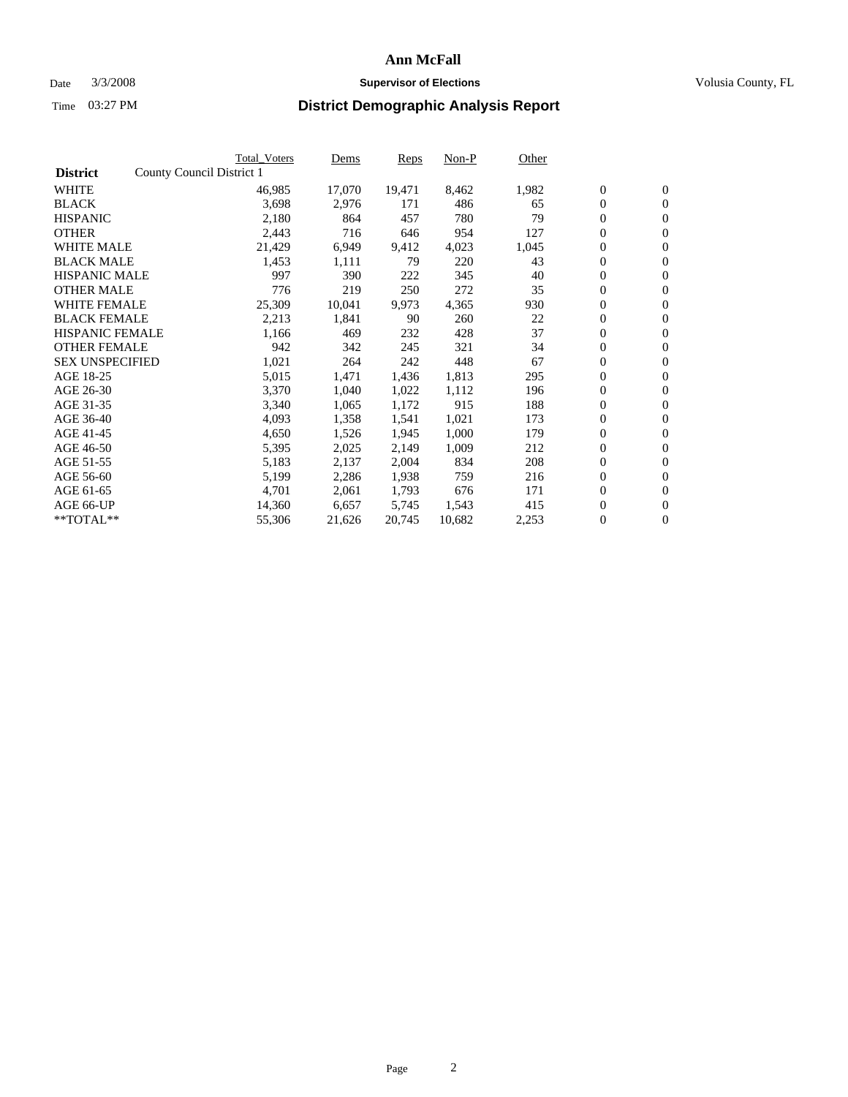#### Date  $3/3/2008$  **Supervisor of Elections** Volusia County, FL

|                        | Total_Voters              | Dems   | <b>Reps</b> | Non-P  | Other |                  |                  |  |
|------------------------|---------------------------|--------|-------------|--------|-------|------------------|------------------|--|
| <b>District</b>        | County Council District 1 |        |             |        |       |                  |                  |  |
| <b>WHITE</b>           | 46,985                    | 17,070 | 19,471      | 8,462  | 1,982 | $\boldsymbol{0}$ | $\mathbf{0}$     |  |
| <b>BLACK</b>           | 3,698                     | 2,976  | 171         | 486    | 65    | $\boldsymbol{0}$ | $\mathbf{0}$     |  |
| <b>HISPANIC</b>        | 2,180                     | 864    | 457         | 780    | 79    | $\boldsymbol{0}$ | $\mathbf{0}$     |  |
| <b>OTHER</b>           | 2,443                     | 716    | 646         | 954    | 127   | $\boldsymbol{0}$ | $\mathbf{0}$     |  |
| <b>WHITE MALE</b>      | 21,429                    | 6,949  | 9,412       | 4,023  | 1,045 | 0                | $\mathbf{0}$     |  |
| <b>BLACK MALE</b>      | 1,453                     | 1,111  | 79          | 220    | 43    | $\boldsymbol{0}$ | $\mathbf{0}$     |  |
| <b>HISPANIC MALE</b>   | 997                       | 390    | 222         | 345    | 40    | $\overline{0}$   | $\mathbf{0}$     |  |
| <b>OTHER MALE</b>      | 776                       | 219    | 250         | 272    | 35    | $\boldsymbol{0}$ | $\mathbf{0}$     |  |
| <b>WHITE FEMALE</b>    | 25,309                    | 10,041 | 9,973       | 4,365  | 930   | $\mathbf{0}$     | $\mathbf{0}$     |  |
| <b>BLACK FEMALE</b>    | 2,213                     | 1,841  | 90          | 260    | 22    | $\boldsymbol{0}$ | $\mathbf{0}$     |  |
| <b>HISPANIC FEMALE</b> | 1,166                     | 469    | 232         | 428    | 37    | $\boldsymbol{0}$ | $\mathbf{0}$     |  |
| <b>OTHER FEMALE</b>    | 942                       | 342    | 245         | 321    | 34    | 0                | $\mathbf{0}$     |  |
| <b>SEX UNSPECIFIED</b> | 1,021                     | 264    | 242         | 448    | 67    | $\boldsymbol{0}$ | $\mathbf{0}$     |  |
| AGE 18-25              | 5,015                     | 1,471  | 1,436       | 1,813  | 295   | $\boldsymbol{0}$ | $\mathbf{0}$     |  |
| AGE 26-30              | 3,370                     | 1,040  | 1,022       | 1,112  | 196   | $\overline{0}$   | $\mathbf{0}$     |  |
| AGE 31-35              | 3,340                     | 1,065  | 1,172       | 915    | 188   | $\boldsymbol{0}$ | $\mathbf{0}$     |  |
| AGE 36-40              | 4,093                     | 1,358  | 1,541       | 1,021  | 173   | $\boldsymbol{0}$ | $\mathbf{0}$     |  |
| AGE 41-45              | 4,650                     | 1,526  | 1,945       | 1,000  | 179   | $\boldsymbol{0}$ | $\mathbf{0}$     |  |
| AGE 46-50              | 5,395                     | 2,025  | 2,149       | 1,009  | 212   | 0                | $\mathbf{0}$     |  |
| AGE 51-55              | 5,183                     | 2,137  | 2,004       | 834    | 208   | $\boldsymbol{0}$ | $\mathbf{0}$     |  |
| AGE 56-60              | 5,199                     | 2,286  | 1,938       | 759    | 216   | $\overline{0}$   | $\mathbf{0}$     |  |
| AGE 61-65              | 4,701                     | 2,061  | 1,793       | 676    | 171   | $\mathbf{0}$     | $\boldsymbol{0}$ |  |
| AGE 66-UP              | 14,360                    | 6,657  | 5,745       | 1,543  | 415   | $\boldsymbol{0}$ | $\mathbf{0}$     |  |
| **TOTAL**              | 55,306                    | 21,626 | 20,745      | 10,682 | 2,253 | $\boldsymbol{0}$ | $\overline{0}$   |  |
|                        |                           |        |             |        |       |                  |                  |  |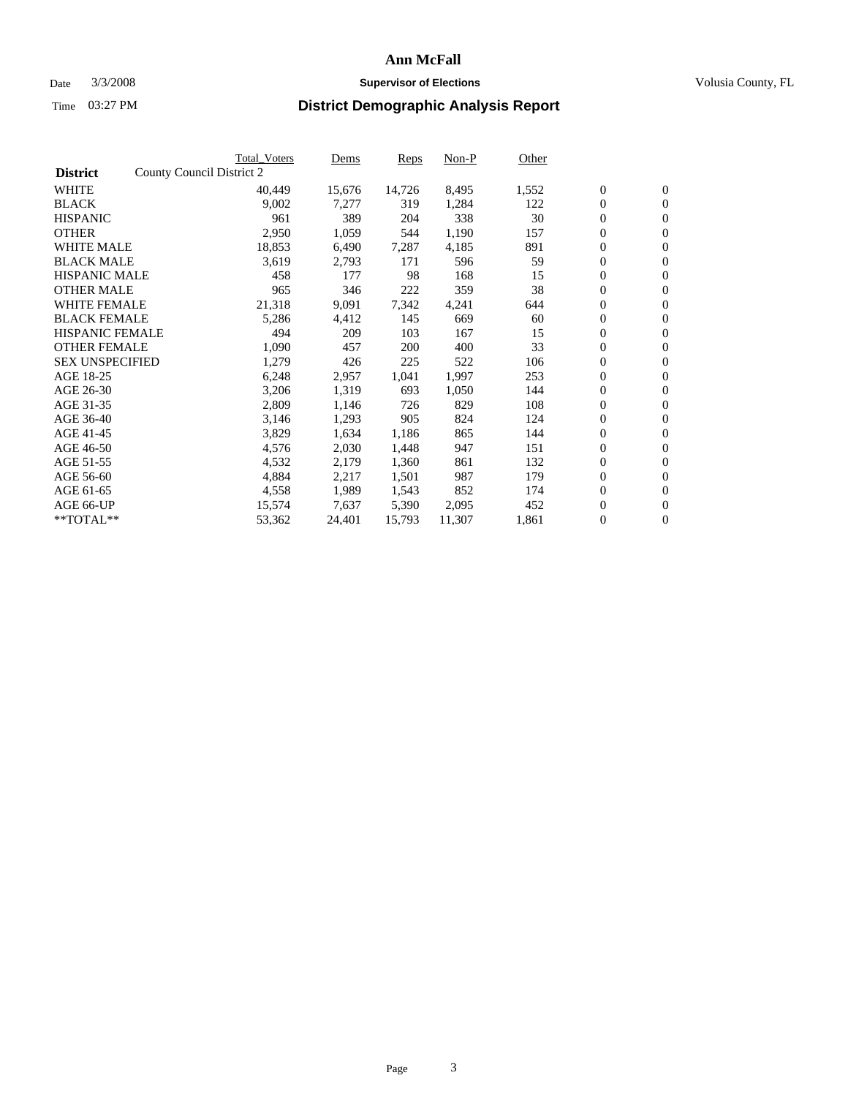#### Date  $3/3/2008$  **Supervisor of Elections** Volusia County, FL

|                        | Total_Voters              | Dems             |                | Non-P<br><b>Reps</b> | Other |                  |                  |  |
|------------------------|---------------------------|------------------|----------------|----------------------|-------|------------------|------------------|--|
| <b>District</b>        | County Council District 2 |                  |                |                      |       |                  |                  |  |
| <b>WHITE</b>           |                           | 40,449<br>15,676 | 14,726         | 8,495                | 1,552 | $\boldsymbol{0}$ | $\mathbf{0}$     |  |
| <b>BLACK</b>           |                           | 9,002            | 7,277          | 319<br>1,284         | 122   | $\boldsymbol{0}$ | $\mathbf{0}$     |  |
| <b>HISPANIC</b>        |                           | 961              | 389            | 338<br>204           | 30    | $\boldsymbol{0}$ | $\mathbf{0}$     |  |
| <b>OTHER</b>           |                           | 2,950            | 1,059          | 1,190<br>544         | 157   | $\boldsymbol{0}$ | $\mathbf{0}$     |  |
| <b>WHITE MALE</b>      |                           | 18,853<br>6,490  | 7,287          | 4,185                | 891   | 0                | $\mathbf{0}$     |  |
| <b>BLACK MALE</b>      |                           | 3,619<br>2,793   |                | 171<br>596           | 59    | $\boldsymbol{0}$ | $\mathbf{0}$     |  |
| <b>HISPANIC MALE</b>   |                           | 458              | 177            | 168<br>98            | 15    | $\overline{0}$   | $\mathbf{0}$     |  |
| <b>OTHER MALE</b>      |                           | 965              | 346            | 222<br>359           | 38    | $\boldsymbol{0}$ | $\mathbf{0}$     |  |
| <b>WHITE FEMALE</b>    |                           | 21,318<br>9,091  | 7,342          | 4,241                | 644   | $\mathbf{0}$     | $\mathbf{0}$     |  |
| <b>BLACK FEMALE</b>    |                           | 5,286<br>4,412   |                | 145<br>669           | 60    | $\boldsymbol{0}$ | $\mathbf{0}$     |  |
| <b>HISPANIC FEMALE</b> |                           | 494              | 209            | 167<br>103           | 15    | $\boldsymbol{0}$ | $\mathbf{0}$     |  |
| <b>OTHER FEMALE</b>    |                           | 1,090            | 457            | 400<br>200           | 33    | 0                | $\mathbf{0}$     |  |
| <b>SEX UNSPECIFIED</b> |                           | 1,279            | 426            | 225<br>522           | 106   | $\boldsymbol{0}$ | $\mathbf{0}$     |  |
| AGE 18-25              |                           | 6,248<br>2,957   | 1,041          | 1,997                | 253   | $\boldsymbol{0}$ | $\mathbf{0}$     |  |
| AGE 26-30              |                           | 3,206            | 1,319<br>693   | 1,050                | 144   | $\overline{0}$   | $\mathbf{0}$     |  |
| AGE 31-35              |                           | 2,809            | 1,146          | 829<br>726           | 108   | $\boldsymbol{0}$ | $\mathbf{0}$     |  |
| AGE 36-40              |                           | 3,146            | 1,293<br>905   | 824                  | 124   | $\boldsymbol{0}$ | $\boldsymbol{0}$ |  |
| AGE 41-45              |                           | 3,829            | 1,634<br>1,186 | 865                  | 144   | $\boldsymbol{0}$ | $\mathbf{0}$     |  |
| AGE 46-50              |                           | 4,576            | 2,030<br>1,448 | 947                  | 151   | $\boldsymbol{0}$ | $\mathbf{0}$     |  |
| AGE 51-55              |                           | 4,532<br>2,179   | 1,360          | 861                  | 132   | $\boldsymbol{0}$ | $\boldsymbol{0}$ |  |
| AGE 56-60              |                           | 4,884<br>2,217   | 1,501          | 987                  | 179   | $\overline{0}$   | $\mathbf{0}$     |  |
| AGE 61-65              |                           | 4,558            | 1,989<br>1,543 | 852                  | 174   | $\mathbf{0}$     | $\boldsymbol{0}$ |  |
| AGE 66-UP              |                           | 15,574<br>7,637  | 5,390          | 2,095                | 452   | $\boldsymbol{0}$ | $\boldsymbol{0}$ |  |
| **TOTAL**              |                           | 24,401<br>53,362 | 15,793         | 11,307               | 1,861 | $\boldsymbol{0}$ | $\overline{0}$   |  |
|                        |                           |                  |                |                      |       |                  |                  |  |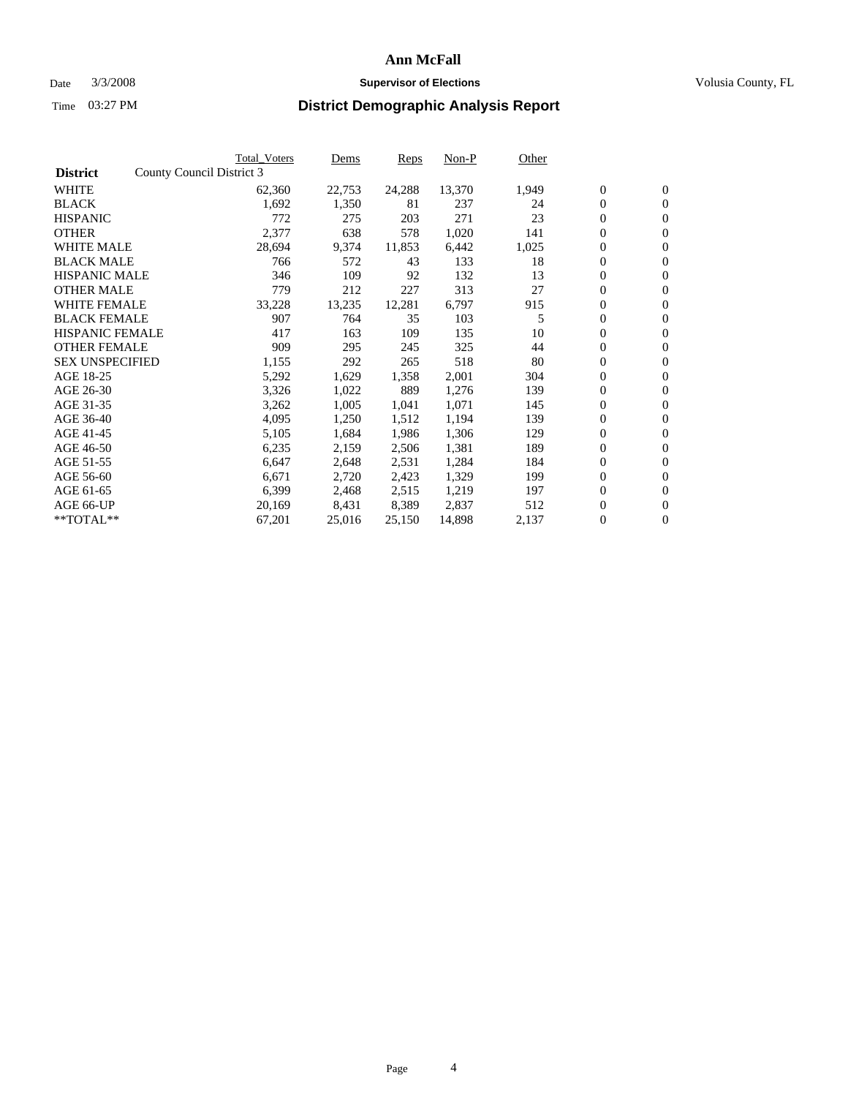#### Date  $3/3/2008$  **Supervisor of Elections** Volusia County, FL

|                        | <b>Total_Voters</b>       | Dems   | <b>Reps</b> | Non-P  | Other |                  |                  |  |
|------------------------|---------------------------|--------|-------------|--------|-------|------------------|------------------|--|
| <b>District</b>        | County Council District 3 |        |             |        |       |                  |                  |  |
| <b>WHITE</b>           | 62,360                    | 22,753 | 24,288      | 13,370 | 1,949 | $\overline{0}$   | $\mathbf{0}$     |  |
| <b>BLACK</b>           | 1,692                     | 1,350  | 81          | 237    | 24    | $\overline{0}$   | $\mathbf{0}$     |  |
| <b>HISPANIC</b>        | 772                       | 275    | 203         | 271    | 23    | $\boldsymbol{0}$ | $\mathbf{0}$     |  |
| <b>OTHER</b>           | 2,377                     | 638    | 578         | 1,020  | 141   | $\boldsymbol{0}$ | $\mathbf{0}$     |  |
| <b>WHITE MALE</b>      | 28,694                    | 9,374  | 11,853      | 6,442  | 1,025 | $\boldsymbol{0}$ | $\mathbf{0}$     |  |
| <b>BLACK MALE</b>      | 766                       | 572    | 43          | 133    | 18    | $\boldsymbol{0}$ | $\boldsymbol{0}$ |  |
| <b>HISPANIC MALE</b>   | 346                       | 109    | 92          | 132    | 13    | $\overline{0}$   | $\mathbf{0}$     |  |
| <b>OTHER MALE</b>      | 779                       | 212    | 227         | 313    | 27    | $\overline{0}$   | $\mathbf{0}$     |  |
| <b>WHITE FEMALE</b>    | 33,228                    | 13,235 | 12,281      | 6,797  | 915   | $\overline{0}$   | $\mathbf{0}$     |  |
| <b>BLACK FEMALE</b>    | 907                       | 764    | 35          | 103    | 5     | $\boldsymbol{0}$ | $\mathbf{0}$     |  |
| <b>HISPANIC FEMALE</b> | 417                       | 163    | 109         | 135    | 10    | $\boldsymbol{0}$ | $\boldsymbol{0}$ |  |
| <b>OTHER FEMALE</b>    | 909                       | 295    | 245         | 325    | 44    | 0                | $\mathbf{0}$     |  |
| <b>SEX UNSPECIFIED</b> | 1,155                     | 292    | 265         | 518    | 80    | $\boldsymbol{0}$ | $\mathbf{0}$     |  |
| AGE 18-25              | 5,292                     | 1,629  | 1,358       | 2,001  | 304   | $\boldsymbol{0}$ | $\mathbf{0}$     |  |
| AGE 26-30              | 3,326                     | 1,022  | 889         | 1,276  | 139   | $\overline{0}$   | $\mathbf{0}$     |  |
| AGE 31-35              | 3,262                     | 1,005  | 1,041       | 1,071  | 145   | $\boldsymbol{0}$ | $\mathbf{0}$     |  |
| AGE 36-40              | 4,095                     | 1,250  | 1,512       | 1,194  | 139   | $\boldsymbol{0}$ | $\mathbf{0}$     |  |
| AGE 41-45              | 5,105                     | 1,684  | 1,986       | 1,306  | 129   | $\boldsymbol{0}$ | $\mathbf{0}$     |  |
| AGE 46-50              | 6,235                     | 2,159  | 2,506       | 1,381  | 189   | $\boldsymbol{0}$ | $\mathbf{0}$     |  |
| AGE 51-55              | 6,647                     | 2,648  | 2,531       | 1,284  | 184   | $\boldsymbol{0}$ | $\mathbf{0}$     |  |
| AGE 56-60              | 6,671                     | 2,720  | 2,423       | 1,329  | 199   | $\overline{0}$   | $\mathbf{0}$     |  |
| AGE 61-65              | 6,399                     | 2,468  | 2,515       | 1,219  | 197   | $\mathbf{0}$     | $\mathbf{0}$     |  |
| AGE 66-UP              | 20,169                    | 8,431  | 8,389       | 2,837  | 512   | $\boldsymbol{0}$ | $\mathbf{0}$     |  |
| **TOTAL**              | 67,201                    | 25,016 | 25,150      | 14,898 | 2,137 | $\boldsymbol{0}$ | $\overline{0}$   |  |
|                        |                           |        |             |        |       |                  |                  |  |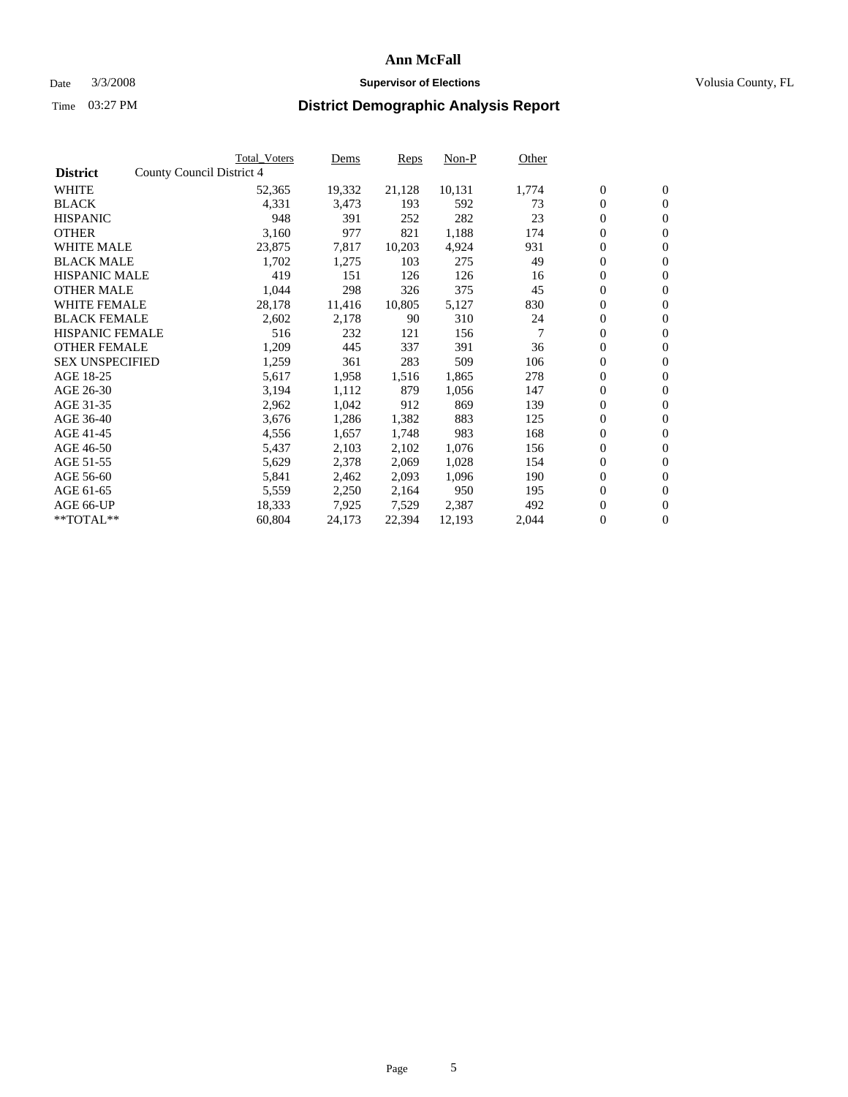#### Date  $3/3/2008$  **Supervisor of Elections** Volusia County, FL

|                        | <b>Total_Voters</b>       | Dems   | <b>Reps</b> | Non-P  | Other |                  |                |  |
|------------------------|---------------------------|--------|-------------|--------|-------|------------------|----------------|--|
| <b>District</b>        | County Council District 4 |        |             |        |       |                  |                |  |
| <b>WHITE</b>           | 52,365                    | 19,332 | 21,128      | 10,131 | 1,774 | $\boldsymbol{0}$ | $\mathbf{0}$   |  |
| <b>BLACK</b>           | 4,331                     | 3,473  | 193         | 592    | 73    | $\boldsymbol{0}$ | $\overline{0}$ |  |
| <b>HISPANIC</b>        | 948                       | 391    | 252         | 282    | 23    | $\boldsymbol{0}$ | $\overline{0}$ |  |
| <b>OTHER</b>           | 3,160                     | 977    | 821         | 1,188  | 174   | 0                | $\mathbf{0}$   |  |
| <b>WHITE MALE</b>      | 23,875                    | 7,817  | 10,203      | 4,924  | 931   | 0                | $\mathbf{0}$   |  |
| <b>BLACK MALE</b>      | 1,702                     | 1,275  | 103         | 275    | 49    | $\boldsymbol{0}$ | $\mathbf{0}$   |  |
| <b>HISPANIC MALE</b>   | 419                       | 151    | 126         | 126    | 16    | 0                | $\mathbf{0}$   |  |
| <b>OTHER MALE</b>      | 1,044                     | 298    | 326         | 375    | 45    | $\overline{0}$   | $\mathbf{0}$   |  |
| <b>WHITE FEMALE</b>    | 28,178                    | 11,416 | 10,805      | 5,127  | 830   | $\overline{0}$   | $\overline{0}$ |  |
| <b>BLACK FEMALE</b>    | 2,602                     | 2,178  | 90          | 310    | 24    | 0                | $\mathbf{0}$   |  |
| <b>HISPANIC FEMALE</b> | 516                       | 232    | 121         | 156    | 7     | $\boldsymbol{0}$ | $\mathbf{0}$   |  |
| <b>OTHER FEMALE</b>    | 1,209                     | 445    | 337         | 391    | 36    | 0                | $\overline{0}$ |  |
| <b>SEX UNSPECIFIED</b> | 1,259                     | 361    | 283         | 509    | 106   | 0                | $\mathbf{0}$   |  |
| AGE 18-25              | 5,617                     | 1,958  | 1,516       | 1,865  | 278   | 0                | $\mathbf{0}$   |  |
| AGE 26-30              | 3,194                     | 1,112  | 879         | 1,056  | 147   | $\overline{0}$   | $\mathbf{0}$   |  |
| AGE 31-35              | 2,962                     | 1,042  | 912         | 869    | 139   | $\boldsymbol{0}$ | $\overline{0}$ |  |
| AGE 36-40              | 3,676                     | 1,286  | 1,382       | 883    | 125   | $\boldsymbol{0}$ | $\mathbf{0}$   |  |
| AGE 41-45              | 4,556                     | 1,657  | 1,748       | 983    | 168   | 0                | $\mathbf{0}$   |  |
| AGE 46-50              | 5,437                     | 2,103  | 2,102       | 1,076  | 156   | 0                | $\mathbf{0}$   |  |
| AGE 51-55              | 5,629                     | 2,378  | 2,069       | 1,028  | 154   | $\boldsymbol{0}$ | $\mathbf{0}$   |  |
| AGE 56-60              | 5,841                     | 2,462  | 2,093       | 1,096  | 190   | $\overline{0}$   | $\mathbf{0}$   |  |
| AGE 61-65              | 5,559                     | 2,250  | 2,164       | 950    | 195   | $\overline{0}$   | $\mathbf{0}$   |  |
| AGE 66-UP              | 18,333                    | 7,925  | 7,529       | 2,387  | 492   | $\boldsymbol{0}$ | $\mathbf{0}$   |  |
| **TOTAL**              | 60,804                    | 24,173 | 22,394      | 12,193 | 2,044 | 0                | $\overline{0}$ |  |
|                        |                           |        |             |        |       |                  |                |  |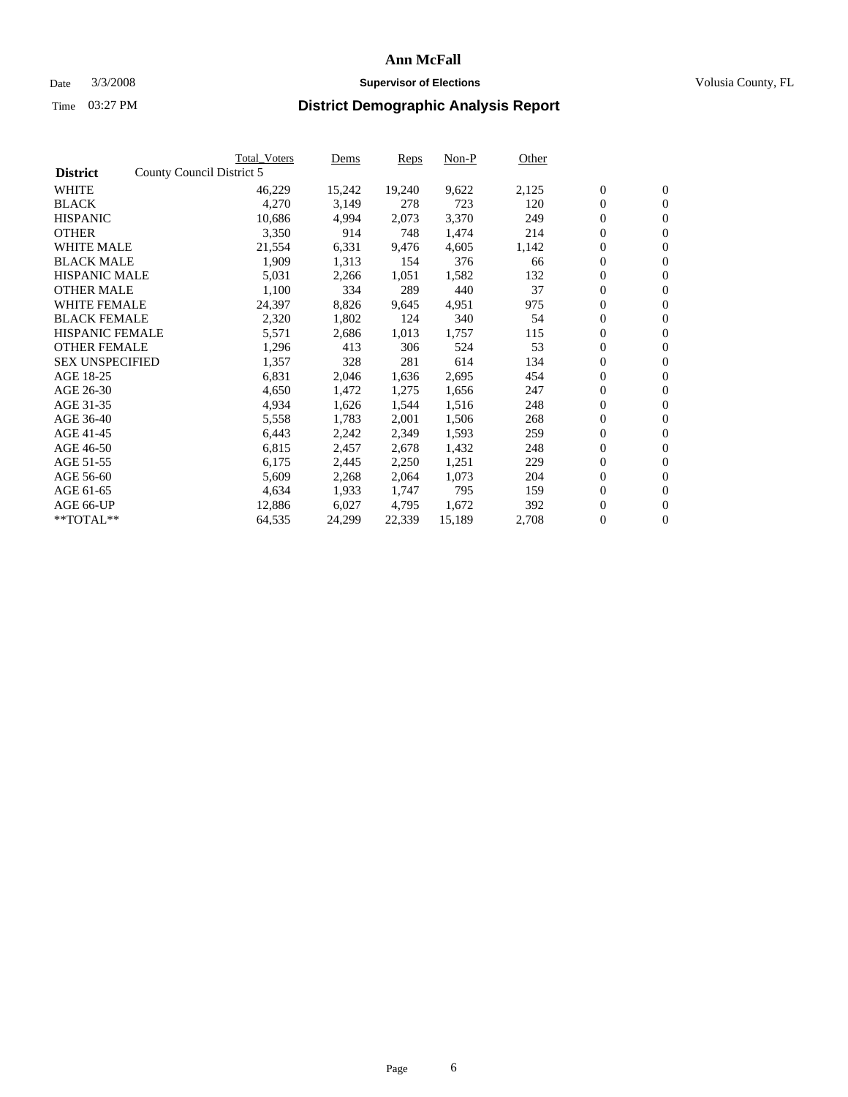#### Date  $3/3/2008$  **Supervisor of Elections** Volusia County, FL

|                        | <b>Total Voters</b>       | Dems   | <b>Reps</b> | Non-P  | Other |                  |                  |  |
|------------------------|---------------------------|--------|-------------|--------|-------|------------------|------------------|--|
| <b>District</b>        | County Council District 5 |        |             |        |       |                  |                  |  |
| <b>WHITE</b>           | 46,229                    | 15,242 | 19,240      | 9,622  | 2,125 | $\boldsymbol{0}$ | $\mathbf{0}$     |  |
| <b>BLACK</b>           | 4,270                     | 3,149  | 278         | 723    | 120   | $\overline{0}$   | $\mathbf{0}$     |  |
| <b>HISPANIC</b>        | 10,686                    | 4,994  | 2,073       | 3,370  | 249   | $\boldsymbol{0}$ | $\mathbf{0}$     |  |
| <b>OTHER</b>           | 3,350                     | 914    | 748         | 1,474  | 214   | $\boldsymbol{0}$ | $\mathbf{0}$     |  |
| <b>WHITE MALE</b>      | 21,554                    | 6,331  | 9,476       | 4,605  | 1,142 | $\boldsymbol{0}$ | $\mathbf{0}$     |  |
| <b>BLACK MALE</b>      | 1,909                     | 1,313  | 154         | 376    | 66    | $\boldsymbol{0}$ | $\boldsymbol{0}$ |  |
| <b>HISPANIC MALE</b>   | 5,031                     | 2,266  | 1,051       | 1,582  | 132   | $\overline{0}$   | $\mathbf{0}$     |  |
| <b>OTHER MALE</b>      | 1,100                     | 334    | 289         | 440    | 37    | $\boldsymbol{0}$ | $\mathbf{0}$     |  |
| <b>WHITE FEMALE</b>    | 24,397                    | 8,826  | 9,645       | 4,951  | 975   | $\mathbf{0}$     | $\mathbf{0}$     |  |
| <b>BLACK FEMALE</b>    | 2,320                     | 1,802  | 124         | 340    | 54    | $\boldsymbol{0}$ | $\mathbf{0}$     |  |
| <b>HISPANIC FEMALE</b> | 5,571                     | 2,686  | 1,013       | 1,757  | 115   | $\boldsymbol{0}$ | $\boldsymbol{0}$ |  |
| <b>OTHER FEMALE</b>    | 1,296                     | 413    | 306         | 524    | 53    | $\overline{0}$   | $\mathbf{0}$     |  |
| <b>SEX UNSPECIFIED</b> | 1,357                     | 328    | 281         | 614    | 134   | $\boldsymbol{0}$ | $\mathbf{0}$     |  |
| AGE 18-25              | 6,831                     | 2,046  | 1,636       | 2,695  | 454   | $\boldsymbol{0}$ | $\mathbf{0}$     |  |
| AGE 26-30              | 4,650                     | 1,472  | 1,275       | 1,656  | 247   | $\overline{0}$   | $\mathbf{0}$     |  |
| AGE 31-35              | 4,934                     | 1,626  | 1,544       | 1,516  | 248   | $\boldsymbol{0}$ | $\mathbf{0}$     |  |
| AGE 36-40              | 5,558                     | 1,783  | 2,001       | 1,506  | 268   | $\boldsymbol{0}$ | $\boldsymbol{0}$ |  |
| AGE 41-45              | 6,443                     | 2,242  | 2,349       | 1,593  | 259   | $\boldsymbol{0}$ | $\mathbf{0}$     |  |
| AGE 46-50              | 6,815                     | 2,457  | 2,678       | 1,432  | 248   | $\boldsymbol{0}$ | $\mathbf{0}$     |  |
| AGE 51-55              | 6,175                     | 2,445  | 2,250       | 1,251  | 229   | $\boldsymbol{0}$ | $\boldsymbol{0}$ |  |
| AGE 56-60              | 5,609                     | 2,268  | 2,064       | 1,073  | 204   | $\overline{0}$   | $\mathbf{0}$     |  |
| AGE 61-65              | 4,634                     | 1,933  | 1,747       | 795    | 159   | $\mathbf{0}$     | $\boldsymbol{0}$ |  |
| AGE 66-UP              | 12,886                    | 6,027  | 4,795       | 1,672  | 392   | $\boldsymbol{0}$ | $\boldsymbol{0}$ |  |
| **TOTAL**              | 64,535                    | 24,299 | 22,339      | 15,189 | 2,708 | $\boldsymbol{0}$ | $\overline{0}$   |  |
|                        |                           |        |             |        |       |                  |                  |  |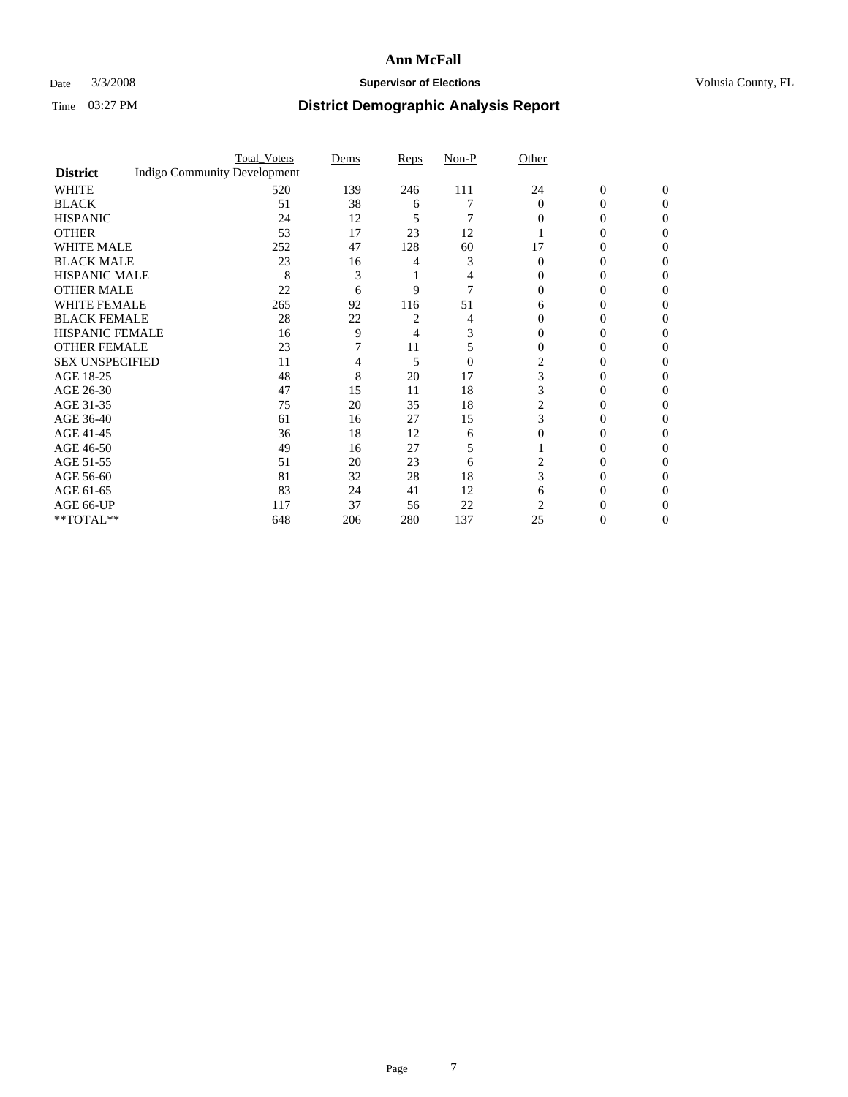### Date  $3/3/2008$  **Supervisor of Elections Supervisor of Elections** Volusia County, FL

|                        |                                     | <b>Total_Voters</b> | Dems | <b>Reps</b> | Non-P          | Other    |                |              |  |
|------------------------|-------------------------------------|---------------------|------|-------------|----------------|----------|----------------|--------------|--|
| <b>District</b>        | <b>Indigo Community Development</b> |                     |      |             |                |          |                |              |  |
| <b>WHITE</b>           |                                     | 520                 | 139  | 246         | 111            | 24       | $\overline{0}$ | $\mathbf{0}$ |  |
| <b>BLACK</b>           |                                     | 51                  | 38   | 6           |                | $\Omega$ | 0              | $\Omega$     |  |
| <b>HISPANIC</b>        |                                     | 24                  | 12   | 5           | 7              | 0        | 0              | 0            |  |
| <b>OTHER</b>           |                                     | 53                  | 17   | 23          | 12             |          |                |              |  |
| <b>WHITE MALE</b>      |                                     | 252                 | 47   | 128         | 60             | 17       | 0              |              |  |
| <b>BLACK MALE</b>      |                                     | 23                  | 16   |             | 3              | 0        | 0              |              |  |
| HISPANIC MALE          |                                     | 8                   | 3    |             |                |          | 0              |              |  |
| <b>OTHER MALE</b>      |                                     | 22                  | 6    | 9           |                |          | 0              |              |  |
| WHITE FEMALE           |                                     | 265                 | 92   | 116         | 51             | 6        |                |              |  |
| <b>BLACK FEMALE</b>    |                                     | 28                  | 22   |             |                | 0        | 0              | 0            |  |
| <b>HISPANIC FEMALE</b> |                                     | 16                  | 9    | 4           |                |          |                | $\mathbf{0}$ |  |
| <b>OTHER FEMALE</b>    |                                     | 23                  |      | 11          | 5              | 0        | 0              |              |  |
| <b>SEX UNSPECIFIED</b> |                                     | 11                  |      | 5           | $\overline{0}$ |          |                |              |  |
| AGE 18-25              |                                     | 48                  | 8    | 20          | 17             | 3        | 0              |              |  |
| AGE 26-30              |                                     | 47                  | 15   | 11          | 18             | 3        | 0              |              |  |
| AGE 31-35              |                                     | 75                  | 20   | 35          | 18             | 2        | 0              |              |  |
| AGE 36-40              |                                     | 61                  | 16   | 27          | 15             | 3        | 0              | $\theta$     |  |
| AGE 41-45              |                                     | 36                  | 18   | 12          | 6              | 0        |                |              |  |
| AGE 46-50              |                                     | 49                  | 16   | 27          | 5              |          | $_{0}$         | 0            |  |
| AGE 51-55              |                                     | 51                  | 20   | 23          | 6              |          |                |              |  |
| AGE 56-60              |                                     | 81                  | 32   | 28          | 18             | 3        | 0              |              |  |
| AGE 61-65              |                                     | 83                  | 24   | 41          | 12             | 6        | 0              |              |  |
| AGE 66-UP              |                                     | 117                 | 37   | 56          | 22             | 2        |                |              |  |
| **TOTAL**              |                                     | 648                 | 206  | 280         | 137            | 25       | 0              | 0            |  |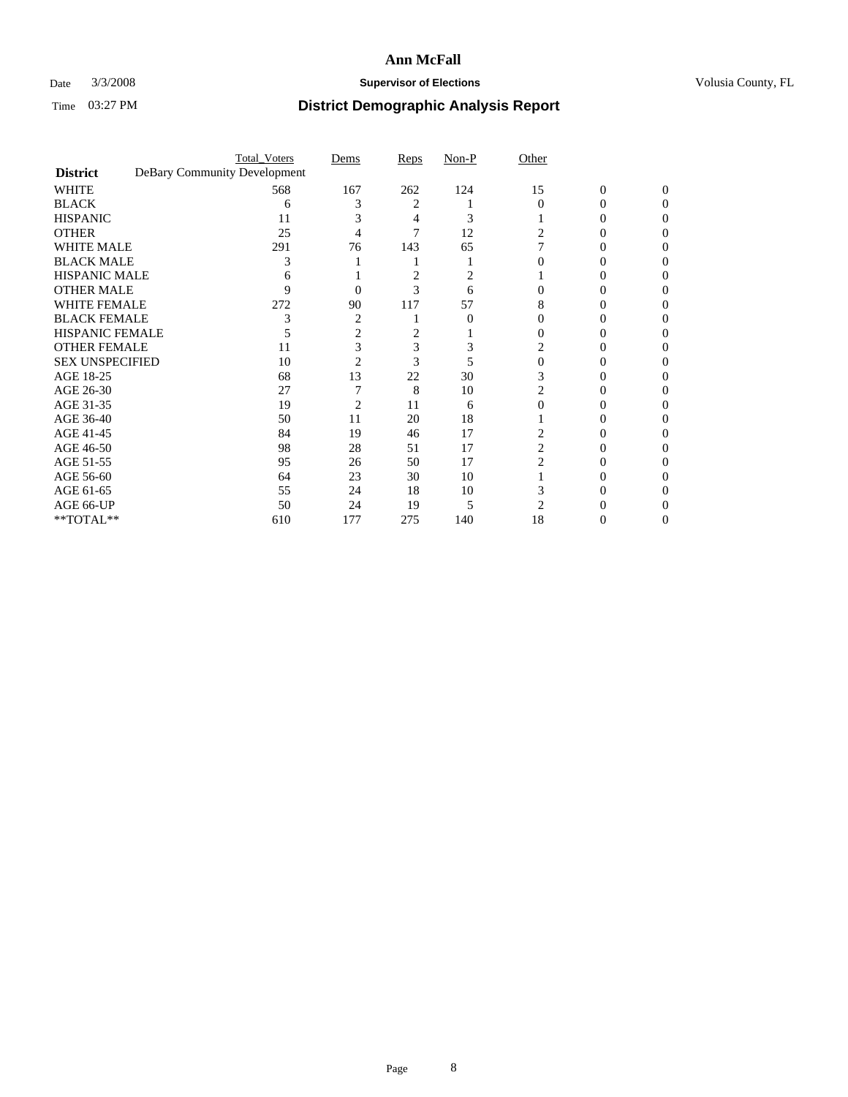### Date  $3/3/2008$  **Supervisor of Elections Supervisor of Elections** Volusia County, FL

|                        |                              | <b>Total_Voters</b> | Dems           | <b>Reps</b> | Non-P | Other          |                |          |
|------------------------|------------------------------|---------------------|----------------|-------------|-------|----------------|----------------|----------|
| <b>District</b>        | DeBary Community Development |                     |                |             |       |                |                |          |
| <b>WHITE</b>           |                              | 568                 | 167            | 262         | 124   | 15             | $\overline{0}$ | $\Omega$ |
| <b>BLACK</b>           |                              | 6                   |                | 2           |       | $\Omega$       | 0              | 0        |
| <b>HISPANIC</b>        |                              | 11                  |                |             | 3     |                |                | 0        |
| <b>OTHER</b>           |                              | 25                  |                |             | 12    |                |                |          |
| <b>WHITE MALE</b>      |                              | 291                 | 76             | 143         | 65    |                |                |          |
| <b>BLACK MALE</b>      |                              | 3                   |                |             |       |                |                |          |
| HISPANIC MALE          |                              |                     |                | 2           |       |                |                |          |
| <b>OTHER MALE</b>      |                              | Q                   | 0              | 3           | 6     |                |                |          |
| WHITE FEMALE           |                              | 272                 | 90             | 117         | 57    | 8              |                |          |
| <b>BLACK FEMALE</b>    |                              |                     | $\overline{2}$ |             | 0     | 0              |                |          |
| <b>HISPANIC FEMALE</b> |                              |                     | 2              |             |       |                |                |          |
| <b>OTHER FEMALE</b>    |                              | 11                  |                | 3           |       | 2              |                |          |
| <b>SEX UNSPECIFIED</b> |                              | 10                  | 2              | 3           |       | 0              |                |          |
| AGE 18-25              |                              | 68                  | 13             | 22          | 30    |                |                |          |
| AGE 26-30              |                              | 27                  |                | 8           | 10    | 2              |                |          |
| AGE 31-35              |                              | 19                  | 2              | 11          | 6     |                |                |          |
| AGE 36-40              |                              | 50                  | 11             | 20          | 18    |                | $\theta$       |          |
| AGE 41-45              |                              | 84                  | 19             | 46          | 17    |                |                |          |
| AGE 46-50              |                              | 98                  | 28             | 51          | 17    | $\overline{c}$ |                |          |
| AGE 51-55              |                              | 95                  | 26             | 50          | 17    | 2              |                |          |
| AGE 56-60              |                              | 64                  | 23             | 30          | 10    |                |                |          |
| AGE 61-65              |                              | 55                  | 24             | 18          | 10    |                |                |          |
| AGE 66-UP              |                              | 50                  | 24             | 19          | 5     | 2              |                |          |
| **TOTAL**              |                              | 610                 | 177            | 275         | 140   | 18             | 0              | 0        |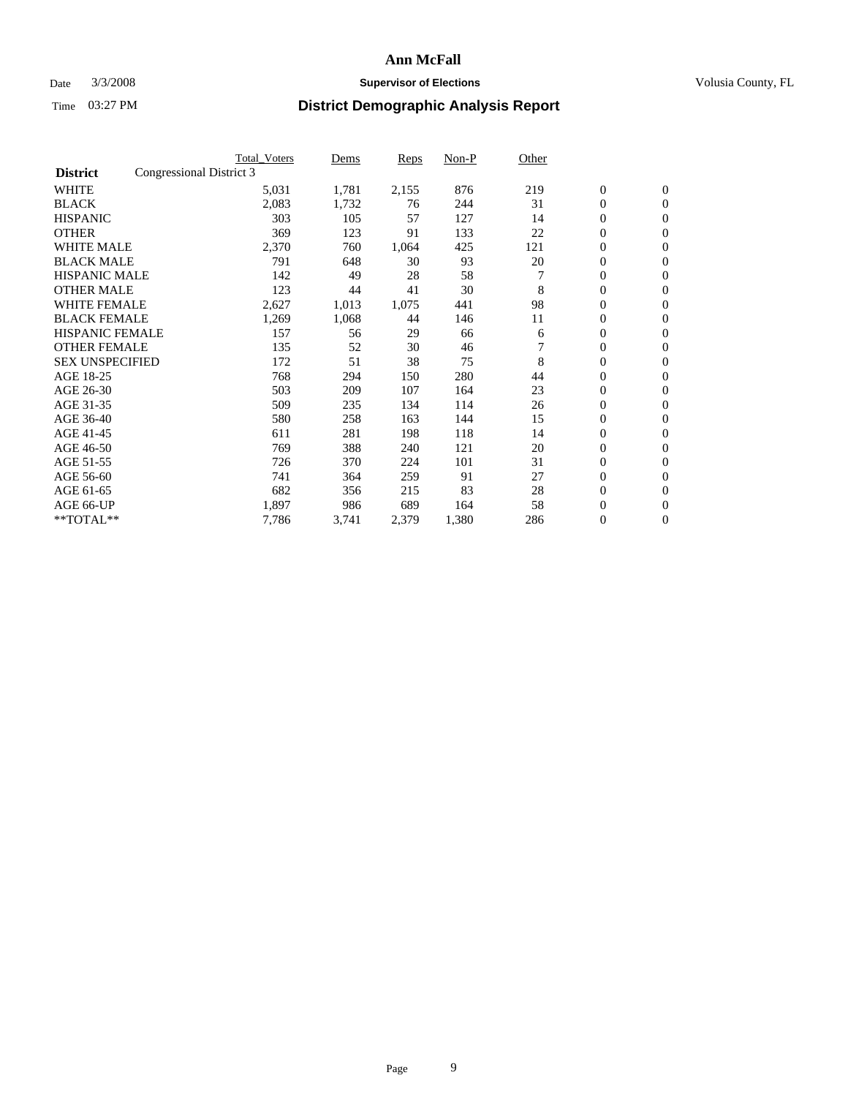### Date  $3/3/2008$  **Supervisor of Elections Supervisor of Elections** Volusia County, FL

|                        |                          | <b>Total Voters</b> | Dems  | Reps  | Non-P | Other |                  |                  |  |
|------------------------|--------------------------|---------------------|-------|-------|-------|-------|------------------|------------------|--|
| <b>District</b>        | Congressional District 3 |                     |       |       |       |       |                  |                  |  |
| <b>WHITE</b>           |                          | 5,031               | 1,781 | 2,155 | 876   | 219   | $\boldsymbol{0}$ | $\boldsymbol{0}$ |  |
| <b>BLACK</b>           |                          | 2,083               | 1,732 | 76    | 244   | 31    | $\mathbf{0}$     | $\mathbf{0}$     |  |
| <b>HISPANIC</b>        |                          | 303                 | 105   | 57    | 127   | 14    | $\mathbf{0}$     | $\mathbf{0}$     |  |
| <b>OTHER</b>           |                          | 369                 | 123   | 91    | 133   | 22    | 0                | $\mathbf{0}$     |  |
| <b>WHITE MALE</b>      |                          | 2,370               | 760   | 1,064 | 425   | 121   | 0                | $\mathbf{0}$     |  |
| <b>BLACK MALE</b>      |                          | 791                 | 648   | 30    | 93    | 20    | 0                | $\mathbf{0}$     |  |
| <b>HISPANIC MALE</b>   |                          | 142                 | 49    | 28    | 58    |       | 0                | $\mathbf{0}$     |  |
| <b>OTHER MALE</b>      |                          | 123                 | 44    | 41    | 30    | 8     | 0                | $\mathbf{0}$     |  |
| <b>WHITE FEMALE</b>    |                          | 2,627               | 1,013 | 1,075 | 441   | 98    | 0                | $\mathbf{0}$     |  |
| <b>BLACK FEMALE</b>    |                          | 1,269               | 1,068 | 44    | 146   | 11    | 0                | $\mathbf{0}$     |  |
| <b>HISPANIC FEMALE</b> |                          | 157                 | 56    | 29    | 66    | 6     | 0                | $\mathbf{0}$     |  |
| <b>OTHER FEMALE</b>    |                          | 135                 | 52    | 30    | 46    |       | 0                | $\mathbf{0}$     |  |
| <b>SEX UNSPECIFIED</b> |                          | 172                 | 51    | 38    | 75    | 8     | $\boldsymbol{0}$ | $\mathbf{0}$     |  |
| AGE 18-25              |                          | 768                 | 294   | 150   | 280   | 44    | 0                | $\mathbf{0}$     |  |
| AGE 26-30              |                          | 503                 | 209   | 107   | 164   | 23    | 0                | $\mathbf{0}$     |  |
| AGE 31-35              |                          | 509                 | 235   | 134   | 114   | 26    | 0                | $\mathbf{0}$     |  |
| AGE 36-40              |                          | 580                 | 258   | 163   | 144   | 15    | $\boldsymbol{0}$ | $\mathbf{0}$     |  |
| AGE 41-45              |                          | 611                 | 281   | 198   | 118   | 14    | 0                | $\mathbf{0}$     |  |
| AGE 46-50              |                          | 769                 | 388   | 240   | 121   | 20    | $\mathbf{0}$     | $\mathbf{0}$     |  |
| AGE 51-55              |                          | 726                 | 370   | 224   | 101   | 31    | $\overline{0}$   | $\mathbf{0}$     |  |
| AGE 56-60              |                          | 741                 | 364   | 259   | 91    | 27    | 0                | $\mathbf{0}$     |  |
| AGE 61-65              |                          | 682                 | 356   | 215   | 83    | 28    | 0                | 0                |  |
| AGE 66-UP              |                          | 1,897               | 986   | 689   | 164   | 58    | 0                | 0                |  |
| $*$ TOTAL $**$         |                          | 7,786               | 3,741 | 2,379 | 1,380 | 286   | $\boldsymbol{0}$ | $\boldsymbol{0}$ |  |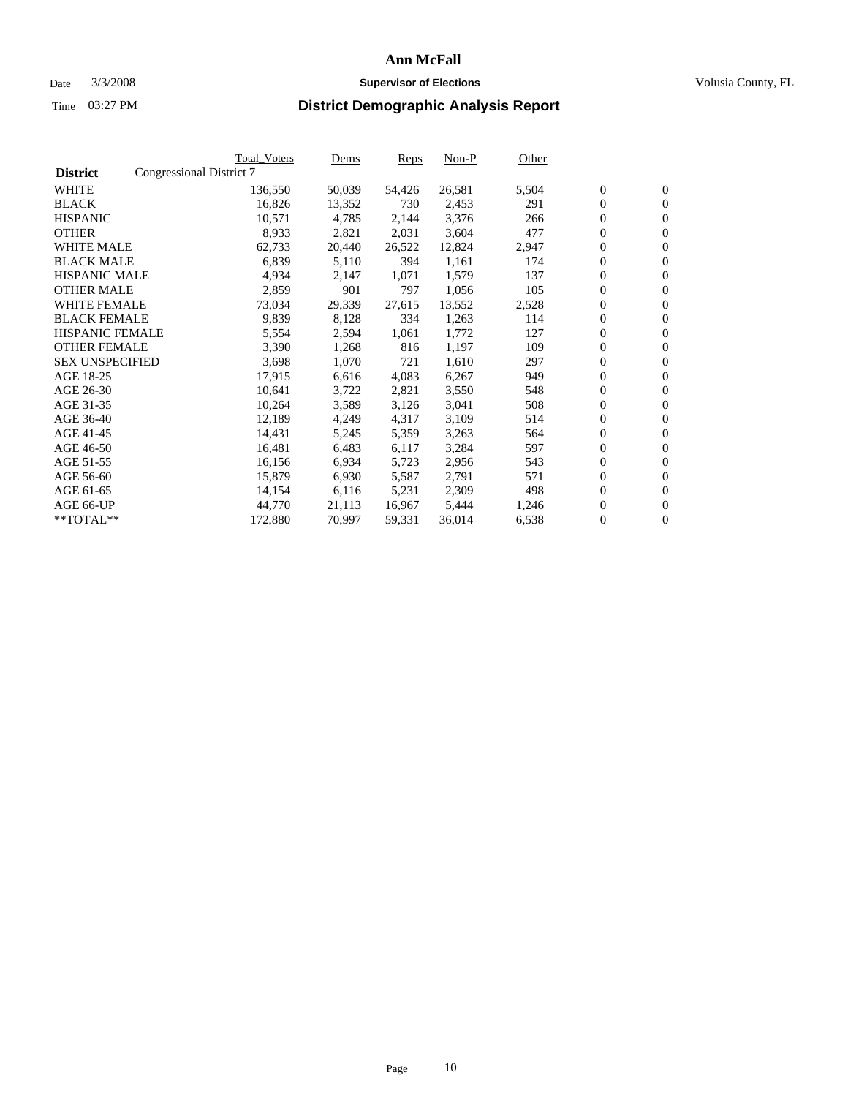#### Date  $3/3/2008$  **Supervisor of Elections** Volusia County, FL

|                        |                          | Total_Voters | Dems   | <b>Reps</b> | Non-P  | Other |                  |                  |  |
|------------------------|--------------------------|--------------|--------|-------------|--------|-------|------------------|------------------|--|
| <b>District</b>        | Congressional District 7 |              |        |             |        |       |                  |                  |  |
| <b>WHITE</b>           |                          | 136,550      | 50,039 | 54,426      | 26,581 | 5,504 | $\boldsymbol{0}$ | $\mathbf{0}$     |  |
| <b>BLACK</b>           |                          | 16,826       | 13,352 | 730         | 2,453  | 291   | $\overline{0}$   | $\mathbf{0}$     |  |
| <b>HISPANIC</b>        |                          | 10,571       | 4,785  | 2,144       | 3,376  | 266   | $\boldsymbol{0}$ | $\mathbf{0}$     |  |
| <b>OTHER</b>           |                          | 8,933        | 2,821  | 2,031       | 3,604  | 477   | $\boldsymbol{0}$ | $\mathbf{0}$     |  |
| <b>WHITE MALE</b>      |                          | 62,733       | 20,440 | 26,522      | 12,824 | 2,947 | $\boldsymbol{0}$ | $\mathbf{0}$     |  |
| <b>BLACK MALE</b>      |                          | 6,839        | 5,110  | 394         | 1,161  | 174   | $\boldsymbol{0}$ | $\mathbf{0}$     |  |
| <b>HISPANIC MALE</b>   |                          | 4,934        | 2,147  | 1,071       | 1,579  | 137   | $\overline{0}$   | $\mathbf{0}$     |  |
| <b>OTHER MALE</b>      |                          | 2,859        | 901    | 797         | 1,056  | 105   | $\overline{0}$   | $\mathbf{0}$     |  |
| <b>WHITE FEMALE</b>    |                          | 73,034       | 29,339 | 27,615      | 13,552 | 2,528 | $\mathbf{0}$     | $\mathbf{0}$     |  |
| <b>BLACK FEMALE</b>    |                          | 9,839        | 8,128  | 334         | 1,263  | 114   | $\boldsymbol{0}$ | $\mathbf{0}$     |  |
| <b>HISPANIC FEMALE</b> |                          | 5,554        | 2,594  | 1,061       | 1,772  | 127   | $\boldsymbol{0}$ | $\mathbf{0}$     |  |
| <b>OTHER FEMALE</b>    |                          | 3,390        | 1,268  | 816         | 1,197  | 109   | 0                | $\mathbf{0}$     |  |
| <b>SEX UNSPECIFIED</b> |                          | 3,698        | 1,070  | 721         | 1,610  | 297   | $\boldsymbol{0}$ | $\mathbf{0}$     |  |
| AGE 18-25              |                          | 17,915       | 6,616  | 4,083       | 6,267  | 949   | $\boldsymbol{0}$ | $\mathbf{0}$     |  |
| AGE 26-30              |                          | 10,641       | 3,722  | 2,821       | 3,550  | 548   | $\overline{0}$   | $\mathbf{0}$     |  |
| AGE 31-35              |                          | 10,264       | 3,589  | 3,126       | 3,041  | 508   | $\overline{0}$   | $\mathbf{0}$     |  |
| AGE 36-40              |                          | 12,189       | 4,249  | 4,317       | 3,109  | 514   | $\boldsymbol{0}$ | $\mathbf{0}$     |  |
| AGE 41-45              |                          | 14,431       | 5,245  | 5,359       | 3,263  | 564   | $\boldsymbol{0}$ | $\mathbf{0}$     |  |
| AGE 46-50              |                          | 16,481       | 6,483  | 6,117       | 3,284  | 597   | 0                | $\mathbf{0}$     |  |
| AGE 51-55              |                          | 16,156       | 6,934  | 5,723       | 2,956  | 543   | $\boldsymbol{0}$ | $\mathbf{0}$     |  |
| AGE 56-60              |                          | 15,879       | 6,930  | 5,587       | 2,791  | 571   | $\overline{0}$   | $\mathbf{0}$     |  |
| AGE 61-65              |                          | 14,154       | 6,116  | 5,231       | 2,309  | 498   | $\mathbf{0}$     | $\boldsymbol{0}$ |  |
| AGE 66-UP              |                          | 44,770       | 21,113 | 16,967      | 5,444  | 1,246 | $\boldsymbol{0}$ | $\mathbf{0}$     |  |
| **TOTAL**              |                          | 172,880      | 70,997 | 59,331      | 36,014 | 6,538 | $\boldsymbol{0}$ | $\overline{0}$   |  |
|                        |                          |              |        |             |        |       |                  |                  |  |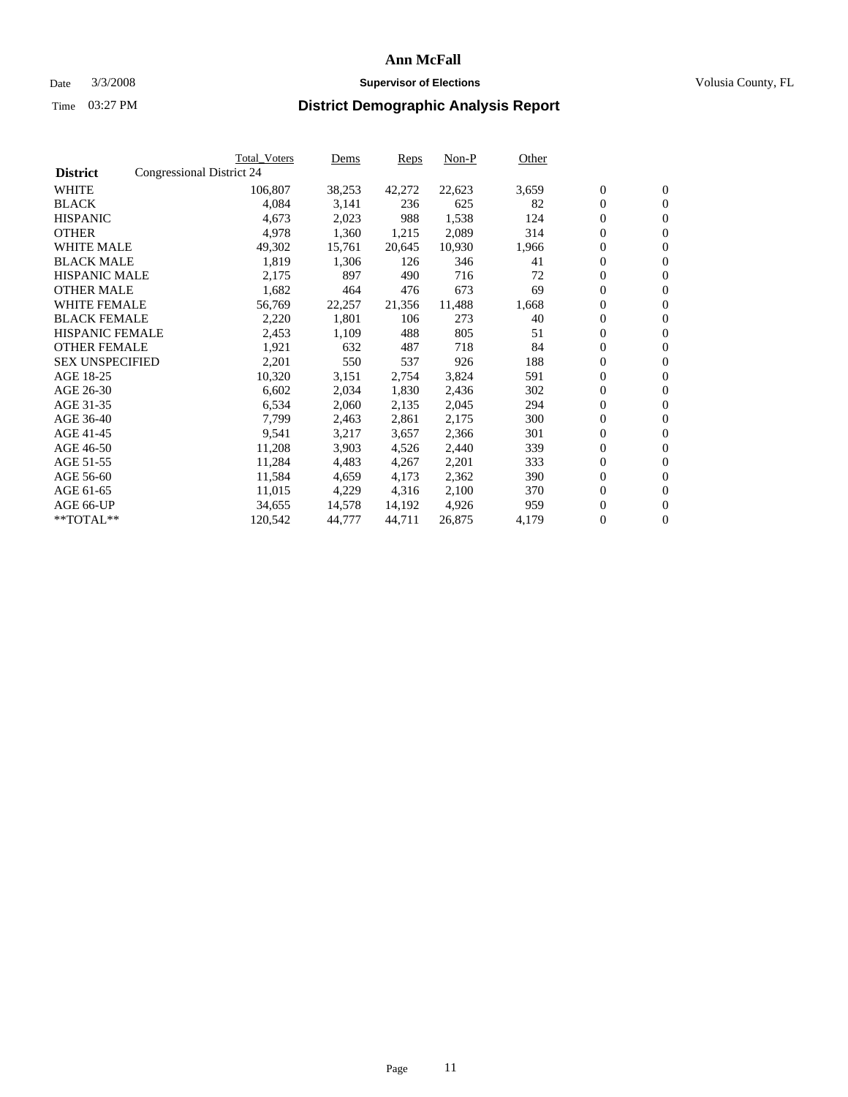#### Date  $3/3/2008$  **Supervisor of Elections** Volusia County, FL

|                        |                           | <b>Total_Voters</b> | Dems   | Reps   | Non-P  | Other |                  |                  |  |
|------------------------|---------------------------|---------------------|--------|--------|--------|-------|------------------|------------------|--|
| <b>District</b>        | Congressional District 24 |                     |        |        |        |       |                  |                  |  |
| <b>WHITE</b>           |                           | 106,807             | 38,253 | 42,272 | 22,623 | 3,659 | $\boldsymbol{0}$ | $\mathbf{0}$     |  |
| <b>BLACK</b>           |                           | 4,084               | 3,141  | 236    | 625    | 82    | $\mathbf{0}$     | $\mathbf{0}$     |  |
| <b>HISPANIC</b>        |                           | 4,673               | 2,023  | 988    | 1,538  | 124   | $\overline{0}$   | $\mathbf{0}$     |  |
| <b>OTHER</b>           |                           | 4,978               | 1,360  | 1,215  | 2,089  | 314   | $\overline{0}$   | $\overline{0}$   |  |
| <b>WHITE MALE</b>      |                           | 49,302              | 15,761 | 20,645 | 10,930 | 1,966 | $\overline{0}$   | $\mathbf{0}$     |  |
| <b>BLACK MALE</b>      |                           | 1,819               | 1,306  | 126    | 346    | 41    | $\boldsymbol{0}$ | $\mathbf{0}$     |  |
| <b>HISPANIC MALE</b>   |                           | 2,175               | 897    | 490    | 716    | 72    | 0                | $\mathbf{0}$     |  |
| <b>OTHER MALE</b>      |                           | 1,682               | 464    | 476    | 673    | 69    | 0                | $\mathbf{0}$     |  |
| <b>WHITE FEMALE</b>    |                           | 56,769              | 22,257 | 21,356 | 11,488 | 1,668 | 0                | $\mathbf{0}$     |  |
| <b>BLACK FEMALE</b>    |                           | 2,220               | 1,801  | 106    | 273    | 40    | $\overline{0}$   | $\mathbf{0}$     |  |
| <b>HISPANIC FEMALE</b> |                           | 2,453               | 1,109  | 488    | 805    | 51    | 0                | $\mathbf{0}$     |  |
| <b>OTHER FEMALE</b>    |                           | 1,921               | 632    | 487    | 718    | 84    | $\mathbf{0}$     | $\mathbf{0}$     |  |
| <b>SEX UNSPECIFIED</b> |                           | 2,201               | 550    | 537    | 926    | 188   | $\boldsymbol{0}$ | $\boldsymbol{0}$ |  |
| AGE 18-25              |                           | 10,320              | 3,151  | 2,754  | 3,824  | 591   | $\overline{0}$   | $\mathbf{0}$     |  |
| AGE 26-30              |                           | 6,602               | 2,034  | 1,830  | 2,436  | 302   | $\boldsymbol{0}$ | $\mathbf{0}$     |  |
| AGE 31-35              |                           | 6,534               | 2,060  | 2,135  | 2,045  | 294   | 0                | $\mathbf{0}$     |  |
| AGE 36-40              |                           | 7,799               | 2,463  | 2,861  | 2,175  | 300   | $\boldsymbol{0}$ | $\mathbf{0}$     |  |
| AGE 41-45              |                           | 9,541               | 3,217  | 3,657  | 2,366  | 301   | 0                | $\mathbf{0}$     |  |
| AGE 46-50              |                           | 11,208              | 3,903  | 4,526  | 2,440  | 339   | $\overline{0}$   | $\mathbf{0}$     |  |
| AGE 51-55              |                           | 11,284              | 4,483  | 4,267  | 2,201  | 333   | $\overline{0}$   | $\mathbf{0}$     |  |
| AGE 56-60              |                           | 11,584              | 4,659  | 4,173  | 2,362  | 390   | $\boldsymbol{0}$ | $\mathbf{0}$     |  |
| AGE 61-65              |                           | 11,015              | 4,229  | 4,316  | 2,100  | 370   | 0                | $\mathbf{0}$     |  |
| AGE 66-UP              |                           | 34,655              | 14,578 | 14,192 | 4,926  | 959   | 0                | $\mathbf{0}$     |  |
| $*$ TOTAL $**$         |                           | 120,542             | 44,777 | 44,711 | 26,875 | 4,179 | 0                | $\boldsymbol{0}$ |  |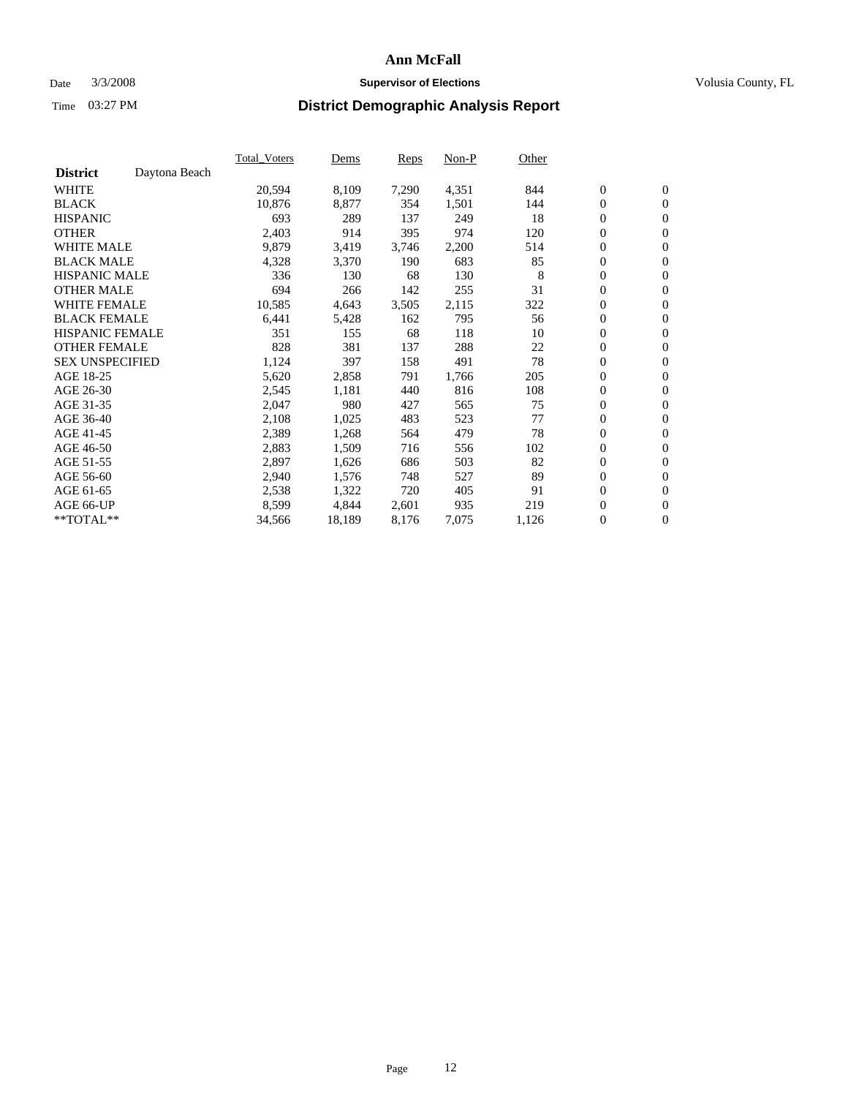#### Date  $3/3/2008$  **Supervisor of Elections** Volusia County, FL

|                        |               | Total Voters | Dems   | <b>Reps</b> | Non-P | Other |                  |                  |  |
|------------------------|---------------|--------------|--------|-------------|-------|-------|------------------|------------------|--|
| <b>District</b>        | Daytona Beach |              |        |             |       |       |                  |                  |  |
| <b>WHITE</b>           |               | 20,594       | 8,109  | 7,290       | 4,351 | 844   | $\boldsymbol{0}$ | $\mathbf{0}$     |  |
| <b>BLACK</b>           |               | 10,876       | 8,877  | 354         | 1,501 | 144   | $\boldsymbol{0}$ | $\mathbf{0}$     |  |
| <b>HISPANIC</b>        |               | 693          | 289    | 137         | 249   | 18    | $\boldsymbol{0}$ | $\mathbf{0}$     |  |
| <b>OTHER</b>           |               | 2,403        | 914    | 395         | 974   | 120   | $\boldsymbol{0}$ | $\mathbf{0}$     |  |
| <b>WHITE MALE</b>      |               | 9,879        | 3,419  | 3,746       | 2,200 | 514   | $\boldsymbol{0}$ | $\mathbf{0}$     |  |
| <b>BLACK MALE</b>      |               | 4,328        | 3,370  | 190         | 683   | 85    | $\boldsymbol{0}$ | $\mathbf{0}$     |  |
| <b>HISPANIC MALE</b>   |               | 336          | 130    | 68          | 130   | 8     | $\overline{0}$   | $\mathbf{0}$     |  |
| <b>OTHER MALE</b>      |               | 694          | 266    | 142         | 255   | 31    | $\overline{0}$   | $\mathbf{0}$     |  |
| <b>WHITE FEMALE</b>    |               | 10,585       | 4,643  | 3,505       | 2,115 | 322   | $\mathbf{0}$     | $\mathbf{0}$     |  |
| <b>BLACK FEMALE</b>    |               | 6,441        | 5,428  | 162         | 795   | 56    | $\boldsymbol{0}$ | $\mathbf{0}$     |  |
| <b>HISPANIC FEMALE</b> |               | 351          | 155    | 68          | 118   | 10    | $\boldsymbol{0}$ | $\mathbf{0}$     |  |
| <b>OTHER FEMALE</b>    |               | 828          | 381    | 137         | 288   | 22    | 0                | $\mathbf{0}$     |  |
| <b>SEX UNSPECIFIED</b> |               | 1,124        | 397    | 158         | 491   | 78    | $\boldsymbol{0}$ | $\mathbf{0}$     |  |
| AGE 18-25              |               | 5,620        | 2,858  | 791         | 1,766 | 205   | $\boldsymbol{0}$ | $\mathbf{0}$     |  |
| AGE 26-30              |               | 2,545        | 1,181  | 440         | 816   | 108   | $\overline{0}$   | $\mathbf{0}$     |  |
| AGE 31-35              |               | 2,047        | 980    | 427         | 565   | 75    | $\boldsymbol{0}$ | $\mathbf{0}$     |  |
| AGE 36-40              |               | 2,108        | 1,025  | 483         | 523   | 77    | $\boldsymbol{0}$ | $\mathbf{0}$     |  |
| AGE 41-45              |               | 2,389        | 1,268  | 564         | 479   | 78    | $\boldsymbol{0}$ | $\mathbf{0}$     |  |
| AGE 46-50              |               | 2,883        | 1,509  | 716         | 556   | 102   | 0                | $\mathbf{0}$     |  |
| AGE 51-55              |               | 2,897        | 1,626  | 686         | 503   | 82    | $\boldsymbol{0}$ | $\mathbf{0}$     |  |
| AGE 56-60              |               | 2,940        | 1,576  | 748         | 527   | 89    | $\overline{0}$   | $\mathbf{0}$     |  |
| AGE 61-65              |               | 2,538        | 1,322  | 720         | 405   | 91    | $\mathbf{0}$     | $\boldsymbol{0}$ |  |
| AGE 66-UP              |               | 8,599        | 4,844  | 2,601       | 935   | 219   | $\boldsymbol{0}$ | $\mathbf{0}$     |  |
| **TOTAL**              |               | 34,566       | 18,189 | 8,176       | 7,075 | 1,126 | $\boldsymbol{0}$ | $\overline{0}$   |  |
|                        |               |              |        |             |       |       |                  |                  |  |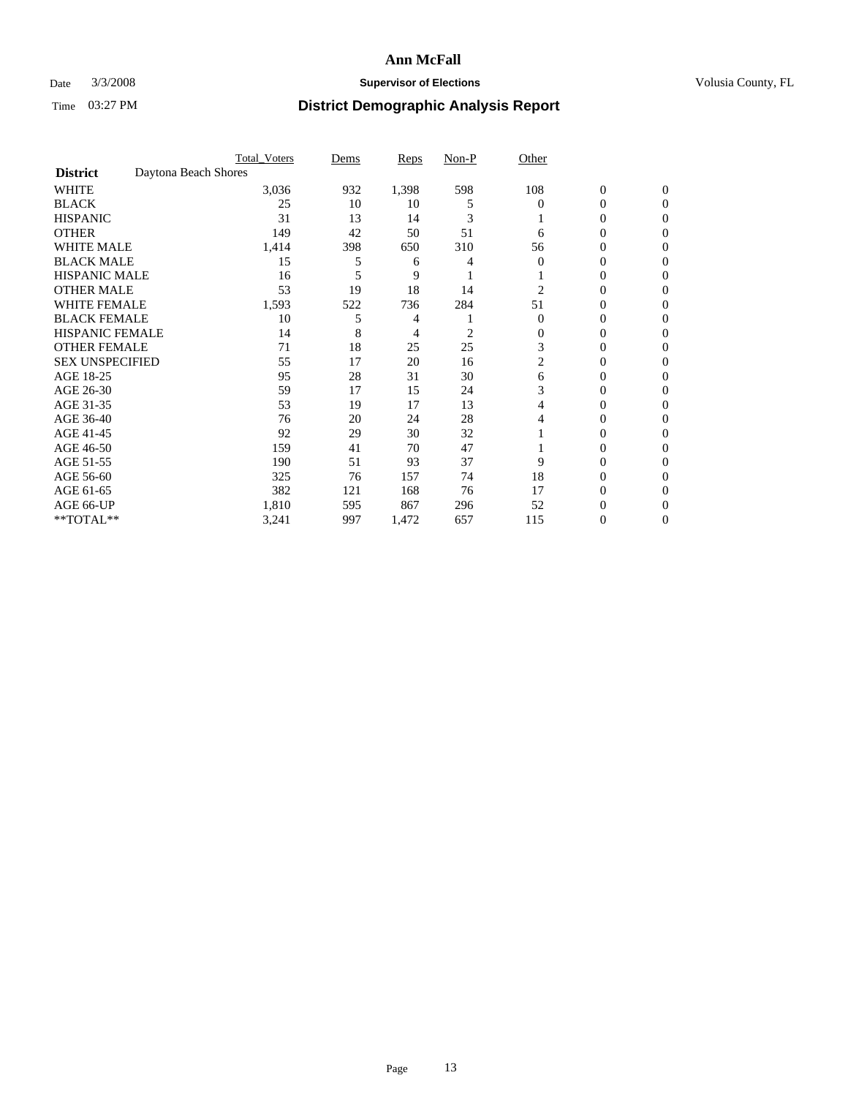### Date  $3/3/2008$  **Supervisor of Elections Supervisor of Elections** Volusia County, FL

|                        |                      | <b>Total_Voters</b> | Dems | <b>Reps</b> | Non-P | Other    |                  |              |  |
|------------------------|----------------------|---------------------|------|-------------|-------|----------|------------------|--------------|--|
| <b>District</b>        | Daytona Beach Shores |                     |      |             |       |          |                  |              |  |
| <b>WHITE</b>           |                      | 3,036               | 932  | 1,398       | 598   | 108      | $\boldsymbol{0}$ | $\mathbf{0}$ |  |
| <b>BLACK</b>           |                      | 25                  | 10   | 10          | 5     | $\Omega$ | 0                | $\Omega$     |  |
| <b>HISPANIC</b>        |                      | 31                  | 13   | 14          | 3     |          | 0                | $\Omega$     |  |
| <b>OTHER</b>           |                      | 149                 | 42   | 50          | 51    | 6        | 0                | 0            |  |
| <b>WHITE MALE</b>      |                      | 1,414               | 398  | 650         | 310   | 56       | 0                | 0            |  |
| <b>BLACK MALE</b>      |                      | 15                  | 5    | 6           |       | $\Omega$ | 0                | 0            |  |
| <b>HISPANIC MALE</b>   |                      | 16                  |      | 9           |       |          | 0                | 0            |  |
| <b>OTHER MALE</b>      |                      | 53                  | 19   | 18          | 14    | 2        | 0                | 0            |  |
| WHITE FEMALE           |                      | 1,593               | 522  | 736         | 284   | 51       | 0                | 0            |  |
| <b>BLACK FEMALE</b>    |                      | 10                  | 5    | 4           |       | $\Omega$ | 0                | 0            |  |
| <b>HISPANIC FEMALE</b> |                      | 14                  | 8    | 4           | 2     | 0        | 0                | 0            |  |
| <b>OTHER FEMALE</b>    |                      | 71                  | 18   | 25          | 25    | 3        | 0                | 0            |  |
| <b>SEX UNSPECIFIED</b> |                      | 55                  | 17   | 20          | 16    | 2        | 0                | $\Omega$     |  |
| AGE 18-25              |                      | 95                  | 28   | 31          | 30    | 6        | 0                | $_{0}$       |  |
| AGE 26-30              |                      | 59                  | 17   | 15          | 24    | 3        | 0                | 0            |  |
| AGE 31-35              |                      | 53                  | 19   | 17          | 13    |          | 0                | 0            |  |
| AGE 36-40              |                      | 76                  | 20   | 24          | 28    | 4        | 0                | 0            |  |
| AGE 41-45              |                      | 92                  | 29   | 30          | 32    |          | 0                | 0            |  |
| AGE 46-50              |                      | 159                 | 41   | 70          | 47    |          | 0                | 0            |  |
| AGE 51-55              |                      | 190                 | 51   | 93          | 37    | 9        | 0                | $\Omega$     |  |
| AGE 56-60              |                      | 325                 | 76   | 157         | 74    | 18       | 0                | $\Omega$     |  |
| AGE 61-65              |                      | 382                 | 121  | 168         | 76    | 17       | 0                | 0            |  |
| AGE 66-UP              |                      | 1,810               | 595  | 867         | 296   | 52       | $\theta$         |              |  |
| **TOTAL**              |                      | 3,241               | 997  | 1,472       | 657   | 115      | 0                | 0            |  |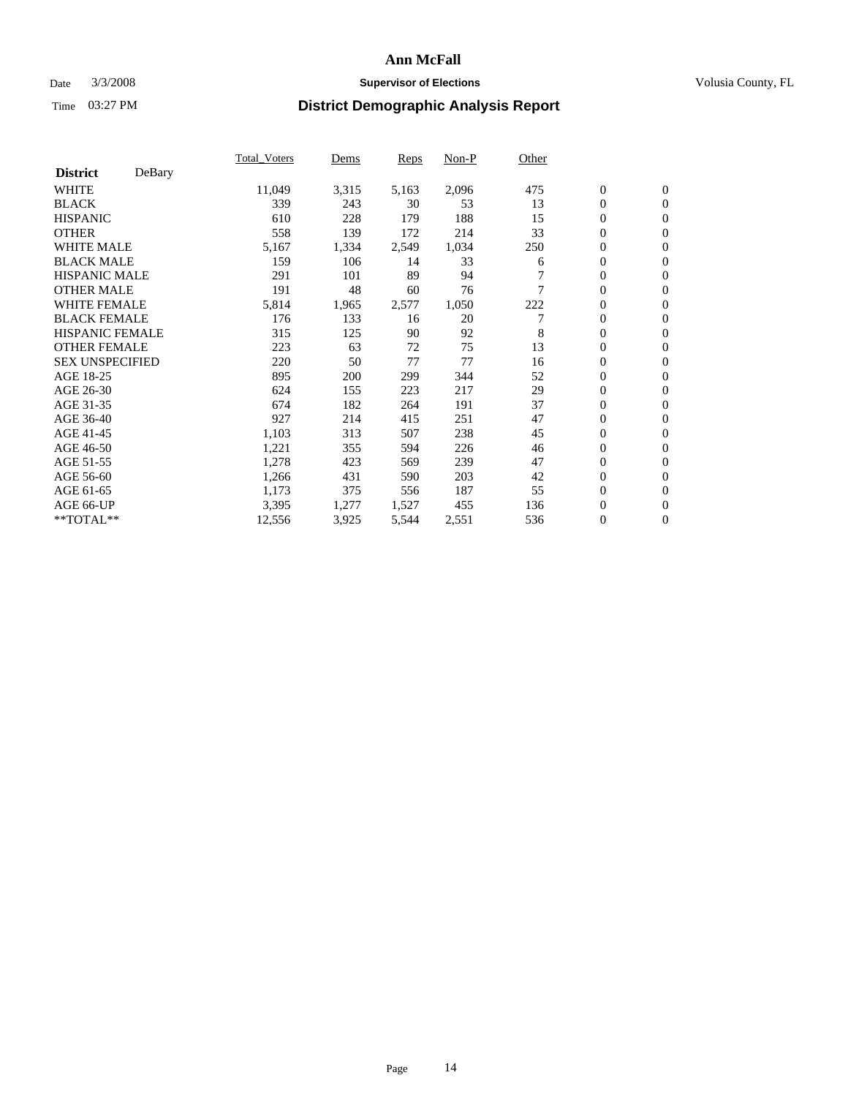### Date  $3/3/2008$  **Supervisor of Elections Supervisor of Elections** Volusia County, FL

| DeBary<br><b>District</b><br><b>WHITE</b><br>11,049<br>3,315<br>2,096<br>$\boldsymbol{0}$<br>$\mathbf{0}$<br>5,163<br>475<br>$\overline{0}$<br><b>BLACK</b><br>339<br>53<br>13<br>$\mathbf{0}$<br>243<br>30<br>188<br><b>HISPANIC</b><br>610<br>228<br>15<br>$\boldsymbol{0}$<br>179<br>$\mathbf{0}$<br><b>OTHER</b><br>33<br>$\boldsymbol{0}$<br>558<br>139<br>172<br>214<br>$\mathbf{0}$ |  |
|--------------------------------------------------------------------------------------------------------------------------------------------------------------------------------------------------------------------------------------------------------------------------------------------------------------------------------------------------------------------------------------------|--|
|                                                                                                                                                                                                                                                                                                                                                                                            |  |
|                                                                                                                                                                                                                                                                                                                                                                                            |  |
|                                                                                                                                                                                                                                                                                                                                                                                            |  |
|                                                                                                                                                                                                                                                                                                                                                                                            |  |
|                                                                                                                                                                                                                                                                                                                                                                                            |  |
| <b>WHITE MALE</b><br>0<br>5,167<br>1,034<br>1,334<br>2,549<br>250<br>$\mathbf{0}$                                                                                                                                                                                                                                                                                                          |  |
| <b>BLACK MALE</b><br>159<br>106<br>$\boldsymbol{0}$<br>33<br>$\mathbf{0}$<br>14<br>6                                                                                                                                                                                                                                                                                                       |  |
| <b>HISPANIC MALE</b><br>89<br>291<br>101<br>94<br>$\overline{0}$<br>$\mathbf{0}$                                                                                                                                                                                                                                                                                                           |  |
| <b>OTHER MALE</b><br>191<br>7<br>$\overline{0}$<br>48<br>60<br>76<br>$\mathbf{0}$                                                                                                                                                                                                                                                                                                          |  |
| <b>WHITE FEMALE</b><br>5,814<br>2,577<br>222<br>$\overline{0}$<br>$\mathbf{0}$<br>1,965<br>1,050                                                                                                                                                                                                                                                                                           |  |
| <b>BLACK FEMALE</b><br>176<br>20<br>7<br>$\overline{0}$<br>133<br>$\mathbf{0}$<br>16                                                                                                                                                                                                                                                                                                       |  |
| <b>HISPANIC FEMALE</b><br>315<br>125<br>90<br>92<br>8<br>$\boldsymbol{0}$<br>$\mathbf{0}$                                                                                                                                                                                                                                                                                                  |  |
| <b>OTHER FEMALE</b><br>13<br>223<br>72<br>75<br>0<br>63<br>$\mathbf{0}$                                                                                                                                                                                                                                                                                                                    |  |
| <b>SEX UNSPECIFIED</b><br>77<br>77<br>$\boldsymbol{0}$<br>220<br>50<br>16<br>$\mathbf{0}$                                                                                                                                                                                                                                                                                                  |  |
| AGE 18-25<br>895<br>52<br>$\boldsymbol{0}$<br>200<br>299<br>344<br>$\mathbf{0}$                                                                                                                                                                                                                                                                                                            |  |
| 29<br>$\overline{0}$<br>AGE 26-30<br>155<br>223<br>217<br>$\mathbf{0}$<br>624                                                                                                                                                                                                                                                                                                              |  |
| AGE 31-35<br>191<br>37<br>$\overline{0}$<br>674<br>182<br>264<br>$\mathbf{0}$                                                                                                                                                                                                                                                                                                              |  |
| AGE 36-40<br>927<br>214<br>251<br>47<br>$\boldsymbol{0}$<br>415<br>$\mathbf{0}$                                                                                                                                                                                                                                                                                                            |  |
| 238<br>$\boldsymbol{0}$<br>AGE 41-45<br>1,103<br>313<br>507<br>45<br>$\mathbf{0}$                                                                                                                                                                                                                                                                                                          |  |
| 1,221<br>0<br>AGE 46-50<br>355<br>226<br>46<br>$\mathbf{0}$<br>594                                                                                                                                                                                                                                                                                                                         |  |
| AGE 51-55<br>1,278<br>239<br>47<br>$\boldsymbol{0}$<br>423<br>$\mathbf{0}$<br>569                                                                                                                                                                                                                                                                                                          |  |
| AGE 56-60<br>203<br>$\overline{0}$<br>1,266<br>431<br>590<br>42<br>$\mathbf{0}$                                                                                                                                                                                                                                                                                                            |  |
| 55<br>$\mathbf{0}$<br>AGE 61-65<br>375<br>187<br>$\mathbf{0}$<br>1,173<br>556                                                                                                                                                                                                                                                                                                              |  |
| AGE 66-UP<br>1,277<br>1,527<br>455<br>$\boldsymbol{0}$<br>3,395<br>136<br>$\mathbf{0}$                                                                                                                                                                                                                                                                                                     |  |
| $\boldsymbol{0}$<br>**TOTAL**<br>$\overline{0}$<br>12,556<br>3,925<br>5,544<br>2,551<br>536                                                                                                                                                                                                                                                                                                |  |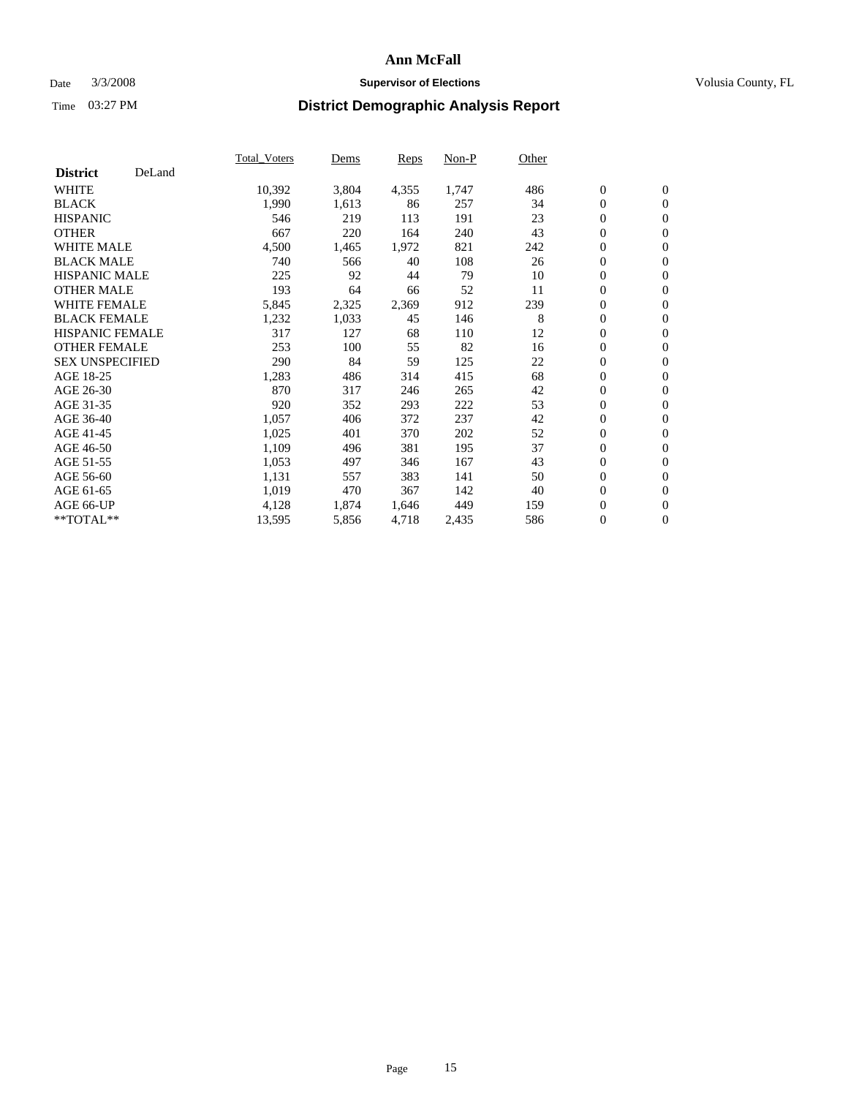### Date  $3/3/2008$  **Supervisor of Elections Supervisor of Elections** Volusia County, FL

|                        |        | Total_Voters | Dems  | <b>Reps</b> | Non-P | Other |                  |                |  |
|------------------------|--------|--------------|-------|-------------|-------|-------|------------------|----------------|--|
| <b>District</b>        | DeLand |              |       |             |       |       |                  |                |  |
| <b>WHITE</b>           |        | 10,392       | 3,804 | 4,355       | 1,747 | 486   | $\boldsymbol{0}$ | $\mathbf{0}$   |  |
| <b>BLACK</b>           |        | 1,990        | 1,613 | 86          | 257   | 34    | $\overline{0}$   | $\mathbf{0}$   |  |
| <b>HISPANIC</b>        |        | 546          | 219   | 113         | 191   | 23    | $\boldsymbol{0}$ | $\mathbf{0}$   |  |
| <b>OTHER</b>           |        | 667          | 220   | 164         | 240   | 43    | $\boldsymbol{0}$ | $\mathbf{0}$   |  |
| <b>WHITE MALE</b>      |        | 4,500        | 1,465 | 1,972       | 821   | 242   | 0                | $\mathbf{0}$   |  |
| <b>BLACK MALE</b>      |        | 740          | 566   | 40          | 108   | 26    | $\boldsymbol{0}$ | $\mathbf{0}$   |  |
| <b>HISPANIC MALE</b>   |        | 225          | 92    | 44          | 79    | 10    | $\overline{0}$   | $\mathbf{0}$   |  |
| <b>OTHER MALE</b>      |        | 193          | 64    | 66          | 52    | 11    | $\overline{0}$   | $\mathbf{0}$   |  |
| <b>WHITE FEMALE</b>    |        | 5,845        | 2,325 | 2,369       | 912   | 239   | $\mathbf{0}$     | $\mathbf{0}$   |  |
| <b>BLACK FEMALE</b>    |        | 1,232        | 1,033 | 45          | 146   | 8     | $\boldsymbol{0}$ | $\mathbf{0}$   |  |
| <b>HISPANIC FEMALE</b> |        | 317          | 127   | 68          | 110   | 12    | $\boldsymbol{0}$ | $\mathbf{0}$   |  |
| <b>OTHER FEMALE</b>    |        | 253          | 100   | 55          | 82    | 16    | 0                | $\mathbf{0}$   |  |
| <b>SEX UNSPECIFIED</b> |        | 290          | 84    | 59          | 125   | 22    | $\boldsymbol{0}$ | $\mathbf{0}$   |  |
| AGE 18-25              |        | 1,283        | 486   | 314         | 415   | 68    | $\boldsymbol{0}$ | $\mathbf{0}$   |  |
| AGE 26-30              |        | 870          | 317   | 246         | 265   | 42    | $\overline{0}$   | $\mathbf{0}$   |  |
| AGE 31-35              |        | 920          | 352   | 293         | 222   | 53    | $\boldsymbol{0}$ | $\mathbf{0}$   |  |
| AGE 36-40              |        | 1,057        | 406   | 372         | 237   | 42    | $\boldsymbol{0}$ | $\mathbf{0}$   |  |
| AGE 41-45              |        | 1,025        | 401   | 370         | 202   | 52    | $\boldsymbol{0}$ | $\mathbf{0}$   |  |
| AGE 46-50              |        | 1,109        | 496   | 381         | 195   | 37    | $\boldsymbol{0}$ | $\mathbf{0}$   |  |
| AGE 51-55              |        | 1,053        | 497   | 346         | 167   | 43    | $\boldsymbol{0}$ | $\mathbf{0}$   |  |
| AGE 56-60              |        | 1,131        | 557   | 383         | 141   | 50    | $\overline{0}$   | $\mathbf{0}$   |  |
| AGE 61-65              |        | 1,019        | 470   | 367         | 142   | 40    | $\mathbf{0}$     | $\mathbf{0}$   |  |
| AGE 66-UP              |        | 4,128        | 1,874 | 1,646       | 449   | 159   | $\boldsymbol{0}$ | $\mathbf{0}$   |  |
| **TOTAL**              |        | 13,595       | 5,856 | 4,718       | 2,435 | 586   | $\boldsymbol{0}$ | $\overline{0}$ |  |
|                        |        |              |       |             |       |       |                  |                |  |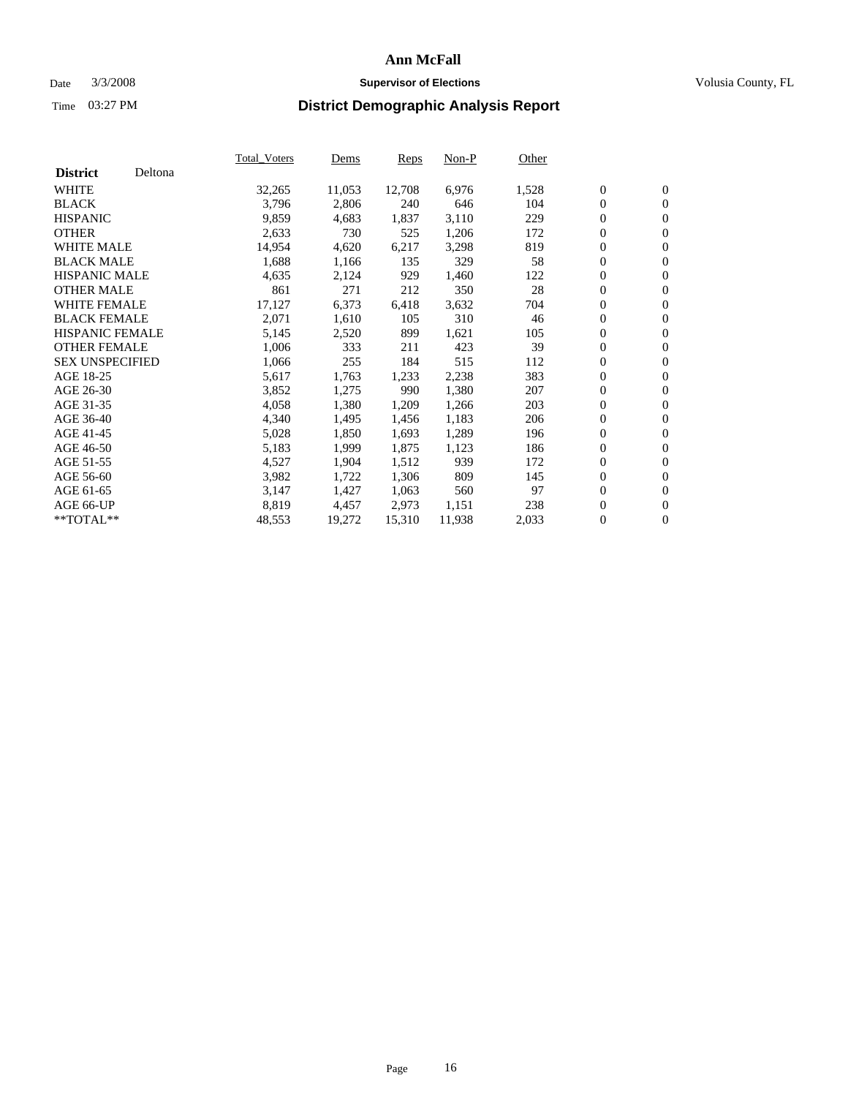#### Date  $3/3/2008$  **Supervisor of Elections** Volusia County, FL

|                        |         | Total_Voters | Dems   | <b>Reps</b> | Non-P  | Other |                  |                  |  |
|------------------------|---------|--------------|--------|-------------|--------|-------|------------------|------------------|--|
| <b>District</b>        | Deltona |              |        |             |        |       |                  |                  |  |
| <b>WHITE</b>           |         | 32,265       | 11,053 | 12,708      | 6,976  | 1,528 | $\overline{0}$   | $\mathbf{0}$     |  |
| <b>BLACK</b>           |         | 3,796        | 2,806  | 240         | 646    | 104   | $\overline{0}$   | $\mathbf{0}$     |  |
| <b>HISPANIC</b>        |         | 9,859        | 4,683  | 1,837       | 3,110  | 229   | $\boldsymbol{0}$ | $\mathbf{0}$     |  |
| <b>OTHER</b>           |         | 2,633        | 730    | 525         | 1,206  | 172   | $\boldsymbol{0}$ | $\mathbf{0}$     |  |
| <b>WHITE MALE</b>      |         | 14,954       | 4,620  | 6,217       | 3,298  | 819   | 0                | $\mathbf{0}$     |  |
| <b>BLACK MALE</b>      |         | 1,688        | 1,166  | 135         | 329    | 58    | $\boldsymbol{0}$ | $\mathbf{0}$     |  |
| <b>HISPANIC MALE</b>   |         | 4,635        | 2,124  | 929         | 1,460  | 122   | $\overline{0}$   | $\mathbf{0}$     |  |
| <b>OTHER MALE</b>      |         | 861          | 271    | 212         | 350    | 28    | $\overline{0}$   | $\mathbf{0}$     |  |
| WHITE FEMALE           |         | 17,127       | 6,373  | 6,418       | 3,632  | 704   | $\mathbf{0}$     | $\mathbf{0}$     |  |
| <b>BLACK FEMALE</b>    |         | 2,071        | 1,610  | 105         | 310    | 46    | $\boldsymbol{0}$ | $\mathbf{0}$     |  |
| <b>HISPANIC FEMALE</b> |         | 5,145        | 2,520  | 899         | 1,621  | 105   | $\boldsymbol{0}$ | $\mathbf{0}$     |  |
| <b>OTHER FEMALE</b>    |         | 1,006        | 333    | 211         | 423    | 39    | 0                | $\mathbf{0}$     |  |
| <b>SEX UNSPECIFIED</b> |         | 1,066        | 255    | 184         | 515    | 112   | $\boldsymbol{0}$ | $\mathbf{0}$     |  |
| AGE 18-25              |         | 5,617        | 1,763  | 1,233       | 2,238  | 383   | $\boldsymbol{0}$ | $\mathbf{0}$     |  |
| AGE 26-30              |         | 3,852        | 1,275  | 990         | 1,380  | 207   | $\overline{0}$   | $\mathbf{0}$     |  |
| AGE 31-35              |         | 4,058        | 1,380  | 1,209       | 1,266  | 203   | $\overline{0}$   | $\mathbf{0}$     |  |
| AGE 36-40              |         | 4,340        | 1,495  | 1,456       | 1,183  | 206   | $\boldsymbol{0}$ | $\mathbf{0}$     |  |
| AGE 41-45              |         | 5,028        | 1,850  | 1,693       | 1,289  | 196   | $\boldsymbol{0}$ | $\mathbf{0}$     |  |
| AGE 46-50              |         | 5,183        | 1,999  | 1,875       | 1,123  | 186   | 0                | $\mathbf{0}$     |  |
| AGE 51-55              |         | 4,527        | 1,904  | 1,512       | 939    | 172   | $\boldsymbol{0}$ | $\mathbf{0}$     |  |
| AGE 56-60              |         | 3,982        | 1,722  | 1,306       | 809    | 145   | $\overline{0}$   | $\mathbf{0}$     |  |
| AGE 61-65              |         | 3,147        | 1,427  | 1,063       | 560    | 97    | $\mathbf{0}$     | $\boldsymbol{0}$ |  |
| AGE 66-UP              |         | 8,819        | 4,457  | 2,973       | 1,151  | 238   | $\boldsymbol{0}$ | $\mathbf{0}$     |  |
| **TOTAL**              |         | 48,553       | 19,272 | 15,310      | 11,938 | 2,033 | 0                | $\overline{0}$   |  |
|                        |         |              |        |             |        |       |                  |                  |  |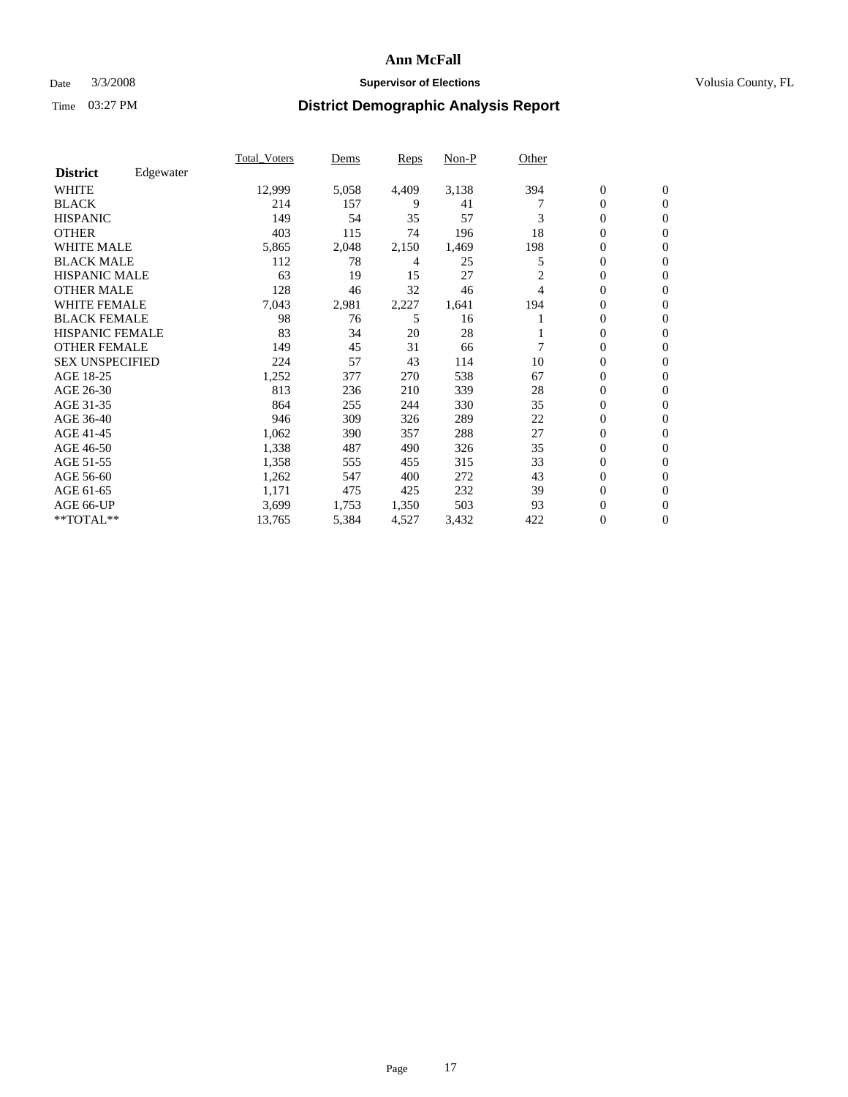### Date  $3/3/2008$  **Supervisor of Elections Supervisor of Elections** Volusia County, FL

|                        |           | Total_Voters | Dems  | <b>Reps</b> | Non-P | Other |                  |                  |  |
|------------------------|-----------|--------------|-------|-------------|-------|-------|------------------|------------------|--|
| <b>District</b>        | Edgewater |              |       |             |       |       |                  |                  |  |
| <b>WHITE</b>           |           | 12,999       | 5,058 | 4,409       | 3,138 | 394   | $\boldsymbol{0}$ | $\mathbf{0}$     |  |
| <b>BLACK</b>           |           | 214          | 157   | 9           | 41    |       | $\overline{0}$   | $\mathbf{0}$     |  |
| <b>HISPANIC</b>        |           | 149          | 54    | 35          | 57    | 3     | $\overline{0}$   | $\mathbf{0}$     |  |
| <b>OTHER</b>           |           | 403          | 115   | 74          | 196   | 18    | 0                | $\mathbf{0}$     |  |
| <b>WHITE MALE</b>      |           | 5,865        | 2,048 | 2,150       | 1,469 | 198   | 0                | $\mathbf{0}$     |  |
| <b>BLACK MALE</b>      |           | 112          | 78    | 4           | 25    | 5     | $\boldsymbol{0}$ | $\mathbf{0}$     |  |
| <b>HISPANIC MALE</b>   |           | 63           | 19    | 15          | 27    | 2     | 0                | $\Omega$         |  |
| <b>OTHER MALE</b>      |           | 128          | 46    | 32          | 46    | 4     | 0                | $\mathbf{0}$     |  |
| <b>WHITE FEMALE</b>    |           | 7,043        | 2,981 | 2,227       | 1,641 | 194   | 0                | $\Omega$         |  |
| <b>BLACK FEMALE</b>    |           | 98           | 76    | 5           | 16    |       | $\overline{0}$   | $\mathbf{0}$     |  |
| <b>HISPANIC FEMALE</b> |           | 83           | 34    | 20          | 28    |       | 0                | $\mathbf{0}$     |  |
| <b>OTHER FEMALE</b>    |           | 149          | 45    | 31          | 66    |       | $\overline{0}$   | $\mathbf{0}$     |  |
| <b>SEX UNSPECIFIED</b> |           | 224          | 57    | 43          | 114   | 10    | $\boldsymbol{0}$ | $\mathbf{0}$     |  |
| AGE 18-25              |           | 1,252        | 377   | 270         | 538   | 67    | 0                | $\mathbf{0}$     |  |
| AGE 26-30              |           | 813          | 236   | 210         | 339   | 28    | $\boldsymbol{0}$ | $\mathbf{0}$     |  |
| AGE 31-35              |           | 864          | 255   | 244         | 330   | 35    | 0                | $\mathbf{0}$     |  |
| AGE 36-40              |           | 946          | 309   | 326         | 289   | 22    | $\overline{0}$   | $\mathbf{0}$     |  |
| AGE 41-45              |           | 1,062        | 390   | 357         | 288   | 27    | $\mathbf{0}$     | $\mathbf{0}$     |  |
| AGE 46-50              |           | 1,338        | 487   | 490         | 326   | 35    | $\overline{0}$   | $\mathbf{0}$     |  |
| AGE 51-55              |           | 1,358        | 555   | 455         | 315   | 33    | 0                | $\mathbf{0}$     |  |
| AGE 56-60              |           | 1,262        | 547   | 400         | 272   | 43    | $\boldsymbol{0}$ | $\mathbf{0}$     |  |
| AGE 61-65              |           | 1,171        | 475   | 425         | 232   | 39    | 0                | $\mathbf{0}$     |  |
| AGE 66-UP              |           | 3,699        | 1,753 | 1,350       | 503   | 93    | 0                | 0                |  |
| $*$ TOTAL $**$         |           | 13,765       | 5,384 | 4,527       | 3,432 | 422   | 0                | $\boldsymbol{0}$ |  |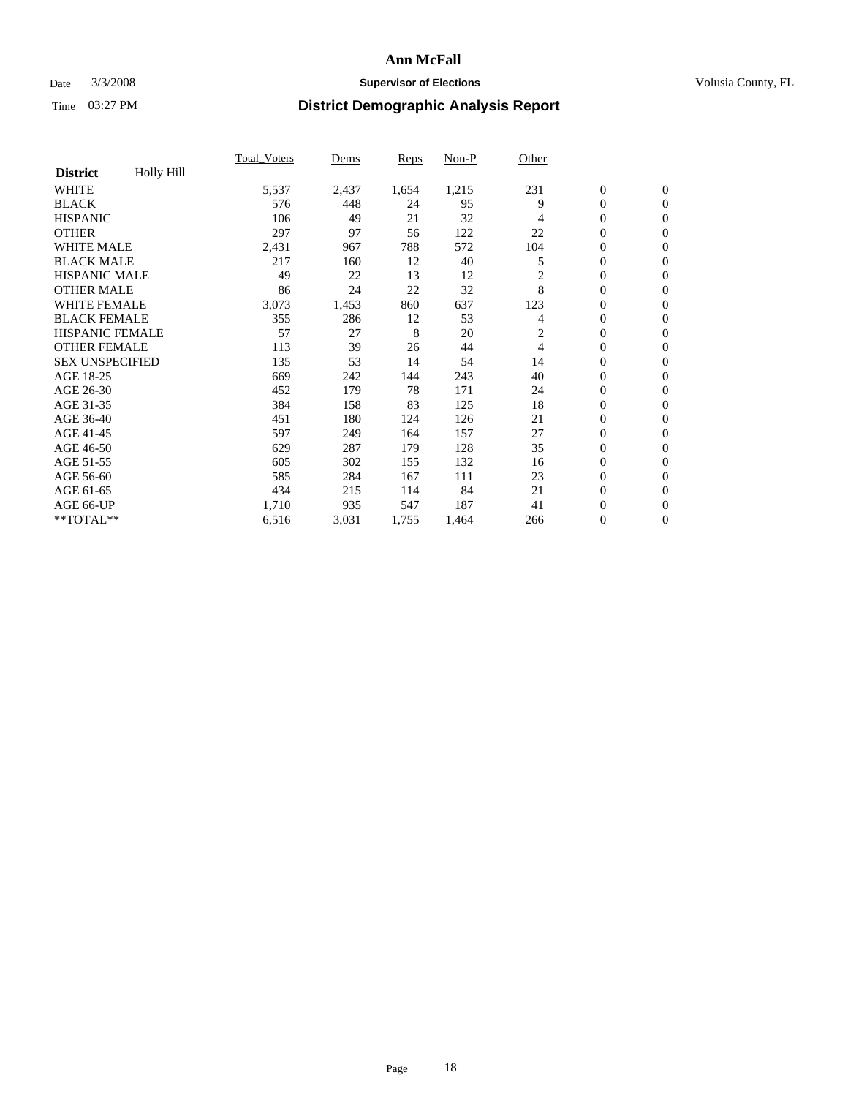### Date  $3/3/2008$  **Supervisor of Elections Supervisor of Elections** Volusia County, FL

|                        |                   | <b>Total Voters</b> | Dems  | <b>Reps</b> | Non-P | Other |                  |                  |  |
|------------------------|-------------------|---------------------|-------|-------------|-------|-------|------------------|------------------|--|
| <b>District</b>        | <b>Holly Hill</b> |                     |       |             |       |       |                  |                  |  |
| <b>WHITE</b>           |                   | 5,537               | 2,437 | 1,654       | 1,215 | 231   | $\boldsymbol{0}$ | $\boldsymbol{0}$ |  |
| <b>BLACK</b>           |                   | 576                 | 448   | 24          | 95    | 9     | $\mathbf{0}$     | $\mathbf{0}$     |  |
| <b>HISPANIC</b>        |                   | 106                 | 49    | 21          | 32    | 4     | $\mathbf{0}$     | $\mathbf{0}$     |  |
| <b>OTHER</b>           |                   | 297                 | 97    | 56          | 122   | 22    | 0                | $\mathbf{0}$     |  |
| <b>WHITE MALE</b>      |                   | 2,431               | 967   | 788         | 572   | 104   | 0                | $\mathbf{0}$     |  |
| <b>BLACK MALE</b>      |                   | 217                 | 160   | 12          | 40    | 5     | $\boldsymbol{0}$ | $\boldsymbol{0}$ |  |
| <b>HISPANIC MALE</b>   |                   | 49                  | 22    | 13          | 12    | 2     | 0                | $\mathbf{0}$     |  |
| <b>OTHER MALE</b>      |                   | 86                  | 24    | 22          | 32    | 8     | 0                | $\mathbf{0}$     |  |
| <b>WHITE FEMALE</b>    |                   | 3,073               | 1,453 | 860         | 637   | 123   | 0                | $\mathbf{0}$     |  |
| <b>BLACK FEMALE</b>    |                   | 355                 | 286   | 12          | 53    | 4     | $\boldsymbol{0}$ | $\mathbf{0}$     |  |
| <b>HISPANIC FEMALE</b> |                   | 57                  | 27    | 8           | 20    | 2     | $\overline{0}$   | $\mathbf{0}$     |  |
| <b>OTHER FEMALE</b>    |                   | 113                 | 39    | 26          | 44    | 4     | $\overline{0}$   | $\mathbf{0}$     |  |
| <b>SEX UNSPECIFIED</b> |                   | 135                 | 53    | 14          | 54    | 14    | $\boldsymbol{0}$ | $\mathbf{0}$     |  |
| AGE 18-25              |                   | 669                 | 242   | 144         | 243   | 40    | 0                | $\mathbf{0}$     |  |
| AGE 26-30              |                   | 452                 | 179   | 78          | 171   | 24    | 0                | $\mathbf{0}$     |  |
| AGE 31-35              |                   | 384                 | 158   | 83          | 125   | 18    | 0                | $\mathbf{0}$     |  |
| AGE 36-40              |                   | 451                 | 180   | 124         | 126   | 21    | $\boldsymbol{0}$ | $\mathbf{0}$     |  |
| AGE 41-45              |                   | 597                 | 249   | 164         | 157   | 27    | 0                | $\mathbf{0}$     |  |
| AGE 46-50              |                   | 629                 | 287   | 179         | 128   | 35    | $\mathbf{0}$     | $\mathbf{0}$     |  |
| AGE 51-55              |                   | 605                 | 302   | 155         | 132   | 16    | $\overline{0}$   | $\mathbf{0}$     |  |
| AGE 56-60              |                   | 585                 | 284   | 167         | 111   | 23    | $\boldsymbol{0}$ | $\mathbf{0}$     |  |
| AGE 61-65              |                   | 434                 | 215   | 114         | 84    | 21    | 0                | $\mathbf{0}$     |  |
| AGE 66-UP              |                   | 1,710               | 935   | 547         | 187   | 41    | 0                | 0                |  |
| $*$ TOTAL $**$         |                   | 6,516               | 3,031 | 1,755       | 1,464 | 266   | $\boldsymbol{0}$ | $\boldsymbol{0}$ |  |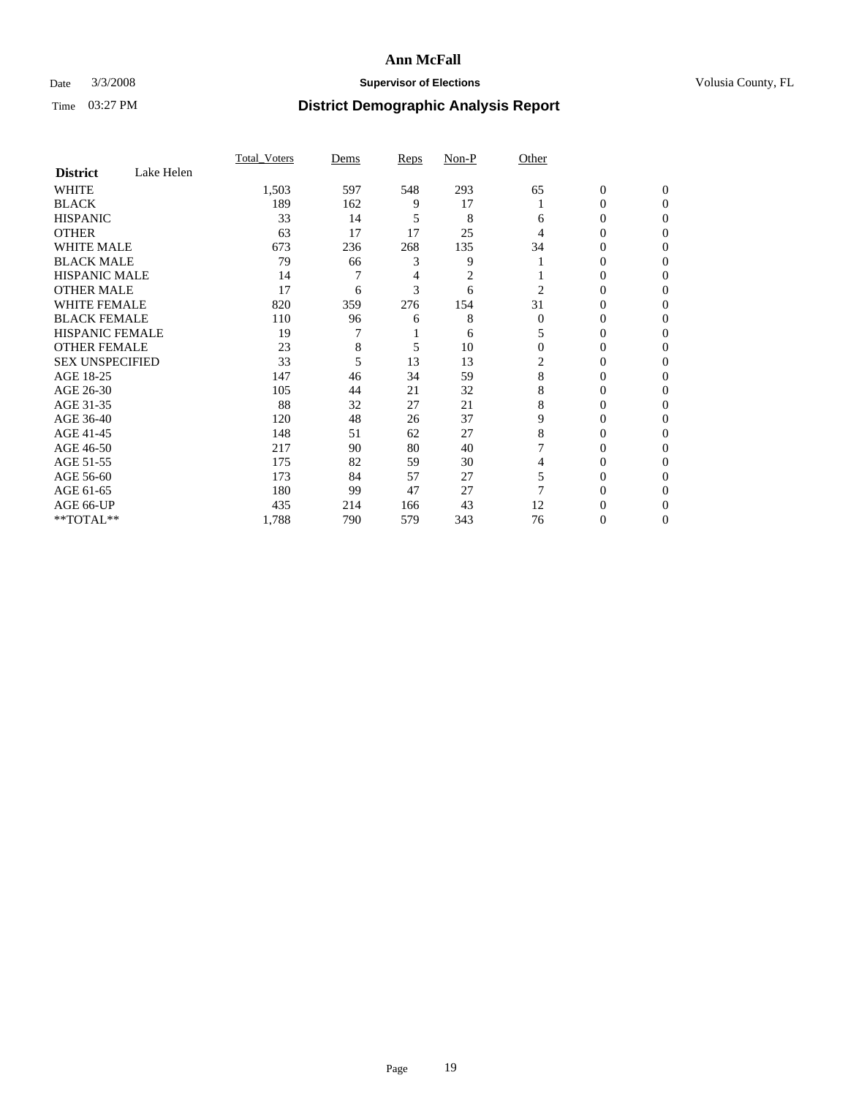### Date  $3/3/2008$  **Supervisor of Elections Supervisor of Elections** Volusia County, FL

|                        |            | Total Voters | Dems | Reps | Non-P | Other    |                  |              |  |
|------------------------|------------|--------------|------|------|-------|----------|------------------|--------------|--|
| <b>District</b>        | Lake Helen |              |      |      |       |          |                  |              |  |
| <b>WHITE</b>           |            | 1,503        | 597  | 548  | 293   | 65       | $\boldsymbol{0}$ | $\mathbf{0}$ |  |
| <b>BLACK</b>           |            | 189          | 162  | 9    | 17    |          | $\overline{0}$   | $\mathbf{0}$ |  |
| <b>HISPANIC</b>        |            | 33           | 14   | 5    | 8     | 6        | $\mathbf{0}$     | $\Omega$     |  |
| <b>OTHER</b>           |            | 63           | 17   | 17   | 25    |          | $\overline{0}$   | $\Omega$     |  |
| <b>WHITE MALE</b>      |            | 673          | 236  | 268  | 135   | 34       | $\mathbf{0}$     | 0            |  |
| <b>BLACK MALE</b>      |            | 79           | 66   | 3    | 9     |          | $\mathbf{0}$     | 0            |  |
| <b>HISPANIC MALE</b>   |            | 14           |      | 4    | 2     |          | $\mathbf{0}$     |              |  |
| <b>OTHER MALE</b>      |            | 17           | 6    | 3    | 6     | 2        | $\overline{0}$   | 0            |  |
| <b>WHITE FEMALE</b>    |            | 820          | 359  | 276  | 154   | 31       | 0                | 0            |  |
| <b>BLACK FEMALE</b>    |            | 110          | 96   | 6    | 8     | $\Omega$ | $\overline{0}$   | 0            |  |
| <b>HISPANIC FEMALE</b> |            | 19           |      |      | 6     |          | $\Omega$         | $\Omega$     |  |
| <b>OTHER FEMALE</b>    |            | 23           | 8    | 5    | 10    | $\Omega$ | $\overline{0}$   | $\theta$     |  |
| <b>SEX UNSPECIFIED</b> |            | 33           | 5    | 13   | 13    | 2        | $\overline{0}$   | $\theta$     |  |
| AGE 18-25              |            | 147          | 46   | 34   | 59    | 8        | $\overline{0}$   |              |  |
| AGE 26-30              |            | 105          | 44   | 21   | 32    | 8        | $\overline{0}$   | 0            |  |
| AGE 31-35              |            | 88           | 32   | 27   | 21    | 8        | $\overline{0}$   |              |  |
| AGE 36-40              |            | 120          | 48   | 26   | 37    | 9        | $\overline{0}$   | 0            |  |
| AGE 41-45              |            | 148          | 51   | 62   | 27    | 8        | $\Omega$         | 0            |  |
| AGE 46-50              |            | 217          | 90   | 80   | 40    |          | $\overline{0}$   | $\Omega$     |  |
| AGE 51-55              |            | 175          | 82   | 59   | 30    | 4        | $\Omega$         | $\Omega$     |  |
| AGE 56-60              |            | 173          | 84   | 57   | 27    | 5        | $\overline{0}$   | $\Omega$     |  |
| AGE 61-65              |            | 180          | 99   | 47   | 27    | 7        | $\overline{0}$   | 0            |  |
| AGE 66-UP              |            | 435          | 214  | 166  | 43    | 12       | 0                |              |  |
| **TOTAL**              |            | 1,788        | 790  | 579  | 343   | 76       | $\boldsymbol{0}$ | 0            |  |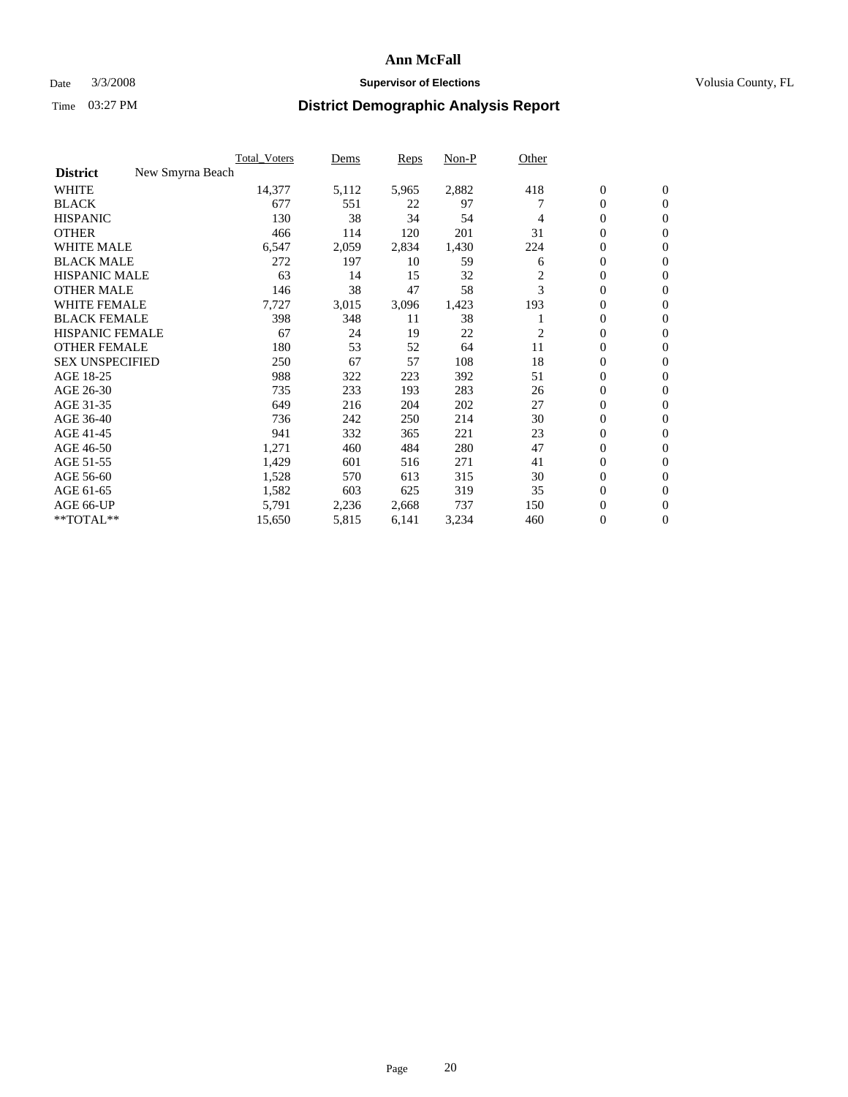### Date  $3/3/2008$  **Supervisor of Elections Supervisor of Elections** Volusia County, FL

|                        |                  | <b>Total_Voters</b> | Dems  | <b>Reps</b> | Non-P | Other          |                  |                  |  |
|------------------------|------------------|---------------------|-------|-------------|-------|----------------|------------------|------------------|--|
| <b>District</b>        | New Smyrna Beach |                     |       |             |       |                |                  |                  |  |
| <b>WHITE</b>           |                  | 14,377              | 5,112 | 5,965       | 2,882 | 418            | $\boldsymbol{0}$ | $\boldsymbol{0}$ |  |
| <b>BLACK</b>           |                  | 677                 | 551   | 22          | 97    |                | $\overline{0}$   | $\mathbf{0}$     |  |
| <b>HISPANIC</b>        |                  | 130                 | 38    | 34          | 54    | 4              | $\overline{0}$   | $\mathbf{0}$     |  |
| <b>OTHER</b>           |                  | 466                 | 114   | 120         | 201   | 31             | $\overline{0}$   | $\mathbf{0}$     |  |
| <b>WHITE MALE</b>      |                  | 6,547               | 2,059 | 2,834       | 1,430 | 224            | $\overline{0}$   | $\mathbf{0}$     |  |
| <b>BLACK MALE</b>      |                  | 272                 | 197   | 10          | 59    | 6              | $\boldsymbol{0}$ | $\mathbf{0}$     |  |
| <b>HISPANIC MALE</b>   |                  | 63                  | 14    | 15          | 32    | $\overline{c}$ | $\boldsymbol{0}$ | $\mathbf{0}$     |  |
| <b>OTHER MALE</b>      |                  | 146                 | 38    | 47          | 58    | 3              | $\boldsymbol{0}$ | $\mathbf{0}$     |  |
| <b>WHITE FEMALE</b>    |                  | 7,727               | 3,015 | 3,096       | 1,423 | 193            | $\overline{0}$   | $\mathbf{0}$     |  |
| <b>BLACK FEMALE</b>    |                  | 398                 | 348   | 11          | 38    |                | $\overline{0}$   | $\mathbf{0}$     |  |
| <b>HISPANIC FEMALE</b> |                  | 67                  | 24    | 19          | 22    | 2              | $\overline{0}$   | $\mathbf{0}$     |  |
| <b>OTHER FEMALE</b>    |                  | 180                 | 53    | 52          | 64    | 11             | $\overline{0}$   | $\mathbf{0}$     |  |
| <b>SEX UNSPECIFIED</b> |                  | 250                 | 67    | 57          | 108   | 18             | $\boldsymbol{0}$ | $\mathbf{0}$     |  |
| AGE 18-25              |                  | 988                 | 322   | 223         | 392   | 51             | $\overline{0}$   | $\mathbf{0}$     |  |
| AGE 26-30              |                  | 735                 | 233   | 193         | 283   | 26             | $\boldsymbol{0}$ | $\mathbf{0}$     |  |
| AGE 31-35              |                  | 649                 | 216   | 204         | 202   | 27             | $\boldsymbol{0}$ | $\mathbf{0}$     |  |
| AGE 36-40              |                  | 736                 | 242   | 250         | 214   | 30             | $\boldsymbol{0}$ | $\mathbf{0}$     |  |
| AGE 41-45              |                  | 941                 | 332   | 365         | 221   | 23             | $\overline{0}$   | $\mathbf{0}$     |  |
| AGE 46-50              |                  | 1,271               | 460   | 484         | 280   | 47             | $\overline{0}$   | $\mathbf{0}$     |  |
| AGE 51-55              |                  | 1,429               | 601   | 516         | 271   | 41             | $\mathbf{0}$     | $\mathbf{0}$     |  |
| AGE 56-60              |                  | 1,528               | 570   | 613         | 315   | 30             | $\boldsymbol{0}$ | $\mathbf{0}$     |  |
| AGE 61-65              |                  | 1,582               | 603   | 625         | 319   | 35             | $\boldsymbol{0}$ | $\mathbf{0}$     |  |
| AGE 66-UP              |                  | 5,791               | 2,236 | 2,668       | 737   | 150            | $\overline{0}$   | 0                |  |
| **TOTAL**              |                  | 15,650              | 5,815 | 6,141       | 3,234 | 460            | $\boldsymbol{0}$ | $\boldsymbol{0}$ |  |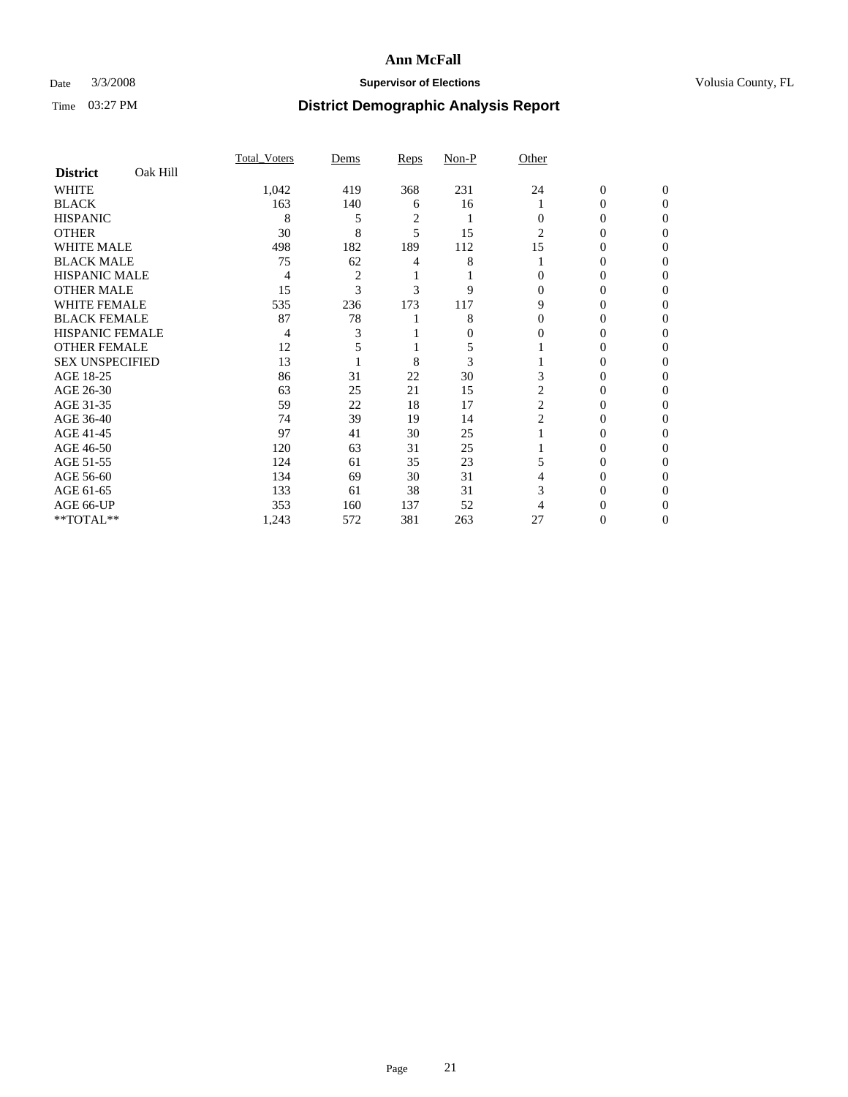### Date  $3/3/2008$  **Supervisor of Elections Supervisor of Elections** Volusia County, FL

|                        |          | <b>Total Voters</b> | Dems           | Reps           | Non-P | Other    |              |              |  |
|------------------------|----------|---------------------|----------------|----------------|-------|----------|--------------|--------------|--|
| <b>District</b>        | Oak Hill |                     |                |                |       |          |              |              |  |
| <b>WHITE</b>           |          | 1,042               | 419            | 368            | 231   | 24       | $\mathbf{0}$ | $\mathbf{0}$ |  |
| <b>BLACK</b>           |          | 163                 | 140            | 6              | 16    |          | 0            | $\Omega$     |  |
| <b>HISPANIC</b>        |          | 8                   | 5              | $\overline{c}$ |       | 0        | 0            | $\theta$     |  |
| <b>OTHER</b>           |          | 30                  | 8              | 5              | 15    | 2        | 0            | 0            |  |
| <b>WHITE MALE</b>      |          | 498                 | 182            | 189            | 112   | 15       | 0            |              |  |
| <b>BLACK MALE</b>      |          | 75                  | 62             | 4              | 8     |          | 0            | 0            |  |
| <b>HISPANIC MALE</b>   |          | 4                   | $\overline{2}$ |                |       |          | 0            |              |  |
| <b>OTHER MALE</b>      |          | 15                  | 3              | 3              | 9     | 0        | 0            | 0            |  |
| WHITE FEMALE           |          | 535                 | 236            | 173            | 117   | 9        | 0            | 0            |  |
| <b>BLACK FEMALE</b>    |          | 87                  | 78             |                | 8     | $\Omega$ | 0            | 0            |  |
| <b>HISPANIC FEMALE</b> |          | 4                   |                |                | 0     | 0        | 0            | 0            |  |
| <b>OTHER FEMALE</b>    |          | 12                  |                |                | 5     |          | 0            | 0            |  |
| <b>SEX UNSPECIFIED</b> |          | 13                  |                | 8              | 3     |          | 0            | 0            |  |
| AGE 18-25              |          | 86                  | 31             | 22             | 30    |          | 0            |              |  |
| AGE 26-30              |          | 63                  | 25             | 21             | 15    | 2        | 0            |              |  |
| AGE 31-35              |          | 59                  | 22             | 18             | 17    | 2        | 0            |              |  |
| AGE 36-40              |          | 74                  | 39             | 19             | 14    | 2        | 0            | 0            |  |
| AGE 41-45              |          | 97                  | 41             | 30             | 25    |          | 0            | 0            |  |
| AGE 46-50              |          | 120                 | 63             | 31             | 25    |          | 0            | 0            |  |
| AGE 51-55              |          | 124                 | 61             | 35             | 23    |          | 0            | $\theta$     |  |
| AGE 56-60              |          | 134                 | 69             | 30             | 31    |          | 0            | 0            |  |
| AGE 61-65              |          | 133                 | 61             | 38             | 31    | 3        | 0            |              |  |
| AGE 66-UP              |          | 353                 | 160            | 137            | 52    |          |              |              |  |
| **TOTAL**              |          | 1,243               | 572            | 381            | 263   | 27       | 0            | 0            |  |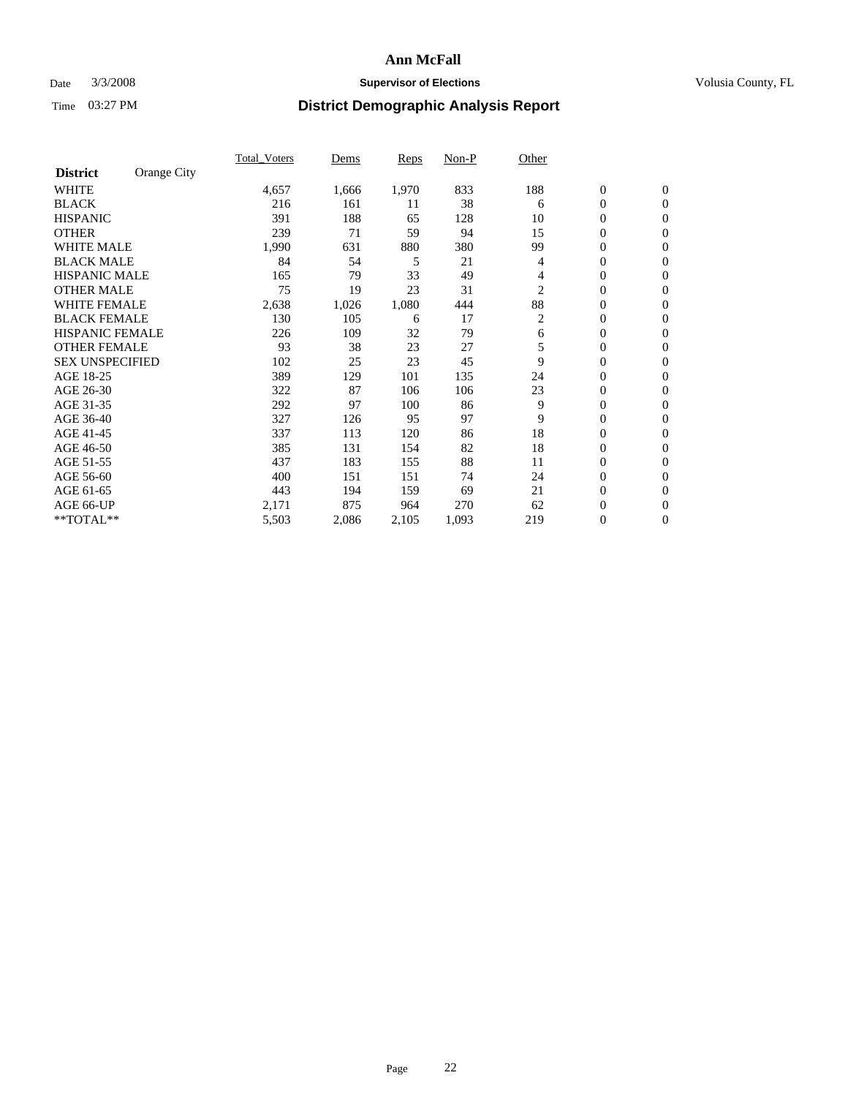### Date  $3/3/2008$  **Supervisor of Elections Supervisor of Elections** Volusia County, FL

|                        |             | <b>Total Voters</b> | Dems  | Reps  | Non-P | Other |                  |                  |  |
|------------------------|-------------|---------------------|-------|-------|-------|-------|------------------|------------------|--|
| <b>District</b>        | Orange City |                     |       |       |       |       |                  |                  |  |
| <b>WHITE</b>           |             | 4,657               | 1,666 | 1,970 | 833   | 188   | $\boldsymbol{0}$ | $\mathbf{0}$     |  |
| <b>BLACK</b>           |             | 216                 | 161   | 11    | 38    | 6     | $\mathbf{0}$     | $\mathbf{0}$     |  |
| <b>HISPANIC</b>        |             | 391                 | 188   | 65    | 128   | 10    | 0                | $\mathbf{0}$     |  |
| <b>OTHER</b>           |             | 239                 | 71    | 59    | 94    | 15    | 0                | $\mathbf{0}$     |  |
| <b>WHITE MALE</b>      |             | 1,990               | 631   | 880   | 380   | 99    | 0                | $\mathbf{0}$     |  |
| <b>BLACK MALE</b>      |             | 84                  | 54    | 5     | 21    | 4     | 0                | $\mathbf{0}$     |  |
| <b>HISPANIC MALE</b>   |             | 165                 | 79    | 33    | 49    | 4     | 0                | $\overline{0}$   |  |
| <b>OTHER MALE</b>      |             | 75                  | 19    | 23    | 31    | 2     | $\mathbf{0}$     | $\mathbf{0}$     |  |
| <b>WHITE FEMALE</b>    |             | 2,638               | 1,026 | 1,080 | 444   | 88    | 0                | $\mathbf{0}$     |  |
| <b>BLACK FEMALE</b>    |             | 130                 | 105   | 6     | 17    | 2     | $\mathbf{0}$     | $\mathbf{0}$     |  |
| <b>HISPANIC FEMALE</b> |             | 226                 | 109   | 32    | 79    | 6     | 0                | $\mathbf{0}$     |  |
| <b>OTHER FEMALE</b>    |             | 93                  | 38    | 23    | 27    | 5     | 0                | $\mathbf{0}$     |  |
| <b>SEX UNSPECIFIED</b> |             | 102                 | 25    | 23    | 45    | 9     | 0                | $\mathbf{0}$     |  |
| AGE 18-25              |             | 389                 | 129   | 101   | 135   | 24    | 0                | $\mathbf{0}$     |  |
| AGE 26-30              |             | 322                 | 87    | 106   | 106   | 23    | $\mathbf{0}$     | $\mathbf{0}$     |  |
| AGE 31-35              |             | 292                 | 97    | 100   | 86    | 9     | 0                | $\mathbf{0}$     |  |
| AGE 36-40              |             | 327                 | 126   | 95    | 97    | 9     | 0                | $\mathbf{0}$     |  |
| AGE 41-45              |             | 337                 | 113   | 120   | 86    | 18    | 0                | $\mathbf{0}$     |  |
| AGE 46-50              |             | 385                 | 131   | 154   | 82    | 18    | 0                | $\Omega$         |  |
| AGE 51-55              |             | 437                 | 183   | 155   | 88    | 11    | $\boldsymbol{0}$ | $\mathbf{0}$     |  |
| AGE 56-60              |             | 400                 | 151   | 151   | 74    | 24    | 0                | $\mathbf{0}$     |  |
| AGE 61-65              |             | 443                 | 194   | 159   | 69    | 21    | $\overline{0}$   | $\mathbf{0}$     |  |
| AGE 66-UP              |             | 2,171               | 875   | 964   | 270   | 62    | 0                | $\mathbf{0}$     |  |
| **TOTAL**              |             | 5,503               | 2,086 | 2,105 | 1,093 | 219   | 0                | $\boldsymbol{0}$ |  |
|                        |             |                     |       |       |       |       |                  |                  |  |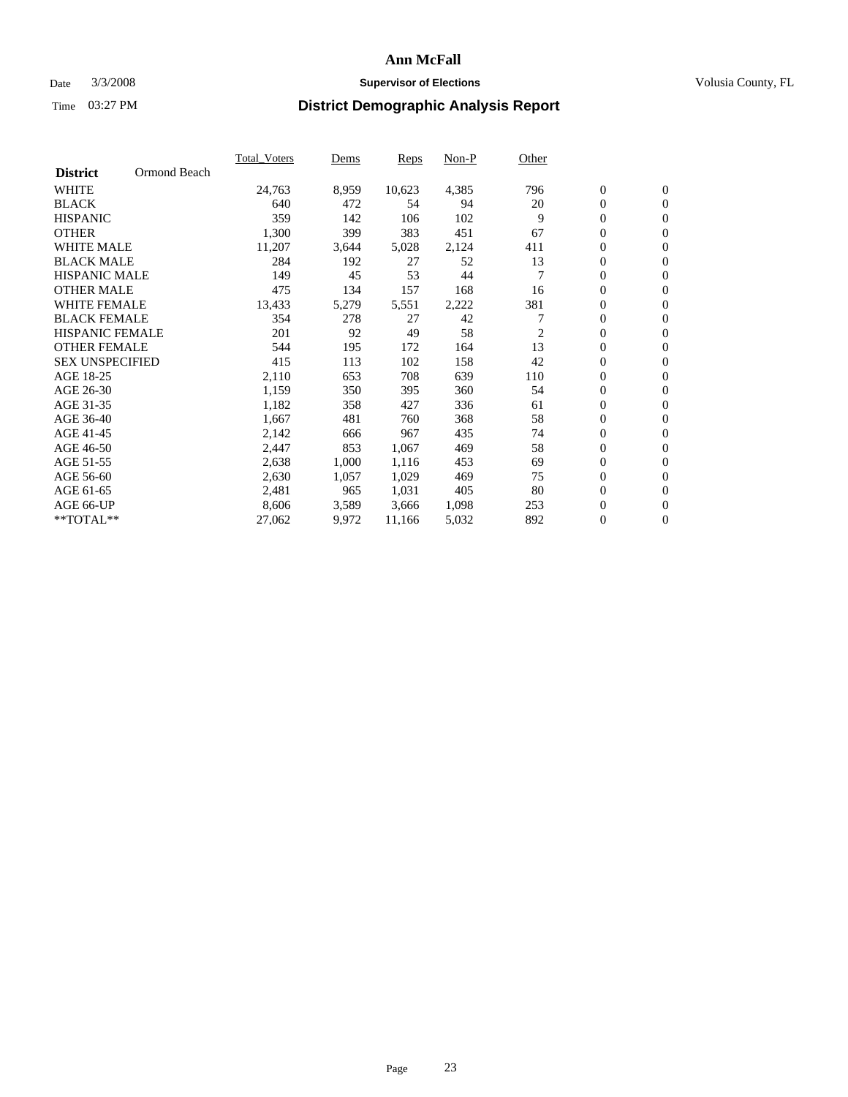### Date  $3/3/2008$  **Supervisor of Elections Supervisor of Elections** Volusia County, FL

|                        |              | <b>Total Voters</b> | Dems  | Reps   | Non-P | Other |                  |                |  |
|------------------------|--------------|---------------------|-------|--------|-------|-------|------------------|----------------|--|
| <b>District</b>        | Ormond Beach |                     |       |        |       |       |                  |                |  |
| <b>WHITE</b>           |              | 24,763              | 8,959 | 10,623 | 4,385 | 796   | $\boldsymbol{0}$ | $\mathbf{0}$   |  |
| <b>BLACK</b>           |              | 640                 | 472   | 54     | 94    | 20    | 0                | $\mathbf{0}$   |  |
| <b>HISPANIC</b>        |              | 359                 | 142   | 106    | 102   | 9     | 0                | $\overline{0}$ |  |
| <b>OTHER</b>           |              | 1,300               | 399   | 383    | 451   | 67    | 0                | $\mathbf{0}$   |  |
| <b>WHITE MALE</b>      |              | 11,207              | 3,644 | 5,028  | 2,124 | 411   | 0                | $\mathbf{0}$   |  |
| <b>BLACK MALE</b>      |              | 284                 | 192   | 27     | 52    | 13    | 0                | $\mathbf{0}$   |  |
| <b>HISPANIC MALE</b>   |              | 149                 | 45    | 53     | 44    |       | 0                | $\mathbf{0}$   |  |
| <b>OTHER MALE</b>      |              | 475                 | 134   | 157    | 168   | 16    | $\mathbf{0}$     | $\mathbf{0}$   |  |
| <b>WHITE FEMALE</b>    |              | 13,433              | 5,279 | 5,551  | 2,222 | 381   | 0                | $\mathbf{0}$   |  |
| <b>BLACK FEMALE</b>    |              | 354                 | 278   | 27     | 42    |       | $\mathbf{0}$     | $\mathbf{0}$   |  |
| <b>HISPANIC FEMALE</b> |              | 201                 | 92    | 49     | 58    | 2     | 0                | $\mathbf{0}$   |  |
| <b>OTHER FEMALE</b>    |              | 544                 | 195   | 172    | 164   | 13    | 0                | $\mathbf{0}$   |  |
| <b>SEX UNSPECIFIED</b> |              | 415                 | 113   | 102    | 158   | 42    | 0                | $\mathbf{0}$   |  |
| AGE 18-25              |              | 2,110               | 653   | 708    | 639   | 110   | 0                | $\mathbf{0}$   |  |
| AGE 26-30              |              | 1,159               | 350   | 395    | 360   | 54    | $\mathbf{0}$     | $\mathbf{0}$   |  |
| AGE 31-35              |              | 1,182               | 358   | 427    | 336   | 61    | 0                | $\mathbf{0}$   |  |
| AGE 36-40              |              | 1,667               | 481   | 760    | 368   | 58    | 0                | $\mathbf{0}$   |  |
| AGE 41-45              |              | 2,142               | 666   | 967    | 435   | 74    | 0                | $\mathbf{0}$   |  |
| AGE 46-50              |              | 2,447               | 853   | 1,067  | 469   | 58    | 0                | $\mathbf{0}$   |  |
| AGE 51-55              |              | 2,638               | 1,000 | 1,116  | 453   | 69    | $\boldsymbol{0}$ | $\mathbf{0}$   |  |
| AGE 56-60              |              | 2,630               | 1,057 | 1,029  | 469   | 75    | 0                | $\mathbf{0}$   |  |
| AGE 61-65              |              | 2,481               | 965   | 1,031  | 405   | 80    | $\mathbf{0}$     | $\mathbf{0}$   |  |
| AGE 66-UP              |              | 8,606               | 3,589 | 3,666  | 1,098 | 253   | 0                | $\mathbf{0}$   |  |
| **TOTAL**              |              | 27,062              | 9,972 | 11,166 | 5,032 | 892   | 0                | $\mathbf{0}$   |  |
|                        |              |                     |       |        |       |       |                  |                |  |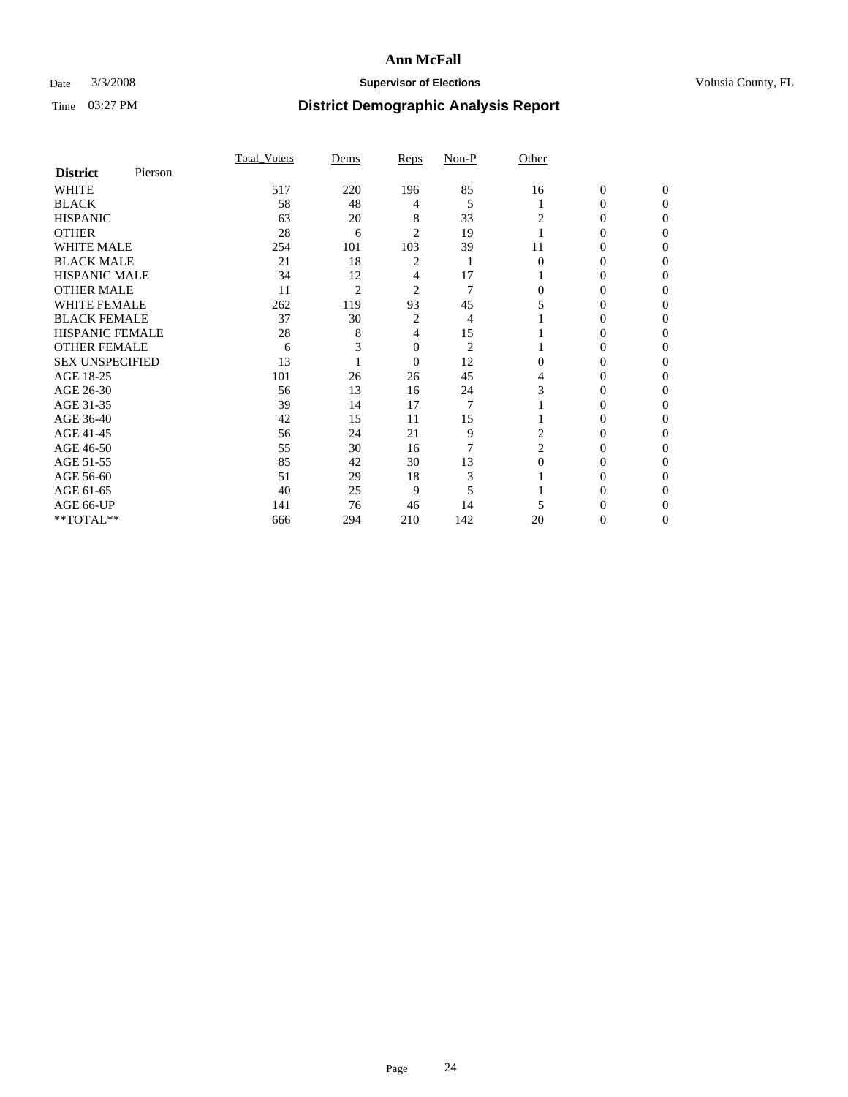### Date  $3/3/2008$  **Supervisor of Elections Supervisor of Elections** Volusia County, FL

|                        |         | Total Voters | Dems           | Reps           | Non-P          | Other |                  |              |  |
|------------------------|---------|--------------|----------------|----------------|----------------|-------|------------------|--------------|--|
| <b>District</b>        | Pierson |              |                |                |                |       |                  |              |  |
| <b>WHITE</b>           |         | 517          | 220            | 196            | 85             | 16    | $\boldsymbol{0}$ | $\mathbf{0}$ |  |
| <b>BLACK</b>           |         | 58           | 48             | 4              | 5              |       | $\overline{0}$   | $\Omega$     |  |
| <b>HISPANIC</b>        |         | 63           | 20             | 8              | 33             | 2     | $\Omega$         | $\Omega$     |  |
| <b>OTHER</b>           |         | 28           | 6              | $\overline{2}$ | 19             |       | $\Omega$         | 0            |  |
| <b>WHITE MALE</b>      |         | 254          | 101            | 103            | 39             | 11    | $\overline{0}$   |              |  |
| <b>BLACK MALE</b>      |         | 21           | 18             | $\overline{2}$ | 1              | 0     | $\Omega$         |              |  |
| HISPANIC MALE          |         | 34           | 12             | 4              | 17             |       | $\Omega$         |              |  |
| <b>OTHER MALE</b>      |         | 11           | $\overline{2}$ | $\overline{c}$ | 7              | 0     | $\overline{0}$   |              |  |
| <b>WHITE FEMALE</b>    |         | 262          | 119            | 93             | 45             |       | 0                |              |  |
| <b>BLACK FEMALE</b>    |         | 37           | 30             | $\overline{2}$ | $\overline{4}$ |       | $\Omega$         | 0            |  |
| <b>HISPANIC FEMALE</b> |         | 28           | 8              | 4              | 15             |       | 0                | 0            |  |
| <b>OTHER FEMALE</b>    |         | 6            | 3              | $\mathbf{0}$   | $\overline{2}$ |       | $\mathbf{0}$     | 0            |  |
| <b>SEX UNSPECIFIED</b> |         | 13           |                | $\mathbf{0}$   | 12             | 0     | $\Omega$         |              |  |
| AGE 18-25              |         | 101          | 26             | 26             | 45             |       | $\Omega$         |              |  |
| AGE 26-30              |         | 56           | 13             | 16             | 24             | 3     | $\Omega$         |              |  |
| AGE 31-35              |         | 39           | 14             | 17             | 7              |       | 0                |              |  |
| AGE 36-40              |         | 42           | 15             | 11             | 15             |       | $\overline{0}$   | 0            |  |
| AGE 41-45              |         | 56           | 24             | 21             | 9              | 2     | 0                | 0            |  |
| AGE 46-50              |         | 55           | 30             | 16             | 7              | 2     | $\mathbf{0}$     | 0            |  |
| AGE 51-55              |         | 85           | 42             | 30             | 13             | 0     | 0                | $\theta$     |  |
| AGE 56-60              |         | 51           | 29             | 18             | 3              |       | $\Omega$         | 0            |  |
| AGE 61-65              |         | 40           | 25             | 9              | 5              |       | $\Omega$         |              |  |
| AGE 66-UP              |         | 141          | 76             | 46             | 14             |       |                  |              |  |
| **TOTAL**              |         | 666          | 294            | 210            | 142            | 20    | $\mathbf{0}$     | 0            |  |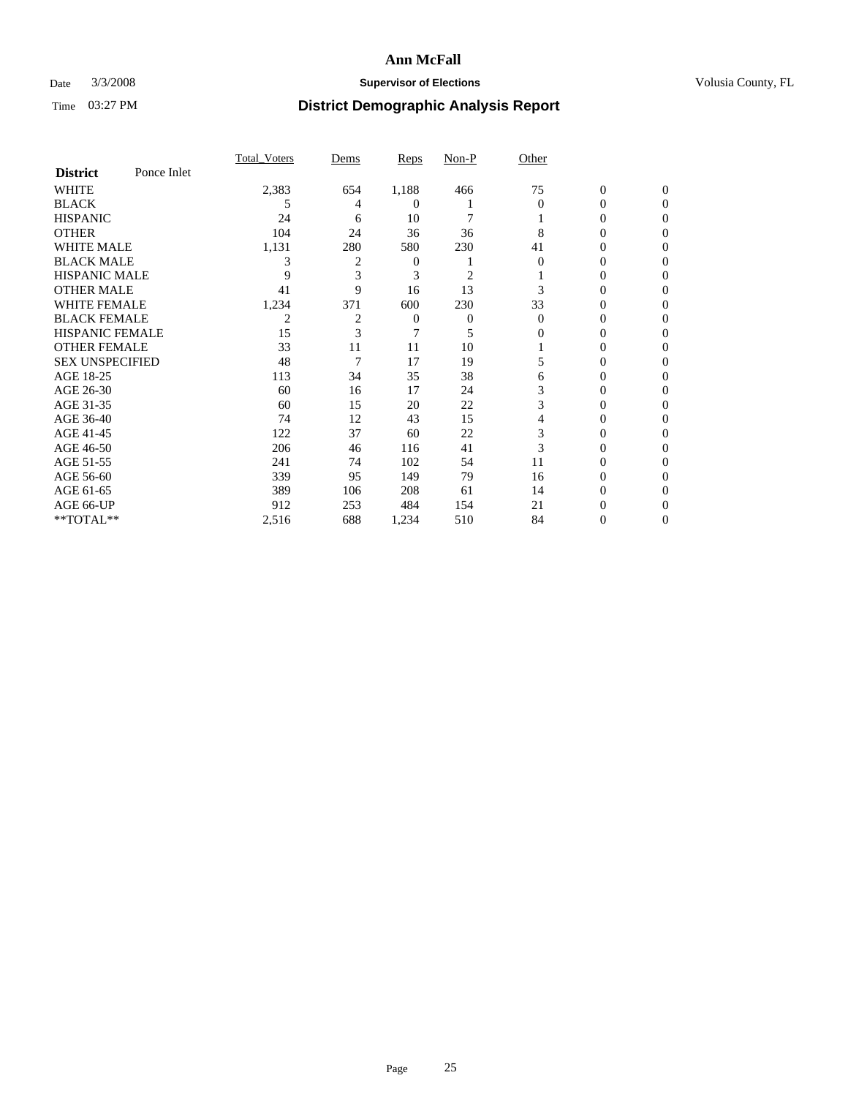### Date  $3/3/2008$  **Supervisor of Elections Supervisor of Elections** Volusia County, FL

|                        |             | <b>Total Voters</b> | Dems           | Reps  | Non-P          | Other    |                  |              |  |
|------------------------|-------------|---------------------|----------------|-------|----------------|----------|------------------|--------------|--|
| <b>District</b>        | Ponce Inlet |                     |                |       |                |          |                  |              |  |
| <b>WHITE</b>           |             | 2,383               | 654            | 1,188 | 466            | 75       | $\boldsymbol{0}$ | $\mathbf{0}$ |  |
| <b>BLACK</b>           |             | 5                   | 4              | 0     |                | $\Omega$ | 0                | $\mathbf{0}$ |  |
| <b>HISPANIC</b>        |             | 24                  | 6              | 10    | 7              |          | 0                | $\Omega$     |  |
| <b>OTHER</b>           |             | 104                 | 24             | 36    | 36             | 8        | 0                | $\theta$     |  |
| <b>WHITE MALE</b>      |             | 1,131               | 280            | 580   | 230            | 41       | 0                | 0            |  |
| <b>BLACK MALE</b>      |             | 3                   | $\overline{c}$ | 0     |                | 0        | 0                | 0            |  |
| <b>HISPANIC MALE</b>   |             | 9                   | 3              | 3     | $\overline{c}$ |          | 0                |              |  |
| <b>OTHER MALE</b>      |             | 41                  | 9              | 16    | 13             |          | 0                | 0            |  |
| WHITE FEMALE           |             | 1,234               | 371            | 600   | 230            | 33       | 0                | 0            |  |
| <b>BLACK FEMALE</b>    |             | 2                   | 2              | 0     | 0              | $\Omega$ | 0                | 0            |  |
| <b>HISPANIC FEMALE</b> |             | 15                  | 3              |       | 5              | 0        | 0                | $\Omega$     |  |
| <b>OTHER FEMALE</b>    |             | 33                  | 11             | 11    | 10             |          | 0                | 0            |  |
| <b>SEX UNSPECIFIED</b> |             | 48                  | 7              | 17    | 19             | 5        | 0                | $\theta$     |  |
| AGE 18-25              |             | 113                 | 34             | 35    | 38             | 6        | 0                |              |  |
| AGE 26-30              |             | 60                  | 16             | 17    | 24             | 3        | 0                | 0            |  |
| AGE 31-35              |             | 60                  | 15             | 20    | 22             | 3        | 0                |              |  |
| AGE 36-40              |             | 74                  | 12             | 43    | 15             | 4        | 0                | 0            |  |
| AGE 41-45              |             | 122                 | 37             | 60    | 22             | 3        | 0                | 0            |  |
| AGE 46-50              |             | 206                 | 46             | 116   | 41             | 3        | 0                | $\Omega$     |  |
| AGE 51-55              |             | 241                 | 74             | 102   | 54             | 11       | 0                | $\theta$     |  |
| AGE 56-60              |             | 339                 | 95             | 149   | 79             | 16       | 0                | 0            |  |
| AGE 61-65              |             | 389                 | 106            | 208   | 61             | 14       | 0                | 0            |  |
| AGE 66-UP              |             | 912                 | 253            | 484   | 154            | 21       | 0                |              |  |
| **TOTAL**              |             | 2,516               | 688            | 1,234 | 510            | 84       | 0                | 0            |  |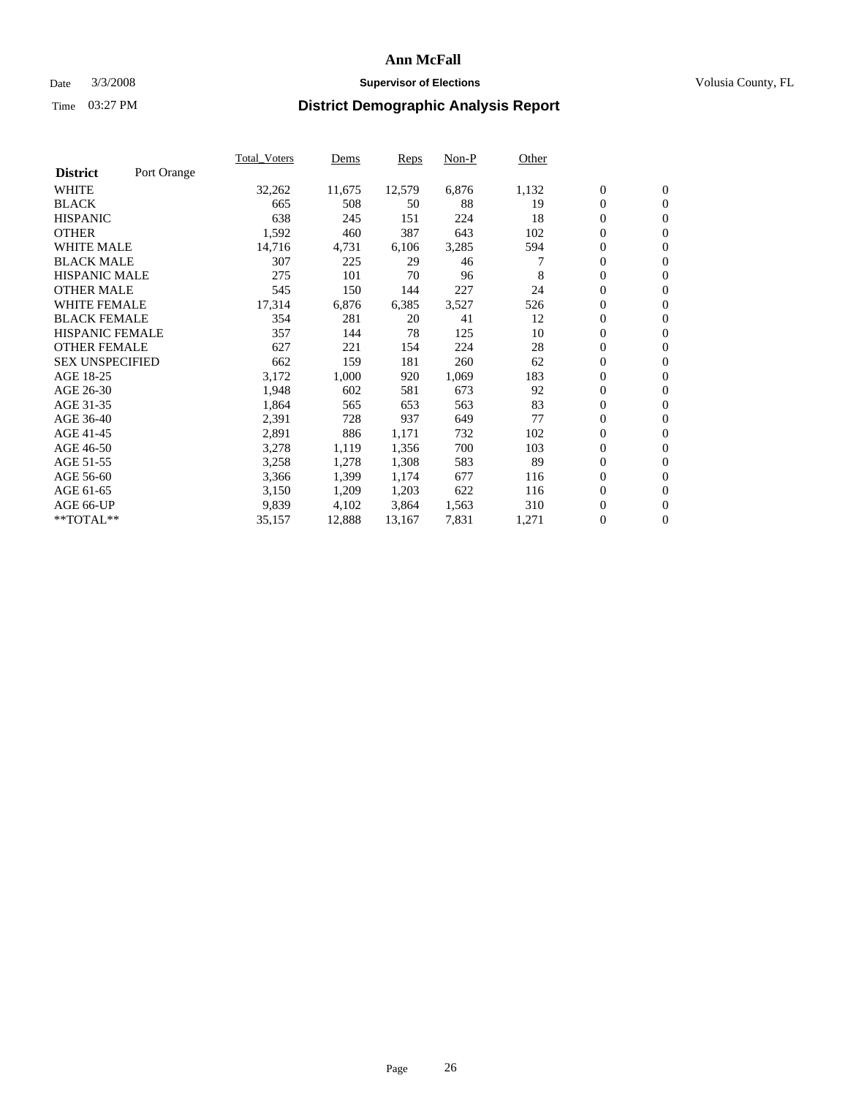### Date  $3/3/2008$  **Supervisor of Elections Supervisor of Elections** Volusia County, FL

|                        |             | Total Voters | Dems   | <b>Reps</b> | Non-P | Other |                  |                  |  |
|------------------------|-------------|--------------|--------|-------------|-------|-------|------------------|------------------|--|
| <b>District</b>        | Port Orange |              |        |             |       |       |                  |                  |  |
| <b>WHITE</b>           |             | 32,262       | 11,675 | 12,579      | 6,876 | 1,132 | $\boldsymbol{0}$ | $\mathbf{0}$     |  |
| <b>BLACK</b>           |             | 665          | 508    | 50          | 88    | 19    | $\overline{0}$   | $\mathbf{0}$     |  |
| <b>HISPANIC</b>        |             | 638          | 245    | 151         | 224   | 18    | $\overline{0}$   | $\mathbf{0}$     |  |
| <b>OTHER</b>           |             | 1,592        | 460    | 387         | 643   | 102   | $\overline{0}$   | $\mathbf{0}$     |  |
| <b>WHITE MALE</b>      |             | 14,716       | 4,731  | 6,106       | 3,285 | 594   | $\overline{0}$   | $\mathbf{0}$     |  |
| <b>BLACK MALE</b>      |             | 307          | 225    | 29          | 46    |       | $\boldsymbol{0}$ | $\mathbf{0}$     |  |
| <b>HISPANIC MALE</b>   |             | 275          | 101    | 70          | 96    | 8     | 0                | $\mathbf{0}$     |  |
| <b>OTHER MALE</b>      |             | 545          | 150    | 144         | 227   | 24    | 0                | $\mathbf{0}$     |  |
| <b>WHITE FEMALE</b>    |             | 17,314       | 6,876  | 6,385       | 3,527 | 526   | $\overline{0}$   | $\mathbf{0}$     |  |
| <b>BLACK FEMALE</b>    |             | 354          | 281    | 20          | 41    | 12    | $\overline{0}$   | $\mathbf{0}$     |  |
| <b>HISPANIC FEMALE</b> |             | 357          | 144    | 78          | 125   | 10    | $\overline{0}$   | $\mathbf{0}$     |  |
| <b>OTHER FEMALE</b>    |             | 627          | 221    | 154         | 224   | 28    | $\mathbf{0}$     | $\mathbf{0}$     |  |
| <b>SEX UNSPECIFIED</b> |             | 662          | 159    | 181         | 260   | 62    | $\boldsymbol{0}$ | $\boldsymbol{0}$ |  |
| AGE 18-25              |             | 3,172        | 1,000  | 920         | 1,069 | 183   | $\overline{0}$   | $\mathbf{0}$     |  |
| AGE 26-30              |             | 1,948        | 602    | 581         | 673   | 92    | $\boldsymbol{0}$ | $\mathbf{0}$     |  |
| AGE 31-35              |             | 1,864        | 565    | 653         | 563   | 83    | 0                | $\mathbf{0}$     |  |
| AGE 36-40              |             | 2,391        | 728    | 937         | 649   | 77    | $\overline{0}$   | $\mathbf{0}$     |  |
| AGE 41-45              |             | 2,891        | 886    | 1,171       | 732   | 102   | $\mathbf{0}$     | $\mathbf{0}$     |  |
| AGE 46-50              |             | 3,278        | 1,119  | 1,356       | 700   | 103   | $\overline{0}$   | $\mathbf{0}$     |  |
| AGE 51-55              |             | 3,258        | 1,278  | 1,308       | 583   | 89    | $\mathbf{0}$     | $\mathbf{0}$     |  |
| AGE 56-60              |             | 3,366        | 1,399  | 1,174       | 677   | 116   | $\boldsymbol{0}$ | $\mathbf{0}$     |  |
| AGE 61-65              |             | 3,150        | 1,209  | 1,203       | 622   | 116   | 0                | $\mathbf{0}$     |  |
| AGE 66-UP              |             | 9,839        | 4,102  | 3,864       | 1,563 | 310   | 0                | $\mathbf{0}$     |  |
| $*$ TOTAL $**$         |             | 35,157       | 12,888 | 13,167      | 7,831 | 1,271 | 0                | $\boldsymbol{0}$ |  |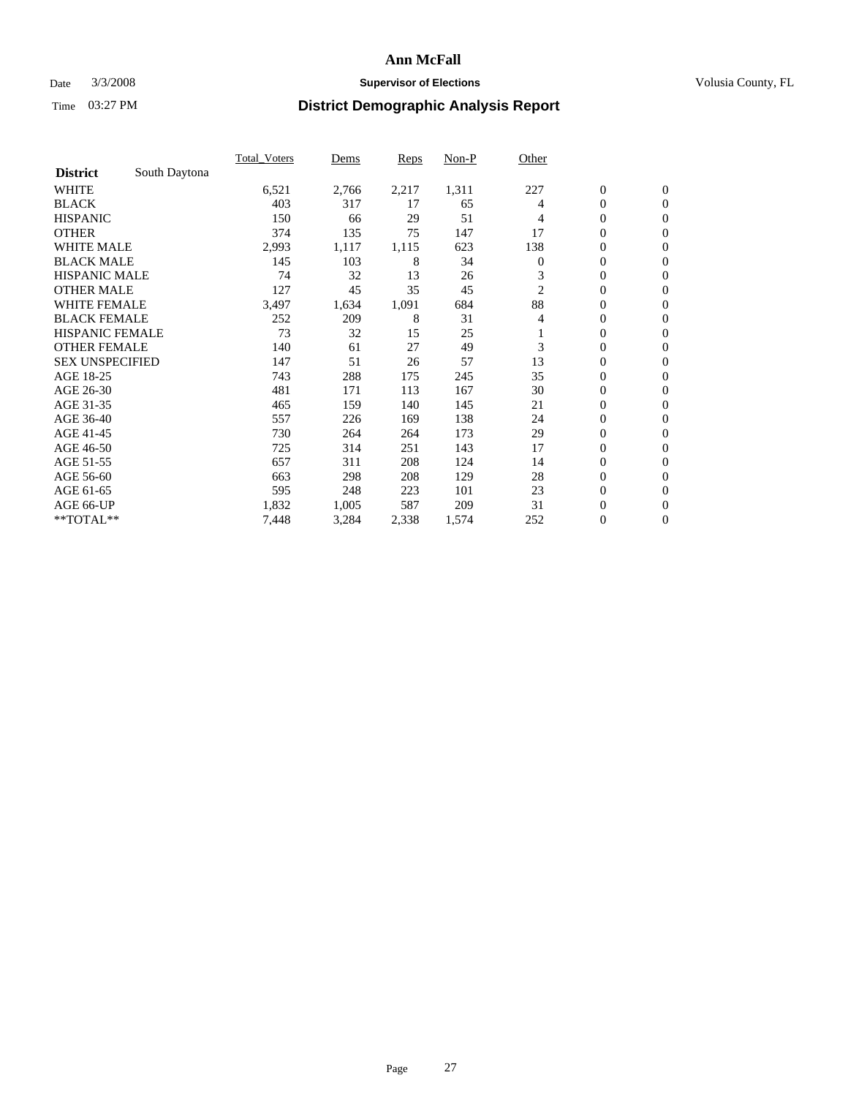### Date  $3/3/2008$  **Supervisor of Elections Supervisor of Elections** Volusia County, FL

|                        |               | <b>Total Voters</b> | Dems  | <b>Reps</b> | Non-P | Other            |                  |                  |  |
|------------------------|---------------|---------------------|-------|-------------|-------|------------------|------------------|------------------|--|
| <b>District</b>        | South Daytona |                     |       |             |       |                  |                  |                  |  |
| <b>WHITE</b>           |               | 6,521               | 2,766 | 2,217       | 1,311 | 227              | $\boldsymbol{0}$ | $\boldsymbol{0}$ |  |
| <b>BLACK</b>           |               | 403                 | 317   | 17          | 65    | 4                | $\mathbf{0}$     | $\mathbf{0}$     |  |
| <b>HISPANIC</b>        |               | 150                 | 66    | 29          | 51    | 4                | $\mathbf{0}$     | $\mathbf{0}$     |  |
| <b>OTHER</b>           |               | 374                 | 135   | 75          | 147   | 17               | 0                | $\mathbf{0}$     |  |
| <b>WHITE MALE</b>      |               | 2,993               | 1,117 | 1,115       | 623   | 138              | 0                | $\mathbf{0}$     |  |
| <b>BLACK MALE</b>      |               | 145                 | 103   | 8           | 34    | $\boldsymbol{0}$ | 0                | $\mathbf{0}$     |  |
| <b>HISPANIC MALE</b>   |               | 74                  | 32    | 13          | 26    | 3                | 0                | $\mathbf{0}$     |  |
| <b>OTHER MALE</b>      |               | 127                 | 45    | 35          | 45    | 2                | 0                | $\mathbf{0}$     |  |
| <b>WHITE FEMALE</b>    |               | 3,497               | 1,634 | 1,091       | 684   | 88               | 0                | $\mathbf{0}$     |  |
| <b>BLACK FEMALE</b>    |               | 252                 | 209   | 8           | 31    | 4                | $\mathbf{0}$     | $\mathbf{0}$     |  |
| <b>HISPANIC FEMALE</b> |               | 73                  | 32    | 15          | 25    |                  | 0                | $\mathbf{0}$     |  |
| <b>OTHER FEMALE</b>    |               | 140                 | 61    | 27          | 49    | 3                | $\mathbf{0}$     | $\mathbf{0}$     |  |
| <b>SEX UNSPECIFIED</b> |               | 147                 | 51    | 26          | 57    | 13               | $\boldsymbol{0}$ | $\mathbf{0}$     |  |
| AGE 18-25              |               | 743                 | 288   | 175         | 245   | 35               | 0                | $\mathbf{0}$     |  |
| AGE 26-30              |               | 481                 | 171   | 113         | 167   | 30               | 0                | $\mathbf{0}$     |  |
| AGE 31-35              |               | 465                 | 159   | 140         | 145   | 21               | 0                | $\mathbf{0}$     |  |
| AGE 36-40              |               | 557                 | 226   | 169         | 138   | 24               | $\boldsymbol{0}$ | $\mathbf{0}$     |  |
| AGE 41-45              |               | 730                 | 264   | 264         | 173   | 29               | 0                | $\mathbf{0}$     |  |
| AGE 46-50              |               | 725                 | 314   | 251         | 143   | 17               | $\mathbf{0}$     | $\mathbf{0}$     |  |
| AGE 51-55              |               | 657                 | 311   | 208         | 124   | 14               | $\overline{0}$   | $\mathbf{0}$     |  |
| AGE 56-60              |               | 663                 | 298   | 208         | 129   | 28               | $\boldsymbol{0}$ | $\mathbf{0}$     |  |
| AGE 61-65              |               | 595                 | 248   | 223         | 101   | 23               | 0                | $\mathbf{0}$     |  |
| AGE 66-UP              |               | 1,832               | 1,005 | 587         | 209   | 31               | 0                | 0                |  |
| **TOTAL**              |               | 7,448               | 3,284 | 2,338       | 1,574 | 252              | $\boldsymbol{0}$ | $\boldsymbol{0}$ |  |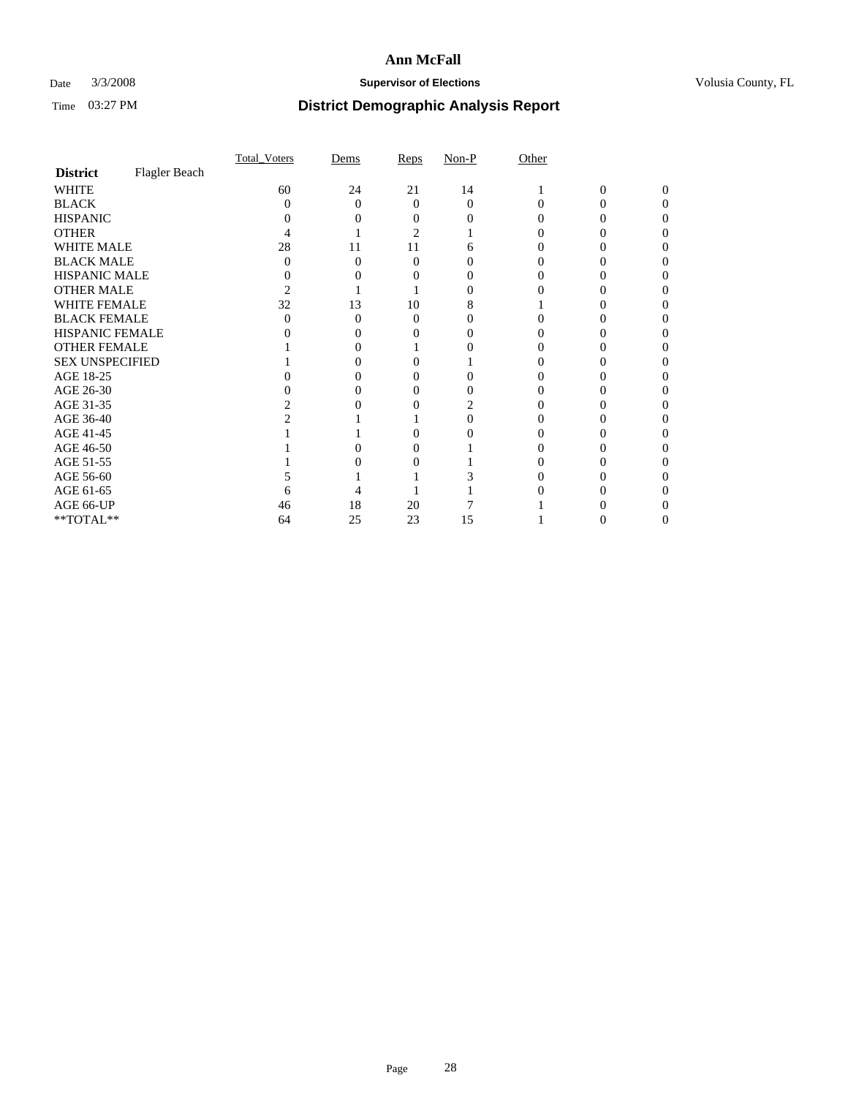### Date  $3/3/2008$  **Supervisor of Elections Supervisor of Elections** Volusia County, FL

|                        |               | Total Voters | Dems | Reps | $Non-P$  | Other |              |          |  |
|------------------------|---------------|--------------|------|------|----------|-------|--------------|----------|--|
| <b>District</b>        | Flagler Beach |              |      |      |          |       |              |          |  |
| <b>WHITE</b>           |               | 60           | 24   | 21   | 14       |       | $\mathbf{0}$ | $\Omega$ |  |
| <b>BLACK</b>           |               | 0            | 0    | 0    | $\Omega$ |       |              | O        |  |
| <b>HISPANIC</b>        |               |              |      |      |          |       |              |          |  |
| <b>OTHER</b>           |               |              |      | 2    |          |       |              |          |  |
| WHITE MALE             |               | 28           | 11   | 11   |          |       |              |          |  |
| <b>BLACK MALE</b>      |               |              | 0    | 0    |          |       |              |          |  |
| HISPANIC MALE          |               |              |      |      |          |       |              |          |  |
| <b>OTHER MALE</b>      |               |              |      |      |          |       |              |          |  |
| <b>WHITE FEMALE</b>    |               | 32           | 13   | 10   |          |       |              |          |  |
| <b>BLACK FEMALE</b>    |               | 0            | 0    | 0    |          |       |              |          |  |
| HISPANIC FEMALE        |               |              |      |      |          |       |              |          |  |
| <b>OTHER FEMALE</b>    |               |              |      |      |          |       |              |          |  |
| <b>SEX UNSPECIFIED</b> |               |              |      |      |          |       |              |          |  |
| AGE 18-25              |               |              |      |      |          |       |              |          |  |
| AGE 26-30              |               |              |      |      |          |       |              |          |  |
| AGE 31-35              |               |              |      |      |          |       |              |          |  |
| AGE 36-40              |               |              |      |      |          |       |              |          |  |
| AGE 41-45              |               |              |      |      |          |       |              |          |  |
| AGE 46-50              |               |              |      |      |          |       |              |          |  |
| AGE 51-55              |               |              |      |      |          |       |              |          |  |
| AGE 56-60              |               |              |      |      |          |       |              |          |  |
| AGE 61-65              |               |              |      |      |          |       |              |          |  |
| AGE 66-UP              |               | 46           | 18   | 20   |          |       |              |          |  |
| **TOTAL**              |               | 64           | 25   | 23   | 15       |       | O            | $_{0}$   |  |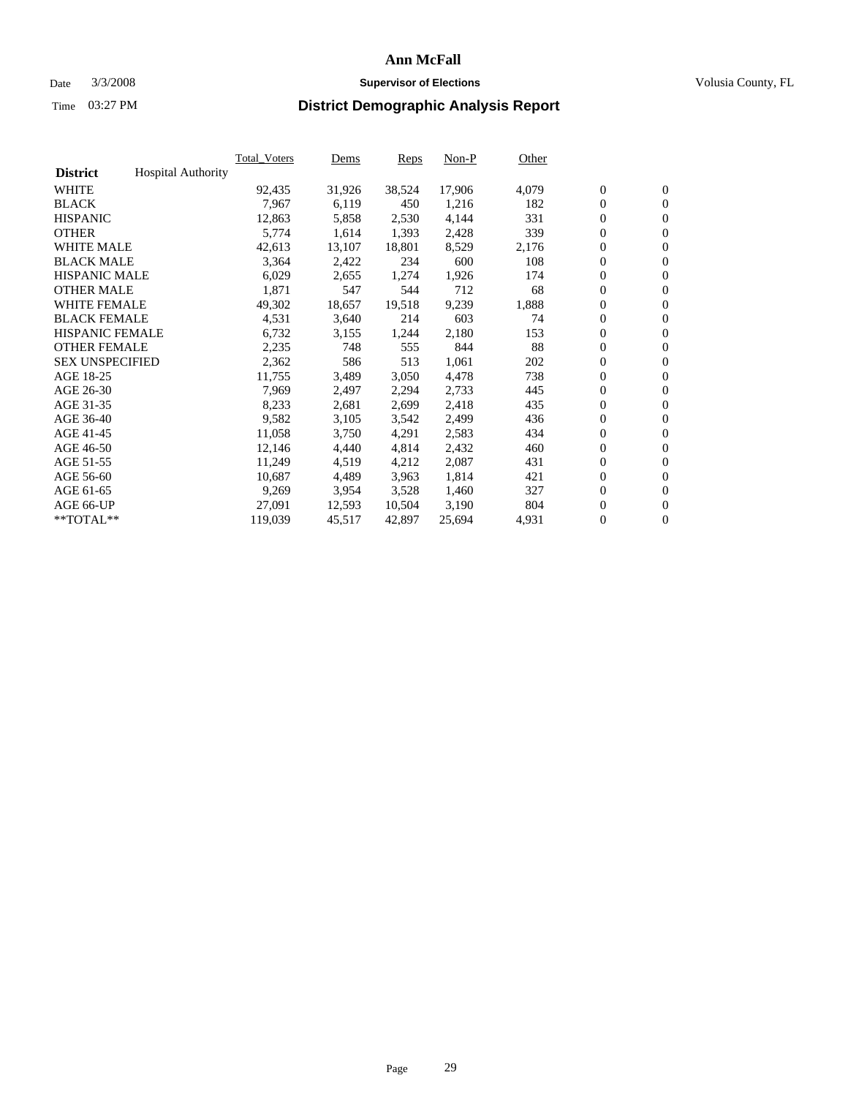#### Date  $3/3/2008$  **Supervisor of Elections** Volusia County, FL

|                        |                           | <b>Total Voters</b> | Dems   | Reps   | Non-P  | Other |                  |                  |  |
|------------------------|---------------------------|---------------------|--------|--------|--------|-------|------------------|------------------|--|
| <b>District</b>        | <b>Hospital Authority</b> |                     |        |        |        |       |                  |                  |  |
| <b>WHITE</b>           |                           | 92,435              | 31,926 | 38,524 | 17,906 | 4,079 | $\boldsymbol{0}$ | $\mathbf{0}$     |  |
| <b>BLACK</b>           |                           | 7,967               | 6,119  | 450    | 1,216  | 182   | $\boldsymbol{0}$ | $\mathbf{0}$     |  |
| <b>HISPANIC</b>        |                           | 12,863              | 5,858  | 2,530  | 4,144  | 331   | $\boldsymbol{0}$ | $\boldsymbol{0}$ |  |
| <b>OTHER</b>           |                           | 5,774               | 1,614  | 1,393  | 2,428  | 339   | $\boldsymbol{0}$ | $\mathbf{0}$     |  |
| <b>WHITE MALE</b>      |                           | 42,613              | 13,107 | 18,801 | 8,529  | 2,176 | 0                | $\mathbf{0}$     |  |
| <b>BLACK MALE</b>      |                           | 3,364               | 2,422  | 234    | 600    | 108   | $\boldsymbol{0}$ | $\mathbf{0}$     |  |
| <b>HISPANIC MALE</b>   |                           | 6,029               | 2,655  | 1,274  | 1,926  | 174   | 0                | $\mathbf{0}$     |  |
| <b>OTHER MALE</b>      |                           | 1,871               | 547    | 544    | 712    | 68    | $\boldsymbol{0}$ | $\mathbf{0}$     |  |
| <b>WHITE FEMALE</b>    |                           | 49,302              | 18,657 | 19,518 | 9,239  | 1,888 | $\mathbf{0}$     | $\mathbf{0}$     |  |
| <b>BLACK FEMALE</b>    |                           | 4,531               | 3,640  | 214    | 603    | 74    | $\boldsymbol{0}$ | $\mathbf{0}$     |  |
| <b>HISPANIC FEMALE</b> |                           | 6,732               | 3,155  | 1,244  | 2,180  | 153   | $\boldsymbol{0}$ | $\mathbf{0}$     |  |
| <b>OTHER FEMALE</b>    |                           | 2,235               | 748    | 555    | 844    | 88    | $\overline{0}$   | $\overline{0}$   |  |
| <b>SEX UNSPECIFIED</b> |                           | 2,362               | 586    | 513    | 1,061  | 202   | $\boldsymbol{0}$ | $\mathbf{0}$     |  |
| AGE 18-25              |                           | 11,755              | 3,489  | 3,050  | 4,478  | 738   | $\boldsymbol{0}$ | $\mathbf{0}$     |  |
| AGE 26-30              |                           | 7,969               | 2,497  | 2,294  | 2,733  | 445   | $\mathbf{0}$     | $\mathbf{0}$     |  |
| AGE 31-35              |                           | 8,233               | 2,681  | 2,699  | 2,418  | 435   | $\boldsymbol{0}$ | $\mathbf{0}$     |  |
| AGE 36-40              |                           | 9,582               | 3,105  | 3,542  | 2,499  | 436   | $\boldsymbol{0}$ | $\mathbf{0}$     |  |
| AGE 41-45              |                           | 11,058              | 3,750  | 4,291  | 2,583  | 434   | $\boldsymbol{0}$ | $\mathbf{0}$     |  |
| AGE 46-50              |                           | 12,146              | 4,440  | 4,814  | 2,432  | 460   | $\boldsymbol{0}$ | $\mathbf{0}$     |  |
| AGE 51-55              |                           | 11,249              | 4,519  | 4,212  | 2,087  | 431   | $\boldsymbol{0}$ | $\mathbf{0}$     |  |
| AGE 56-60              |                           | 10,687              | 4,489  | 3,963  | 1,814  | 421   | $\mathbf{0}$     | $\mathbf{0}$     |  |
| AGE 61-65              |                           | 9,269               | 3,954  | 3,528  | 1,460  | 327   | $\mathbf{0}$     | $\boldsymbol{0}$ |  |
| AGE 66-UP              |                           | 27,091              | 12,593 | 10,504 | 3,190  | 804   | $\boldsymbol{0}$ | $\mathbf{0}$     |  |
| **TOTAL**              |                           | 119,039             | 45,517 | 42,897 | 25,694 | 4,931 | 0                | $\overline{0}$   |  |
|                        |                           |                     |        |        |        |       |                  |                  |  |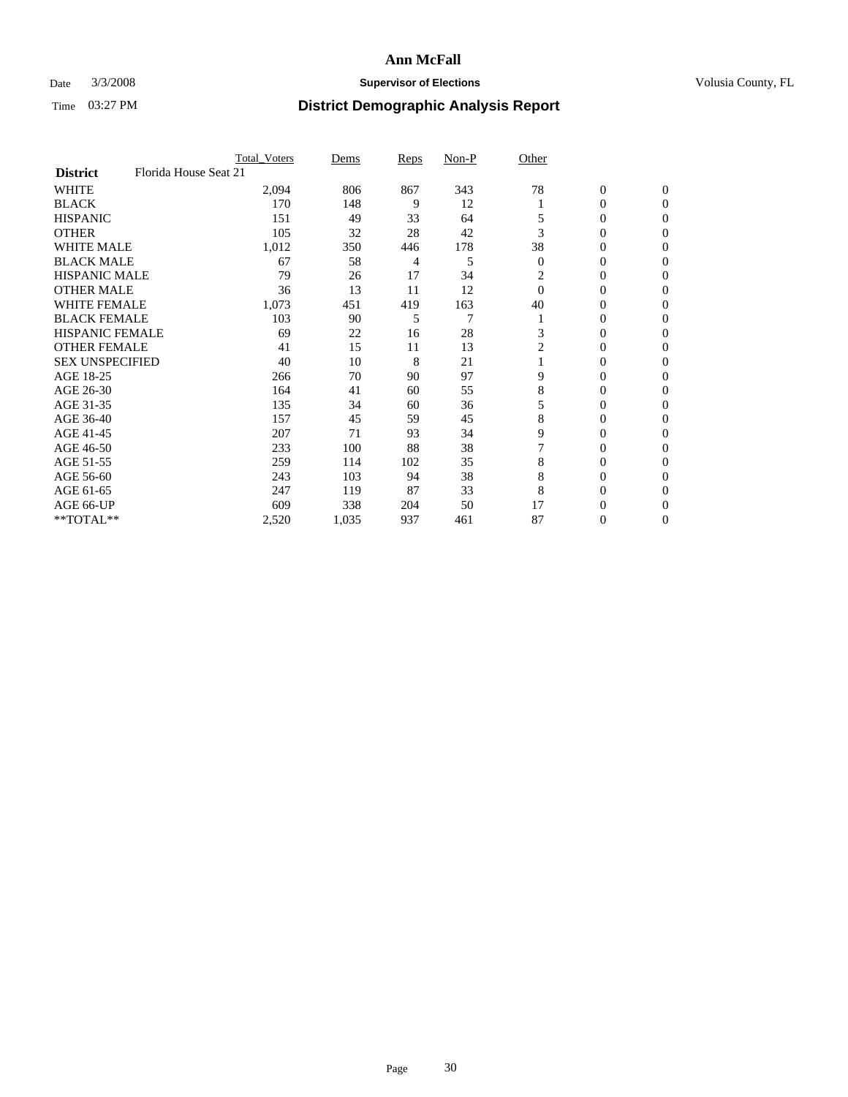### Date  $3/3/2008$  **Supervisor of Elections Supervisor of Elections** Volusia County, FL

|                                          | <b>Total Voters</b> | Dems  | Reps | Non-P | Other          |                  |                  |  |
|------------------------------------------|---------------------|-------|------|-------|----------------|------------------|------------------|--|
| Florida House Seat 21<br><b>District</b> |                     |       |      |       |                |                  |                  |  |
| <b>WHITE</b>                             | 2,094               | 806   | 867  | 343   | 78             | $\boldsymbol{0}$ | $\mathbf{0}$     |  |
| <b>BLACK</b>                             | 170                 | 148   | 9    | 12    |                | 0                | $\mathbf{0}$     |  |
| <b>HISPANIC</b>                          | 151                 | 49    | 33   | 64    |                | 0                | $\mathbf{0}$     |  |
| <b>OTHER</b>                             | 105                 | 32    | 28   | 42    | 3              | 0                | $\boldsymbol{0}$ |  |
| <b>WHITE MALE</b>                        | 1,012               | 350   | 446  | 178   | 38             | 0                | $\theta$         |  |
| <b>BLACK MALE</b>                        | 67                  | 58    | 4    | 5     | $\overline{0}$ | 0                | $\Omega$         |  |
| <b>HISPANIC MALE</b>                     | 79                  | 26    | 17   | 34    | 2              | 0                | $\theta$         |  |
| <b>OTHER MALE</b>                        | 36                  | 13    | 11   | 12    | $\Omega$       | 0                | 0                |  |
| <b>WHITE FEMALE</b>                      | 1,073               | 451   | 419  | 163   | 40             | 0                | 0                |  |
| <b>BLACK FEMALE</b>                      | 103                 | 90    | 5    | 7     |                | 0                | $\mathbf{0}$     |  |
| <b>HISPANIC FEMALE</b>                   | 69                  | 22    | 16   | 28    | 3              | 0                | $\Omega$         |  |
| <b>OTHER FEMALE</b>                      | 41                  | 15    | 11   | 13    | $\overline{2}$ | 0                | $\boldsymbol{0}$ |  |
| <b>SEX UNSPECIFIED</b>                   | 40                  | 10    | 8    | 21    |                | 0                | $\Omega$         |  |
| AGE 18-25                                | 266                 | 70    | 90   | 97    | 9              | 0                | 0                |  |
| AGE 26-30                                | 164                 | 41    | 60   | 55    | 8              | 0                | $\Omega$         |  |
| AGE 31-35                                | 135                 | 34    | 60   | 36    | 5              | 0                | 0                |  |
| AGE 36-40                                | 157                 | 45    | 59   | 45    | 8              | 0                | $\mathbf{0}$     |  |
| AGE 41-45                                | 207                 | 71    | 93   | 34    | 9              | 0                | 0                |  |
| AGE 46-50                                | 233                 | 100   | 88   | 38    |                | 0                | $\mathbf{0}$     |  |
| AGE 51-55                                | 259                 | 114   | 102  | 35    | 8              | 0                | $\Omega$         |  |
| AGE 56-60                                | 243                 | 103   | 94   | 38    | 8              | 0                | $\theta$         |  |
| AGE 61-65                                | 247                 | 119   | 87   | 33    | 8              | 0                | 0                |  |
| AGE 66-UP                                | 609                 | 338   | 204  | 50    | 17             | 0                | $_{0}$           |  |
| **TOTAL**                                | 2,520               | 1,035 | 937  | 461   | 87             | 0                | $\overline{0}$   |  |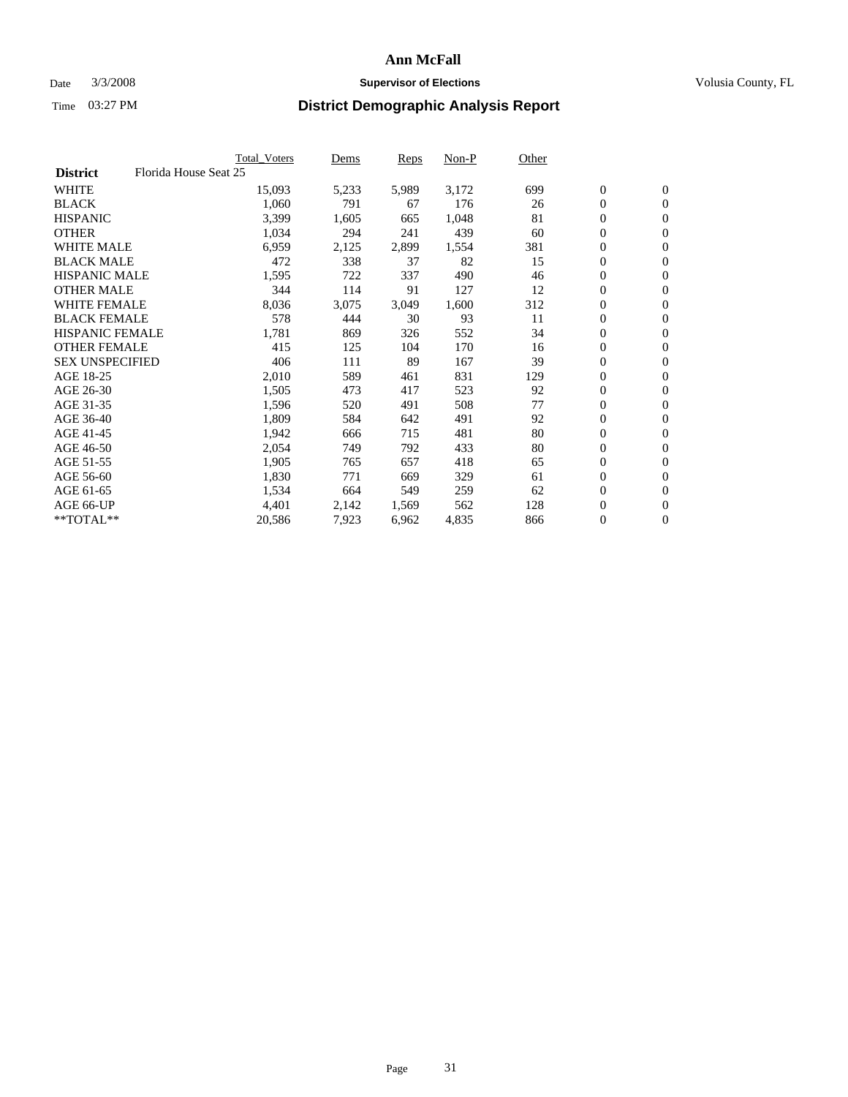#### Date  $3/3/2008$  **Supervisor of Elections** Volusia County, FL

|                                          | <b>Total Voters</b> | Dems  | Reps  | Non-P | Other |                  |                |  |
|------------------------------------------|---------------------|-------|-------|-------|-------|------------------|----------------|--|
| Florida House Seat 25<br><b>District</b> |                     |       |       |       |       |                  |                |  |
| <b>WHITE</b>                             | 15,093              | 5,233 | 5,989 | 3,172 | 699   | $\mathbf{0}$     | $\mathbf{0}$   |  |
| <b>BLACK</b>                             | 1,060               | 791   | 67    | 176   | 26    | $\mathbf{0}$     | $\mathbf{0}$   |  |
| <b>HISPANIC</b>                          | 3,399               | 1,605 | 665   | 1,048 | 81    | 0                | $\mathbf{0}$   |  |
| <b>OTHER</b>                             | 1,034               | 294   | 241   | 439   | 60    | 0                | $\mathbf{0}$   |  |
| <b>WHITE MALE</b>                        | 6,959               | 2,125 | 2,899 | 1,554 | 381   | 0                | $\overline{0}$ |  |
| <b>BLACK MALE</b>                        | 472                 | 338   | 37    | 82    | 15    | $\boldsymbol{0}$ | $\mathbf{0}$   |  |
| <b>HISPANIC MALE</b>                     | 1,595               | 722   | 337   | 490   | 46    | 0                | $\mathbf{0}$   |  |
| <b>OTHER MALE</b>                        | 344                 | 114   | 91    | 127   | 12    | $\boldsymbol{0}$ | $\mathbf{0}$   |  |
| <b>WHITE FEMALE</b>                      | 8,036               | 3,075 | 3,049 | 1,600 | 312   | 0                | $\mathbf{0}$   |  |
| <b>BLACK FEMALE</b>                      | 578                 | 444   | 30    | 93    | 11    | $\boldsymbol{0}$ | $\mathbf{0}$   |  |
| <b>HISPANIC FEMALE</b>                   | 1,781               | 869   | 326   | 552   | 34    | $\boldsymbol{0}$ | $\mathbf{0}$   |  |
| <b>OTHER FEMALE</b>                      | 415                 | 125   | 104   | 170   | 16    | 0                | $\overline{0}$ |  |
| <b>SEX UNSPECIFIED</b>                   | 406                 | 111   | 89    | 167   | 39    | 0                | $\mathbf{0}$   |  |
| AGE 18-25                                | 2,010               | 589   | 461   | 831   | 129   | 0                | $\mathbf{0}$   |  |
| AGE 26-30                                | 1,505               | 473   | 417   | 523   | 92    | $\mathbf{0}$     | $\mathbf{0}$   |  |
| AGE 31-35                                | 1,596               | 520   | 491   | 508   | 77    | 0                | $\mathbf{0}$   |  |
| AGE 36-40                                | 1,809               | 584   | 642   | 491   | 92    | 0                | $\mathbf{0}$   |  |
| AGE 41-45                                | 1,942               | 666   | 715   | 481   | 80    | $\boldsymbol{0}$ | $\mathbf{0}$   |  |
| AGE 46-50                                | 2,054               | 749   | 792   | 433   | 80    | 0                | $\mathbf{0}$   |  |
| AGE 51-55                                | 1,905               | 765   | 657   | 418   | 65    | $\boldsymbol{0}$ | $\mathbf{0}$   |  |
| AGE 56-60                                | 1,830               | 771   | 669   | 329   | 61    | $\mathbf{0}$     | $\mathbf{0}$   |  |
| AGE 61-65                                | 1,534               | 664   | 549   | 259   | 62    | $\mathbf{0}$     | $\mathbf{0}$   |  |
| AGE 66-UP                                | 4,401               | 2,142 | 1,569 | 562   | 128   | 0                | $\mathbf{0}$   |  |
| **TOTAL**                                | 20,586              | 7,923 | 6,962 | 4,835 | 866   | 0                | $\overline{0}$ |  |
|                                          |                     |       |       |       |       |                  |                |  |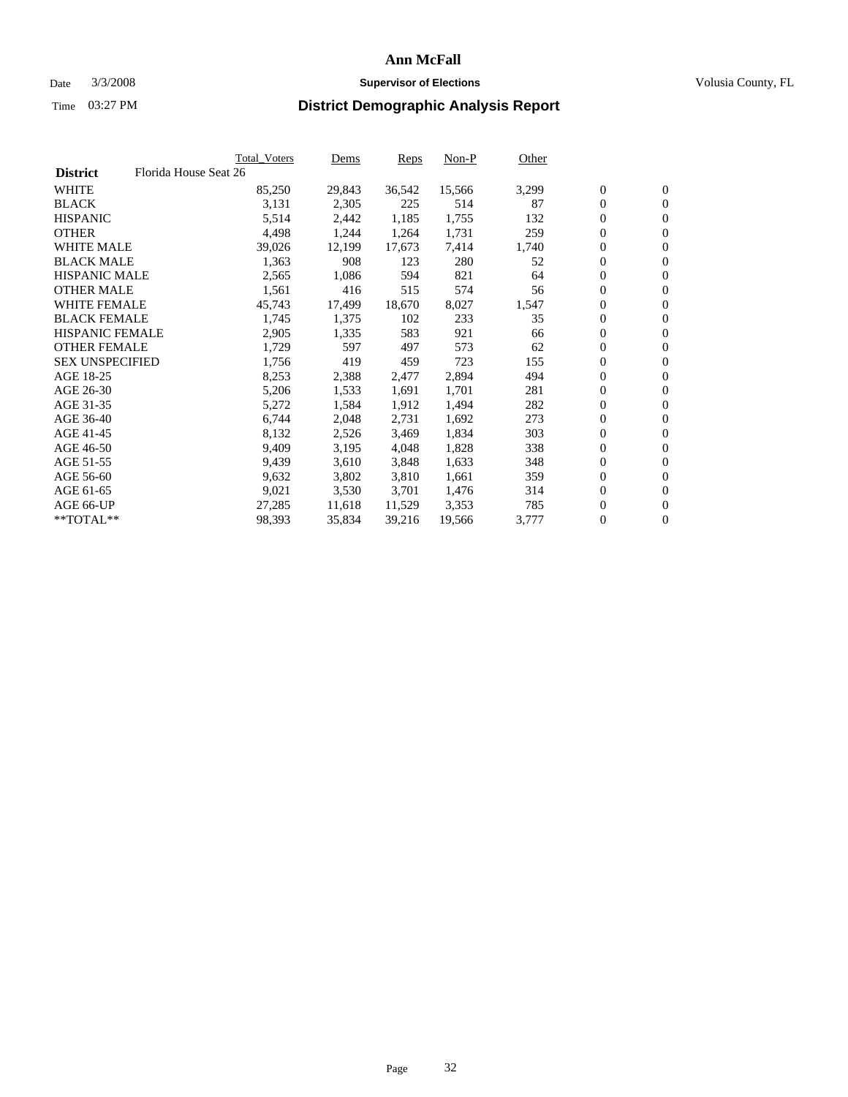#### Date  $3/3/2008$  **Supervisor of Elections** Volusia County, FL

|                        | Total_Voters          | Dems   | <b>Reps</b> | Non-P  | Other |                  |                |  |
|------------------------|-----------------------|--------|-------------|--------|-------|------------------|----------------|--|
| <b>District</b>        | Florida House Seat 26 |        |             |        |       |                  |                |  |
| <b>WHITE</b>           | 85,250                | 29,843 | 36,542      | 15,566 | 3,299 | $\overline{0}$   | $\mathbf{0}$   |  |
| <b>BLACK</b>           | 3,131                 | 2,305  | 225         | 514    | 87    | $\overline{0}$   | $\mathbf{0}$   |  |
| <b>HISPANIC</b>        | 5,514                 | 2,442  | 1,185       | 1,755  | 132   | $\boldsymbol{0}$ | $\mathbf{0}$   |  |
| <b>OTHER</b>           | 4,498                 | 1,244  | 1,264       | 1,731  | 259   | $\boldsymbol{0}$ | $\mathbf{0}$   |  |
| <b>WHITE MALE</b>      | 39,026                | 12,199 | 17,673      | 7,414  | 1,740 | 0                | $\mathbf{0}$   |  |
| <b>BLACK MALE</b>      | 1,363                 | 908    | 123         | 280    | 52    | $\boldsymbol{0}$ | $\mathbf{0}$   |  |
| <b>HISPANIC MALE</b>   | 2,565                 | 1,086  | 594         | 821    | 64    | $\overline{0}$   | $\mathbf{0}$   |  |
| <b>OTHER MALE</b>      | 1,561                 | 416    | 515         | 574    | 56    | $\overline{0}$   | $\mathbf{0}$   |  |
| <b>WHITE FEMALE</b>    | 45,743                | 17,499 | 18,670      | 8,027  | 1,547 | $\mathbf{0}$     | $\mathbf{0}$   |  |
| <b>BLACK FEMALE</b>    | 1,745                 | 1,375  | 102         | 233    | 35    | $\boldsymbol{0}$ | $\mathbf{0}$   |  |
| HISPANIC FEMALE        | 2,905                 | 1,335  | 583         | 921    | 66    | $\boldsymbol{0}$ | $\mathbf{0}$   |  |
| <b>OTHER FEMALE</b>    | 1,729                 | 597    | 497         | 573    | 62    | 0                | $\overline{0}$ |  |
| <b>SEX UNSPECIFIED</b> | 1,756                 | 419    | 459         | 723    | 155   | $\boldsymbol{0}$ | $\mathbf{0}$   |  |
| AGE 18-25              | 8,253                 | 2,388  | 2,477       | 2,894  | 494   | $\boldsymbol{0}$ | $\mathbf{0}$   |  |
| AGE 26-30              | 5,206                 | 1,533  | 1,691       | 1,701  | 281   | $\overline{0}$   | $\mathbf{0}$   |  |
| AGE 31-35              | 5,272                 | 1,584  | 1,912       | 1,494  | 282   | $\overline{0}$   | $\mathbf{0}$   |  |
| AGE 36-40              | 6,744                 | 2,048  | 2,731       | 1,692  | 273   | $\boldsymbol{0}$ | $\mathbf{0}$   |  |
| AGE 41-45              | 8,132                 | 2,526  | 3,469       | 1,834  | 303   | $\boldsymbol{0}$ | $\mathbf{0}$   |  |
| AGE 46-50              | 9,409                 | 3,195  | 4,048       | 1,828  | 338   | 0                | $\mathbf{0}$   |  |
| AGE 51-55              | 9,439                 | 3,610  | 3,848       | 1,633  | 348   | $\boldsymbol{0}$ | $\mathbf{0}$   |  |
| AGE 56-60              | 9,632                 | 3,802  | 3,810       | 1,661  | 359   | $\overline{0}$   | $\mathbf{0}$   |  |
| AGE 61-65              | 9,021                 | 3,530  | 3,701       | 1,476  | 314   | $\mathbf{0}$     | $\mathbf{0}$   |  |
| AGE 66-UP              | 27,285                | 11,618 | 11,529      | 3,353  | 785   | $\boldsymbol{0}$ | $\mathbf{0}$   |  |
| **TOTAL**              | 98,393                | 35,834 | 39,216      | 19,566 | 3,777 | 0                | $\overline{0}$ |  |
|                        |                       |        |             |        |       |                  |                |  |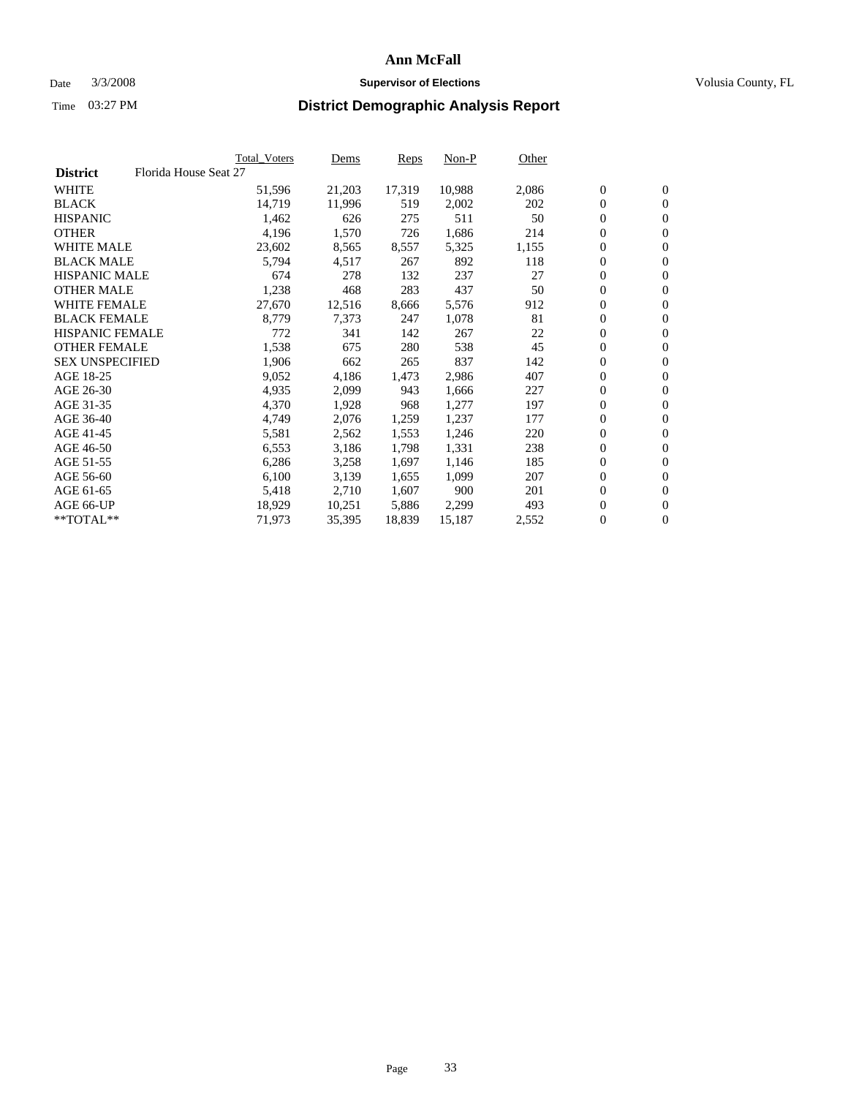#### Date  $3/3/2008$  **Supervisor of Elections** Volusia County, FL

|                        |                       | <b>Total Voters</b> | Dems   | Reps   | Non-P  | Other |                  |                |  |
|------------------------|-----------------------|---------------------|--------|--------|--------|-------|------------------|----------------|--|
| <b>District</b>        | Florida House Seat 27 |                     |        |        |        |       |                  |                |  |
| <b>WHITE</b>           |                       | 51,596              | 21,203 | 17,319 | 10,988 | 2,086 | $\mathbf{0}$     | $\mathbf{0}$   |  |
| <b>BLACK</b>           |                       | 14,719              | 11,996 | 519    | 2,002  | 202   | $\mathbf{0}$     | $\mathbf{0}$   |  |
| <b>HISPANIC</b>        |                       | 1,462               | 626    | 275    | 511    | 50    | $\boldsymbol{0}$ | $\overline{0}$ |  |
| <b>OTHER</b>           |                       | 4,196               | 1,570  | 726    | 1,686  | 214   | 0                | $\mathbf{0}$   |  |
| <b>WHITE MALE</b>      |                       | 23,602              | 8,565  | 8,557  | 5,325  | 1,155 | 0                | $\overline{0}$ |  |
| <b>BLACK MALE</b>      |                       | 5,794               | 4,517  | 267    | 892    | 118   | $\boldsymbol{0}$ | $\mathbf{0}$   |  |
| <b>HISPANIC MALE</b>   |                       | 674                 | 278    | 132    | 237    | 27    | 0                | $\mathbf{0}$   |  |
| <b>OTHER MALE</b>      |                       | 1,238               | 468    | 283    | 437    | 50    | $\mathbf{0}$     | $\mathbf{0}$   |  |
| <b>WHITE FEMALE</b>    |                       | 27,670              | 12,516 | 8,666  | 5,576  | 912   | 0                | $\mathbf{0}$   |  |
| <b>BLACK FEMALE</b>    |                       | 8,779               | 7,373  | 247    | 1,078  | 81    | $\boldsymbol{0}$ | $\mathbf{0}$   |  |
| <b>HISPANIC FEMALE</b> |                       | 772                 | 341    | 142    | 267    | 22    | $\boldsymbol{0}$ | $\mathbf{0}$   |  |
| <b>OTHER FEMALE</b>    |                       | 1,538               | 675    | 280    | 538    | 45    | 0                | $\overline{0}$ |  |
| <b>SEX UNSPECIFIED</b> |                       | 1,906               | 662    | 265    | 837    | 142   | 0                | $\mathbf{0}$   |  |
| AGE 18-25              |                       | 9,052               | 4,186  | 1,473  | 2,986  | 407   | 0                | $\mathbf{0}$   |  |
| AGE 26-30              |                       | 4,935               | 2,099  | 943    | 1,666  | 227   | $\mathbf{0}$     | $\mathbf{0}$   |  |
| AGE 31-35              |                       | 4,370               | 1,928  | 968    | 1,277  | 197   | 0                | $\mathbf{0}$   |  |
| AGE 36-40              |                       | 4,749               | 2,076  | 1,259  | 1,237  | 177   | $\boldsymbol{0}$ | $\overline{0}$ |  |
| AGE 41-45              |                       | 5,581               | 2,562  | 1,553  | 1,246  | 220   | $\boldsymbol{0}$ | $\mathbf{0}$   |  |
| AGE 46-50              |                       | 6,553               | 3,186  | 1,798  | 1,331  | 238   | 0                | $\overline{0}$ |  |
| AGE 51-55              |                       | 6,286               | 3,258  | 1,697  | 1,146  | 185   | $\boldsymbol{0}$ | $\mathbf{0}$   |  |
| AGE 56-60              |                       | 6,100               | 3,139  | 1,655  | 1,099  | 207   | 0                | $\mathbf{0}$   |  |
| AGE 61-65              |                       | 5,418               | 2,710  | 1,607  | 900    | 201   | $\mathbf{0}$     | $\mathbf{0}$   |  |
| AGE 66-UP              |                       | 18,929              | 10,251 | 5,886  | 2,299  | 493   | 0                | $\mathbf{0}$   |  |
| **TOTAL**              |                       | 71,973              | 35,395 | 18,839 | 15,187 | 2,552 | 0                | $\overline{0}$ |  |
|                        |                       |                     |        |        |        |       |                  |                |  |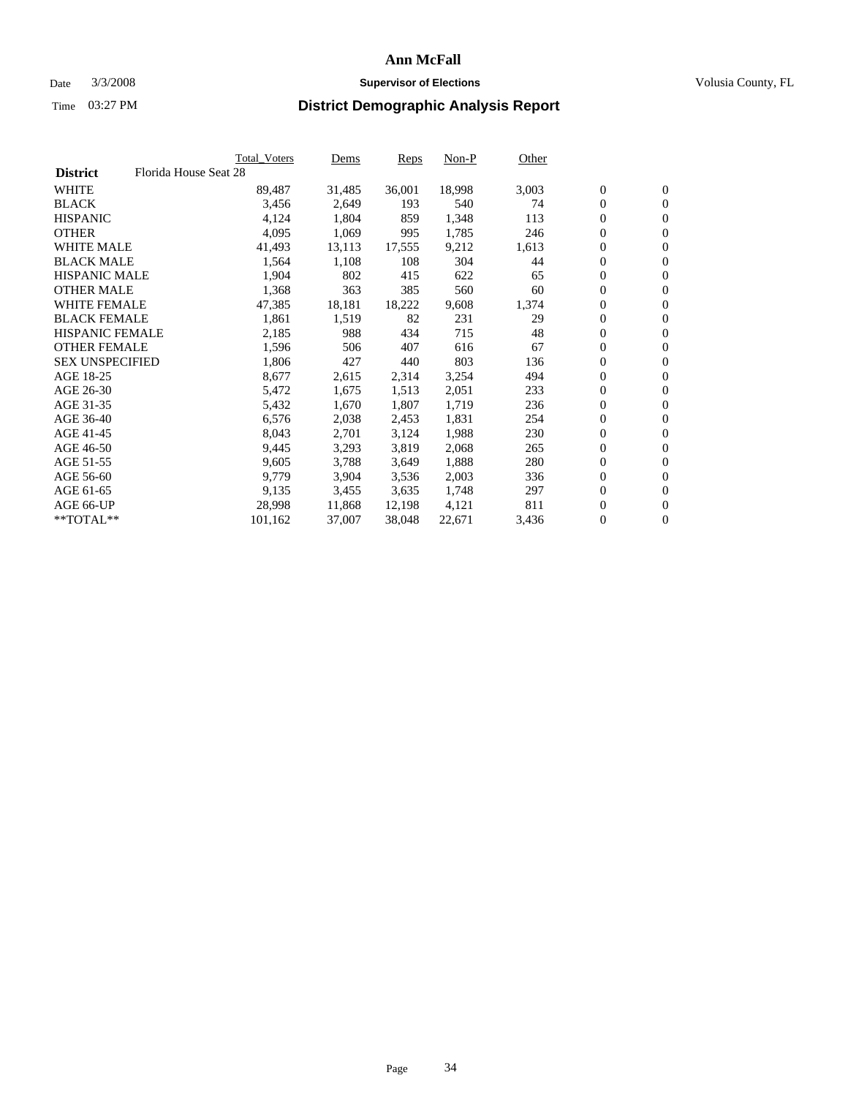#### Date  $3/3/2008$  **Supervisor of Elections** Volusia County, FL

|                        |                       | Total_Voters | Dems   | <b>Reps</b> | Non-P  | Other |                  |                  |  |
|------------------------|-----------------------|--------------|--------|-------------|--------|-------|------------------|------------------|--|
| <b>District</b>        | Florida House Seat 28 |              |        |             |        |       |                  |                  |  |
| <b>WHITE</b>           |                       | 89,487       | 31,485 | 36,001      | 18,998 | 3,003 | $\overline{0}$   | $\mathbf{0}$     |  |
| <b>BLACK</b>           |                       | 3,456        | 2,649  | 193         | 540    | 74    | $\overline{0}$   | $\mathbf{0}$     |  |
| <b>HISPANIC</b>        |                       | 4,124        | 1,804  | 859         | 1,348  | 113   | $\boldsymbol{0}$ | $\mathbf{0}$     |  |
| <b>OTHER</b>           |                       | 4,095        | 1,069  | 995         | 1,785  | 246   | 0                | $\mathbf{0}$     |  |
| <b>WHITE MALE</b>      |                       | 41,493       | 13,113 | 17,555      | 9,212  | 1,613 | 0                | $\mathbf{0}$     |  |
| <b>BLACK MALE</b>      |                       | 1,564        | 1,108  | 108         | 304    | 44    | $\boldsymbol{0}$ | $\mathbf{0}$     |  |
| <b>HISPANIC MALE</b>   |                       | 1,904        | 802    | 415         | 622    | 65    | $\overline{0}$   | $\mathbf{0}$     |  |
| <b>OTHER MALE</b>      |                       | 1,368        | 363    | 385         | 560    | 60    | $\overline{0}$   | $\mathbf{0}$     |  |
| <b>WHITE FEMALE</b>    |                       | 47,385       | 18,181 | 18,222      | 9,608  | 1,374 | $\overline{0}$   | $\mathbf{0}$     |  |
| <b>BLACK FEMALE</b>    |                       | 1,861        | 1,519  | 82          | 231    | 29    | $\overline{0}$   | $\mathbf{0}$     |  |
| <b>HISPANIC FEMALE</b> |                       | 2,185        | 988    | 434         | 715    | 48    | $\boldsymbol{0}$ | $\mathbf{0}$     |  |
| <b>OTHER FEMALE</b>    |                       | 1,596        | 506    | 407         | 616    | 67    | 0                | $\overline{0}$   |  |
| <b>SEX UNSPECIFIED</b> |                       | 1,806        | 427    | 440         | 803    | 136   | $\boldsymbol{0}$ | $\mathbf{0}$     |  |
| AGE 18-25              |                       | 8,677        | 2,615  | 2,314       | 3,254  | 494   | 0                | $\mathbf{0}$     |  |
| AGE 26-30              |                       | 5,472        | 1,675  | 1,513       | 2,051  | 233   | $\overline{0}$   | $\mathbf{0}$     |  |
| AGE 31-35              |                       | 5,432        | 1,670  | 1,807       | 1,719  | 236   | $\overline{0}$   | $\mathbf{0}$     |  |
| AGE 36-40              |                       | 6,576        | 2,038  | 2,453       | 1,831  | 254   | $\boldsymbol{0}$ | $\mathbf{0}$     |  |
| AGE 41-45              |                       | 8,043        | 2,701  | 3,124       | 1,988  | 230   | $\boldsymbol{0}$ | $\mathbf{0}$     |  |
| AGE 46-50              |                       | 9,445        | 3,293  | 3,819       | 2,068  | 265   | 0                | $\mathbf{0}$     |  |
| AGE 51-55              |                       | 9,605        | 3,788  | 3,649       | 1,888  | 280   | $\boldsymbol{0}$ | $\mathbf{0}$     |  |
| AGE 56-60              |                       | 9,779        | 3,904  | 3,536       | 2,003  | 336   | $\overline{0}$   | $\mathbf{0}$     |  |
| AGE 61-65              |                       | 9,135        | 3,455  | 3,635       | 1,748  | 297   | $\mathbf{0}$     | $\boldsymbol{0}$ |  |
| AGE 66-UP              |                       | 28,998       | 11,868 | 12,198      | 4,121  | 811   | $\boldsymbol{0}$ | $\mathbf{0}$     |  |
| **TOTAL**              |                       | 101,162      | 37,007 | 38,048      | 22,671 | 3,436 | 0                | $\overline{0}$   |  |
|                        |                       |              |        |             |        |       |                  |                  |  |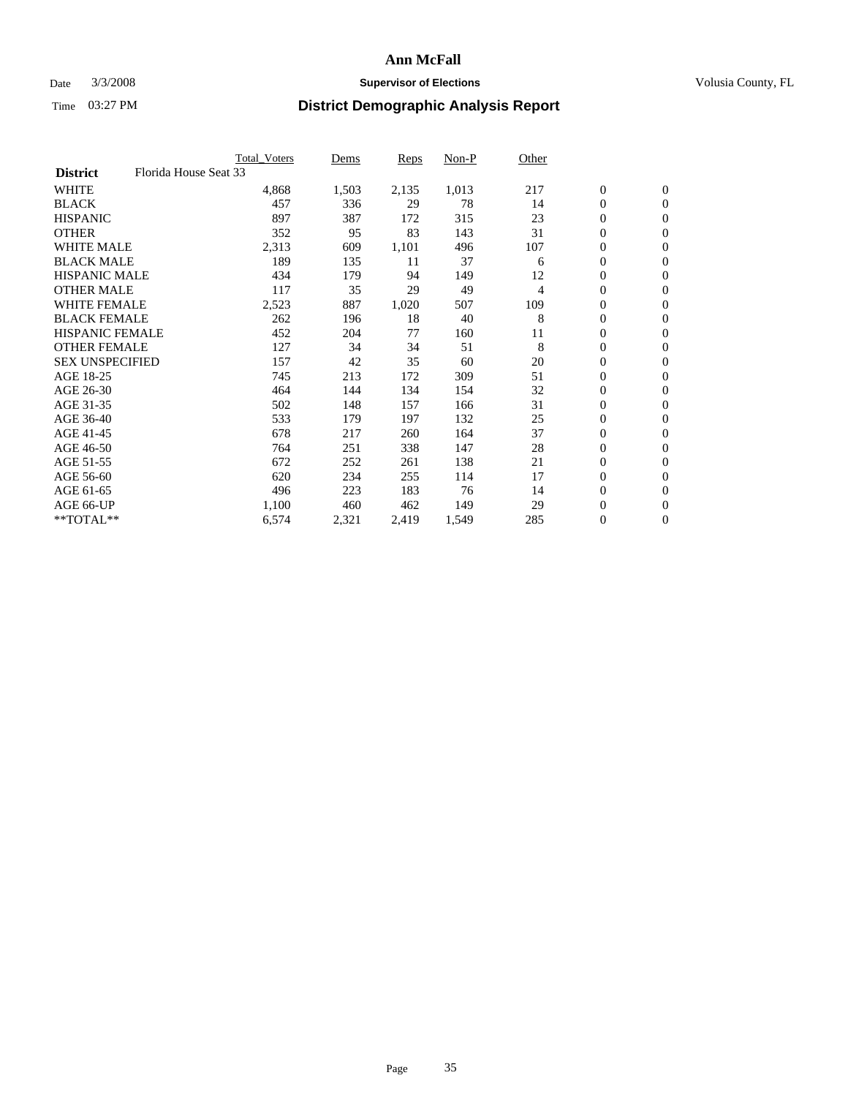### Date  $3/3/2008$  **Supervisor of Elections Supervisor of Elections** Volusia County, FL

|                                          | <b>Total Voters</b> | Dems  | Reps  | Non-P | Other          |                  |                |  |
|------------------------------------------|---------------------|-------|-------|-------|----------------|------------------|----------------|--|
| Florida House Seat 33<br><b>District</b> |                     |       |       |       |                |                  |                |  |
| <b>WHITE</b>                             | 4,868               | 1,503 | 2,135 | 1,013 | 217            | $\boldsymbol{0}$ | $\mathbf{0}$   |  |
| <b>BLACK</b>                             | 457                 | 336   | 29    | 78    | 14             | $\mathbf{0}$     | $\mathbf{0}$   |  |
| <b>HISPANIC</b>                          | 897                 | 387   | 172   | 315   | 23             | 0                | $\mathbf{0}$   |  |
| <b>OTHER</b>                             | 352                 | 95    | 83    | 143   | 31             | 0                | $\mathbf{0}$   |  |
| <b>WHITE MALE</b>                        | 2,313               | 609   | 1,101 | 496   | 107            | 0                | $\mathbf{0}$   |  |
| <b>BLACK MALE</b>                        | 189                 | 135   | 11    | 37    | 6              | 0                | $\mathbf{0}$   |  |
| <b>HISPANIC MALE</b>                     | 434                 | 179   | 94    | 149   | 12             | 0                | $\mathbf{0}$   |  |
| <b>OTHER MALE</b>                        | 117                 | 35    | 29    | 49    | $\overline{4}$ | $\mathbf{0}$     | $\mathbf{0}$   |  |
| <b>WHITE FEMALE</b>                      | 2,523               | 887   | 1,020 | 507   | 109            | 0                | $\mathbf{0}$   |  |
| <b>BLACK FEMALE</b>                      | 262                 | 196   | 18    | 40    | 8              | $\boldsymbol{0}$ | $\mathbf{0}$   |  |
| <b>HISPANIC FEMALE</b>                   | 452                 | 204   | 77    | 160   | 11             | 0                | $\mathbf{0}$   |  |
| <b>OTHER FEMALE</b>                      | 127                 | 34    | 34    | 51    | 8              | 0                | $\mathbf{0}$   |  |
| <b>SEX UNSPECIFIED</b>                   | 157                 | 42    | 35    | 60    | 20             | $\boldsymbol{0}$ | $\mathbf{0}$   |  |
| AGE 18-25                                | 745                 | 213   | 172   | 309   | 51             | 0                | $\mathbf{0}$   |  |
| AGE 26-30                                | 464                 | 144   | 134   | 154   | 32             | $\mathbf{0}$     | $\mathbf{0}$   |  |
| AGE 31-35                                | 502                 | 148   | 157   | 166   | 31             | 0                | $\mathbf{0}$   |  |
| AGE 36-40                                | 533                 | 179   | 197   | 132   | 25             | 0                | $\mathbf{0}$   |  |
| AGE 41-45                                | 678                 | 217   | 260   | 164   | 37             | $\boldsymbol{0}$ | $\mathbf{0}$   |  |
| AGE 46-50                                | 764                 | 251   | 338   | 147   | 28             | 0                | $\mathbf{0}$   |  |
| AGE 51-55                                | 672                 | 252   | 261   | 138   | 21             | $\boldsymbol{0}$ | $\mathbf{0}$   |  |
| AGE 56-60                                | 620                 | 234   | 255   | 114   | 17             | $\mathbf{0}$     | $\mathbf{0}$   |  |
| AGE 61-65                                | 496                 | 223   | 183   | 76    | 14             | $\mathbf{0}$     | $\mathbf{0}$   |  |
| AGE 66-UP                                | 1,100               | 460   | 462   | 149   | 29             | $\boldsymbol{0}$ | $\mathbf{0}$   |  |
| $*$ TOTAL $**$                           | 6,574               | 2,321 | 2,419 | 1,549 | 285            | 0                | $\overline{0}$ |  |
|                                          |                     |       |       |       |                |                  |                |  |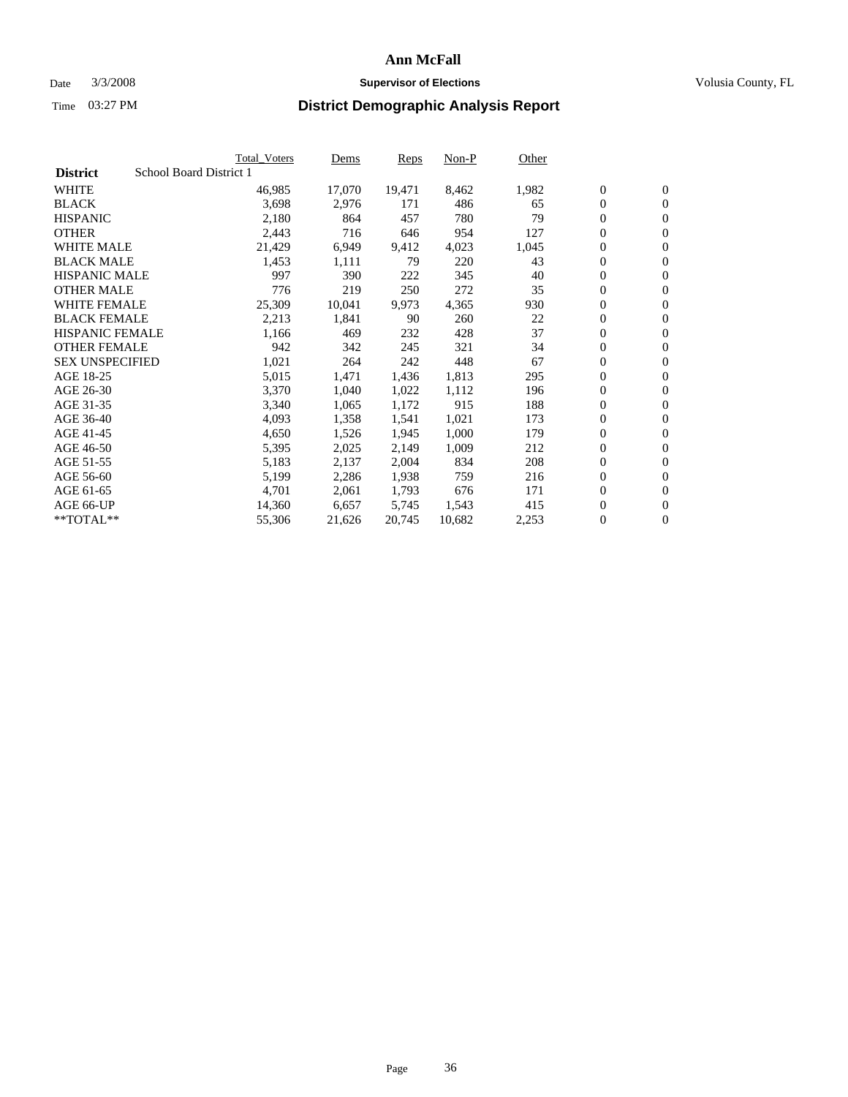#### Date  $3/3/2008$  **Supervisor of Elections** Volusia County, FL

|                        | <b>Total_Voters</b>     | Dems   | <b>Reps</b> | Non-P  | Other |                  |                  |  |
|------------------------|-------------------------|--------|-------------|--------|-------|------------------|------------------|--|
| <b>District</b>        | School Board District 1 |        |             |        |       |                  |                  |  |
| <b>WHITE</b>           | 46,985                  | 17,070 | 19,471      | 8,462  | 1,982 | $\overline{0}$   | $\mathbf{0}$     |  |
| <b>BLACK</b>           | 3,698                   | 2,976  | 171         | 486    | 65    | $\overline{0}$   | $\mathbf{0}$     |  |
| <b>HISPANIC</b>        | 2,180                   | 864    | 457         | 780    | 79    | $\boldsymbol{0}$ | $\mathbf{0}$     |  |
| <b>OTHER</b>           | 2,443                   | 716    | 646         | 954    | 127   | 0                | $\mathbf{0}$     |  |
| <b>WHITE MALE</b>      | 21,429                  | 6,949  | 9,412       | 4,023  | 1,045 | 0                | $\mathbf{0}$     |  |
| <b>BLACK MALE</b>      | 1,453                   | 1,111  | 79          | 220    | 43    | $\boldsymbol{0}$ | $\mathbf{0}$     |  |
| <b>HISPANIC MALE</b>   | 997                     | 390    | 222         | 345    | 40    | $\overline{0}$   | $\mathbf{0}$     |  |
| <b>OTHER MALE</b>      | 776                     | 219    | 250         | 272    | 35    | $\overline{0}$   | $\mathbf{0}$     |  |
| <b>WHITE FEMALE</b>    | 25,309                  | 10,041 | 9,973       | 4,365  | 930   | $\mathbf{0}$     | $\mathbf{0}$     |  |
| <b>BLACK FEMALE</b>    | 2,213                   | 1,841  | 90          | 260    | 22    | $\boldsymbol{0}$ | $\mathbf{0}$     |  |
| <b>HISPANIC FEMALE</b> | 1,166                   | 469    | 232         | 428    | 37    | $\boldsymbol{0}$ | $\mathbf{0}$     |  |
| <b>OTHER FEMALE</b>    | 942                     | 342    | 245         | 321    | 34    | 0                | $\mathbf{0}$     |  |
| <b>SEX UNSPECIFIED</b> | 1,021                   | 264    | 242         | 448    | 67    | $\boldsymbol{0}$ | $\mathbf{0}$     |  |
| AGE 18-25              | 5,015                   | 1,471  | 1,436       | 1,813  | 295   | $\boldsymbol{0}$ | $\mathbf{0}$     |  |
| AGE 26-30              | 3,370                   | 1,040  | 1,022       | 1,112  | 196   | $\overline{0}$   | $\mathbf{0}$     |  |
| AGE 31-35              | 3,340                   | 1,065  | 1,172       | 915    | 188   | $\overline{0}$   | $\mathbf{0}$     |  |
| AGE 36-40              | 4,093                   | 1,358  | 1,541       | 1,021  | 173   | $\boldsymbol{0}$ | $\mathbf{0}$     |  |
| AGE 41-45              | 4,650                   | 1,526  | 1,945       | 1,000  | 179   | $\boldsymbol{0}$ | $\mathbf{0}$     |  |
| AGE 46-50              | 5,395                   | 2,025  | 2,149       | 1,009  | 212   | 0                | $\mathbf{0}$     |  |
| AGE 51-55              | 5,183                   | 2,137  | 2,004       | 834    | 208   | $\boldsymbol{0}$ | $\boldsymbol{0}$ |  |
| AGE 56-60              | 5,199                   | 2,286  | 1,938       | 759    | 216   | $\overline{0}$   | $\mathbf{0}$     |  |
| AGE 61-65              | 4,701                   | 2,061  | 1,793       | 676    | 171   | $\mathbf{0}$     | $\mathbf{0}$     |  |
| AGE 66-UP              | 14,360                  | 6,657  | 5,745       | 1,543  | 415   | $\boldsymbol{0}$ | $\boldsymbol{0}$ |  |
| **TOTAL**              | 55,306                  | 21,626 | 20,745      | 10,682 | 2,253 | 0                | $\overline{0}$   |  |
|                        |                         |        |             |        |       |                  |                  |  |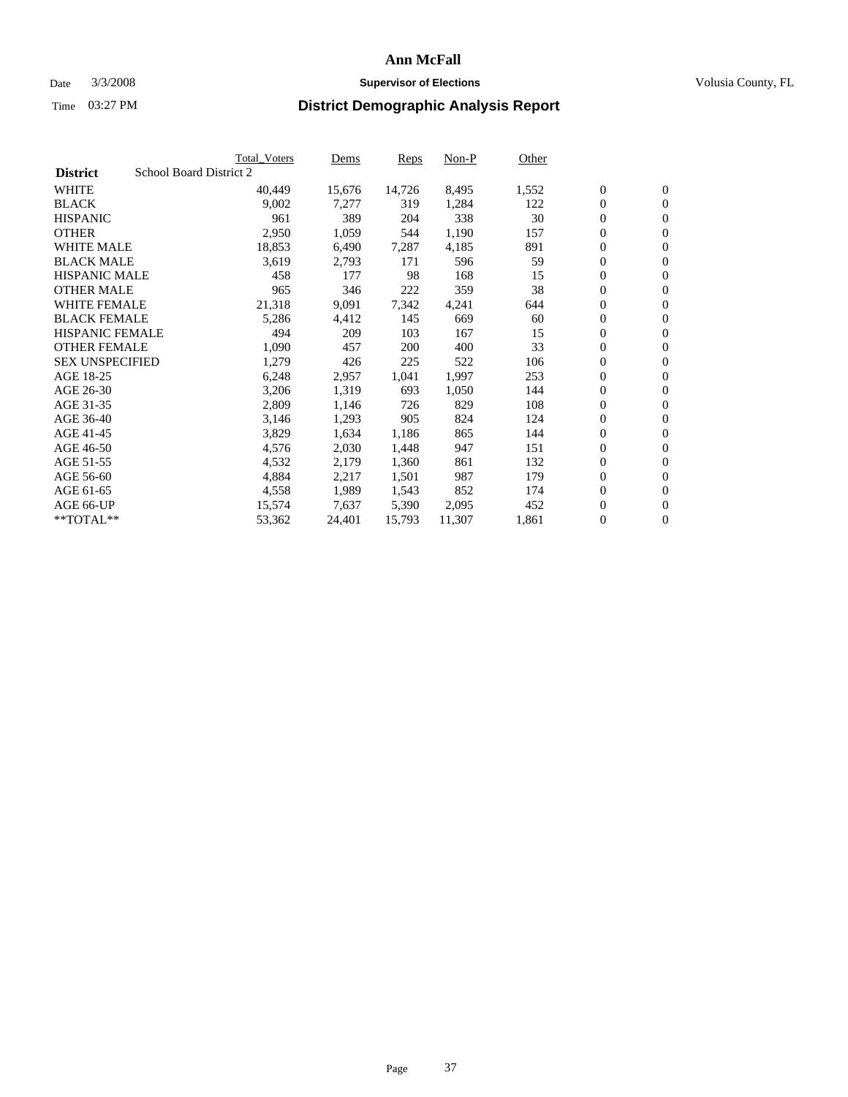#### Date  $3/3/2008$  **Supervisor of Elections** Volusia County, FL

|                                            | <b>Total Voters</b> | Dems   | Reps   | Non-P  | Other |                  |                  |  |
|--------------------------------------------|---------------------|--------|--------|--------|-------|------------------|------------------|--|
| School Board District 2<br><b>District</b> |                     |        |        |        |       |                  |                  |  |
| <b>WHITE</b>                               | 40,449              | 15,676 | 14,726 | 8,495  | 1,552 | $\boldsymbol{0}$ | $\mathbf{0}$     |  |
| <b>BLACK</b>                               | 9,002               | 7,277  | 319    | 1,284  | 122   | $\boldsymbol{0}$ | $\mathbf{0}$     |  |
| <b>HISPANIC</b>                            | 961                 | 389    | 204    | 338    | 30    | $\boldsymbol{0}$ | $\mathbf{0}$     |  |
| <b>OTHER</b>                               | 2,950               | 1,059  | 544    | 1,190  | 157   | 0                | $\mathbf{0}$     |  |
| <b>WHITE MALE</b>                          | 18,853              | 6,490  | 7,287  | 4,185  | 891   | 0                | $\mathbf{0}$     |  |
| <b>BLACK MALE</b>                          | 3,619               | 2,793  | 171    | 596    | 59    | $\boldsymbol{0}$ | $\boldsymbol{0}$ |  |
| <b>HISPANIC MALE</b>                       | 458                 | 177    | 98     | 168    | 15    | 0                | $\mathbf{0}$     |  |
| <b>OTHER MALE</b>                          | 965                 | 346    | 222    | 359    | 38    | $\boldsymbol{0}$ | $\mathbf{0}$     |  |
| <b>WHITE FEMALE</b>                        | 21,318              | 9,091  | 7,342  | 4,241  | 644   | 0                | $\mathbf{0}$     |  |
| <b>BLACK FEMALE</b>                        | 5,286               | 4,412  | 145    | 669    | 60    | $\boldsymbol{0}$ | $\mathbf{0}$     |  |
| <b>HISPANIC FEMALE</b>                     | 494                 | 209    | 103    | 167    | 15    | $\boldsymbol{0}$ | $\boldsymbol{0}$ |  |
| <b>OTHER FEMALE</b>                        | 1,090               | 457    | 200    | 400    | 33    | 0                | $\mathbf{0}$     |  |
| <b>SEX UNSPECIFIED</b>                     | 1,279               | 426    | 225    | 522    | 106   | 0                | $\mathbf{0}$     |  |
| AGE 18-25                                  | 6,248               | 2,957  | 1,041  | 1,997  | 253   | 0                | $\mathbf{0}$     |  |
| AGE 26-30                                  | 3,206               | 1,319  | 693    | 1,050  | 144   | $\mathbf{0}$     | $\mathbf{0}$     |  |
| AGE 31-35                                  | 2,809               | 1,146  | 726    | 829    | 108   | 0                | $\mathbf{0}$     |  |
| AGE 36-40                                  | 3,146               | 1,293  | 905    | 824    | 124   | 0                | $\boldsymbol{0}$ |  |
| AGE 41-45                                  | 3,829               | 1,634  | 1,186  | 865    | 144   | $\boldsymbol{0}$ | $\mathbf{0}$     |  |
| AGE 46-50                                  | 4,576               | 2,030  | 1,448  | 947    | 151   | $\boldsymbol{0}$ | $\mathbf{0}$     |  |
| AGE 51-55                                  | 4,532               | 2,179  | 1,360  | 861    | 132   | $\boldsymbol{0}$ | $\boldsymbol{0}$ |  |
| AGE 56-60                                  | 4,884               | 2,217  | 1,501  | 987    | 179   | 0                | $\mathbf{0}$     |  |
| AGE 61-65                                  | 4,558               | 1,989  | 1,543  | 852    | 174   | $\mathbf{0}$     | $\mathbf{0}$     |  |
| AGE 66-UP                                  | 15,574              | 7,637  | 5,390  | 2,095  | 452   | $\boldsymbol{0}$ | $\boldsymbol{0}$ |  |
| $*$ TOTAL $**$                             | 53,362              | 24,401 | 15,793 | 11,307 | 1,861 | 0                | $\overline{0}$   |  |
|                                            |                     |        |        |        |       |                  |                  |  |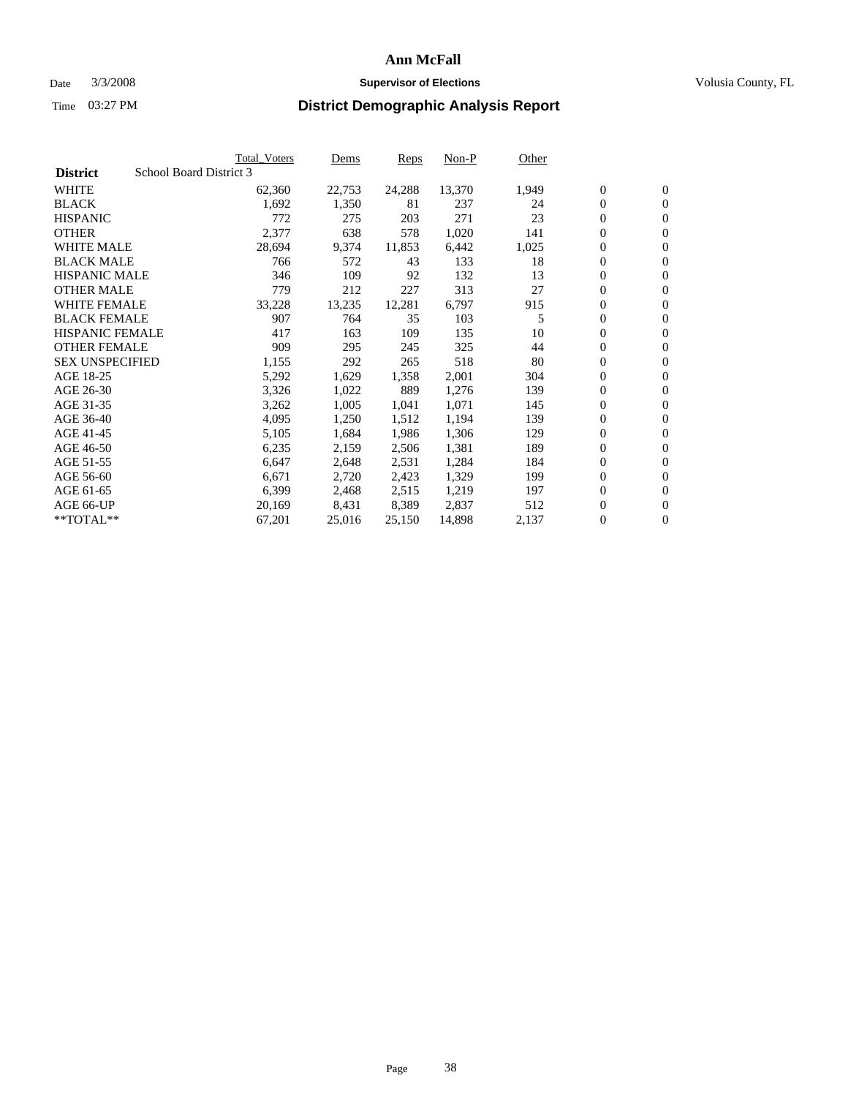#### Date  $3/3/2008$  **Supervisor of Elections** Volusia County, FL

|                        | <b>Total Voters</b>     | Dems   | Reps   | Non-P  | Other |                  |                  |  |
|------------------------|-------------------------|--------|--------|--------|-------|------------------|------------------|--|
| <b>District</b>        | School Board District 3 |        |        |        |       |                  |                  |  |
| <b>WHITE</b>           | 62,360                  | 22,753 | 24,288 | 13,370 | 1,949 | $\mathbf{0}$     | $\mathbf{0}$     |  |
| <b>BLACK</b>           | 1,692                   | 1,350  | 81     | 237    | 24    | $\mathbf{0}$     | $\mathbf{0}$     |  |
| <b>HISPANIC</b>        | 772                     | 275    | 203    | 271    | 23    | $\boldsymbol{0}$ | $\overline{0}$   |  |
| <b>OTHER</b>           | 2,377                   | 638    | 578    | 1,020  | 141   | 0                | $\mathbf{0}$     |  |
| <b>WHITE MALE</b>      | 28,694                  | 9,374  | 11,853 | 6,442  | 1,025 | 0                | $\mathbf{0}$     |  |
| <b>BLACK MALE</b>      | 766                     | 572    | 43     | 133    | 18    | $\boldsymbol{0}$ | $\boldsymbol{0}$ |  |
| <b>HISPANIC MALE</b>   | 346                     | 109    | 92     | 132    | 13    | 0                | $\mathbf{0}$     |  |
| <b>OTHER MALE</b>      | 779                     | 212    | 227    | 313    | 27    | $\mathbf{0}$     | $\mathbf{0}$     |  |
| <b>WHITE FEMALE</b>    | 33,228                  | 13,235 | 12,281 | 6,797  | 915   | 0                | $\mathbf{0}$     |  |
| <b>BLACK FEMALE</b>    | 907                     | 764    | 35     | 103    | 5     | $\boldsymbol{0}$ | $\mathbf{0}$     |  |
| <b>HISPANIC FEMALE</b> | 417                     | 163    | 109    | 135    | 10    | $\boldsymbol{0}$ | $\boldsymbol{0}$ |  |
| <b>OTHER FEMALE</b>    | 909                     | 295    | 245    | 325    | 44    | 0                | $\mathbf{0}$     |  |
| <b>SEX UNSPECIFIED</b> | 1,155                   | 292    | 265    | 518    | 80    | 0                | $\mathbf{0}$     |  |
| AGE 18-25              | 5,292                   | 1,629  | 1,358  | 2,001  | 304   | 0                | $\mathbf{0}$     |  |
| AGE 26-30              | 3,326                   | 1,022  | 889    | 1,276  | 139   | $\mathbf{0}$     | $\mathbf{0}$     |  |
| AGE 31-35              | 3,262                   | 1,005  | 1,041  | 1,071  | 145   | 0                | $\mathbf{0}$     |  |
| AGE 36-40              | 4,095                   | 1,250  | 1,512  | 1,194  | 139   | $\boldsymbol{0}$ | $\mathbf{0}$     |  |
| AGE 41-45              | 5,105                   | 1,684  | 1,986  | 1,306  | 129   | 0                | $\mathbf{0}$     |  |
| AGE 46-50              | 6,235                   | 2,159  | 2,506  | 1,381  | 189   | 0                | $\mathbf{0}$     |  |
| AGE 51-55              | 6,647                   | 2,648  | 2,531  | 1,284  | 184   | $\boldsymbol{0}$ | $\boldsymbol{0}$ |  |
| AGE 56-60              | 6,671                   | 2,720  | 2,423  | 1,329  | 199   | 0                | $\mathbf{0}$     |  |
| AGE 61-65              | 6,399                   | 2,468  | 2,515  | 1,219  | 197   | $\mathbf{0}$     | $\mathbf{0}$     |  |
| AGE 66-UP              | 20,169                  | 8,431  | 8,389  | 2,837  | 512   | $\boldsymbol{0}$ | $\boldsymbol{0}$ |  |
| $*$ TOTAL $**$         | 67,201                  | 25,016 | 25,150 | 14,898 | 2,137 | 0                | $\mathbf{0}$     |  |
|                        |                         |        |        |        |       |                  |                  |  |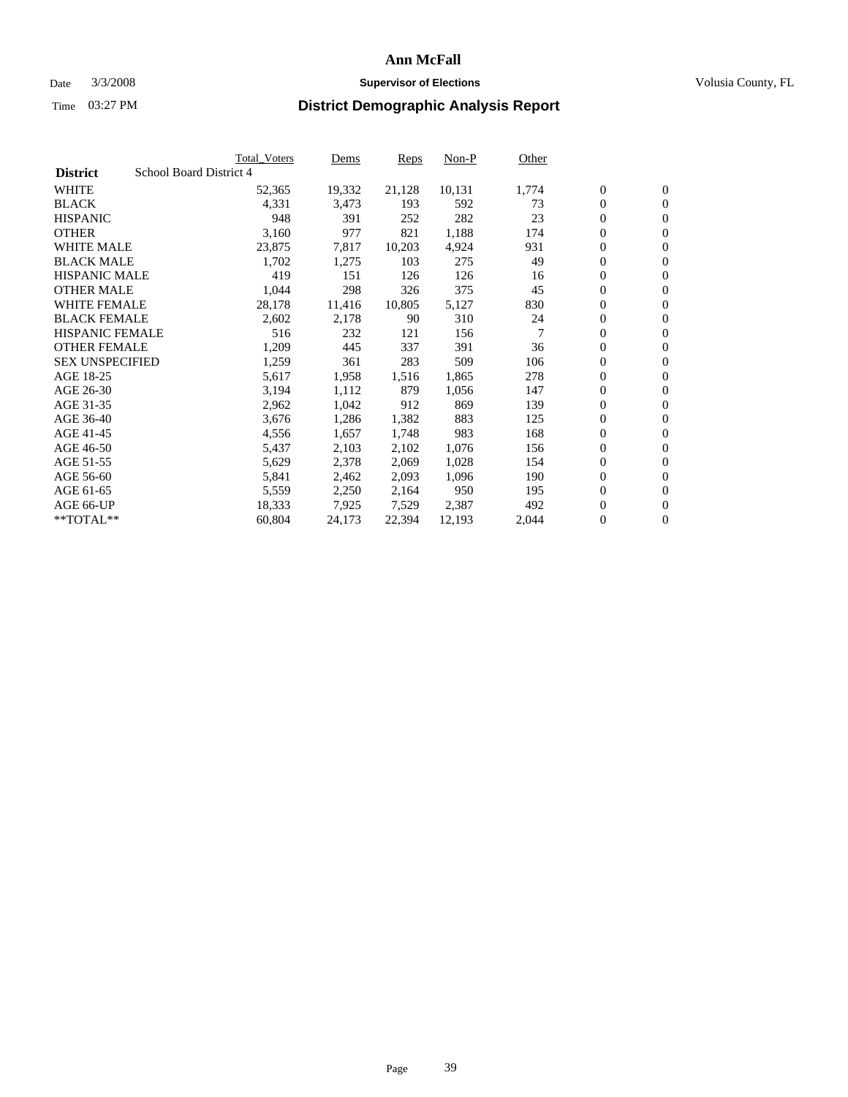#### Date  $3/3/2008$  **Supervisor of Elections** Volusia County, FL

|                        |                         | <b>Total_Voters</b> | Dems   | <b>Reps</b> | Non-P  | Other |                  |                  |
|------------------------|-------------------------|---------------------|--------|-------------|--------|-------|------------------|------------------|
| <b>District</b>        | School Board District 4 |                     |        |             |        |       |                  |                  |
| <b>WHITE</b>           |                         | 52,365              | 19,332 | 21,128      | 10,131 | 1,774 | $\overline{0}$   | $\mathbf{0}$     |
| <b>BLACK</b>           |                         | 4,331               | 3,473  | 193         | 592    | 73    | $\overline{0}$   | $\mathbf{0}$     |
| <b>HISPANIC</b>        |                         | 948                 | 391    | 252         | 282    | 23    | $\boldsymbol{0}$ | $\mathbf{0}$     |
| <b>OTHER</b>           |                         | 3,160               | 977    | 821         | 1,188  | 174   | 0                | $\mathbf{0}$     |
| <b>WHITE MALE</b>      |                         | 23,875              | 7,817  | 10,203      | 4,924  | 931   | 0                | $\mathbf{0}$     |
| <b>BLACK MALE</b>      |                         | 1,702               | 1,275  | 103         | 275    | 49    | $\boldsymbol{0}$ | $\boldsymbol{0}$ |
| <b>HISPANIC MALE</b>   |                         | 419                 | 151    | 126         | 126    | 16    | $\overline{0}$   | $\mathbf{0}$     |
| <b>OTHER MALE</b>      |                         | 1,044               | 298    | 326         | 375    | 45    | $\overline{0}$   | $\mathbf{0}$     |
| <b>WHITE FEMALE</b>    |                         | 28,178              | 11,416 | 10,805      | 5,127  | 830   | $\overline{0}$   | $\mathbf{0}$     |
| <b>BLACK FEMALE</b>    |                         | 2,602               | 2,178  | 90          | 310    | 24    | $\boldsymbol{0}$ | $\mathbf{0}$     |
| HISPANIC FEMALE        |                         | 516                 | 232    | 121         | 156    | 7     | $\boldsymbol{0}$ | $\boldsymbol{0}$ |
| <b>OTHER FEMALE</b>    |                         | 1,209               | 445    | 337         | 391    | 36    | 0                | $\mathbf{0}$     |
| <b>SEX UNSPECIFIED</b> |                         | 1,259               | 361    | 283         | 509    | 106   | $\boldsymbol{0}$ | $\mathbf{0}$     |
| AGE 18-25              |                         | 5,617               | 1,958  | 1,516       | 1,865  | 278   | $\boldsymbol{0}$ | $\mathbf{0}$     |
| AGE 26-30              |                         | 3,194               | 1,112  | 879         | 1,056  | 147   | $\overline{0}$   | $\mathbf{0}$     |
| AGE 31-35              |                         | 2,962               | 1,042  | 912         | 869    | 139   | $\overline{0}$   | $\mathbf{0}$     |
| AGE 36-40              |                         | 3,676               | 1,286  | 1,382       | 883    | 125   | $\boldsymbol{0}$ | $\mathbf{0}$     |
| AGE 41-45              |                         | 4,556               | 1,657  | 1,748       | 983    | 168   | $\boldsymbol{0}$ | $\mathbf{0}$     |
| AGE 46-50              |                         | 5,437               | 2,103  | 2,102       | 1,076  | 156   | 0                | $\mathbf{0}$     |
| AGE 51-55              |                         | 5,629               | 2,378  | 2,069       | 1,028  | 154   | $\boldsymbol{0}$ | $\boldsymbol{0}$ |
| AGE 56-60              |                         | 5,841               | 2,462  | 2,093       | 1,096  | 190   | $\overline{0}$   | $\mathbf{0}$     |
| AGE 61-65              |                         | 5,559               | 2,250  | 2,164       | 950    | 195   | $\mathbf{0}$     | $\mathbf{0}$     |
| AGE 66-UP              |                         | 18,333              | 7,925  | 7,529       | 2,387  | 492   | $\boldsymbol{0}$ | $\boldsymbol{0}$ |
| **TOTAL**              |                         | 60,804              | 24,173 | 22,394      | 12,193 | 2,044 | 0                | $\overline{0}$   |
|                        |                         |                     |        |             |        |       |                  |                  |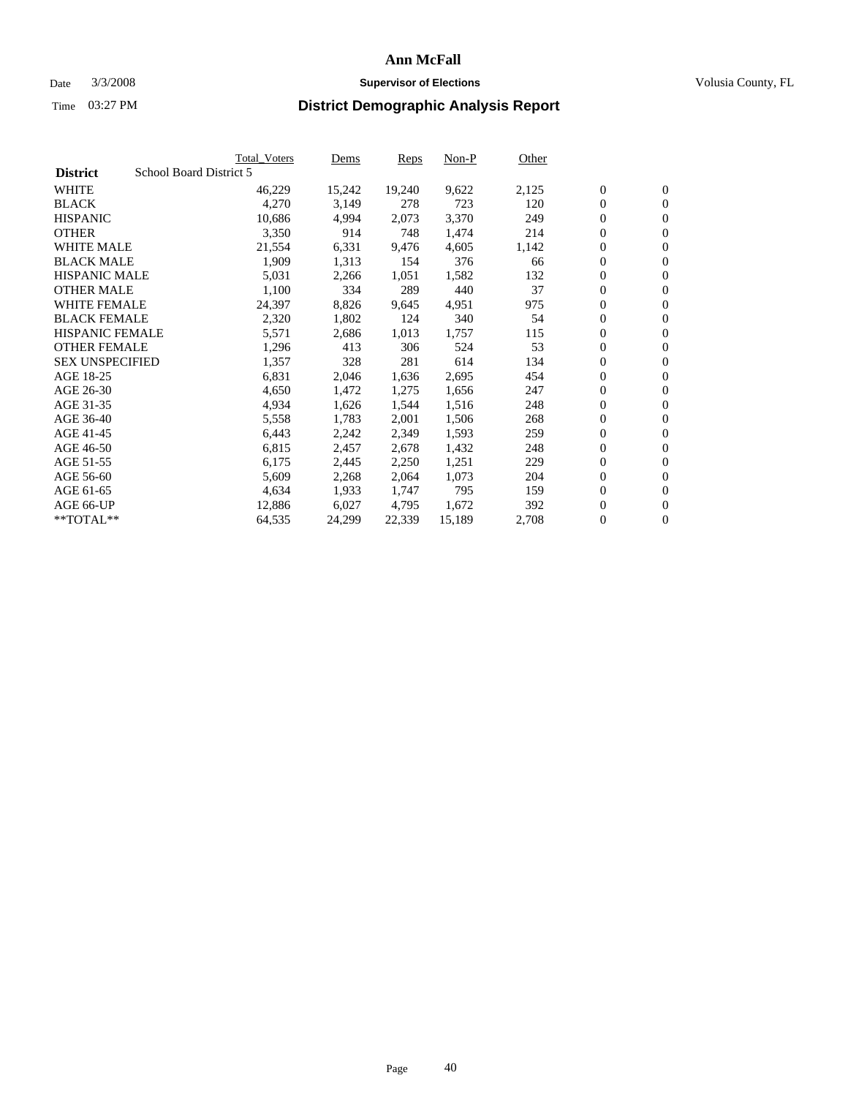#### Date  $3/3/2008$  **Supervisor of Elections** Volusia County, FL

|                                            | <b>Total Voters</b> | Dems   | Reps   | Non-P  | Other |                  |                  |  |
|--------------------------------------------|---------------------|--------|--------|--------|-------|------------------|------------------|--|
| School Board District 5<br><b>District</b> |                     |        |        |        |       |                  |                  |  |
| <b>WHITE</b>                               | 46,229              | 15,242 | 19,240 | 9,622  | 2,125 | $\boldsymbol{0}$ | $\mathbf{0}$     |  |
| <b>BLACK</b>                               | 4,270               | 3,149  | 278    | 723    | 120   | $\mathbf{0}$     | $\mathbf{0}$     |  |
| <b>HISPANIC</b>                            | 10,686              | 4,994  | 2,073  | 3,370  | 249   | $\overline{0}$   | $\mathbf{0}$     |  |
| <b>OTHER</b>                               | 3,350               | 914    | 748    | 1,474  | 214   | 0                | $\mathbf{0}$     |  |
| <b>WHITE MALE</b>                          | 21,554              | 6,331  | 9,476  | 4,605  | 1,142 | 0                | $\mathbf{0}$     |  |
| <b>BLACK MALE</b>                          | 1,909               | 1,313  | 154    | 376    | 66    | $\boldsymbol{0}$ | $\boldsymbol{0}$ |  |
| <b>HISPANIC MALE</b>                       | 5,031               | 2,266  | 1,051  | 1,582  | 132   | 0                | $\mathbf{0}$     |  |
| <b>OTHER MALE</b>                          | 1,100               | 334    | 289    | 440    | 37    | $\boldsymbol{0}$ | $\mathbf{0}$     |  |
| <b>WHITE FEMALE</b>                        | 24,397              | 8,826  | 9,645  | 4,951  | 975   | 0                | $\mathbf{0}$     |  |
| <b>BLACK FEMALE</b>                        | 2,320               | 1,802  | 124    | 340    | 54    | $\boldsymbol{0}$ | $\mathbf{0}$     |  |
| <b>HISPANIC FEMALE</b>                     | 5,571               | 2,686  | 1,013  | 1,757  | 115   | $\boldsymbol{0}$ | $\boldsymbol{0}$ |  |
| <b>OTHER FEMALE</b>                        | 1,296               | 413    | 306    | 524    | 53    | 0                | $\mathbf{0}$     |  |
| <b>SEX UNSPECIFIED</b>                     | 1,357               | 328    | 281    | 614    | 134   | 0                | $\mathbf{0}$     |  |
| AGE 18-25                                  | 6,831               | 2,046  | 1,636  | 2,695  | 454   | 0                | $\mathbf{0}$     |  |
| AGE 26-30                                  | 4,650               | 1,472  | 1,275  | 1,656  | 247   | $\mathbf{0}$     | $\mathbf{0}$     |  |
| AGE 31-35                                  | 4,934               | 1,626  | 1,544  | 1,516  | 248   | 0                | $\mathbf{0}$     |  |
| AGE 36-40                                  | 5,558               | 1,783  | 2,001  | 1,506  | 268   | $\boldsymbol{0}$ | $\boldsymbol{0}$ |  |
| AGE 41-45                                  | 6,443               | 2,242  | 2,349  | 1,593  | 259   | $\boldsymbol{0}$ | $\mathbf{0}$     |  |
| AGE 46-50                                  | 6,815               | 2,457  | 2,678  | 1,432  | 248   | 0                | $\mathbf{0}$     |  |
| AGE 51-55                                  | 6,175               | 2,445  | 2,250  | 1,251  | 229   | $\boldsymbol{0}$ | $\boldsymbol{0}$ |  |
| AGE 56-60                                  | 5,609               | 2,268  | 2,064  | 1,073  | 204   | 0                | $\mathbf{0}$     |  |
| AGE 61-65                                  | 4,634               | 1,933  | 1,747  | 795    | 159   | $\mathbf{0}$     | $\mathbf{0}$     |  |
| AGE 66-UP                                  | 12,886              | 6,027  | 4,795  | 1,672  | 392   | $\boldsymbol{0}$ | $\boldsymbol{0}$ |  |
| $*$ TOTAL $**$                             | 64,535              | 24,299 | 22,339 | 15,189 | 2,708 | 0                | $\overline{0}$   |  |
|                                            |                     |        |        |        |       |                  |                  |  |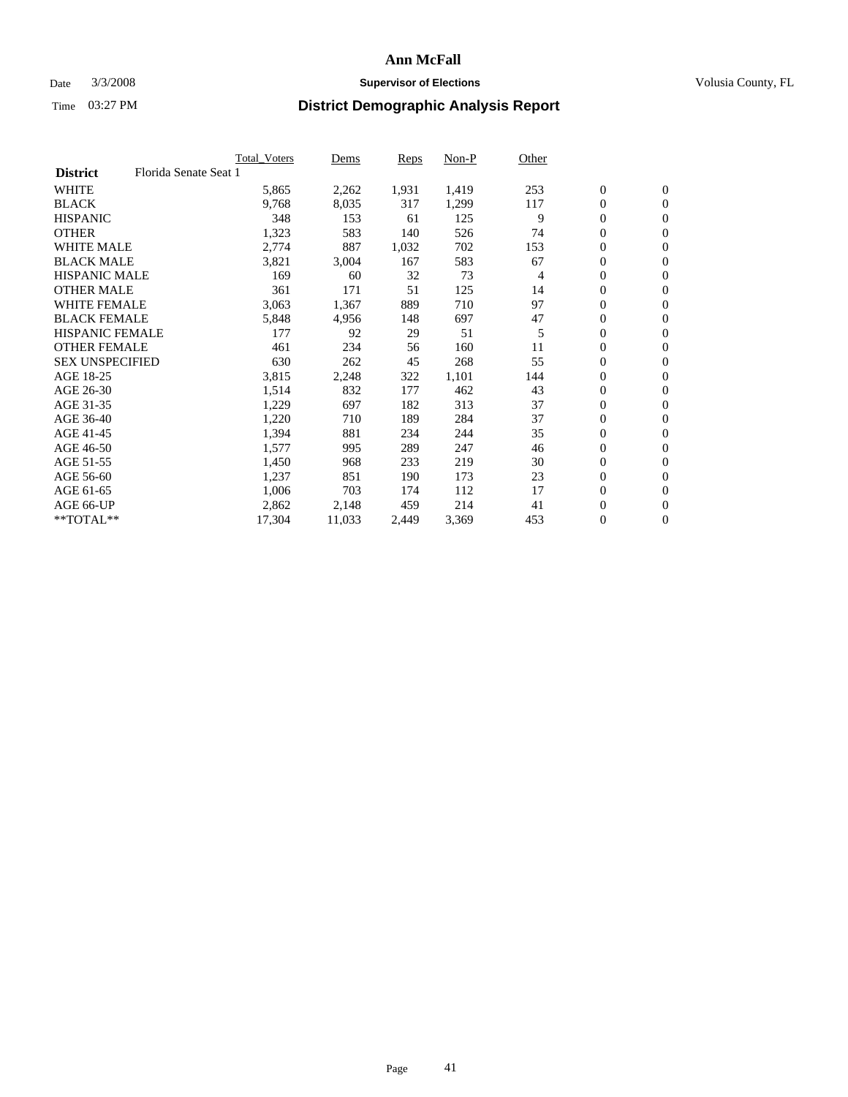### Date  $3/3/2008$  **Supervisor of Elections Supervisor of Elections** Volusia County, FL

|                                          | <b>Total Voters</b> | Dems   | Reps  | Non-P | Other |                  |                  |  |
|------------------------------------------|---------------------|--------|-------|-------|-------|------------------|------------------|--|
| Florida Senate Seat 1<br><b>District</b> |                     |        |       |       |       |                  |                  |  |
| <b>WHITE</b>                             | 5,865               | 2,262  | 1,931 | 1,419 | 253   | $\boldsymbol{0}$ | $\mathbf{0}$     |  |
| <b>BLACK</b>                             | 9,768               | 8,035  | 317   | 1,299 | 117   | $\mathbf{0}$     | $\mathbf{0}$     |  |
| <b>HISPANIC</b>                          | 348                 | 153    | 61    | 125   | 9     | $\mathbf{0}$     | $\mathbf{0}$     |  |
| <b>OTHER</b>                             | 1,323               | 583    | 140   | 526   | 74    | 0                | $\mathbf{0}$     |  |
| <b>WHITE MALE</b>                        | 2,774               | 887    | 1,032 | 702   | 153   | 0                | $\mathbf{0}$     |  |
| <b>BLACK MALE</b>                        | 3,821               | 3,004  | 167   | 583   | 67    | $\boldsymbol{0}$ | $\boldsymbol{0}$ |  |
| <b>HISPANIC MALE</b>                     | 169                 | 60     | 32    | 73    | 4     | 0                | $\mathbf{0}$     |  |
| <b>OTHER MALE</b>                        | 361                 | 171    | 51    | 125   | 14    | $\mathbf{0}$     | $\mathbf{0}$     |  |
| <b>WHITE FEMALE</b>                      | 3,063               | 1,367  | 889   | 710   | 97    | 0                | $\mathbf{0}$     |  |
| <b>BLACK FEMALE</b>                      | 5,848               | 4,956  | 148   | 697   | 47    | $\mathbf{0}$     | $\mathbf{0}$     |  |
| <b>HISPANIC FEMALE</b>                   | 177                 | 92     | 29    | 51    | 5     | $\boldsymbol{0}$ | $\boldsymbol{0}$ |  |
| <b>OTHER FEMALE</b>                      | 461                 | 234    | 56    | 160   | 11    | 0                | $\mathbf{0}$     |  |
| <b>SEX UNSPECIFIED</b>                   | 630                 | 262    | 45    | 268   | 55    | 0                | $\mathbf{0}$     |  |
| AGE 18-25                                | 3,815               | 2,248  | 322   | 1,101 | 144   | 0                | $\mathbf{0}$     |  |
| AGE 26-30                                | 1,514               | 832    | 177   | 462   | 43    | $\mathbf{0}$     | $\mathbf{0}$     |  |
| AGE 31-35                                | 1,229               | 697    | 182   | 313   | 37    | 0                | $\mathbf{0}$     |  |
| AGE 36-40                                | 1,220               | 710    | 189   | 284   | 37    | 0                | $\mathbf{0}$     |  |
| AGE 41-45                                | 1,394               | 881    | 234   | 244   | 35    | $\boldsymbol{0}$ | $\mathbf{0}$     |  |
| AGE 46-50                                | 1,577               | 995    | 289   | 247   | 46    | 0                | $\mathbf{0}$     |  |
| AGE 51-55                                | 1,450               | 968    | 233   | 219   | 30    | $\boldsymbol{0}$ | $\boldsymbol{0}$ |  |
| AGE 56-60                                | 1,237               | 851    | 190   | 173   | 23    | 0                | $\mathbf{0}$     |  |
| AGE 61-65                                | 1,006               | 703    | 174   | 112   | 17    | $\mathbf{0}$     | $\mathbf{0}$     |  |
| AGE 66-UP                                | 2,862               | 2,148  | 459   | 214   | 41    | $\boldsymbol{0}$ | $\boldsymbol{0}$ |  |
| $*$ TOTAL $**$                           | 17,304              | 11,033 | 2,449 | 3,369 | 453   | 0                | $\mathbf{0}$     |  |
|                                          |                     |        |       |       |       |                  |                  |  |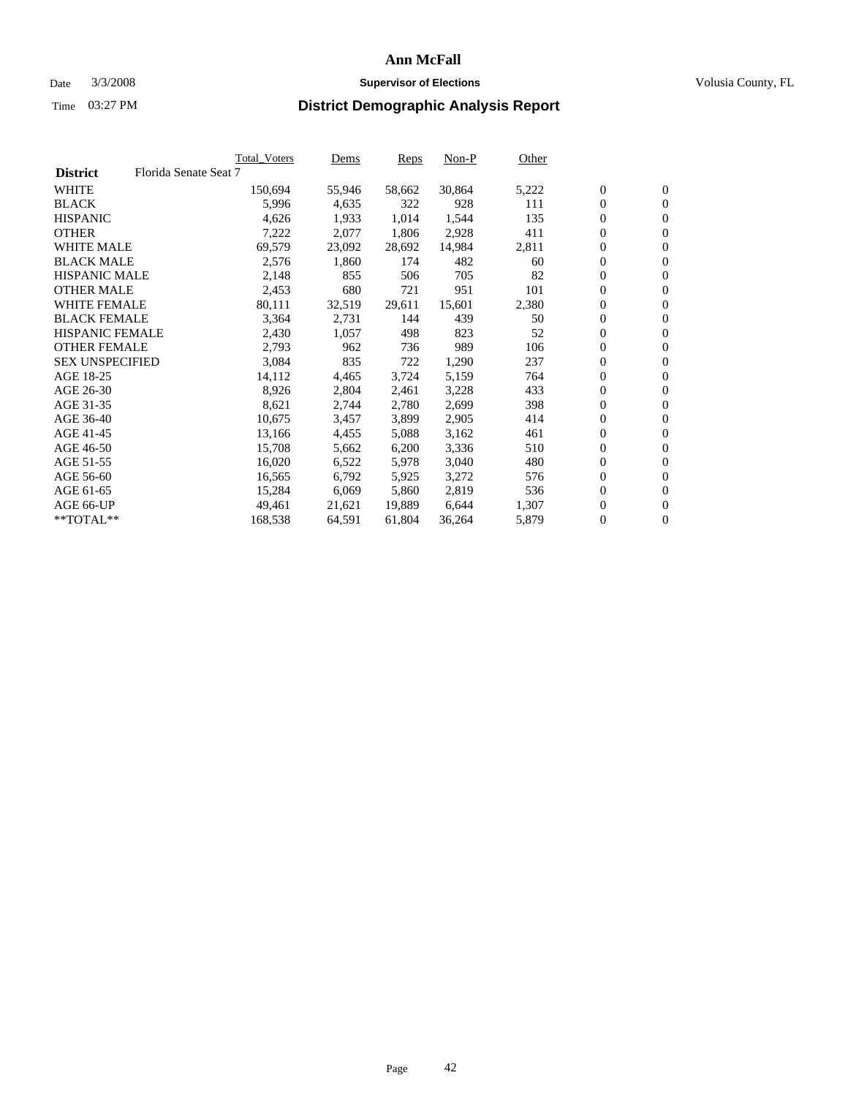#### Date  $3/3/2008$  **Supervisor of Elections** Volusia County, FL

|                        |                       | Total_Voters | Dems   | <b>Reps</b> | Non-P  | Other |                  |                  |  |
|------------------------|-----------------------|--------------|--------|-------------|--------|-------|------------------|------------------|--|
| <b>District</b>        | Florida Senate Seat 7 |              |        |             |        |       |                  |                  |  |
| <b>WHITE</b>           |                       | 150,694      | 55,946 | 58,662      | 30,864 | 5,222 | $\boldsymbol{0}$ | $\mathbf{0}$     |  |
| <b>BLACK</b>           |                       | 5,996        | 4,635  | 322         | 928    | 111   | $\overline{0}$   | $\mathbf{0}$     |  |
| <b>HISPANIC</b>        |                       | 4,626        | 1,933  | 1,014       | 1,544  | 135   | $\boldsymbol{0}$ | $\boldsymbol{0}$ |  |
| <b>OTHER</b>           |                       | 7,222        | 2,077  | 1,806       | 2,928  | 411   | 0                | $\mathbf{0}$     |  |
| <b>WHITE MALE</b>      |                       | 69,579       | 23,092 | 28,692      | 14,984 | 2,811 | 0                | $\mathbf{0}$     |  |
| <b>BLACK MALE</b>      |                       | 2,576        | 1,860  | 174         | 482    | 60    | $\boldsymbol{0}$ | $\boldsymbol{0}$ |  |
| <b>HISPANIC MALE</b>   |                       | 2,148        | 855    | 506         | 705    | 82    | $\overline{0}$   | $\mathbf{0}$     |  |
| <b>OTHER MALE</b>      |                       | 2,453        | 680    | 721         | 951    | 101   | $\overline{0}$   | $\mathbf{0}$     |  |
| <b>WHITE FEMALE</b>    |                       | 80,111       | 32,519 | 29,611      | 15,601 | 2,380 | $\overline{0}$   | $\mathbf{0}$     |  |
| <b>BLACK FEMALE</b>    |                       | 3,364        | 2,731  | 144         | 439    | 50    | $\boldsymbol{0}$ | $\mathbf{0}$     |  |
| HISPANIC FEMALE        |                       | 2,430        | 1,057  | 498         | 823    | 52    | $\boldsymbol{0}$ | $\boldsymbol{0}$ |  |
| <b>OTHER FEMALE</b>    |                       | 2,793        | 962    | 736         | 989    | 106   | 0                | $\mathbf{0}$     |  |
| <b>SEX UNSPECIFIED</b> |                       | 3,084        | 835    | 722         | 1,290  | 237   | $\boldsymbol{0}$ | $\mathbf{0}$     |  |
| AGE 18-25              |                       | 14,112       | 4,465  | 3,724       | 5,159  | 764   | 0                | $\mathbf{0}$     |  |
| AGE 26-30              |                       | 8,926        | 2,804  | 2,461       | 3,228  | 433   | $\overline{0}$   | $\mathbf{0}$     |  |
| AGE 31-35              |                       | 8,621        | 2,744  | 2,780       | 2,699  | 398   | $\overline{0}$   | $\mathbf{0}$     |  |
| AGE 36-40              |                       | 10,675       | 3,457  | 3,899       | 2,905  | 414   | $\boldsymbol{0}$ | $\boldsymbol{0}$ |  |
| AGE 41-45              |                       | 13,166       | 4,455  | 5,088       | 3,162  | 461   | $\boldsymbol{0}$ | $\mathbf{0}$     |  |
| AGE 46-50              |                       | 15,708       | 5,662  | 6,200       | 3,336  | 510   | 0                | $\mathbf{0}$     |  |
| AGE 51-55              |                       | 16,020       | 6,522  | 5,978       | 3,040  | 480   | $\boldsymbol{0}$ | $\boldsymbol{0}$ |  |
| AGE 56-60              |                       | 16,565       | 6,792  | 5,925       | 3,272  | 576   | $\overline{0}$   | $\mathbf{0}$     |  |
| AGE 61-65              |                       | 15,284       | 6,069  | 5,860       | 2,819  | 536   | $\mathbf{0}$     | $\boldsymbol{0}$ |  |
| AGE 66-UP              |                       | 49,461       | 21,621 | 19,889      | 6,644  | 1,307 | $\boldsymbol{0}$ | $\boldsymbol{0}$ |  |
| **TOTAL**              |                       | 168,538      | 64,591 | 61,804      | 36,264 | 5,879 | 0                | $\overline{0}$   |  |
|                        |                       |              |        |             |        |       |                  |                  |  |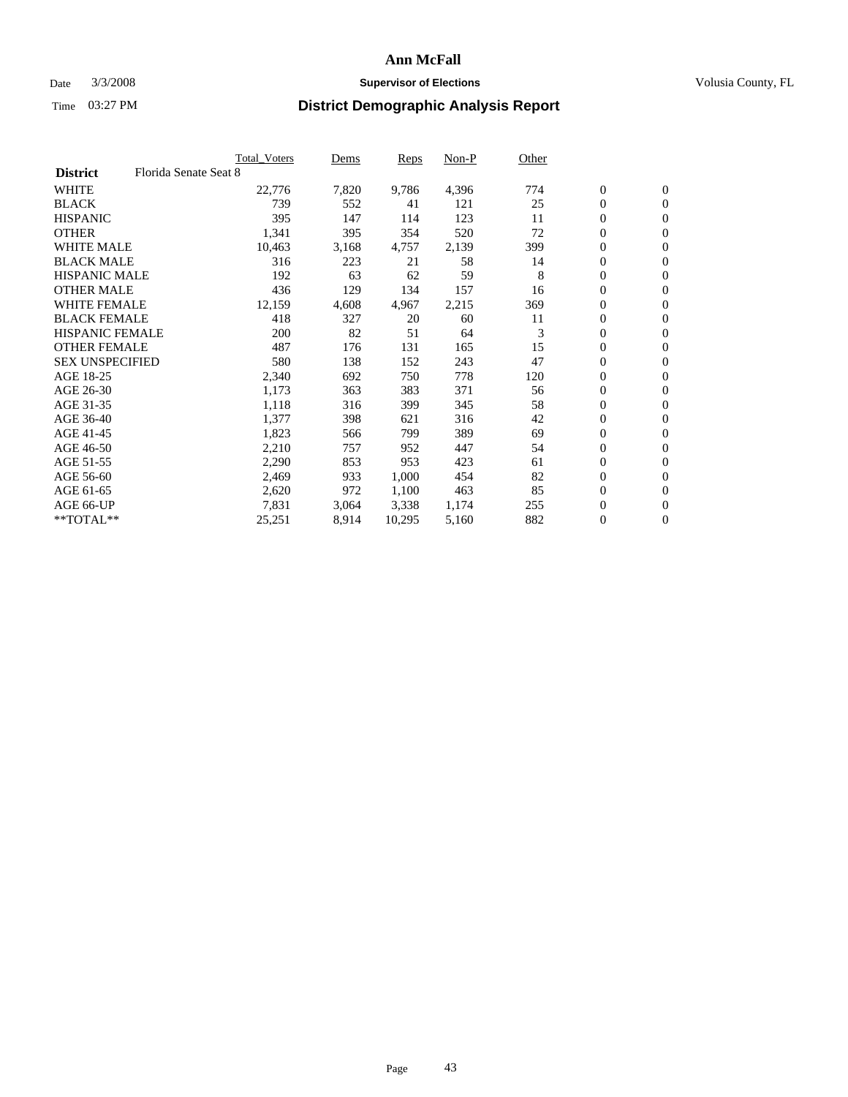### Date  $3/3/2008$  **Supervisor of Elections Supervisor of Elections** Volusia County, FL

|                        |                       | <b>Total Voters</b> | Dems  | Reps   | Non-P | Other |                  |                  |  |
|------------------------|-----------------------|---------------------|-------|--------|-------|-------|------------------|------------------|--|
| <b>District</b>        | Florida Senate Seat 8 |                     |       |        |       |       |                  |                  |  |
| <b>WHITE</b>           |                       | 22,776              | 7,820 | 9,786  | 4,396 | 774   | $\boldsymbol{0}$ | $\mathbf{0}$     |  |
| <b>BLACK</b>           |                       | 739                 | 552   | 41     | 121   | 25    | $\mathbf{0}$     | $\mathbf{0}$     |  |
| <b>HISPANIC</b>        |                       | 395                 | 147   | 114    | 123   | 11    | 0                | $\mathbf{0}$     |  |
| <b>OTHER</b>           |                       | 1,341               | 395   | 354    | 520   | 72    | 0                | $\mathbf{0}$     |  |
| <b>WHITE MALE</b>      |                       | 10,463              | 3,168 | 4,757  | 2,139 | 399   | 0                | $\mathbf{0}$     |  |
| <b>BLACK MALE</b>      |                       | 316                 | 223   | 21     | 58    | 14    | 0                | $\boldsymbol{0}$ |  |
| <b>HISPANIC MALE</b>   |                       | 192                 | 63    | 62     | 59    | 8     | 0                | $\mathbf{0}$     |  |
| <b>OTHER MALE</b>      |                       | 436                 | 129   | 134    | 157   | 16    | $\mathbf{0}$     | $\mathbf{0}$     |  |
| <b>WHITE FEMALE</b>    |                       | 12,159              | 4,608 | 4,967  | 2,215 | 369   | 0                | $\mathbf{0}$     |  |
| <b>BLACK FEMALE</b>    |                       | 418                 | 327   | 20     | 60    | 11    | $\boldsymbol{0}$ | $\mathbf{0}$     |  |
| <b>HISPANIC FEMALE</b> |                       | 200                 | 82    | 51     | 64    | 3     | $\boldsymbol{0}$ | $\boldsymbol{0}$ |  |
| <b>OTHER FEMALE</b>    |                       | 487                 | 176   | 131    | 165   | 15    | 0                | $\mathbf{0}$     |  |
| <b>SEX UNSPECIFIED</b> |                       | 580                 | 138   | 152    | 243   | 47    | 0                | $\mathbf{0}$     |  |
| AGE 18-25              |                       | 2,340               | 692   | 750    | 778   | 120   | 0                | $\mathbf{0}$     |  |
| AGE 26-30              |                       | 1,173               | 363   | 383    | 371   | 56    | $\mathbf{0}$     | $\mathbf{0}$     |  |
| AGE 31-35              |                       | 1,118               | 316   | 399    | 345   | 58    | 0                | $\mathbf{0}$     |  |
| AGE 36-40              |                       | 1,377               | 398   | 621    | 316   | 42    | 0                | $\mathbf{0}$     |  |
| AGE 41-45              |                       | 1,823               | 566   | 799    | 389   | 69    | $\boldsymbol{0}$ | $\mathbf{0}$     |  |
| AGE 46-50              |                       | 2,210               | 757   | 952    | 447   | 54    | 0                | $\mathbf{0}$     |  |
| AGE 51-55              |                       | 2,290               | 853   | 953    | 423   | 61    | $\boldsymbol{0}$ | $\boldsymbol{0}$ |  |
| AGE 56-60              |                       | 2,469               | 933   | 1,000  | 454   | 82    | 0                | $\mathbf{0}$     |  |
| AGE 61-65              |                       | 2,620               | 972   | 1,100  | 463   | 85    | $\mathbf{0}$     | $\mathbf{0}$     |  |
| AGE 66-UP              |                       | 7,831               | 3,064 | 3,338  | 1,174 | 255   | 0                | $\boldsymbol{0}$ |  |
| $*$ TOTAL $**$         |                       | 25,251              | 8,914 | 10,295 | 5,160 | 882   | 0                | $\mathbf{0}$     |  |
|                        |                       |                     |       |        |       |       |                  |                  |  |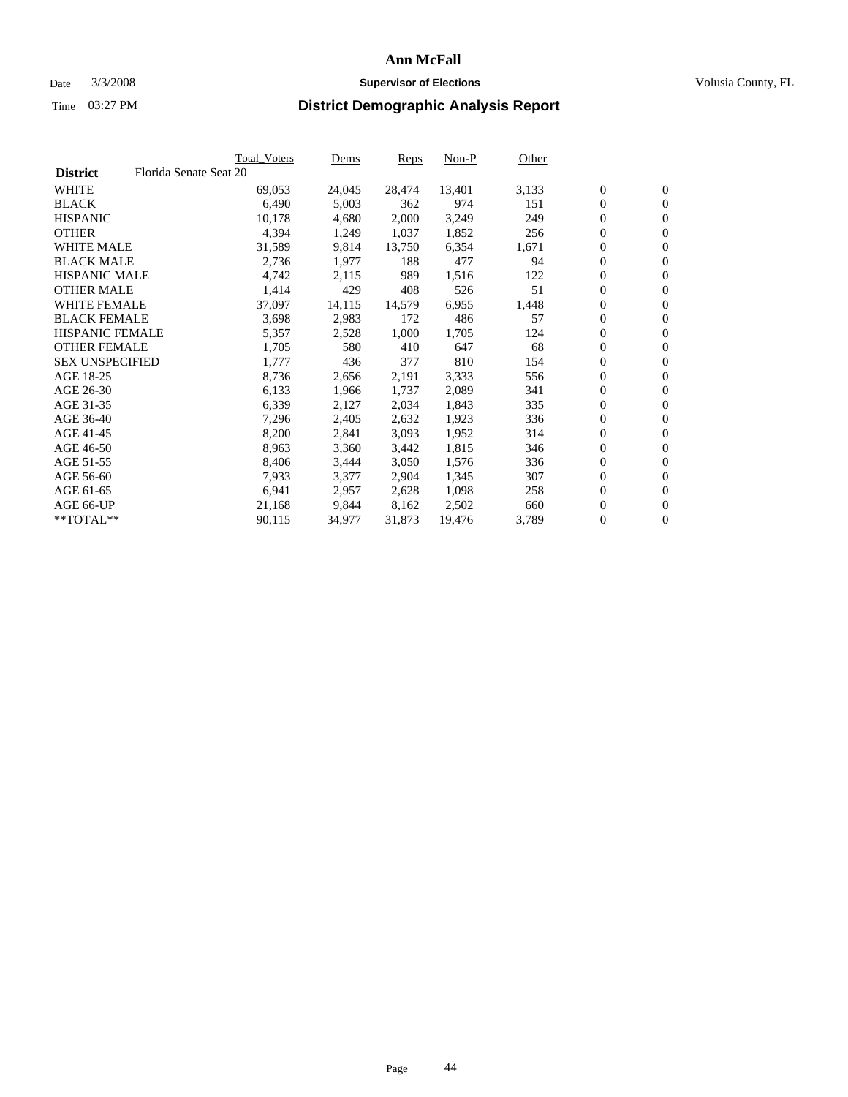#### Date  $3/3/2008$  **Supervisor of Elections** Volusia County, FL

|                        |                        | Total_Voters | Dems   | <b>Reps</b> | Non-P  | Other |                  |                  |  |
|------------------------|------------------------|--------------|--------|-------------|--------|-------|------------------|------------------|--|
| <b>District</b>        | Florida Senate Seat 20 |              |        |             |        |       |                  |                  |  |
| <b>WHITE</b>           |                        | 69,053       | 24,045 | 28,474      | 13,401 | 3,133 | $\overline{0}$   | $\mathbf{0}$     |  |
| <b>BLACK</b>           |                        | 6,490        | 5,003  | 362         | 974    | 151   | $\overline{0}$   | $\mathbf{0}$     |  |
| <b>HISPANIC</b>        |                        | 10,178       | 4,680  | 2,000       | 3,249  | 249   | $\boldsymbol{0}$ | $\mathbf{0}$     |  |
| <b>OTHER</b>           |                        | 4,394        | 1,249  | 1,037       | 1,852  | 256   | 0                | $\mathbf{0}$     |  |
| <b>WHITE MALE</b>      |                        | 31,589       | 9,814  | 13,750      | 6,354  | 1,671 | 0                | $\mathbf{0}$     |  |
| <b>BLACK MALE</b>      |                        | 2,736        | 1,977  | 188         | 477    | 94    | $\boldsymbol{0}$ | $\boldsymbol{0}$ |  |
| <b>HISPANIC MALE</b>   |                        | 4,742        | 2,115  | 989         | 1,516  | 122   | $\overline{0}$   | $\mathbf{0}$     |  |
| <b>OTHER MALE</b>      |                        | 1,414        | 429    | 408         | 526    | 51    | $\overline{0}$   | $\mathbf{0}$     |  |
| <b>WHITE FEMALE</b>    |                        | 37,097       | 14,115 | 14,579      | 6,955  | 1,448 | $\mathbf{0}$     | $\mathbf{0}$     |  |
| <b>BLACK FEMALE</b>    |                        | 3,698        | 2,983  | 172         | 486    | 57    | $\overline{0}$   | $\mathbf{0}$     |  |
| HISPANIC FEMALE        |                        | 5,357        | 2,528  | 1,000       | 1,705  | 124   | $\boldsymbol{0}$ | $\boldsymbol{0}$ |  |
| <b>OTHER FEMALE</b>    |                        | 1,705        | 580    | 410         | 647    | 68    | 0                | $\mathbf{0}$     |  |
| <b>SEX UNSPECIFIED</b> |                        | 1,777        | 436    | 377         | 810    | 154   | $\boldsymbol{0}$ | $\mathbf{0}$     |  |
| AGE 18-25              |                        | 8,736        | 2,656  | 2,191       | 3,333  | 556   | $\boldsymbol{0}$ | $\mathbf{0}$     |  |
| AGE 26-30              |                        | 6,133        | 1,966  | 1,737       | 2,089  | 341   | $\overline{0}$   | $\mathbf{0}$     |  |
| AGE 31-35              |                        | 6,339        | 2,127  | 2,034       | 1,843  | 335   | $\overline{0}$   | $\mathbf{0}$     |  |
| AGE 36-40              |                        | 7,296        | 2,405  | 2,632       | 1,923  | 336   | $\boldsymbol{0}$ | $\boldsymbol{0}$ |  |
| AGE 41-45              |                        | 8,200        | 2,841  | 3,093       | 1,952  | 314   | $\boldsymbol{0}$ | $\mathbf{0}$     |  |
| AGE 46-50              |                        | 8,963        | 3,360  | 3,442       | 1,815  | 346   | 0                | $\mathbf{0}$     |  |
| AGE 51-55              |                        | 8,406        | 3,444  | 3,050       | 1,576  | 336   | $\boldsymbol{0}$ | $\boldsymbol{0}$ |  |
| AGE 56-60              |                        | 7,933        | 3,377  | 2,904       | 1,345  | 307   | $\overline{0}$   | $\mathbf{0}$     |  |
| AGE 61-65              |                        | 6,941        | 2,957  | 2,628       | 1,098  | 258   | $\mathbf{0}$     | $\boldsymbol{0}$ |  |
| AGE 66-UP              |                        | 21,168       | 9,844  | 8,162       | 2,502  | 660   | $\boldsymbol{0}$ | $\boldsymbol{0}$ |  |
| **TOTAL**              |                        | 90,115       | 34,977 | 31,873      | 19,476 | 3,789 | 0                | $\overline{0}$   |  |
|                        |                        |              |        |             |        |       |                  |                  |  |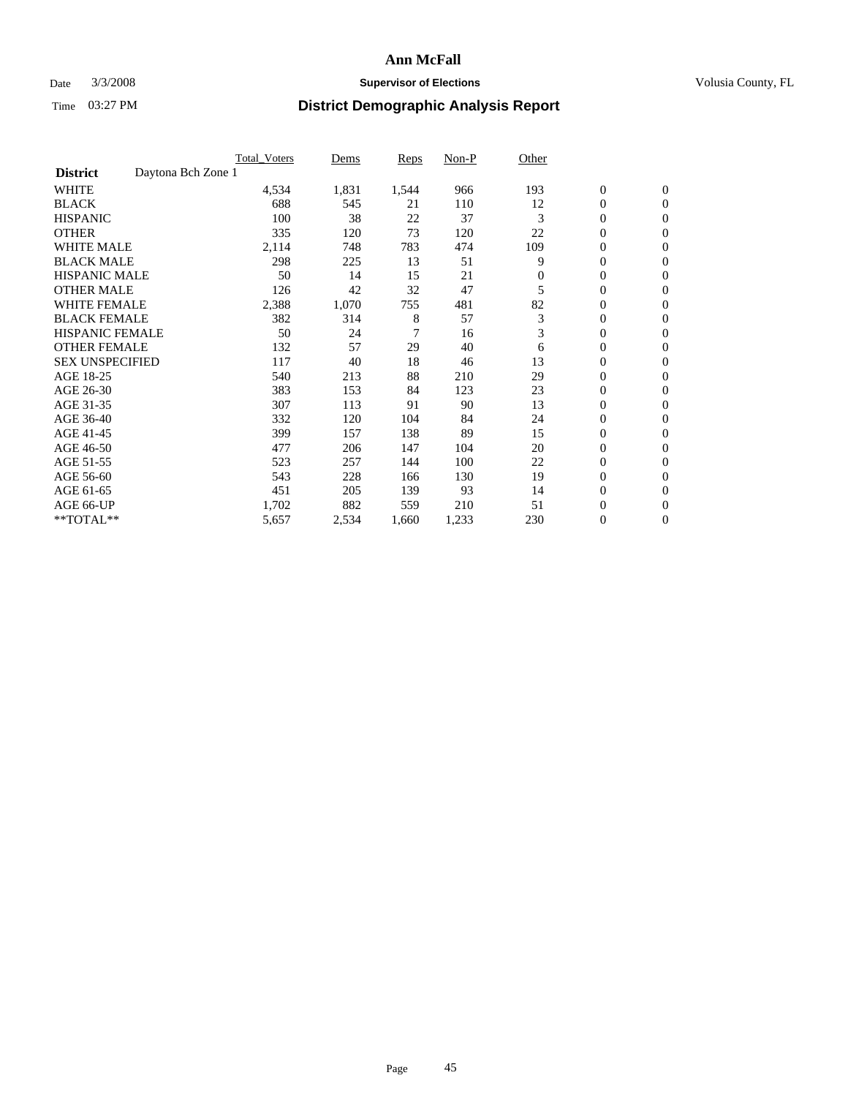### Date  $3/3/2008$  **Supervisor of Elections Supervisor of Elections** Volusia County, FL

|                                       | <b>Total Voters</b> | Dems  | Reps  | Non-P | Other    |                  |                  |  |
|---------------------------------------|---------------------|-------|-------|-------|----------|------------------|------------------|--|
| Daytona Bch Zone 1<br><b>District</b> |                     |       |       |       |          |                  |                  |  |
| <b>WHITE</b>                          | 4,534               | 1,831 | 1,544 | 966   | 193      | $\boldsymbol{0}$ | $\boldsymbol{0}$ |  |
| <b>BLACK</b>                          | 688                 | 545   | 21    | 110   | 12       | $\mathbf{0}$     | $\mathbf{0}$     |  |
| <b>HISPANIC</b>                       | 100                 | 38    | 22    | 37    | 3        | $\mathbf{0}$     | $\mathbf{0}$     |  |
| <b>OTHER</b>                          | 335                 | 120   | 73    | 120   | 22       | 0                | $\mathbf{0}$     |  |
| <b>WHITE MALE</b>                     | 2,114               | 748   | 783   | 474   | 109      | 0                | $\mathbf{0}$     |  |
| <b>BLACK MALE</b>                     | 298                 | 225   | 13    | 51    | 9        | 0                | $\boldsymbol{0}$ |  |
| <b>HISPANIC MALE</b>                  | 50                  | 14    | 15    | 21    | $\Omega$ | 0                | $\mathbf{0}$     |  |
| <b>OTHER MALE</b>                     | 126                 | 42    | 32    | 47    | 5        | 0                | $\mathbf{0}$     |  |
| <b>WHITE FEMALE</b>                   | 2,388               | 1,070 | 755   | 481   | 82       | 0                | $\mathbf{0}$     |  |
| <b>BLACK FEMALE</b>                   | 382                 | 314   | 8     | 57    | 3        | $\mathbf{0}$     | $\mathbf{0}$     |  |
| <b>HISPANIC FEMALE</b>                | 50                  | 24    | 7     | 16    | 3        | 0                | $\mathbf{0}$     |  |
| <b>OTHER FEMALE</b>                   | 132                 | 57    | 29    | 40    | 6        | 0                | $\mathbf{0}$     |  |
| <b>SEX UNSPECIFIED</b>                | 117                 | 40    | 18    | 46    | 13       | $\boldsymbol{0}$ | $\mathbf{0}$     |  |
| AGE 18-25                             | 540                 | 213   | 88    | 210   | 29       | 0                | $\mathbf{0}$     |  |
| AGE 26-30                             | 383                 | 153   | 84    | 123   | 23       | 0                | $\mathbf{0}$     |  |
| AGE 31-35                             | 307                 | 113   | 91    | 90    | 13       | 0                | $\mathbf{0}$     |  |
| AGE 36-40                             | 332                 | 120   | 104   | 84    | 24       | $\boldsymbol{0}$ | $\mathbf{0}$     |  |
| AGE 41-45                             | 399                 | 157   | 138   | 89    | 15       | 0                | $\mathbf{0}$     |  |
| AGE 46-50                             | 477                 | 206   | 147   | 104   | 20       | $\mathbf{0}$     | $\mathbf{0}$     |  |
| AGE 51-55                             | 523                 | 257   | 144   | 100   | 22       | $\overline{0}$   | $\mathbf{0}$     |  |
| AGE 56-60                             | 543                 | 228   | 166   | 130   | 19       | $\boldsymbol{0}$ | $\mathbf{0}$     |  |
| AGE 61-65                             | 451                 | 205   | 139   | 93    | 14       | 0                | $\mathbf{0}$     |  |
| AGE 66-UP                             | 1,702               | 882   | 559   | 210   | 51       | 0                | 0                |  |
| **TOTAL**                             | 5,657               | 2,534 | 1,660 | 1,233 | 230      | $\boldsymbol{0}$ | $\boldsymbol{0}$ |  |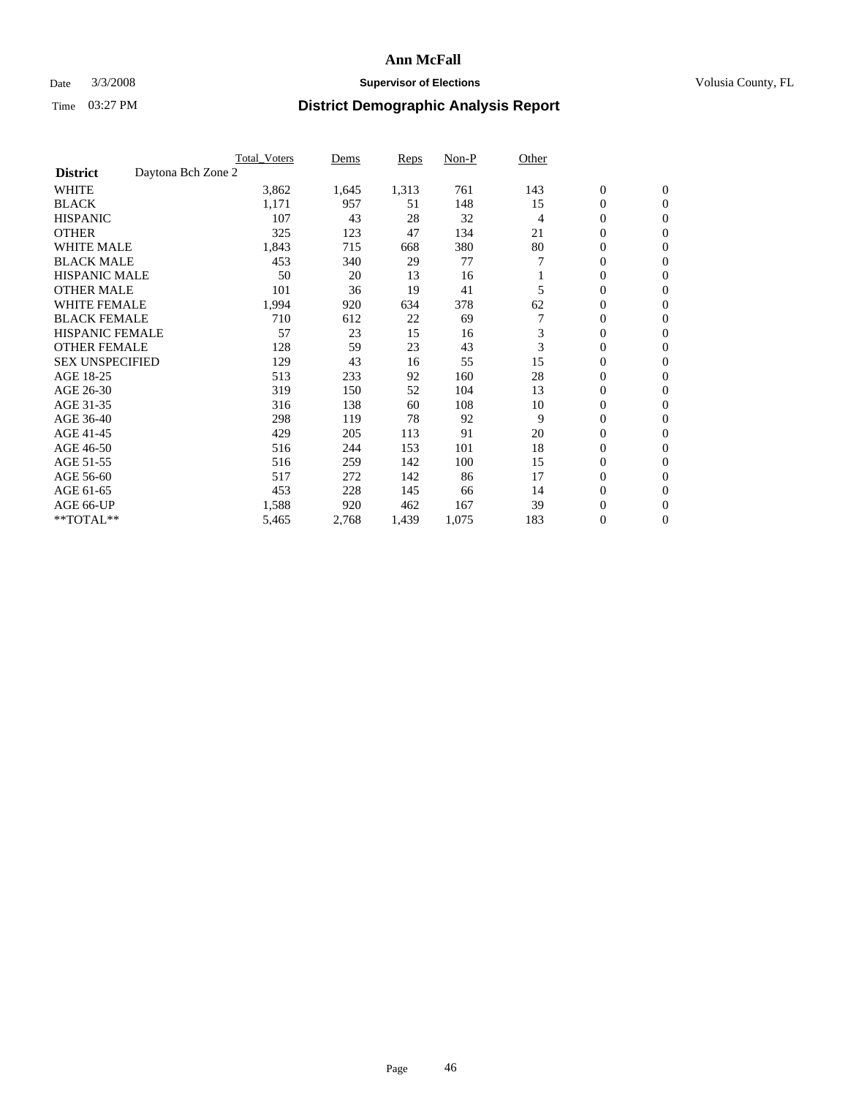### Date  $3/3/2008$  **Supervisor of Elections Supervisor of Elections** Volusia County, FL

|                                       | <b>Total Voters</b> | Dems  | Reps  | Non-P | Other |                  |                  |  |
|---------------------------------------|---------------------|-------|-------|-------|-------|------------------|------------------|--|
| Daytona Bch Zone 2<br><b>District</b> |                     |       |       |       |       |                  |                  |  |
| <b>WHITE</b>                          | 3,862               | 1,645 | 1,313 | 761   | 143   | $\boldsymbol{0}$ | $\boldsymbol{0}$ |  |
| <b>BLACK</b>                          | 1,171               | 957   | 51    | 148   | 15    | $\mathbf{0}$     | $\mathbf{0}$     |  |
| <b>HISPANIC</b>                       | 107                 | 43    | 28    | 32    | 4     | $\mathbf{0}$     | $\mathbf{0}$     |  |
| <b>OTHER</b>                          | 325                 | 123   | 47    | 134   | 21    | 0                | $\overline{0}$   |  |
| <b>WHITE MALE</b>                     | 1,843               | 715   | 668   | 380   | 80    | 0                | $\mathbf{0}$     |  |
| <b>BLACK MALE</b>                     | 453                 | 340   | 29    | 77    |       | 0                | 0                |  |
| <b>HISPANIC MALE</b>                  | 50                  | 20    | 13    | 16    |       | 0                | $\mathbf{0}$     |  |
| <b>OTHER MALE</b>                     | 101                 | 36    | 19    | 41    | 5     | 0                | $\mathbf{0}$     |  |
| <b>WHITE FEMALE</b>                   | 1,994               | 920   | 634   | 378   | 62    | 0                | $\mathbf{0}$     |  |
| <b>BLACK FEMALE</b>                   | 710                 | 612   | 22    | 69    |       | $\mathbf{0}$     | $\mathbf{0}$     |  |
| <b>HISPANIC FEMALE</b>                | 57                  | 23    | 15    | 16    | 3     | 0                | $\mathbf{0}$     |  |
| <b>OTHER FEMALE</b>                   | 128                 | 59    | 23    | 43    | 3     | 0                | $\mathbf{0}$     |  |
| <b>SEX UNSPECIFIED</b>                | 129                 | 43    | 16    | 55    | 15    | $\boldsymbol{0}$ | $\mathbf{0}$     |  |
| AGE 18-25                             | 513                 | 233   | 92    | 160   | 28    | 0                | $\mathbf{0}$     |  |
| AGE 26-30                             | 319                 | 150   | 52    | 104   | 13    | 0                | $\mathbf{0}$     |  |
| AGE 31-35                             | 316                 | 138   | 60    | 108   | 10    | 0                | $\mathbf{0}$     |  |
| AGE 36-40                             | 298                 | 119   | 78    | 92    | 9     | $\boldsymbol{0}$ | $\mathbf{0}$     |  |
| AGE 41-45                             | 429                 | 205   | 113   | 91    | 20    | 0                | $\mathbf{0}$     |  |
| AGE 46-50                             | 516                 | 244   | 153   | 101   | 18    | 0                | $\mathbf{0}$     |  |
| AGE 51-55                             | 516                 | 259   | 142   | 100   | 15    | 0                | $\mathbf{0}$     |  |
| AGE 56-60                             | 517                 | 272   | 142   | 86    | 17    | 0                | $\mathbf{0}$     |  |
| AGE 61-65                             | 453                 | 228   | 145   | 66    | 14    | 0                | $\mathbf{0}$     |  |
| AGE 66-UP                             | 1,588               | 920   | 462   | 167   | 39    | 0                | 0                |  |
| **TOTAL**                             | 5,465               | 2,768 | 1,439 | 1,075 | 183   | 0                | $\boldsymbol{0}$ |  |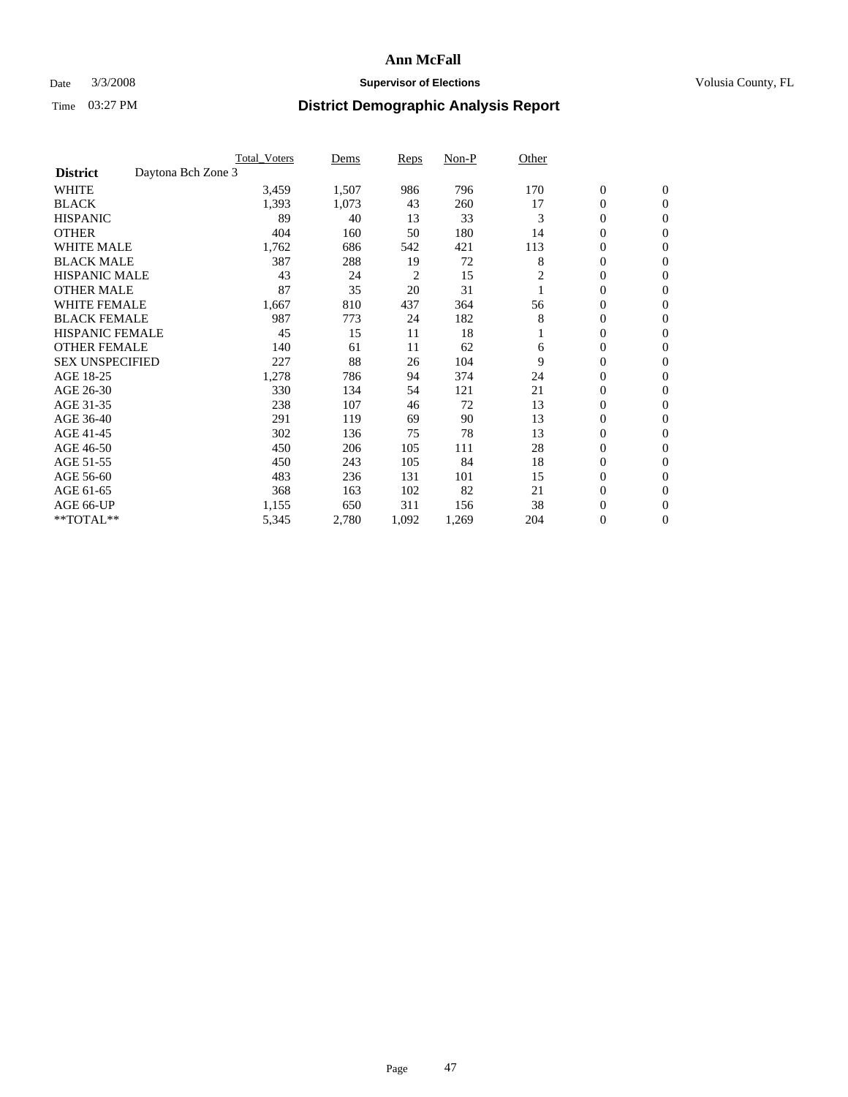#### Date  $3/3/2008$  **Supervisor of Elections** Volusia County, FL

|                        |                    | <b>Total Voters</b> | Dems  | Reps  | Non-P | Other |                  |                  |  |
|------------------------|--------------------|---------------------|-------|-------|-------|-------|------------------|------------------|--|
| <b>District</b>        | Daytona Bch Zone 3 |                     |       |       |       |       |                  |                  |  |
| <b>WHITE</b>           |                    | 3,459               | 1,507 | 986   | 796   | 170   | $\boldsymbol{0}$ | $\mathbf{0}$     |  |
| <b>BLACK</b>           |                    | 1,393               | 1,073 | 43    | 260   | 17    | 0                | $\mathbf{0}$     |  |
| <b>HISPANIC</b>        |                    | 89                  | 40    | 13    | 33    | 3     | 0                | $\mathbf{0}$     |  |
| <b>OTHER</b>           |                    | 404                 | 160   | 50    | 180   | 14    | 0                | $\mathbf{0}$     |  |
| <b>WHITE MALE</b>      |                    | 1,762               | 686   | 542   | 421   | 113   | 0                | $\mathbf{0}$     |  |
| <b>BLACK MALE</b>      |                    | 387                 | 288   | 19    | 72    | 8     | 0                | $\mathbf{0}$     |  |
| <b>HISPANIC MALE</b>   |                    | 43                  | 24    | 2     | 15    | 2     | 0                | $\mathbf{0}$     |  |
| <b>OTHER MALE</b>      |                    | 87                  | 35    | 20    | 31    |       | $\mathbf{0}$     | $\mathbf{0}$     |  |
| <b>WHITE FEMALE</b>    |                    | 1,667               | 810   | 437   | 364   | 56    | 0                | $\mathbf{0}$     |  |
| <b>BLACK FEMALE</b>    |                    | 987                 | 773   | 24    | 182   | 8     | $\boldsymbol{0}$ | $\mathbf{0}$     |  |
| <b>HISPANIC FEMALE</b> |                    | 45                  | 15    | 11    | 18    |       | 0                | $\mathbf{0}$     |  |
| <b>OTHER FEMALE</b>    |                    | 140                 | 61    | 11    | 62    | 6     | 0                | $\mathbf{0}$     |  |
| <b>SEX UNSPECIFIED</b> |                    | 227                 | 88    | 26    | 104   | 9     | 0                | $\mathbf{0}$     |  |
| AGE 18-25              |                    | 1,278               | 786   | 94    | 374   | 24    | 0                | $\mathbf{0}$     |  |
| AGE 26-30              |                    | 330                 | 134   | 54    | 121   | 21    | $\mathbf{0}$     | $\mathbf{0}$     |  |
| AGE 31-35              |                    | 238                 | 107   | 46    | 72    | 13    | 0                | $\mathbf{0}$     |  |
| AGE 36-40              |                    | 291                 | 119   | 69    | 90    | 13    | 0                | $\mathbf{0}$     |  |
| AGE 41-45              |                    | 302                 | 136   | 75    | 78    | 13    | 0                | $\mathbf{0}$     |  |
| AGE 46-50              |                    | 450                 | 206   | 105   | 111   | 28    | 0                | $\mathbf{0}$     |  |
| AGE 51-55              |                    | 450                 | 243   | 105   | 84    | 18    | $\boldsymbol{0}$ | $\mathbf{0}$     |  |
| AGE 56-60              |                    | 483                 | 236   | 131   | 101   | 15    | 0                | $\mathbf{0}$     |  |
| AGE 61-65              |                    | 368                 | 163   | 102   | 82    | 21    | $\overline{0}$   | $\mathbf{0}$     |  |
| AGE 66-UP              |                    | 1,155               | 650   | 311   | 156   | 38    | $\boldsymbol{0}$ | $\mathbf{0}$     |  |
| **TOTAL**              |                    | 5,345               | 2,780 | 1,092 | 1,269 | 204   | 0                | $\boldsymbol{0}$ |  |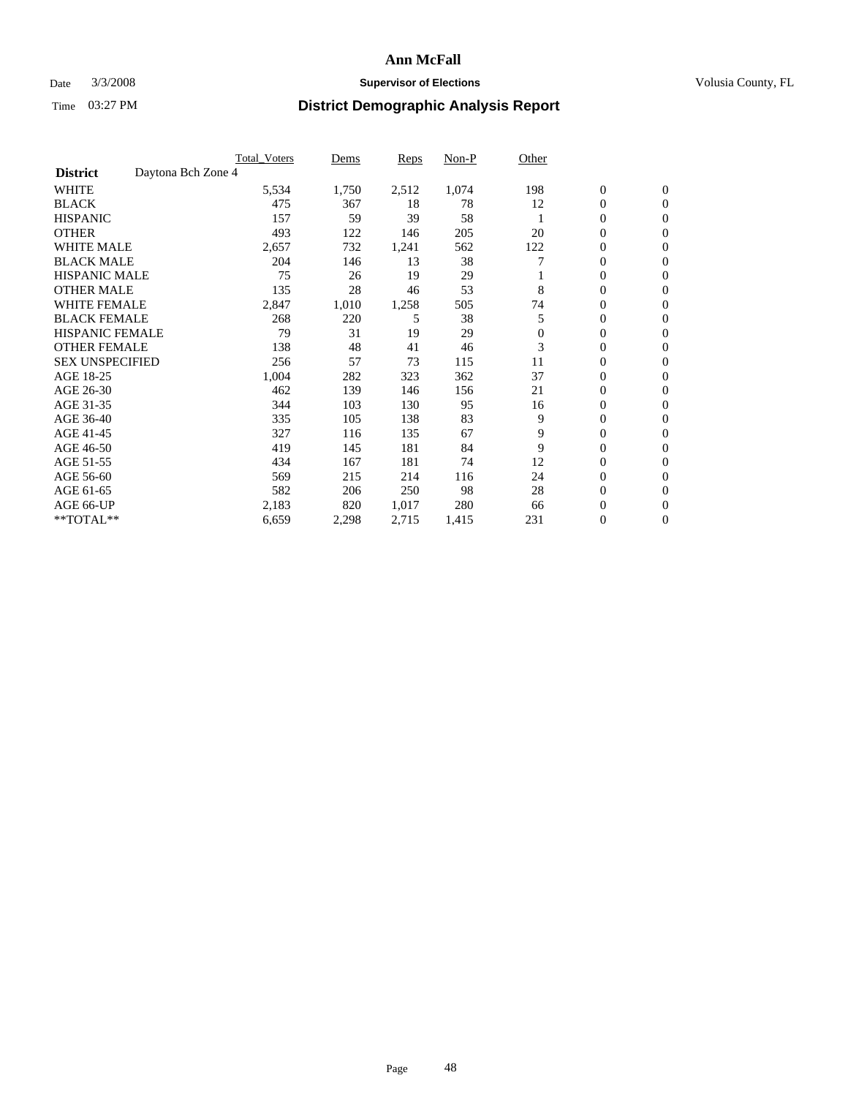### Date  $3/3/2008$  **Supervisor of Elections Supervisor of Elections** Volusia County, FL

|                                       | <b>Total Voters</b> | Dems  | Reps  | Non-P | Other    |                  |                  |  |
|---------------------------------------|---------------------|-------|-------|-------|----------|------------------|------------------|--|
| Daytona Bch Zone 4<br><b>District</b> |                     |       |       |       |          |                  |                  |  |
| <b>WHITE</b>                          | 5,534               | 1,750 | 2,512 | 1,074 | 198      | $\boldsymbol{0}$ | $\mathbf{0}$     |  |
| <b>BLACK</b>                          | 475                 | 367   | 18    | 78    | 12       | $\mathbf{0}$     | $\mathbf{0}$     |  |
| <b>HISPANIC</b>                       | 157                 | 59    | 39    | 58    |          | $\mathbf{0}$     | $\mathbf{0}$     |  |
| <b>OTHER</b>                          | 493                 | 122   | 146   | 205   | 20       | 0                | $\overline{0}$   |  |
| <b>WHITE MALE</b>                     | 2,657               | 732   | 1,241 | 562   | 122      | 0                | $\mathbf{0}$     |  |
| <b>BLACK MALE</b>                     | 204                 | 146   | 13    | 38    |          | 0                | 0                |  |
| <b>HISPANIC MALE</b>                  | 75                  | 26    | 19    | 29    |          | 0                | $\mathbf{0}$     |  |
| <b>OTHER MALE</b>                     | 135                 | 28    | 46    | 53    | 8        | 0                | $\mathbf{0}$     |  |
| <b>WHITE FEMALE</b>                   | 2,847               | 1,010 | 1,258 | 505   | 74       | 0                | $\Omega$         |  |
| <b>BLACK FEMALE</b>                   | 268                 | 220   | 5     | 38    | 5        | $\mathbf{0}$     | $\mathbf{0}$     |  |
| <b>HISPANIC FEMALE</b>                | 79                  | 31    | 19    | 29    | $\Omega$ | 0                | $\mathbf{0}$     |  |
| <b>OTHER FEMALE</b>                   | 138                 | 48    | 41    | 46    | 3        | 0                | $\mathbf{0}$     |  |
| <b>SEX UNSPECIFIED</b>                | 256                 | 57    | 73    | 115   | 11       | 0                | $\mathbf{0}$     |  |
| AGE 18-25                             | 1,004               | 282   | 323   | 362   | 37       | 0                | $\mathbf{0}$     |  |
| AGE 26-30                             | 462                 | 139   | 146   | 156   | 21       | 0                | $\mathbf{0}$     |  |
| AGE 31-35                             | 344                 | 103   | 130   | 95    | 16       | 0                | $\mathbf{0}$     |  |
| AGE 36-40                             | 335                 | 105   | 138   | 83    | 9        | 0                | $\mathbf{0}$     |  |
| AGE 41-45                             | 327                 | 116   | 135   | 67    | 9        | 0                | $\mathbf{0}$     |  |
| AGE 46-50                             | 419                 | 145   | 181   | 84    | 9        | 0                | $\mathbf{0}$     |  |
| AGE 51-55                             | 434                 | 167   | 181   | 74    | 12       | 0                | $\mathbf{0}$     |  |
| AGE 56-60                             | 569                 | 215   | 214   | 116   | 24       | 0                | $\mathbf{0}$     |  |
| AGE 61-65                             | 582                 | 206   | 250   | 98    | 28       | 0                | $\mathbf{0}$     |  |
| AGE 66-UP                             | 2,183               | 820   | 1,017 | 280   | 66       | 0                | 0                |  |
| **TOTAL**                             | 6,659               | 2,298 | 2,715 | 1,415 | 231      | 0                | $\boldsymbol{0}$ |  |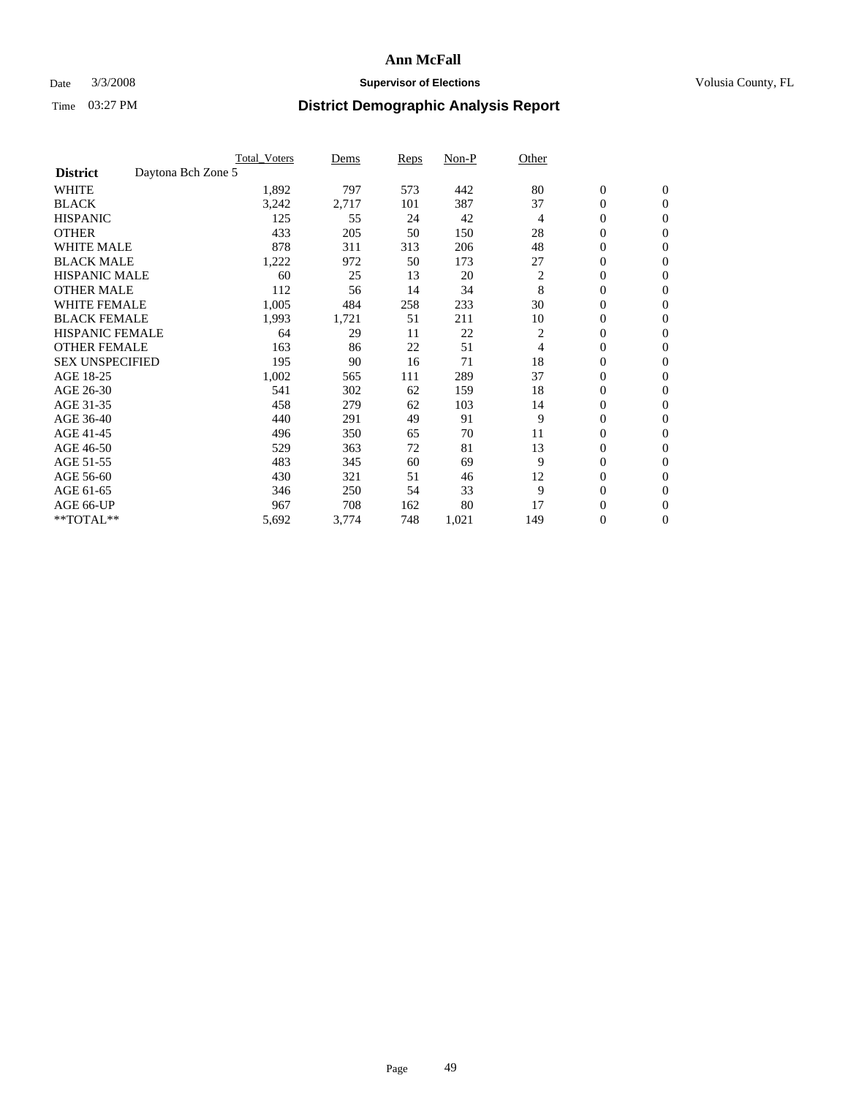#### Date  $3/3/2008$  **Supervisor of Elections** Volusia County, FL

|                        | <b>Total Voters</b> | Dems  | <b>Reps</b> | Non-P | Other          |                  |                  |  |
|------------------------|---------------------|-------|-------------|-------|----------------|------------------|------------------|--|
| <b>District</b>        | Daytona Bch Zone 5  |       |             |       |                |                  |                  |  |
| <b>WHITE</b>           | 1,892               | 797   | 573         | 442   | 80             | $\boldsymbol{0}$ | $\mathbf{0}$     |  |
| <b>BLACK</b>           | 3,242               | 2,717 | 101         | 387   | 37             | 0                | $\mathbf{0}$     |  |
| <b>HISPANIC</b>        | 125                 | 55    | 24          | 42    | 4              | 0                | $\mathbf{0}$     |  |
| <b>OTHER</b>           | 433                 | 205   | 50          | 150   | 28             | 0                | $\mathbf{0}$     |  |
| <b>WHITE MALE</b>      | 878                 | 311   | 313         | 206   | 48             | 0                | $\mathbf{0}$     |  |
| <b>BLACK MALE</b>      | 1,222               | 972   | 50          | 173   | 27             | 0                | $\boldsymbol{0}$ |  |
| <b>HISPANIC MALE</b>   | 60                  | 25    | 13          | 20    | $\overline{c}$ | 0                | $\mathbf{0}$     |  |
| <b>OTHER MALE</b>      | 112                 | 56    | 14          | 34    | 8              | $\mathbf{0}$     | $\mathbf{0}$     |  |
| <b>WHITE FEMALE</b>    | 1,005               | 484   | 258         | 233   | 30             | 0                | $\mathbf{0}$     |  |
| <b>BLACK FEMALE</b>    | 1,993               | 1,721 | 51          | 211   | 10             | $\boldsymbol{0}$ | $\mathbf{0}$     |  |
| <b>HISPANIC FEMALE</b> | 64                  | 29    | 11          | 22    | 2              | 0                | $\mathbf{0}$     |  |
| <b>OTHER FEMALE</b>    | 163                 | 86    | 22          | 51    | 4              | 0                | $\mathbf{0}$     |  |
| <b>SEX UNSPECIFIED</b> | 195                 | 90    | 16          | 71    | 18             | 0                | $\mathbf{0}$     |  |
| AGE 18-25              | 1,002               | 565   | 111         | 289   | 37             | 0                | $\mathbf{0}$     |  |
| AGE 26-30              | 541                 | 302   | 62          | 159   | 18             | $\mathbf{0}$     | $\mathbf{0}$     |  |
| AGE 31-35              | 458                 | 279   | 62          | 103   | 14             | 0                | $\mathbf{0}$     |  |
| AGE 36-40              | 440                 | 291   | 49          | 91    | 9              | 0                | $\mathbf{0}$     |  |
| AGE 41-45              | 496                 | 350   | 65          | 70    | 11             | 0                | $\mathbf{0}$     |  |
| AGE 46-50              | 529                 | 363   | 72          | 81    | 13             | 0                | $\mathbf{0}$     |  |
| AGE 51-55              | 483                 | 345   | 60          | 69    | 9              | $\boldsymbol{0}$ | $\boldsymbol{0}$ |  |
| AGE 56-60              | 430                 | 321   | 51          | 46    | 12             | 0                | $\mathbf{0}$     |  |
| AGE 61-65              | 346                 | 250   | 54          | 33    | 9              | $\mathbf{0}$     | $\mathbf{0}$     |  |
| AGE 66-UP              | 967                 | 708   | 162         | 80    | 17             | 0                | $\boldsymbol{0}$ |  |
| **TOTAL**              | 5,692               | 3,774 | 748         | 1,021 | 149            | 0                | $\boldsymbol{0}$ |  |
|                        |                     |       |             |       |                |                  |                  |  |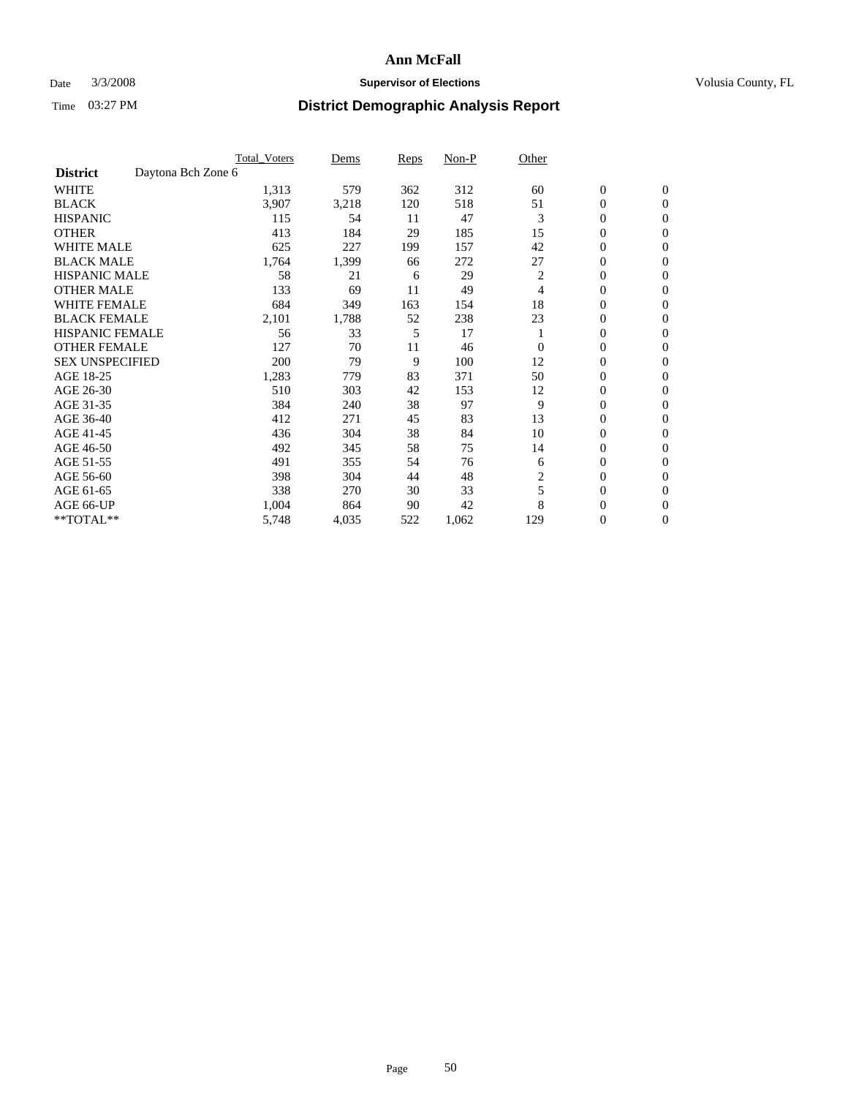#### Date  $3/3/2008$  **Supervisor of Elections** Volusia County, FL

|                        |                    | <b>Total Voters</b> | Dems  | Reps | Non-P | Other    |                  |                  |  |
|------------------------|--------------------|---------------------|-------|------|-------|----------|------------------|------------------|--|
| <b>District</b>        | Daytona Bch Zone 6 |                     |       |      |       |          |                  |                  |  |
| <b>WHITE</b>           |                    | 1,313               | 579   | 362  | 312   | 60       | $\boldsymbol{0}$ | $\mathbf{0}$     |  |
| <b>BLACK</b>           |                    | 3,907               | 3,218 | 120  | 518   | 51       | 0                | $\mathbf{0}$     |  |
| <b>HISPANIC</b>        |                    | 115                 | 54    | 11   | 47    | 3        | 0                | $\mathbf{0}$     |  |
| <b>OTHER</b>           |                    | 413                 | 184   | 29   | 185   | 15       | 0                | $\mathbf{0}$     |  |
| <b>WHITE MALE</b>      |                    | 625                 | 227   | 199  | 157   | 42       | 0                | $\mathbf{0}$     |  |
| <b>BLACK MALE</b>      |                    | 1,764               | 1,399 | 66   | 272   | 27       | 0                | $\mathbf{0}$     |  |
| <b>HISPANIC MALE</b>   |                    | 58                  | 21    | 6    | 29    | 2        | 0                | $\mathbf{0}$     |  |
| <b>OTHER MALE</b>      |                    | 133                 | 69    | 11   | 49    | 4        | $\mathbf{0}$     | $\mathbf{0}$     |  |
| <b>WHITE FEMALE</b>    |                    | 684                 | 349   | 163  | 154   | 18       | 0                | $\mathbf{0}$     |  |
| <b>BLACK FEMALE</b>    |                    | 2,101               | 1,788 | 52   | 238   | 23       | $\mathbf{0}$     | $\mathbf{0}$     |  |
| <b>HISPANIC FEMALE</b> |                    | 56                  | 33    | 5    | 17    |          | 0                | $\mathbf{0}$     |  |
| <b>OTHER FEMALE</b>    |                    | 127                 | 70    | 11   | 46    | $\Omega$ | 0                | $\mathbf{0}$     |  |
| <b>SEX UNSPECIFIED</b> |                    | 200                 | 79    | 9    | 100   | 12       | 0                | 0                |  |
| AGE 18-25              |                    | 1,283               | 779   | 83   | 371   | 50       | 0                | $\Omega$         |  |
| AGE 26-30              |                    | 510                 | 303   | 42   | 153   | 12       | $\mathbf{0}$     | $\mathbf{0}$     |  |
| AGE 31-35              |                    | 384                 | 240   | 38   | 97    | 9        | 0                | $\mathbf{0}$     |  |
| AGE 36-40              |                    | 412                 | 271   | 45   | 83    | 13       | 0                | $\mathbf{0}$     |  |
| AGE 41-45              |                    | 436                 | 304   | 38   | 84    | 10       | 0                | $\mathbf{0}$     |  |
| AGE 46-50              |                    | 492                 | 345   | 58   | 75    | 14       | 0                | $\Omega$         |  |
| AGE 51-55              |                    | 491                 | 355   | 54   | 76    | 6        | $\boldsymbol{0}$ | $\mathbf{0}$     |  |
| AGE 56-60              |                    | 398                 | 304   | 44   | 48    | 2        | 0                | $\mathbf{0}$     |  |
| AGE 61-65              |                    | 338                 | 270   | 30   | 33    | 5        | $\mathbf{0}$     | $\mathbf{0}$     |  |
| AGE 66-UP              |                    | 1,004               | 864   | 90   | 42    | 8        | 0                | $\mathbf{0}$     |  |
| **TOTAL**              |                    | 5,748               | 4,035 | 522  | 1,062 | 129      | 0                | $\boldsymbol{0}$ |  |
|                        |                    |                     |       |      |       |          |                  |                  |  |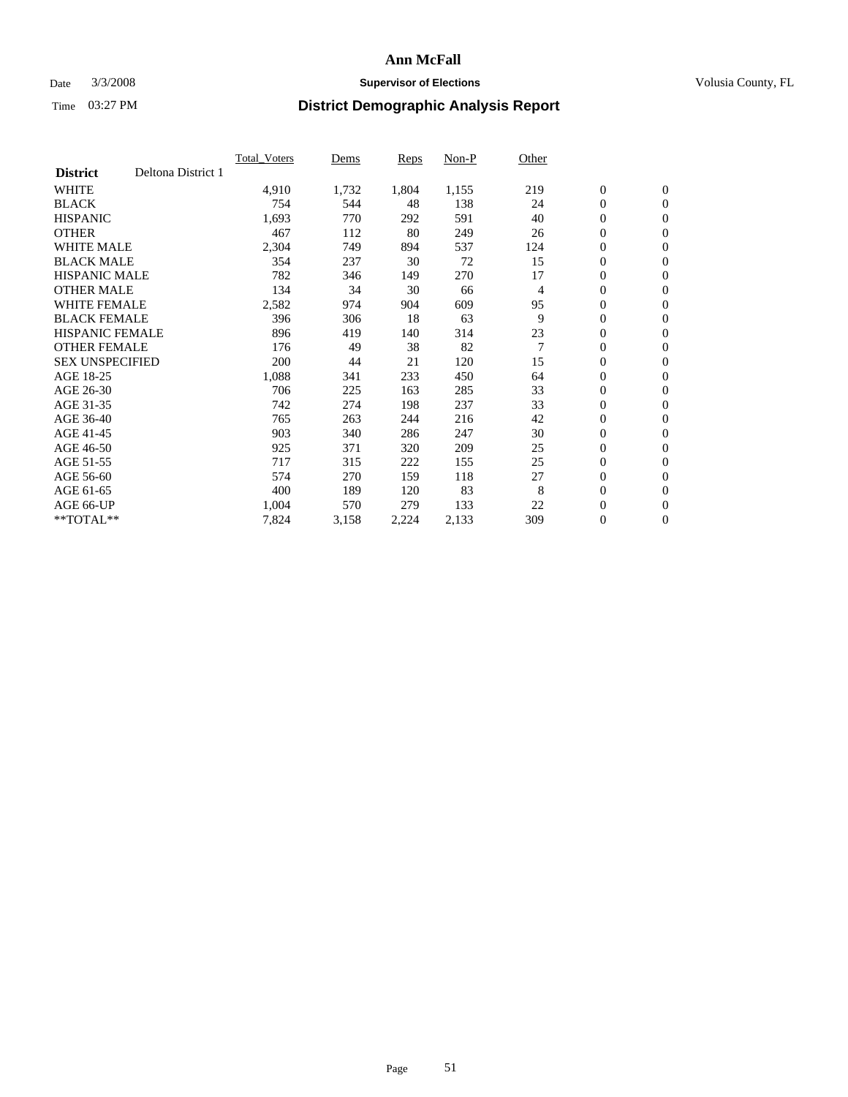### Date  $3/3/2008$  **Supervisor of Elections Supervisor of Elections** Volusia County, FL

| Deltona District 1<br><b>District</b><br><b>WHITE</b><br>1,732<br>1,804<br>219<br>$\boldsymbol{0}$<br>$\mathbf{0}$<br>4,910<br>1,155<br>$\mathbf{0}$<br><b>BLACK</b><br>754<br>138<br>$\mathbf{0}$<br>544<br>48<br>24<br><b>HISPANIC</b><br>1,693<br>591<br>40<br>$\boldsymbol{0}$<br>$\mathbf{0}$<br>770<br>292<br><b>OTHER</b><br>$\boldsymbol{0}$<br>467<br>112<br>80<br>249<br>26<br>$\mathbf{0}$<br>0<br><b>WHITE MALE</b><br>2,304<br>537<br>749<br>894<br>124<br>$\mathbf{0}$<br><b>BLACK MALE</b><br>354<br>72<br>0<br>237<br>30<br>15<br>$\mathbf{0}$<br><b>HISPANIC MALE</b><br>17<br>0<br>782<br>270<br>$\mathbf{0}$<br>346<br>149<br>$\mathbf{0}$<br><b>OTHER MALE</b><br>134<br>34<br>30<br>$\mathbf{0}$<br>66<br>4<br><b>WHITE FEMALE</b><br>2,582<br>609<br>95<br>0<br>$\mathbf{0}$<br>974<br>904<br><b>BLACK FEMALE</b><br>63<br>9<br>$\mathbf{0}$<br>396<br>306<br>18<br>$\mathbf{0}$<br><b>HISPANIC FEMALE</b><br>23<br>$\boldsymbol{0}$<br>896<br>314<br>419<br>140<br>$\mathbf{0}$<br>$\overline{7}$<br><b>OTHER FEMALE</b><br>38<br>82<br>0<br>176<br>49<br>$\mathbf{0}$<br><b>SEX UNSPECIFIED</b><br>$\boldsymbol{0}$<br>200<br>44<br>120<br>15<br>21<br>$\mathbf{0}$<br>AGE 18-25<br>1,088<br>233<br>450<br>0<br>$\mathbf{0}$<br>341<br>64<br>33<br>$\mathbf{0}$<br>706<br>$\mathbf{0}$<br>AGE 26-30<br>225<br>163<br>285<br>AGE 31-35<br>742<br>237<br>33<br>0<br>274<br>$\mathbf{0}$<br>198<br>AGE 36-40<br>42<br>0<br>765<br>263<br>244<br>216<br>$\mathbf{0}$<br>$\boldsymbol{0}$<br>247<br>30<br>AGE 41-45<br>903<br>340<br>$\mathbf{0}$<br>286 |
|-----------------------------------------------------------------------------------------------------------------------------------------------------------------------------------------------------------------------------------------------------------------------------------------------------------------------------------------------------------------------------------------------------------------------------------------------------------------------------------------------------------------------------------------------------------------------------------------------------------------------------------------------------------------------------------------------------------------------------------------------------------------------------------------------------------------------------------------------------------------------------------------------------------------------------------------------------------------------------------------------------------------------------------------------------------------------------------------------------------------------------------------------------------------------------------------------------------------------------------------------------------------------------------------------------------------------------------------------------------------------------------------------------------------------------------------------------------------------------------------------------------------------------------------------------------------------------|
|                                                                                                                                                                                                                                                                                                                                                                                                                                                                                                                                                                                                                                                                                                                                                                                                                                                                                                                                                                                                                                                                                                                                                                                                                                                                                                                                                                                                                                                                                                                                                                             |
|                                                                                                                                                                                                                                                                                                                                                                                                                                                                                                                                                                                                                                                                                                                                                                                                                                                                                                                                                                                                                                                                                                                                                                                                                                                                                                                                                                                                                                                                                                                                                                             |
|                                                                                                                                                                                                                                                                                                                                                                                                                                                                                                                                                                                                                                                                                                                                                                                                                                                                                                                                                                                                                                                                                                                                                                                                                                                                                                                                                                                                                                                                                                                                                                             |
|                                                                                                                                                                                                                                                                                                                                                                                                                                                                                                                                                                                                                                                                                                                                                                                                                                                                                                                                                                                                                                                                                                                                                                                                                                                                                                                                                                                                                                                                                                                                                                             |
|                                                                                                                                                                                                                                                                                                                                                                                                                                                                                                                                                                                                                                                                                                                                                                                                                                                                                                                                                                                                                                                                                                                                                                                                                                                                                                                                                                                                                                                                                                                                                                             |
|                                                                                                                                                                                                                                                                                                                                                                                                                                                                                                                                                                                                                                                                                                                                                                                                                                                                                                                                                                                                                                                                                                                                                                                                                                                                                                                                                                                                                                                                                                                                                                             |
|                                                                                                                                                                                                                                                                                                                                                                                                                                                                                                                                                                                                                                                                                                                                                                                                                                                                                                                                                                                                                                                                                                                                                                                                                                                                                                                                                                                                                                                                                                                                                                             |
|                                                                                                                                                                                                                                                                                                                                                                                                                                                                                                                                                                                                                                                                                                                                                                                                                                                                                                                                                                                                                                                                                                                                                                                                                                                                                                                                                                                                                                                                                                                                                                             |
|                                                                                                                                                                                                                                                                                                                                                                                                                                                                                                                                                                                                                                                                                                                                                                                                                                                                                                                                                                                                                                                                                                                                                                                                                                                                                                                                                                                                                                                                                                                                                                             |
|                                                                                                                                                                                                                                                                                                                                                                                                                                                                                                                                                                                                                                                                                                                                                                                                                                                                                                                                                                                                                                                                                                                                                                                                                                                                                                                                                                                                                                                                                                                                                                             |
|                                                                                                                                                                                                                                                                                                                                                                                                                                                                                                                                                                                                                                                                                                                                                                                                                                                                                                                                                                                                                                                                                                                                                                                                                                                                                                                                                                                                                                                                                                                                                                             |
|                                                                                                                                                                                                                                                                                                                                                                                                                                                                                                                                                                                                                                                                                                                                                                                                                                                                                                                                                                                                                                                                                                                                                                                                                                                                                                                                                                                                                                                                                                                                                                             |
|                                                                                                                                                                                                                                                                                                                                                                                                                                                                                                                                                                                                                                                                                                                                                                                                                                                                                                                                                                                                                                                                                                                                                                                                                                                                                                                                                                                                                                                                                                                                                                             |
|                                                                                                                                                                                                                                                                                                                                                                                                                                                                                                                                                                                                                                                                                                                                                                                                                                                                                                                                                                                                                                                                                                                                                                                                                                                                                                                                                                                                                                                                                                                                                                             |
|                                                                                                                                                                                                                                                                                                                                                                                                                                                                                                                                                                                                                                                                                                                                                                                                                                                                                                                                                                                                                                                                                                                                                                                                                                                                                                                                                                                                                                                                                                                                                                             |
|                                                                                                                                                                                                                                                                                                                                                                                                                                                                                                                                                                                                                                                                                                                                                                                                                                                                                                                                                                                                                                                                                                                                                                                                                                                                                                                                                                                                                                                                                                                                                                             |
|                                                                                                                                                                                                                                                                                                                                                                                                                                                                                                                                                                                                                                                                                                                                                                                                                                                                                                                                                                                                                                                                                                                                                                                                                                                                                                                                                                                                                                                                                                                                                                             |
|                                                                                                                                                                                                                                                                                                                                                                                                                                                                                                                                                                                                                                                                                                                                                                                                                                                                                                                                                                                                                                                                                                                                                                                                                                                                                                                                                                                                                                                                                                                                                                             |
|                                                                                                                                                                                                                                                                                                                                                                                                                                                                                                                                                                                                                                                                                                                                                                                                                                                                                                                                                                                                                                                                                                                                                                                                                                                                                                                                                                                                                                                                                                                                                                             |
| 25<br>0<br>AGE 46-50<br>925<br>371<br>320<br>209<br>$\mathbf{0}$                                                                                                                                                                                                                                                                                                                                                                                                                                                                                                                                                                                                                                                                                                                                                                                                                                                                                                                                                                                                                                                                                                                                                                                                                                                                                                                                                                                                                                                                                                            |
| 25<br>$\boldsymbol{0}$<br>AGE 51-55<br>717<br>315<br>222<br>155<br>$\boldsymbol{0}$                                                                                                                                                                                                                                                                                                                                                                                                                                                                                                                                                                                                                                                                                                                                                                                                                                                                                                                                                                                                                                                                                                                                                                                                                                                                                                                                                                                                                                                                                         |
| AGE 56-60<br>118<br>27<br>$\mathbf{0}$<br>574<br>270<br>159<br>$\mathbf{0}$                                                                                                                                                                                                                                                                                                                                                                                                                                                                                                                                                                                                                                                                                                                                                                                                                                                                                                                                                                                                                                                                                                                                                                                                                                                                                                                                                                                                                                                                                                 |
| 83<br>8<br>$\mathbf{0}$<br>AGE 61-65<br>400<br>$\mathbf{0}$<br>189<br>120                                                                                                                                                                                                                                                                                                                                                                                                                                                                                                                                                                                                                                                                                                                                                                                                                                                                                                                                                                                                                                                                                                                                                                                                                                                                                                                                                                                                                                                                                                   |
| AGE 66-UP<br>133<br>22<br>$\boldsymbol{0}$<br>1,004<br>570<br>279<br>$\boldsymbol{0}$                                                                                                                                                                                                                                                                                                                                                                                                                                                                                                                                                                                                                                                                                                                                                                                                                                                                                                                                                                                                                                                                                                                                                                                                                                                                                                                                                                                                                                                                                       |
| 0<br>$*$ TOTAL $**$<br>7,824<br>309<br>$\overline{0}$<br>3,158<br>2,224<br>2,133                                                                                                                                                                                                                                                                                                                                                                                                                                                                                                                                                                                                                                                                                                                                                                                                                                                                                                                                                                                                                                                                                                                                                                                                                                                                                                                                                                                                                                                                                            |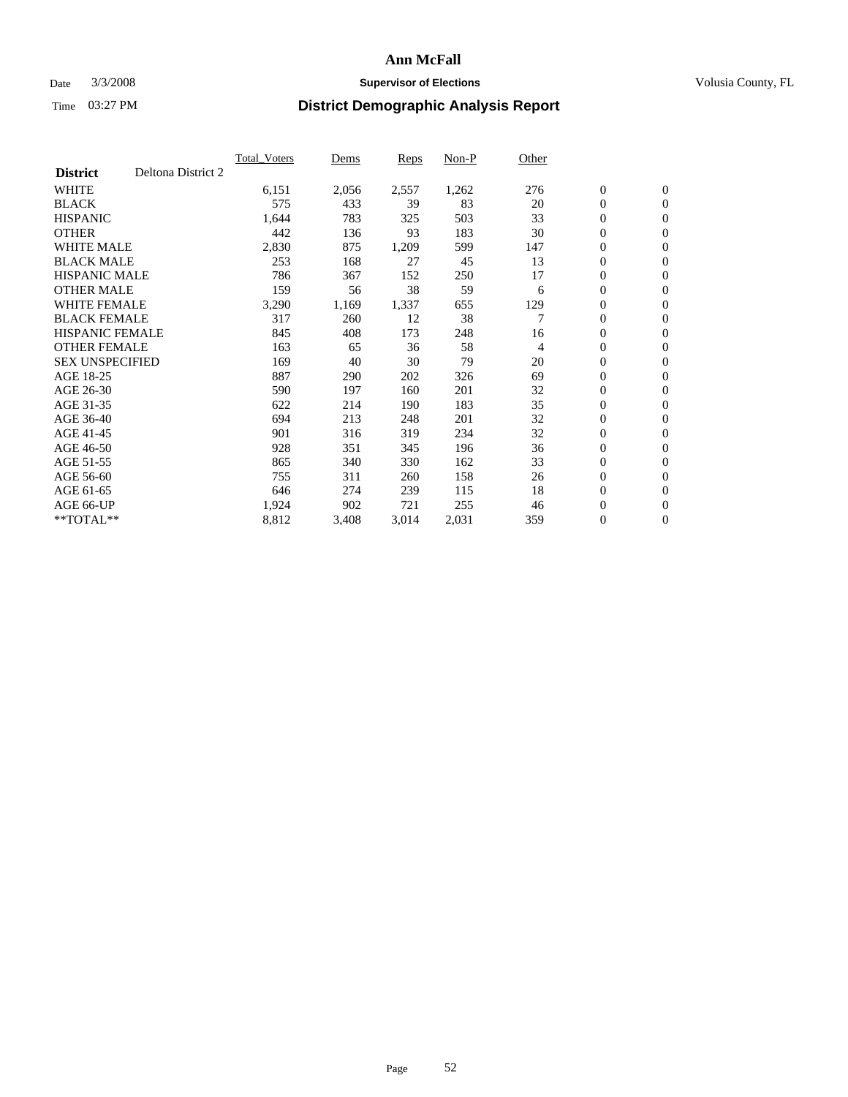### Date  $3/3/2008$  **Supervisor of Elections Supervisor of Elections** Volusia County, FL

|                        |                    | <b>Total Voters</b> | Dems  | Reps  | Non-P | Other |                  |                  |
|------------------------|--------------------|---------------------|-------|-------|-------|-------|------------------|------------------|
| <b>District</b>        | Deltona District 2 |                     |       |       |       |       |                  |                  |
| <b>WHITE</b>           |                    | 6,151               | 2,056 | 2,557 | 1,262 | 276   | $\boldsymbol{0}$ | $\mathbf{0}$     |
| <b>BLACK</b>           |                    | 575                 | 433   | 39    | 83    | 20    | $\mathbf{0}$     | $\mathbf{0}$     |
| <b>HISPANIC</b>        |                    | 1,644               | 783   | 325   | 503   | 33    | 0                | $\mathbf{0}$     |
| <b>OTHER</b>           |                    | 442                 | 136   | 93    | 183   | 30    | 0                | $\mathbf{0}$     |
| <b>WHITE MALE</b>      |                    | 2,830               | 875   | 1,209 | 599   | 147   | 0                | $\mathbf{0}$     |
| <b>BLACK MALE</b>      |                    | 253                 | 168   | 27    | 45    | 13    | 0                | $\boldsymbol{0}$ |
| <b>HISPANIC MALE</b>   |                    | 786                 | 367   | 152   | 250   | 17    | 0                | $\mathbf{0}$     |
| <b>OTHER MALE</b>      |                    | 159                 | 56    | 38    | 59    | 6     | $\mathbf{0}$     | $\mathbf{0}$     |
| <b>WHITE FEMALE</b>    |                    | 3,290               | 1,169 | 1,337 | 655   | 129   | 0                | $\mathbf{0}$     |
| <b>BLACK FEMALE</b>    |                    | 317                 | 260   | 12    | 38    | 7     | $\mathbf{0}$     | $\mathbf{0}$     |
| <b>HISPANIC FEMALE</b> |                    | 845                 | 408   | 173   | 248   | 16    | 0                | $\boldsymbol{0}$ |
| <b>OTHER FEMALE</b>    |                    | 163                 | 65    | 36    | 58    | 4     | 0                | $\mathbf{0}$     |
| <b>SEX UNSPECIFIED</b> |                    | 169                 | 40    | 30    | 79    | 20    | $\boldsymbol{0}$ | $\mathbf{0}$     |
| AGE 18-25              |                    | 887                 | 290   | 202   | 326   | 69    | 0                | $\mathbf{0}$     |
| AGE 26-30              |                    | 590                 | 197   | 160   | 201   | 32    | $\mathbf{0}$     | $\mathbf{0}$     |
| AGE 31-35              |                    | 622                 | 214   | 190   | 183   | 35    | 0                | $\mathbf{0}$     |
| AGE 36-40              |                    | 694                 | 213   | 248   | 201   | 32    | 0                | $\mathbf{0}$     |
| AGE 41-45              |                    | 901                 | 316   | 319   | 234   | 32    | 0                | $\mathbf{0}$     |
| AGE 46-50              |                    | 928                 | 351   | 345   | 196   | 36    | 0                | $\mathbf{0}$     |
| AGE 51-55              |                    | 865                 | 340   | 330   | 162   | 33    | $\boldsymbol{0}$ | $\boldsymbol{0}$ |
| AGE 56-60              |                    | 755                 | 311   | 260   | 158   | 26    | 0                | $\mathbf{0}$     |
| AGE 61-65              |                    | 646                 | 274   | 239   | 115   | 18    | $\mathbf{0}$     | $\mathbf{0}$     |
| AGE 66-UP              |                    | 1,924               | 902   | 721   | 255   | 46    | $\boldsymbol{0}$ | $\boldsymbol{0}$ |
| $*$ TOTAL $**$         |                    | 8,812               | 3,408 | 3,014 | 2,031 | 359   | 0                | $\overline{0}$   |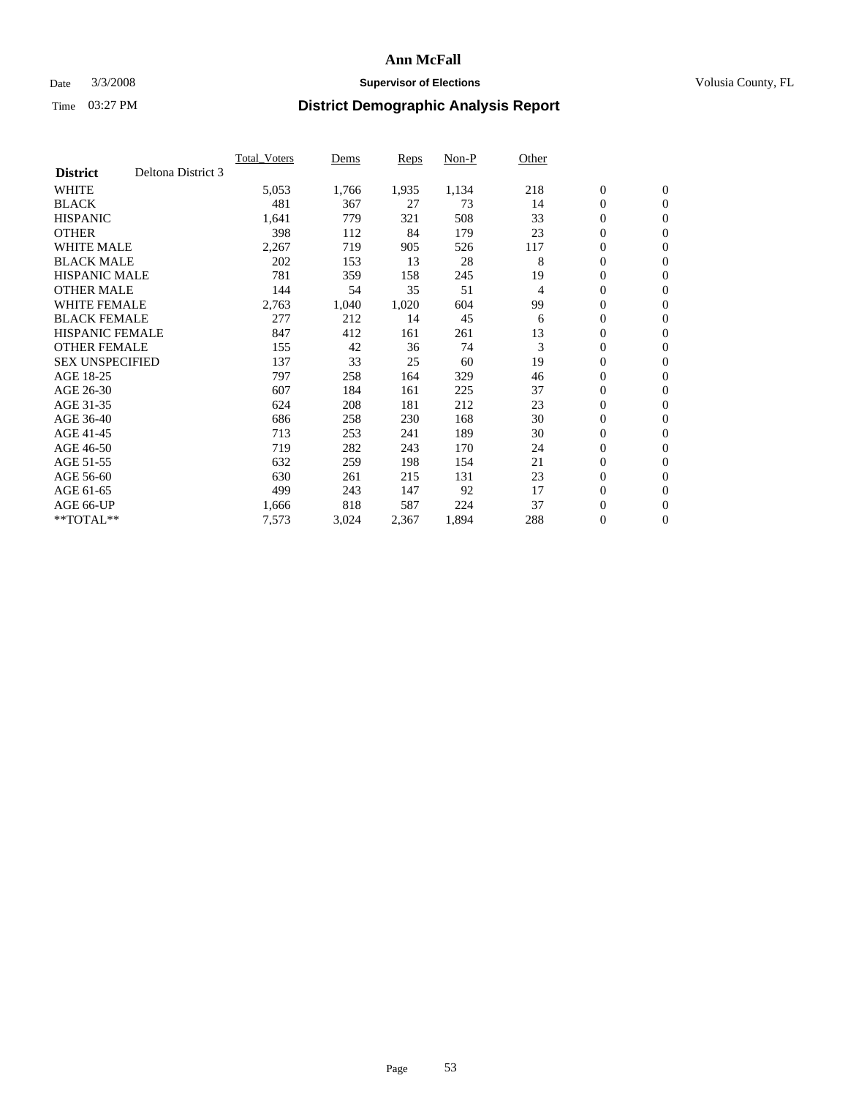#### Date  $3/3/2008$  **Supervisor of Elections** Volusia County, FL

|                        |                    | <b>Total Voters</b> | Dems  | Reps  | Non-P | Other |                  |                  |  |
|------------------------|--------------------|---------------------|-------|-------|-------|-------|------------------|------------------|--|
| <b>District</b>        | Deltona District 3 |                     |       |       |       |       |                  |                  |  |
| <b>WHITE</b>           |                    | 5,053               | 1,766 | 1,935 | 1,134 | 218   | $\boldsymbol{0}$ | $\mathbf{0}$     |  |
| <b>BLACK</b>           |                    | 481                 | 367   | 27    | 73    | 14    | $\mathbf{0}$     | $\mathbf{0}$     |  |
| <b>HISPANIC</b>        |                    | 1,641               | 779   | 321   | 508   | 33    | 0                | $\mathbf{0}$     |  |
| <b>OTHER</b>           |                    | 398                 | 112   | 84    | 179   | 23    | 0                | $\mathbf{0}$     |  |
| <b>WHITE MALE</b>      |                    | 2,267               | 719   | 905   | 526   | 117   | 0                | $\mathbf{0}$     |  |
| <b>BLACK MALE</b>      |                    | 202                 | 153   | 13    | 28    | 8     | $\boldsymbol{0}$ | $\boldsymbol{0}$ |  |
| <b>HISPANIC MALE</b>   |                    | 781                 | 359   | 158   | 245   | 19    | 0                | $\mathbf{0}$     |  |
| <b>OTHER MALE</b>      |                    | 144                 | 54    | 35    | 51    | 4     | $\mathbf{0}$     | $\mathbf{0}$     |  |
| <b>WHITE FEMALE</b>    |                    | 2,763               | 1,040 | 1,020 | 604   | 99    | 0                | $\mathbf{0}$     |  |
| <b>BLACK FEMALE</b>    |                    | 277                 | 212   | 14    | 45    | 6     | $\boldsymbol{0}$ | $\mathbf{0}$     |  |
| <b>HISPANIC FEMALE</b> |                    | 847                 | 412   | 161   | 261   | 13    | $\boldsymbol{0}$ | $\boldsymbol{0}$ |  |
| <b>OTHER FEMALE</b>    |                    | 155                 | 42    | 36    | 74    | 3     | 0                | $\mathbf{0}$     |  |
| <b>SEX UNSPECIFIED</b> |                    | 137                 | 33    | 25    | 60    | 19    | 0                | $\mathbf{0}$     |  |
| AGE 18-25              |                    | 797                 | 258   | 164   | 329   | 46    | 0                | $\mathbf{0}$     |  |
| AGE 26-30              |                    | 607                 | 184   | 161   | 225   | 37    | $\mathbf{0}$     | $\mathbf{0}$     |  |
| AGE 31-35              |                    | 624                 | 208   | 181   | 212   | 23    | 0                | $\mathbf{0}$     |  |
| AGE 36-40              |                    | 686                 | 258   | 230   | 168   | 30    | 0                | $\mathbf{0}$     |  |
| AGE 41-45              |                    | 713                 | 253   | 241   | 189   | 30    | 0                | $\mathbf{0}$     |  |
| AGE 46-50              |                    | 719                 | 282   | 243   | 170   | 24    | 0                | $\mathbf{0}$     |  |
| AGE 51-55              |                    | 632                 | 259   | 198   | 154   | 21    | $\boldsymbol{0}$ | $\boldsymbol{0}$ |  |
| AGE 56-60              |                    | 630                 | 261   | 215   | 131   | 23    | 0                | $\mathbf{0}$     |  |
| AGE 61-65              |                    | 499                 | 243   | 147   | 92    | 17    | $\mathbf{0}$     | $\mathbf{0}$     |  |
| AGE 66-UP              |                    | 1,666               | 818   | 587   | 224   | 37    | $\boldsymbol{0}$ | $\boldsymbol{0}$ |  |
| $*$ TOTAL $**$         |                    | 7,573               | 3,024 | 2,367 | 1,894 | 288   | 0                | $\overline{0}$   |  |
|                        |                    |                     |       |       |       |       |                  |                  |  |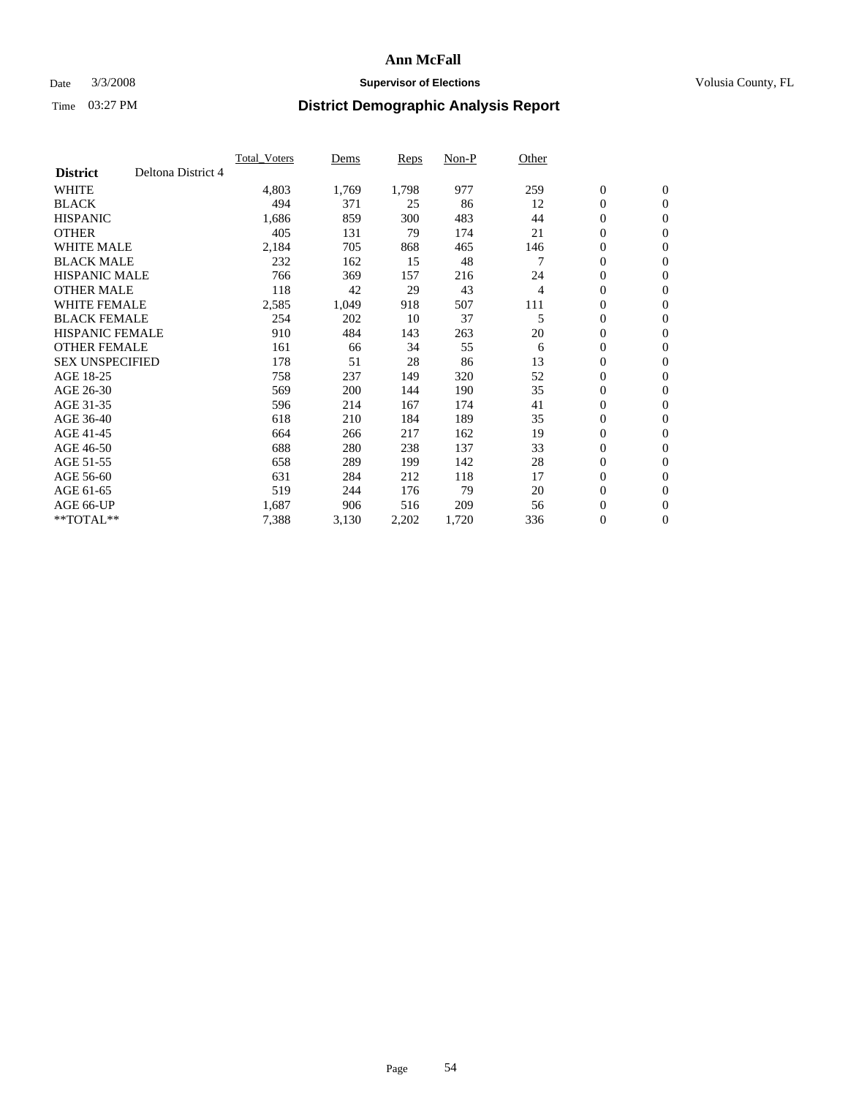### Date  $3/3/2008$  **Supervisor of Elections Supervisor of Elections** Volusia County, FL

|                        |                    | <b>Total Voters</b> | Dems  | Reps  | Non-P | Other |                  |                  |  |
|------------------------|--------------------|---------------------|-------|-------|-------|-------|------------------|------------------|--|
| <b>District</b>        | Deltona District 4 |                     |       |       |       |       |                  |                  |  |
| <b>WHITE</b>           |                    | 4,803               | 1,769 | 1,798 | 977   | 259   | $\boldsymbol{0}$ | $\boldsymbol{0}$ |  |
| <b>BLACK</b>           |                    | 494                 | 371   | 25    | 86    | 12    | $\mathbf{0}$     | $\mathbf{0}$     |  |
| <b>HISPANIC</b>        |                    | 1,686               | 859   | 300   | 483   | 44    | $\mathbf{0}$     | $\mathbf{0}$     |  |
| <b>OTHER</b>           |                    | 405                 | 131   | 79    | 174   | 21    | 0                | $\mathbf{0}$     |  |
| <b>WHITE MALE</b>      |                    | 2,184               | 705   | 868   | 465   | 146   | 0                | $\mathbf{0}$     |  |
| <b>BLACK MALE</b>      |                    | 232                 | 162   | 15    | 48    |       | 0                | $\boldsymbol{0}$ |  |
| <b>HISPANIC MALE</b>   |                    | 766                 | 369   | 157   | 216   | 24    | 0                | $\mathbf{0}$     |  |
| <b>OTHER MALE</b>      |                    | 118                 | 42    | 29    | 43    | 4     | 0                | $\boldsymbol{0}$ |  |
| <b>WHITE FEMALE</b>    |                    | 2,585               | 1,049 | 918   | 507   | 111   | 0                | $\mathbf{0}$     |  |
| <b>BLACK FEMALE</b>    |                    | 254                 | 202   | 10    | 37    | 5     | $\mathbf{0}$     | $\mathbf{0}$     |  |
| <b>HISPANIC FEMALE</b> |                    | 910                 | 484   | 143   | 263   | 20    | $\overline{0}$   | $\mathbf{0}$     |  |
| <b>OTHER FEMALE</b>    |                    | 161                 | 66    | 34    | 55    | 6     | $\overline{0}$   | $\mathbf{0}$     |  |
| <b>SEX UNSPECIFIED</b> |                    | 178                 | 51    | 28    | 86    | 13    | $\boldsymbol{0}$ | $\boldsymbol{0}$ |  |
| AGE 18-25              |                    | 758                 | 237   | 149   | 320   | 52    | 0                | $\mathbf{0}$     |  |
| AGE 26-30              |                    | 569                 | 200   | 144   | 190   | 35    | 0                | $\mathbf{0}$     |  |
| AGE 31-35              |                    | 596                 | 214   | 167   | 174   | 41    | 0                | $\mathbf{0}$     |  |
| AGE 36-40              |                    | 618                 | 210   | 184   | 189   | 35    | $\boldsymbol{0}$ | $\mathbf{0}$     |  |
| AGE 41-45              |                    | 664                 | 266   | 217   | 162   | 19    | 0                | $\mathbf{0}$     |  |
| AGE 46-50              |                    | 688                 | 280   | 238   | 137   | 33    | $\mathbf{0}$     | $\mathbf{0}$     |  |
| AGE 51-55              |                    | 658                 | 289   | 199   | 142   | 28    | $\overline{0}$   | $\mathbf{0}$     |  |
| AGE 56-60              |                    | 631                 | 284   | 212   | 118   | 17    | 0                | $\mathbf{0}$     |  |
| AGE 61-65              |                    | 519                 | 244   | 176   | 79    | 20    | 0                | $\boldsymbol{0}$ |  |
| AGE 66-UP              |                    | 1,687               | 906   | 516   | 209   | 56    | 0                | 0                |  |
| $*$ TOTAL $**$         |                    | 7,388               | 3,130 | 2,202 | 1,720 | 336   | 0                | $\boldsymbol{0}$ |  |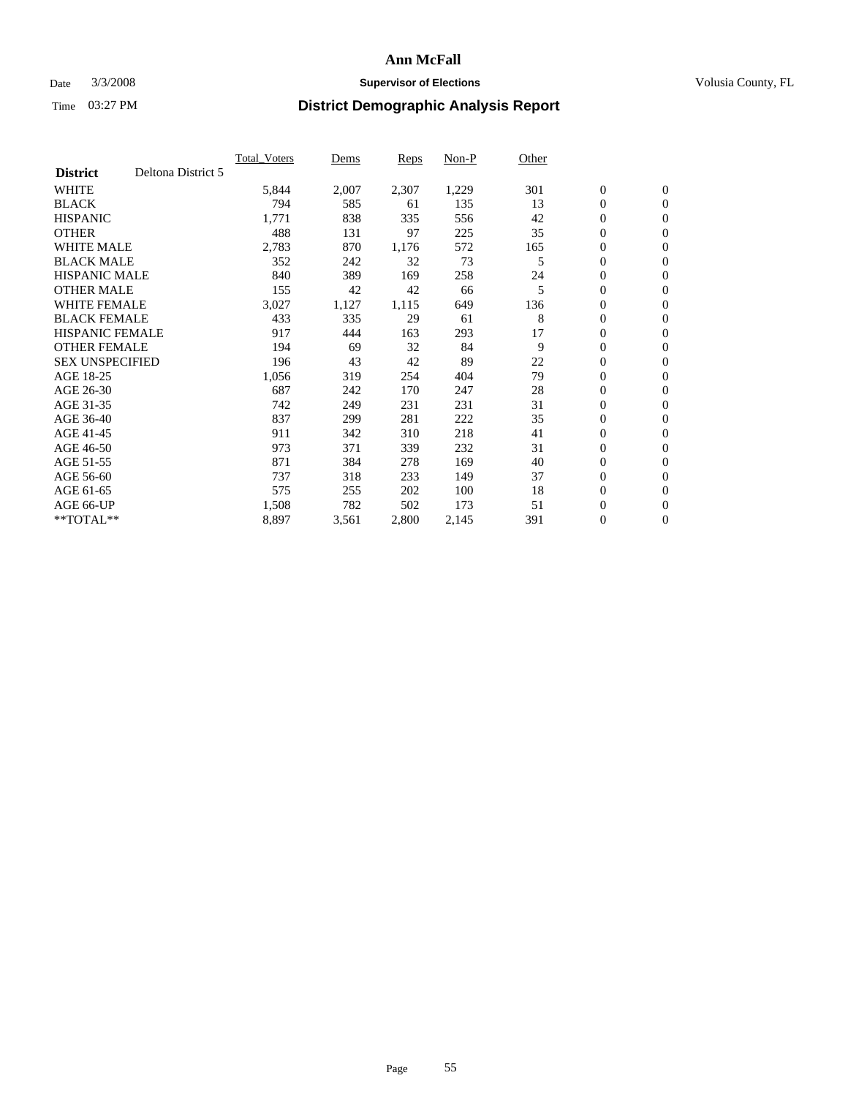### Date  $3/3/2008$  **Supervisor of Elections Supervisor of Elections** Volusia County, FL

|                        |                    | <b>Total Voters</b> | Dems  | Reps  | Non-P | Other |                  |                  |  |
|------------------------|--------------------|---------------------|-------|-------|-------|-------|------------------|------------------|--|
| <b>District</b>        | Deltona District 5 |                     |       |       |       |       |                  |                  |  |
| <b>WHITE</b>           |                    | 5,844               | 2,007 | 2,307 | 1,229 | 301   | $\boldsymbol{0}$ | $\boldsymbol{0}$ |  |
| <b>BLACK</b>           |                    | 794                 | 585   | 61    | 135   | 13    | $\mathbf{0}$     | $\mathbf{0}$     |  |
| <b>HISPANIC</b>        |                    | 1,771               | 838   | 335   | 556   | 42    | $\mathbf{0}$     | $\mathbf{0}$     |  |
| <b>OTHER</b>           |                    | 488                 | 131   | 97    | 225   | 35    | 0                | $\mathbf{0}$     |  |
| <b>WHITE MALE</b>      |                    | 2,783               | 870   | 1,176 | 572   | 165   | 0                | $\mathbf{0}$     |  |
| <b>BLACK MALE</b>      |                    | 352                 | 242   | 32    | 73    | 5     | $\boldsymbol{0}$ | $\boldsymbol{0}$ |  |
| <b>HISPANIC MALE</b>   |                    | 840                 | 389   | 169   | 258   | 24    | 0                | $\mathbf{0}$     |  |
| <b>OTHER MALE</b>      |                    | 155                 | 42    | 42    | 66    | 5     | 0                | $\boldsymbol{0}$ |  |
| <b>WHITE FEMALE</b>    |                    | 3,027               | 1,127 | 1,115 | 649   | 136   | 0                | $\mathbf{0}$     |  |
| <b>BLACK FEMALE</b>    |                    | 433                 | 335   | 29    | 61    | 8     | $\mathbf{0}$     | $\mathbf{0}$     |  |
| <b>HISPANIC FEMALE</b> |                    | 917                 | 444   | 163   | 293   | 17    | 0                | $\mathbf{0}$     |  |
| <b>OTHER FEMALE</b>    |                    | 194                 | 69    | 32    | 84    | 9     | $\overline{0}$   | $\mathbf{0}$     |  |
| <b>SEX UNSPECIFIED</b> |                    | 196                 | 43    | 42    | 89    | 22    | $\boldsymbol{0}$ | $\boldsymbol{0}$ |  |
| AGE 18-25              |                    | 1,056               | 319   | 254   | 404   | 79    | 0                | $\mathbf{0}$     |  |
| AGE 26-30              |                    | 687                 | 242   | 170   | 247   | 28    | 0                | $\mathbf{0}$     |  |
| AGE 31-35              |                    | 742                 | 249   | 231   | 231   | 31    | 0                | $\mathbf{0}$     |  |
| AGE 36-40              |                    | 837                 | 299   | 281   | 222   | 35    | $\boldsymbol{0}$ | $\mathbf{0}$     |  |
| AGE 41-45              |                    | 911                 | 342   | 310   | 218   | 41    | 0                | $\mathbf{0}$     |  |
| AGE 46-50              |                    | 973                 | 371   | 339   | 232   | 31    | $\mathbf{0}$     | $\mathbf{0}$     |  |
| AGE 51-55              |                    | 871                 | 384   | 278   | 169   | 40    | $\overline{0}$   | $\mathbf{0}$     |  |
| AGE 56-60              |                    | 737                 | 318   | 233   | 149   | 37    | 0                | $\mathbf{0}$     |  |
| AGE 61-65              |                    | 575                 | 255   | 202   | 100   | 18    | 0                | $\boldsymbol{0}$ |  |
| AGE 66-UP              |                    | 1,508               | 782   | 502   | 173   | 51    | 0                | 0                |  |
| $*$ TOTAL $**$         |                    | 8,897               | 3,561 | 2,800 | 2,145 | 391   | 0                | $\boldsymbol{0}$ |  |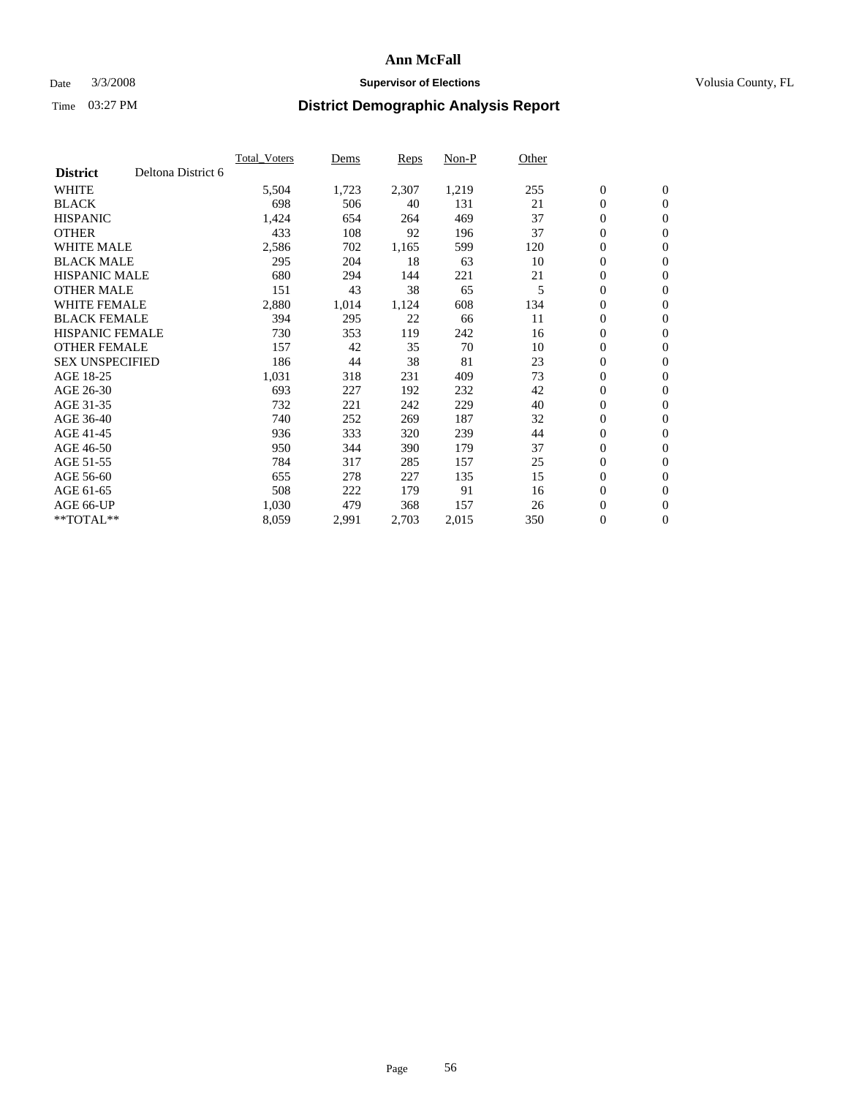### Date  $3/3/2008$  **Supervisor of Elections Supervisor of Elections** Volusia County, FL

|                        |                    | <b>Total Voters</b> | Dems  | Reps  | Non-P | Other |                  |                  |  |
|------------------------|--------------------|---------------------|-------|-------|-------|-------|------------------|------------------|--|
| <b>District</b>        | Deltona District 6 |                     |       |       |       |       |                  |                  |  |
| <b>WHITE</b>           |                    | 5,504               | 1,723 | 2,307 | 1,219 | 255   | $\boldsymbol{0}$ | $\mathbf{0}$     |  |
| <b>BLACK</b>           |                    | 698                 | 506   | 40    | 131   | 21    | $\mathbf{0}$     | $\mathbf{0}$     |  |
| <b>HISPANIC</b>        |                    | 1,424               | 654   | 264   | 469   | 37    | 0                | $\mathbf{0}$     |  |
| <b>OTHER</b>           |                    | 433                 | 108   | 92    | 196   | 37    | $\boldsymbol{0}$ | $\mathbf{0}$     |  |
| <b>WHITE MALE</b>      |                    | 2,586               | 702   | 1,165 | 599   | 120   | 0                | $\mathbf{0}$     |  |
| <b>BLACK MALE</b>      |                    | 295                 | 204   | 18    | 63    | 10    | $\boldsymbol{0}$ | $\boldsymbol{0}$ |  |
| <b>HISPANIC MALE</b>   |                    | 680                 | 294   | 144   | 221   | 21    | 0                | $\mathbf{0}$     |  |
| <b>OTHER MALE</b>      |                    | 151                 | 43    | 38    | 65    | 5     | $\mathbf{0}$     | $\mathbf{0}$     |  |
| <b>WHITE FEMALE</b>    |                    | 2,880               | 1,014 | 1,124 | 608   | 134   | 0                | $\mathbf{0}$     |  |
| <b>BLACK FEMALE</b>    |                    | 394                 | 295   | 22    | 66    | 11    | $\boldsymbol{0}$ | $\mathbf{0}$     |  |
| <b>HISPANIC FEMALE</b> |                    | 730                 | 353   | 119   | 242   | 16    | $\boldsymbol{0}$ | $\boldsymbol{0}$ |  |
| <b>OTHER FEMALE</b>    |                    | 157                 | 42    | 35    | 70    | 10    | 0                | $\mathbf{0}$     |  |
| <b>SEX UNSPECIFIED</b> |                    | 186                 | 44    | 38    | 81    | 23    | $\boldsymbol{0}$ | $\mathbf{0}$     |  |
| AGE 18-25              |                    | 1,031               | 318   | 231   | 409   | 73    | 0                | $\mathbf{0}$     |  |
| AGE 26-30              |                    | 693                 | 227   | 192   | 232   | 42    | $\mathbf{0}$     | $\mathbf{0}$     |  |
| AGE 31-35              |                    | 732                 | 221   | 242   | 229   | 40    | $\boldsymbol{0}$ | $\mathbf{0}$     |  |
| AGE 36-40              |                    | 740                 | 252   | 269   | 187   | 32    | 0                | $\boldsymbol{0}$ |  |
| AGE 41-45              |                    | 936                 | 333   | 320   | 239   | 44    | 0                | $\mathbf{0}$     |  |
| AGE 46-50              |                    | 950                 | 344   | 390   | 179   | 37    | 0                | $\mathbf{0}$     |  |
| AGE 51-55              |                    | 784                 | 317   | 285   | 157   | 25    | $\boldsymbol{0}$ | $\boldsymbol{0}$ |  |
| AGE 56-60              |                    | 655                 | 278   | 227   | 135   | 15    | $\mathbf{0}$     | $\mathbf{0}$     |  |
| AGE 61-65              |                    | 508                 | 222   | 179   | 91    | 16    | $\mathbf{0}$     | $\mathbf{0}$     |  |
| AGE 66-UP              |                    | 1,030               | 479   | 368   | 157   | 26    | $\boldsymbol{0}$ | $\boldsymbol{0}$ |  |
| $*$ TOTAL $**$         |                    | 8,059               | 2,991 | 2,703 | 2,015 | 350   | 0                | $\overline{0}$   |  |
|                        |                    |                     |       |       |       |       |                  |                  |  |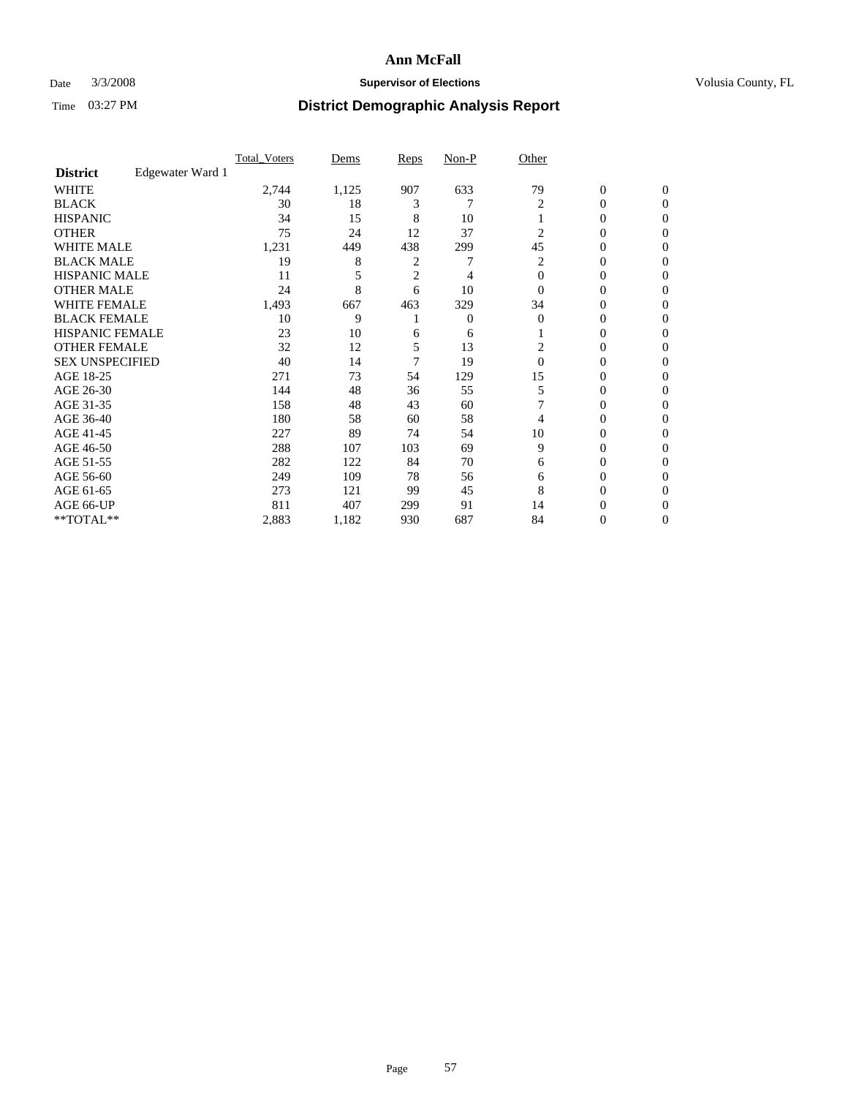### Date  $3/3/2008$  **Supervisor of Elections Supervisor of Elections** Volusia County, FL

|                        |                  | <b>Total Voters</b> | Dems  | Reps | Non-P | Other    |                  |              |  |
|------------------------|------------------|---------------------|-------|------|-------|----------|------------------|--------------|--|
| <b>District</b>        | Edgewater Ward 1 |                     |       |      |       |          |                  |              |  |
| <b>WHITE</b>           |                  | 2,744               | 1,125 | 907  | 633   | 79       | $\boldsymbol{0}$ | $\mathbf{0}$ |  |
| <b>BLACK</b>           |                  | 30                  | 18    | 3    |       | 2        | 0                | $\mathbf{0}$ |  |
| <b>HISPANIC</b>        |                  | 34                  | 15    | 8    | 10    |          | 0                | $\mathbf{0}$ |  |
| <b>OTHER</b>           |                  | 75                  | 24    | 12   | 37    | 2        | $\overline{0}$   | $\theta$     |  |
| <b>WHITE MALE</b>      |                  | 1,231               | 449   | 438  | 299   | 45       | 0                | $\theta$     |  |
| <b>BLACK MALE</b>      |                  | 19                  | 8     | 2    | 7     | 2        | 0                | 0            |  |
| <b>HISPANIC MALE</b>   |                  | 11                  |       | 2    | 4     | $\Omega$ | 0                | 0            |  |
| <b>OTHER MALE</b>      |                  | 24                  | 8     | 6    | 10    | $\Omega$ | 0                | 0            |  |
| WHITE FEMALE           |                  | 1,493               | 667   | 463  | 329   | 34       | 0                | 0            |  |
| <b>BLACK FEMALE</b>    |                  | 10                  | 9     |      | 0     | $\Omega$ | 0                | 0            |  |
| <b>HISPANIC FEMALE</b> |                  | 23                  | 10    | 6    | 6     |          | 0                | $\Omega$     |  |
| <b>OTHER FEMALE</b>    |                  | 32                  | 12    | 5    | 13    | 2        | 0                | $\theta$     |  |
| <b>SEX UNSPECIFIED</b> |                  | 40                  | 14    |      | 19    | $\Omega$ | 0                | $\theta$     |  |
| AGE 18-25              |                  | 271                 | 73    | 54   | 129   | 15       | 0                | 0            |  |
| AGE 26-30              |                  | 144                 | 48    | 36   | 55    | 5        | 0                | 0            |  |
| AGE 31-35              |                  | 158                 | 48    | 43   | 60    |          | 0                | 0            |  |
| AGE 36-40              |                  | 180                 | 58    | 60   | 58    | 4        | 0                | 0            |  |
| AGE 41-45              |                  | 227                 | 89    | 74   | 54    | 10       | 0                | 0            |  |
| AGE 46-50              |                  | 288                 | 107   | 103  | 69    | 9        | 0                | $\mathbf{0}$ |  |
| AGE 51-55              |                  | 282                 | 122   | 84   | 70    | 6        | 0                | $\Omega$     |  |
| AGE 56-60              |                  | 249                 | 109   | 78   | 56    | 6        | 0                | $\theta$     |  |
| AGE 61-65              |                  | 273                 | 121   | 99   | 45    | 8        | 0                | 0            |  |
| AGE 66-UP              |                  | 811                 | 407   | 299  | 91    | 14       | 0                |              |  |
| **TOTAL**              |                  | 2,883               | 1,182 | 930  | 687   | 84       | 0                | $\mathbf{0}$ |  |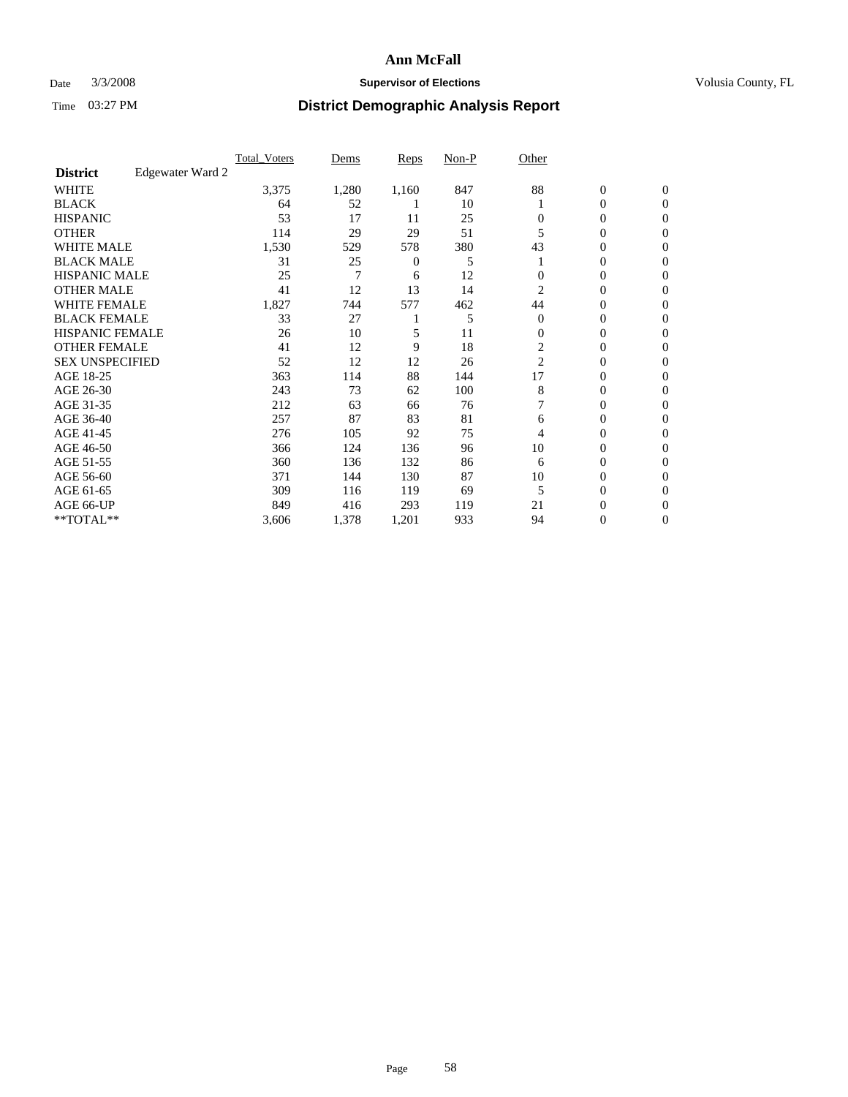### Date  $3/3/2008$  **Supervisor of Elections Supervisor of Elections** Volusia County, FL

|                        |                  | <b>Total Voters</b> | Dems  | Reps           | Non-P | Other          |                  |                  |  |
|------------------------|------------------|---------------------|-------|----------------|-------|----------------|------------------|------------------|--|
| <b>District</b>        | Edgewater Ward 2 |                     |       |                |       |                |                  |                  |  |
| <b>WHITE</b>           |                  | 3,375               | 1,280 | 1,160          | 847   | 88             | $\boldsymbol{0}$ | $\mathbf{0}$     |  |
| <b>BLACK</b>           |                  | 64                  | 52    |                | 10    |                | 0                | $\mathbf{0}$     |  |
| <b>HISPANIC</b>        |                  | 53                  | 17    | 11             | 25    | 0              | 0                | $\mathbf{0}$     |  |
| <b>OTHER</b>           |                  | 114                 | 29    | 29             | 51    |                | 0                | $\boldsymbol{0}$ |  |
| <b>WHITE MALE</b>      |                  | 1,530               | 529   | 578            | 380   | 43             | 0                | $\theta$         |  |
| <b>BLACK MALE</b>      |                  | 31                  | 25    | $\overline{0}$ | 5     |                | 0                | $\Omega$         |  |
| <b>HISPANIC MALE</b>   |                  | 25                  | 7     | 6              | 12    |                | 0                | 0                |  |
| <b>OTHER MALE</b>      |                  | 41                  | 12    | 13             | 14    | 2              | 0                | 0                |  |
| WHITE FEMALE           |                  | 1,827               | 744   | 577            | 462   | 44             | 0                | 0                |  |
| <b>BLACK FEMALE</b>    |                  | 33                  | 27    |                | 5     | $\Omega$       | 0                | $\mathbf{0}$     |  |
| <b>HISPANIC FEMALE</b> |                  | 26                  | 10    | 5              | 11    | $\Omega$       | 0                | $\Omega$         |  |
| <b>OTHER FEMALE</b>    |                  | 41                  | 12    | 9              | 18    | $\overline{c}$ | 0                | $\boldsymbol{0}$ |  |
| <b>SEX UNSPECIFIED</b> |                  | 52                  | 12    | 12             | 26    | 2              | 0                | $\Omega$         |  |
| AGE 18-25              |                  | 363                 | 114   | 88             | 144   | 17             | 0                | 0                |  |
| AGE 26-30              |                  | 243                 | 73    | 62             | 100   | 8              | 0                | $\Omega$         |  |
| AGE 31-35              |                  | 212                 | 63    | 66             | 76    |                | 0                | 0                |  |
| AGE 36-40              |                  | 257                 | 87    | 83             | 81    | 6              | 0                | $\mathbf{0}$     |  |
| AGE 41-45              |                  | 276                 | 105   | 92             | 75    | 4              | 0                | 0                |  |
| AGE 46-50              |                  | 366                 | 124   | 136            | 96    | 10             | 0                | $\mathbf{0}$     |  |
| AGE 51-55              |                  | 360                 | 136   | 132            | 86    | 6              | 0                | $\Omega$         |  |
| AGE 56-60              |                  | 371                 | 144   | 130            | 87    | 10             | 0                | $\theta$         |  |
| AGE 61-65              |                  | 309                 | 116   | 119            | 69    | 5              | 0                | 0                |  |
| AGE 66-UP              |                  | 849                 | 416   | 293            | 119   | 21             | 0                | $_{0}$           |  |
| **TOTAL**              |                  | 3,606               | 1,378 | 1,201          | 933   | 94             | 0                | $\mathbf{0}$     |  |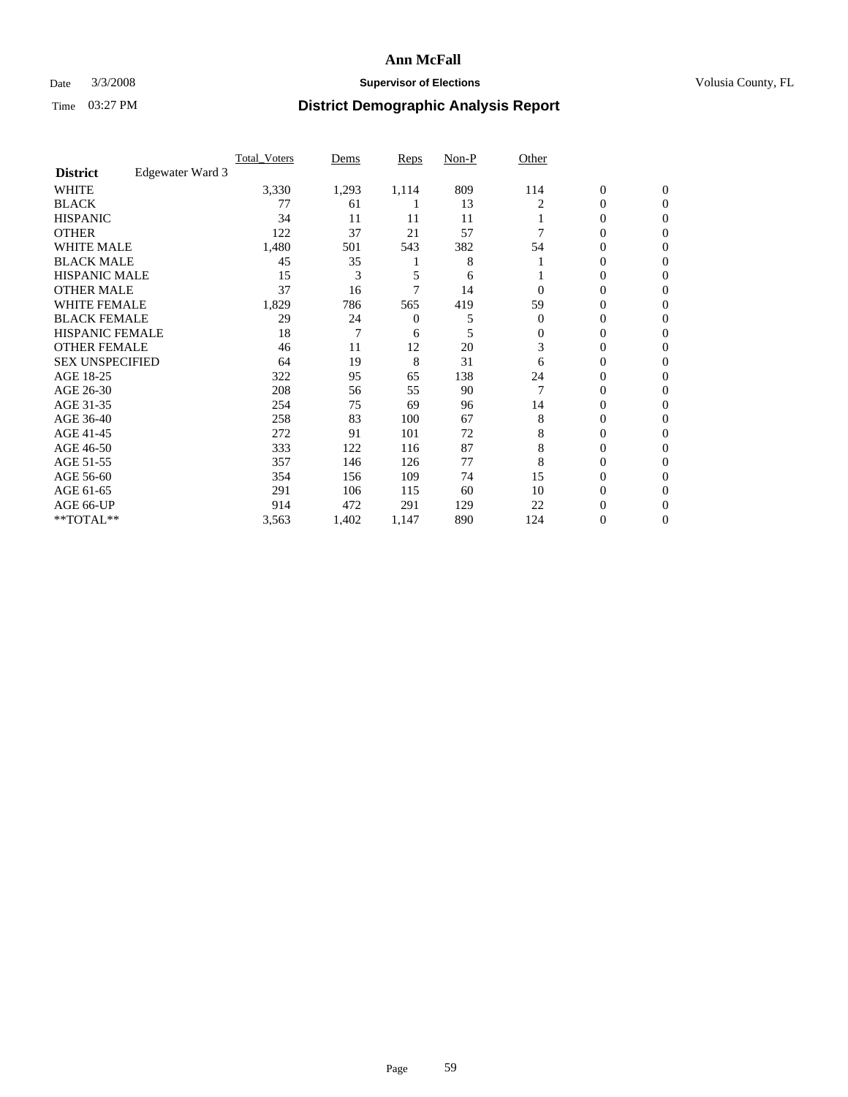### Date  $3/3/2008$  **Supervisor of Elections Supervisor of Elections** Volusia County, FL

|                        |                  | Total Voters | Dems  | Reps  | Non-P | Other    |                  |                |  |
|------------------------|------------------|--------------|-------|-------|-------|----------|------------------|----------------|--|
| <b>District</b>        | Edgewater Ward 3 |              |       |       |       |          |                  |                |  |
| <b>WHITE</b>           |                  | 3,330        | 1,293 | 1,114 | 809   | 114      | $\boldsymbol{0}$ | $\mathbf{0}$   |  |
| <b>BLACK</b>           |                  | 77           | 61    |       | 13    | 2        | $\overline{0}$   | $\mathbf{0}$   |  |
| <b>HISPANIC</b>        |                  | 34           | 11    | 11    | 11    |          | $\mathbf{0}$     | $\mathbf{0}$   |  |
| <b>OTHER</b>           |                  | 122          | 37    | 21    | 57    |          | $\overline{0}$   | $\overline{0}$ |  |
| <b>WHITE MALE</b>      |                  | 1,480        | 501   | 543   | 382   | 54       | $\mathbf{0}$     | $\Omega$       |  |
| <b>BLACK MALE</b>      |                  | 45           | 35    |       | 8     |          | $\overline{0}$   | 0              |  |
| <b>HISPANIC MALE</b>   |                  | 15           | 3     | 5     | 6     |          | $\overline{0}$   | 0              |  |
| <b>OTHER MALE</b>      |                  | 37           | 16    | 7     | 14    | $\Omega$ | $\overline{0}$   | 0              |  |
| <b>WHITE FEMALE</b>    |                  | 1,829        | 786   | 565   | 419   | 59       | $\Omega$         | 0              |  |
| <b>BLACK FEMALE</b>    |                  | 29           | 24    | 0     | 5     | $\theta$ | $\overline{0}$   | $\overline{0}$ |  |
| <b>HISPANIC FEMALE</b> |                  | 18           | 7     | 6     | 5     | $\Omega$ | $\overline{0}$   | $\Omega$       |  |
| <b>OTHER FEMALE</b>    |                  | 46           | 11    | 12    | 20    | 3        | $\overline{0}$   | $\overline{0}$ |  |
| <b>SEX UNSPECIFIED</b> |                  | 64           | 19    | 8     | 31    | 6        | $\overline{0}$   | $\Omega$       |  |
| AGE 18-25              |                  | 322          | 95    | 65    | 138   | 24       | $\overline{0}$   | 0              |  |
| AGE 26-30              |                  | 208          | 56    | 55    | 90    |          | $\overline{0}$   | $\Omega$       |  |
| AGE 31-35              |                  | 254          | 75    | 69    | 96    | 14       | $\overline{0}$   | 0              |  |
| AGE 36-40              |                  | 258          | 83    | 100   | 67    | 8        | $\overline{0}$   | $\overline{0}$ |  |
| AGE 41-45              |                  | 272          | 91    | 101   | 72    | 8        | $\overline{0}$   | 0              |  |
| AGE 46-50              |                  | 333          | 122   | 116   | 87    | 8        | $\overline{0}$   | $\overline{0}$ |  |
| AGE 51-55              |                  | 357          | 146   | 126   | 77    | 8        | $\overline{0}$   | $\Omega$       |  |
| AGE 56-60              |                  | 354          | 156   | 109   | 74    | 15       | $\overline{0}$   | $\Omega$       |  |
| AGE 61-65              |                  | 291          | 106   | 115   | 60    | 10       | $\mathbf{0}$     | 0              |  |
| AGE 66-UP              |                  | 914          | 472   | 291   | 129   | 22       | 0                |                |  |
| **TOTAL**              |                  | 3,563        | 1,402 | 1,147 | 890   | 124      | $\boldsymbol{0}$ | $\mathbf{0}$   |  |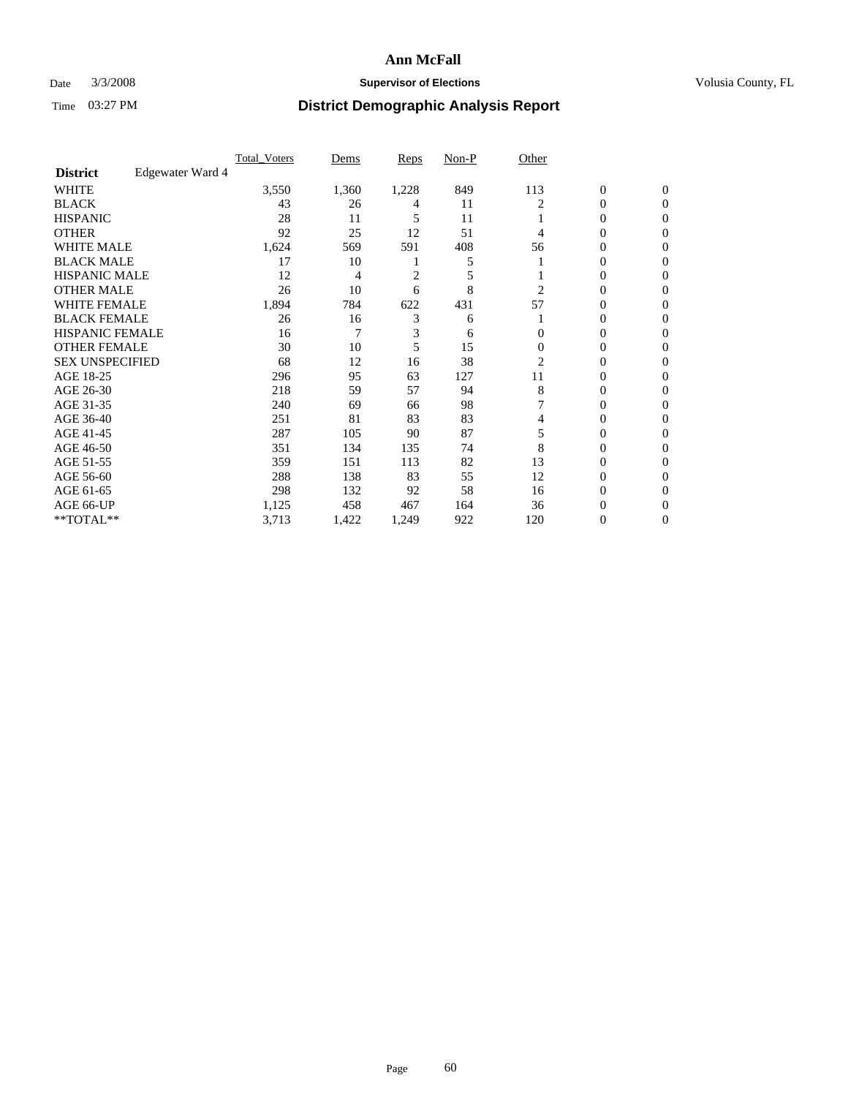### Date  $3/3/2008$  **Supervisor of Elections Supervisor of Elections** Volusia County, FL

|                        |                  | Total Voters | Dems  | <b>Reps</b>    | Non-P | Other    |                  |                |  |
|------------------------|------------------|--------------|-------|----------------|-------|----------|------------------|----------------|--|
| <b>District</b>        | Edgewater Ward 4 |              |       |                |       |          |                  |                |  |
| <b>WHITE</b>           |                  | 3,550        | 1,360 | 1,228          | 849   | 113      | $\boldsymbol{0}$ | $\mathbf{0}$   |  |
| <b>BLACK</b>           |                  | 43           | 26    | 4              | 11    | 2        | $\overline{0}$   | $\mathbf{0}$   |  |
| <b>HISPANIC</b>        |                  | 28           | 11    | 5              | 11    |          | $\mathbf{0}$     | $\mathbf{0}$   |  |
| <b>OTHER</b>           |                  | 92           | 25    | 12             | 51    | 4        | $\overline{0}$   | $\overline{0}$ |  |
| <b>WHITE MALE</b>      |                  | 1,624        | 569   | 591            | 408   | 56       | $\mathbf{0}$     | $\Omega$       |  |
| <b>BLACK MALE</b>      |                  | 17           | 10    |                | 5     |          | $\mathbf{0}$     | 0              |  |
| <b>HISPANIC MALE</b>   |                  | 12           | 4     | $\overline{c}$ | 5     |          | $\mathbf{0}$     | 0              |  |
| <b>OTHER MALE</b>      |                  | 26           | 10    | 6              | 8     | 2        | $\overline{0}$   | 0              |  |
| <b>WHITE FEMALE</b>    |                  | 1,894        | 784   | 622            | 431   | 57       | $\Omega$         | 0              |  |
| <b>BLACK FEMALE</b>    |                  | 26           | 16    | 3              | 6     |          | $\overline{0}$   | $\mathbf{0}$   |  |
| <b>HISPANIC FEMALE</b> |                  | 16           | 7     | 3              | 6     | $\Omega$ | $\mathbf{0}$     | $\Omega$       |  |
| <b>OTHER FEMALE</b>    |                  | 30           | 10    | 5              | 15    | $\Omega$ | $\mathbf{0}$     | $\mathbf{0}$   |  |
| <b>SEX UNSPECIFIED</b> |                  | 68           | 12    | 16             | 38    | 2        | $\mathbf{0}$     | $\Omega$       |  |
| AGE 18-25              |                  | 296          | 95    | 63             | 127   | 11       | $\mathbf{0}$     | 0              |  |
| AGE 26-30              |                  | 218          | 59    | 57             | 94    | 8        | $\boldsymbol{0}$ | $\Omega$       |  |
| AGE 31-35              |                  | 240          | 69    | 66             | 98    |          | $\mathbf{0}$     | 0              |  |
| AGE 36-40              |                  | 251          | 81    | 83             | 83    | 4        | $\overline{0}$   | $\mathbf{0}$   |  |
| AGE 41-45              |                  | 287          | 105   | 90             | 87    | 5        | $\mathbf{0}$     | 0              |  |
| AGE 46-50              |                  | 351          | 134   | 135            | 74    | 8        | $\mathbf{0}$     | $\mathbf{0}$   |  |
| AGE 51-55              |                  | 359          | 151   | 113            | 82    | 13       | $\mathbf{0}$     | $\Omega$       |  |
| AGE 56-60              |                  | 288          | 138   | 83             | 55    | 12       | $\overline{0}$   | $\Omega$       |  |
| AGE 61-65              |                  | 298          | 132   | 92             | 58    | 16       | $\boldsymbol{0}$ | 0              |  |
| AGE 66-UP              |                  | 1,125        | 458   | 467            | 164   | 36       | $\mathbf{0}$     |                |  |
| **TOTAL**              |                  | 3,713        | 1,422 | 1,249          | 922   | 120      | $\boldsymbol{0}$ | $\mathbf{0}$   |  |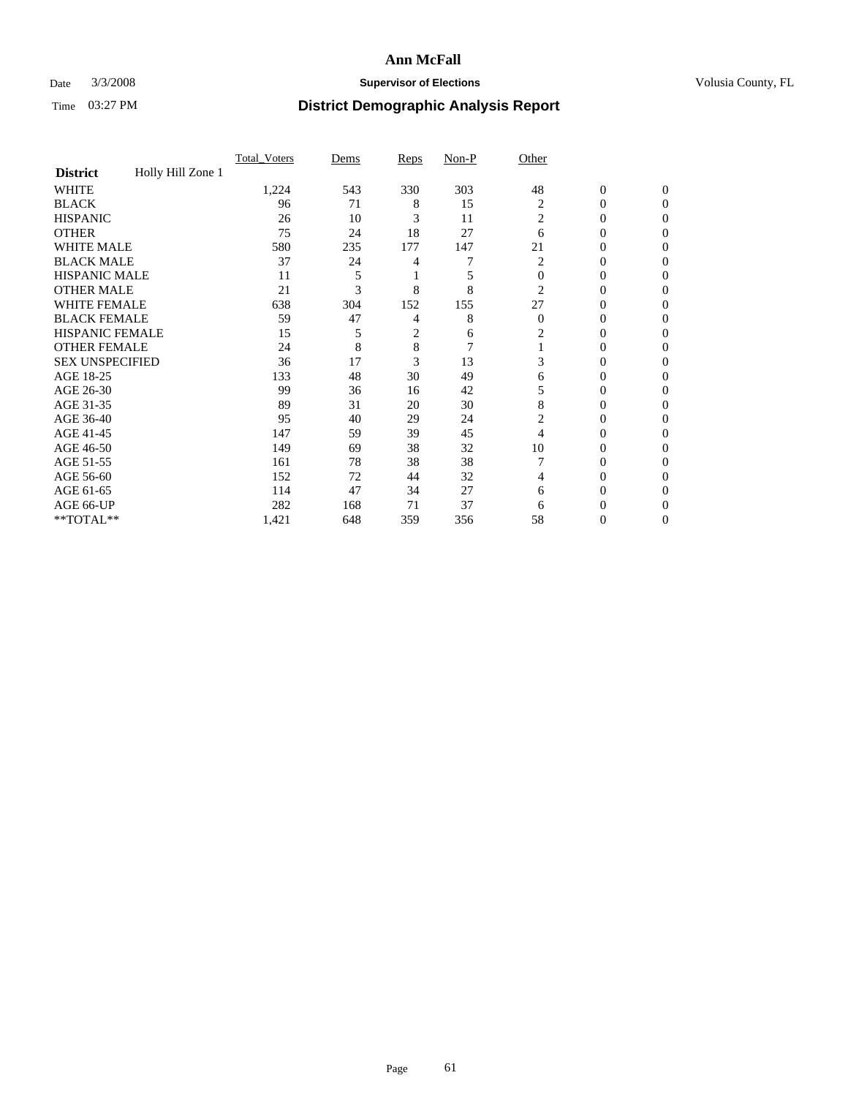### Date  $3/3/2008$  **Supervisor of Elections Supervisor of Elections** Volusia County, FL

|                        |                   | Total Voters | Dems | Reps | Non-P          | Other          |                  |                  |
|------------------------|-------------------|--------------|------|------|----------------|----------------|------------------|------------------|
| <b>District</b>        | Holly Hill Zone 1 |              |      |      |                |                |                  |                  |
| <b>WHITE</b>           |                   | 1,224        | 543  | 330  | 303            | 48             | $\boldsymbol{0}$ | $\mathbf{0}$     |
| <b>BLACK</b>           |                   | 96           | 71   | 8    | 15             | 2              | 0                | $\Omega$         |
| <b>HISPANIC</b>        |                   | 26           | 10   | 3    | 11             | 2              | 0                | $\mathbf{0}$     |
| <b>OTHER</b>           |                   | 75           | 24   | 18   | 27             | 6              | 0                | $\theta$         |
| WHITE MALE             |                   | 580          | 235  | 177  | 147            | 21             | 0                | $\Omega$         |
| <b>BLACK MALE</b>      |                   | 37           | 24   | 4    | 7              | 2              | 0                | 0                |
| <b>HISPANIC MALE</b>   |                   | 11           | 5    |      | 5              | $\Omega$       | 0                | 0                |
| <b>OTHER MALE</b>      |                   | 21           | 3    | 8    | 8              | 2              | 0                | $\Omega$         |
| <b>WHITE FEMALE</b>    |                   | 638          | 304  | 152  | 155            | 27             | 0                | $\Omega$         |
| <b>BLACK FEMALE</b>    |                   | 59           | 47   | 4    | 8              | $\overline{0}$ | $\overline{0}$   | $\overline{0}$   |
| <b>HISPANIC FEMALE</b> |                   | 15           | 5    | 2    | 6              | 2              | $\overline{0}$   | 0                |
| <b>OTHER FEMALE</b>    |                   | 24           | 8    | 8    | $\overline{7}$ |                | 0                | 0                |
| <b>SEX UNSPECIFIED</b> |                   | 36           | 17   | 3    | 13             | 3              | 0                | 0                |
| AGE 18-25              |                   | 133          | 48   | 30   | 49             | 6              | 0                | $\mathbf{0}$     |
| AGE 26-30              |                   | 99           | 36   | 16   | 42             | 5              | 0                | $\Omega$         |
| AGE 31-35              |                   | 89           | 31   | 20   | 30             | 8              | 0                | $\boldsymbol{0}$ |
| AGE 36-40              |                   | 95           | 40   | 29   | 24             | 2              | 0                | $\mathbf{0}$     |
| AGE 41-45              |                   | 147          | 59   | 39   | 45             | 4              | 0                | 0                |
| AGE 46-50              |                   | 149          | 69   | 38   | 32             | 10             | 0                | $\mathbf{0}$     |
| AGE 51-55              |                   | 161          | 78   | 38   | 38             |                | 0                | $\Omega$         |
| AGE 56-60              |                   | 152          | 72   | 44   | 32             | 4              | 0                | $\mathbf{0}$     |
| AGE 61-65              |                   | 114          | 47   | 34   | 27             | 6              | 0                | $\boldsymbol{0}$ |
| AGE 66-UP              |                   | 282          | 168  | 71   | 37             | 6              | 0                | 0                |
| **TOTAL**              |                   | 1,421        | 648  | 359  | 356            | 58             | 0                | 0                |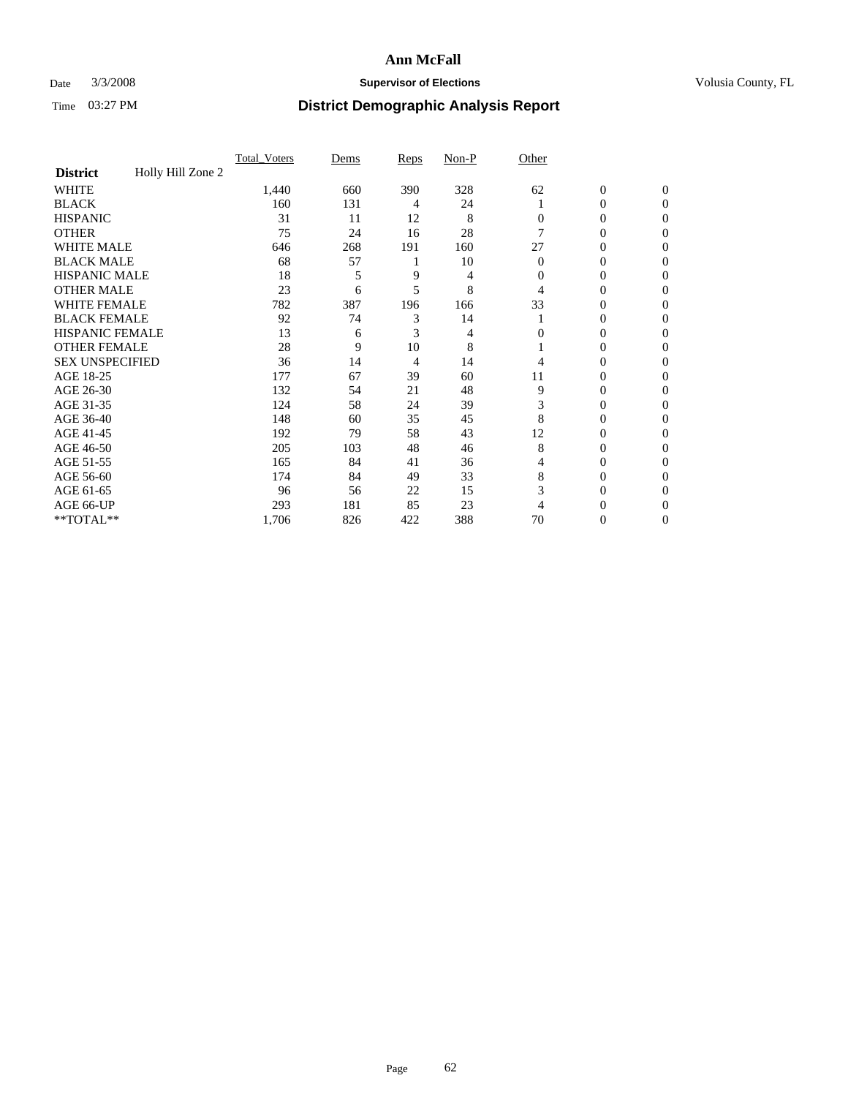### Date  $3/3/2008$  **Supervisor of Elections Supervisor of Elections** Volusia County, FL

|                        |                   | <b>Total Voters</b> | Dems | Reps | Non-P | Other    |                  |              |  |
|------------------------|-------------------|---------------------|------|------|-------|----------|------------------|--------------|--|
| <b>District</b>        | Holly Hill Zone 2 |                     |      |      |       |          |                  |              |  |
| <b>WHITE</b>           |                   | 1,440               | 660  | 390  | 328   | 62       | $\boldsymbol{0}$ | $\mathbf{0}$ |  |
| <b>BLACK</b>           |                   | 160                 | 131  | 4    | 24    |          | 0                | $\mathbf{0}$ |  |
| <b>HISPANIC</b>        |                   | 31                  | 11   | 12   | 8     | 0        | 0                | $\mathbf{0}$ |  |
| <b>OTHER</b>           |                   | 75                  | 24   | 16   | 28    |          | $\overline{0}$   | $\theta$     |  |
| <b>WHITE MALE</b>      |                   | 646                 | 268  | 191  | 160   | 27       | 0                | $\theta$     |  |
| <b>BLACK MALE</b>      |                   | 68                  | 57   |      | 10    | $\Omega$ | 0                | 0            |  |
| <b>HISPANIC MALE</b>   |                   | 18                  |      | 9    | 4     | 0        | 0                | 0            |  |
| <b>OTHER MALE</b>      |                   | 23                  | 6    | 5    | 8     | 4        | 0                | 0            |  |
| WHITE FEMALE           |                   | 782                 | 387  | 196  | 166   | 33       | 0                | 0            |  |
| <b>BLACK FEMALE</b>    |                   | 92                  | 74   | 3    | 14    |          | 0                | 0            |  |
| <b>HISPANIC FEMALE</b> |                   | 13                  | 6    | 3    | 4     | 0        | 0                | $\Omega$     |  |
| <b>OTHER FEMALE</b>    |                   | 28                  | 9    | 10   | 8     |          | 0                | $\theta$     |  |
| <b>SEX UNSPECIFIED</b> |                   | 36                  | 14   | 4    | 14    | 4        | 0                | $\theta$     |  |
| AGE 18-25              |                   | 177                 | 67   | 39   | 60    | 11       | 0                | $_{0}$       |  |
| AGE 26-30              |                   | 132                 | 54   | 21   | 48    | 9        | 0                | $\Omega$     |  |
| AGE 31-35              |                   | 124                 | 58   | 24   | 39    | 3        | 0                | 0            |  |
| AGE 36-40              |                   | 148                 | 60   | 35   | 45    | 8        | 0                | 0            |  |
| AGE 41-45              |                   | 192                 | 79   | 58   | 43    | 12       | 0                | 0            |  |
| AGE 46-50              |                   | 205                 | 103  | 48   | 46    | 8        | 0                | $\mathbf{0}$ |  |
| AGE 51-55              |                   | 165                 | 84   | 41   | 36    | 4        | 0                | $\theta$     |  |
| AGE 56-60              |                   | 174                 | 84   | 49   | 33    | 8        | 0                | $\theta$     |  |
| AGE 61-65              |                   | 96                  | 56   | 22   | 15    | 3        | 0                | 0            |  |
| AGE 66-UP              |                   | 293                 | 181  | 85   | 23    | 4        | 0                |              |  |
| **TOTAL**              |                   | 1,706               | 826  | 422  | 388   | 70       | 0                | 0            |  |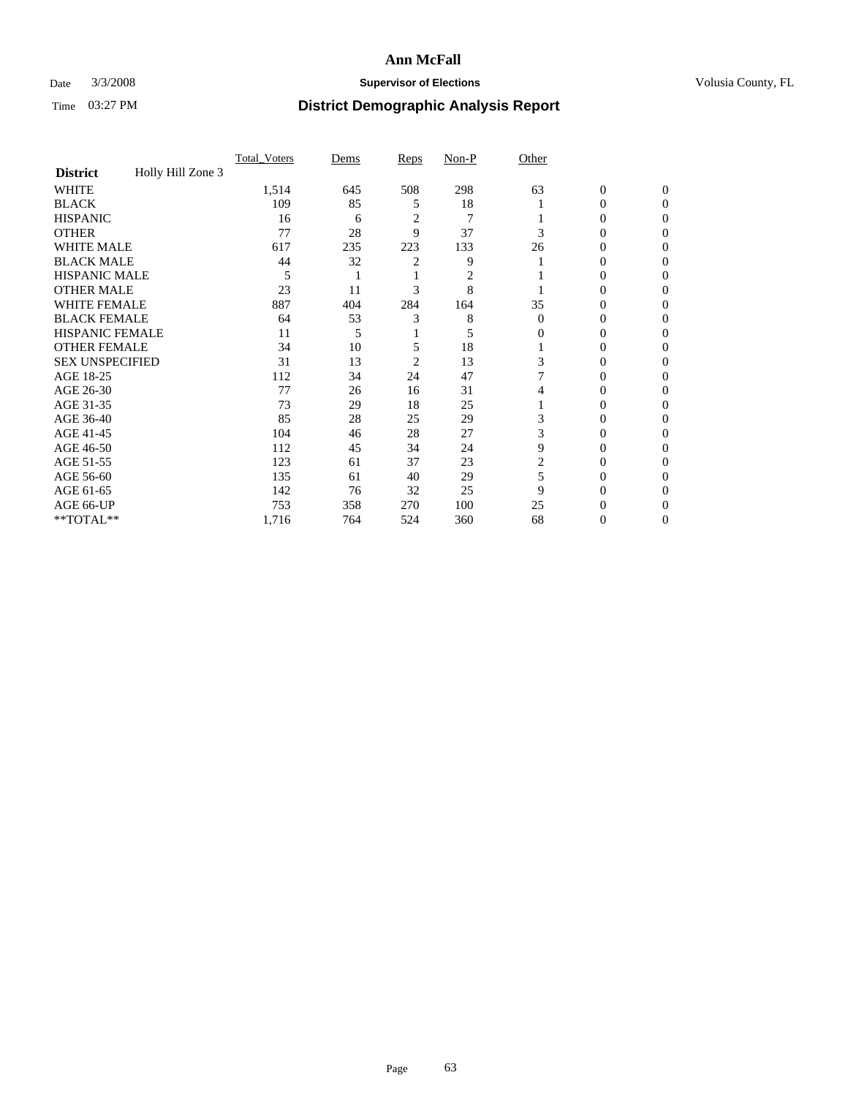### Date  $3/3/2008$  **Supervisor of Elections Supervisor of Elections** Volusia County, FL

|                        |                   | <b>Total Voters</b> | Dems | Reps           | Non-P          | Other    |                  |              |  |
|------------------------|-------------------|---------------------|------|----------------|----------------|----------|------------------|--------------|--|
| <b>District</b>        | Holly Hill Zone 3 |                     |      |                |                |          |                  |              |  |
| <b>WHITE</b>           |                   | 1,514               | 645  | 508            | 298            | 63       | $\boldsymbol{0}$ | $\mathbf{0}$ |  |
| <b>BLACK</b>           |                   | 109                 | 85   | 5              | 18             |          | 0                | $\Omega$     |  |
| <b>HISPANIC</b>        |                   | 16                  | 6    | $\overline{c}$ | $\overline{7}$ |          | 0                | $\Omega$     |  |
| <b>OTHER</b>           |                   | 77                  | 28   | 9              | 37             | 3        | $\overline{0}$   | $\theta$     |  |
| <b>WHITE MALE</b>      |                   | 617                 | 235  | 223            | 133            | 26       | 0                | 0            |  |
| <b>BLACK MALE</b>      |                   | 44                  | 32   | 2              | 9              |          | 0                | 0            |  |
| <b>HISPANIC MALE</b>   |                   | 5                   |      |                | 2              |          | 0                |              |  |
| <b>OTHER MALE</b>      |                   | 23                  | 11   | 3              | 8              |          | 0                | 0            |  |
| WHITE FEMALE           |                   | 887                 | 404  | 284            | 164            | 35       | 0                | 0            |  |
| <b>BLACK FEMALE</b>    |                   | 64                  | 53   | 3              | 8              | $\Omega$ | 0                | 0            |  |
| <b>HISPANIC FEMALE</b> |                   | 11                  | 5    |                | 5              | 0        | 0                | $\Omega$     |  |
| <b>OTHER FEMALE</b>    |                   | 34                  | 10   | 5              | 18             |          | 0                | 0            |  |
| <b>SEX UNSPECIFIED</b> |                   | 31                  | 13   | 2              | 13             | 3        | 0                | 0            |  |
| AGE 18-25              |                   | 112                 | 34   | 24             | 47             |          | 0                |              |  |
| AGE 26-30              |                   | 77                  | 26   | 16             | 31             | 4        | 0                | 0            |  |
| AGE 31-35              |                   | 73                  | 29   | 18             | 25             |          | 0                |              |  |
| AGE 36-40              |                   | 85                  | 28   | 25             | 29             | 3        | 0                | 0            |  |
| AGE 41-45              |                   | 104                 | 46   | 28             | 27             | 3        | 0                | 0            |  |
| AGE 46-50              |                   | 112                 | 45   | 34             | 24             | 9        | 0                | 0            |  |
| AGE 51-55              |                   | 123                 | 61   | 37             | 23             | 2        | 0                | $\theta$     |  |
| AGE 56-60              |                   | 135                 | 61   | 40             | 29             | 5        | 0                | 0            |  |
| AGE 61-65              |                   | 142                 | 76   | 32             | 25             | 9        | 0                |              |  |
| AGE 66-UP              |                   | 753                 | 358  | 270            | 100            | 25       | 0                |              |  |
| **TOTAL**              |                   | 1,716               | 764  | 524            | 360            | 68       | 0                | 0            |  |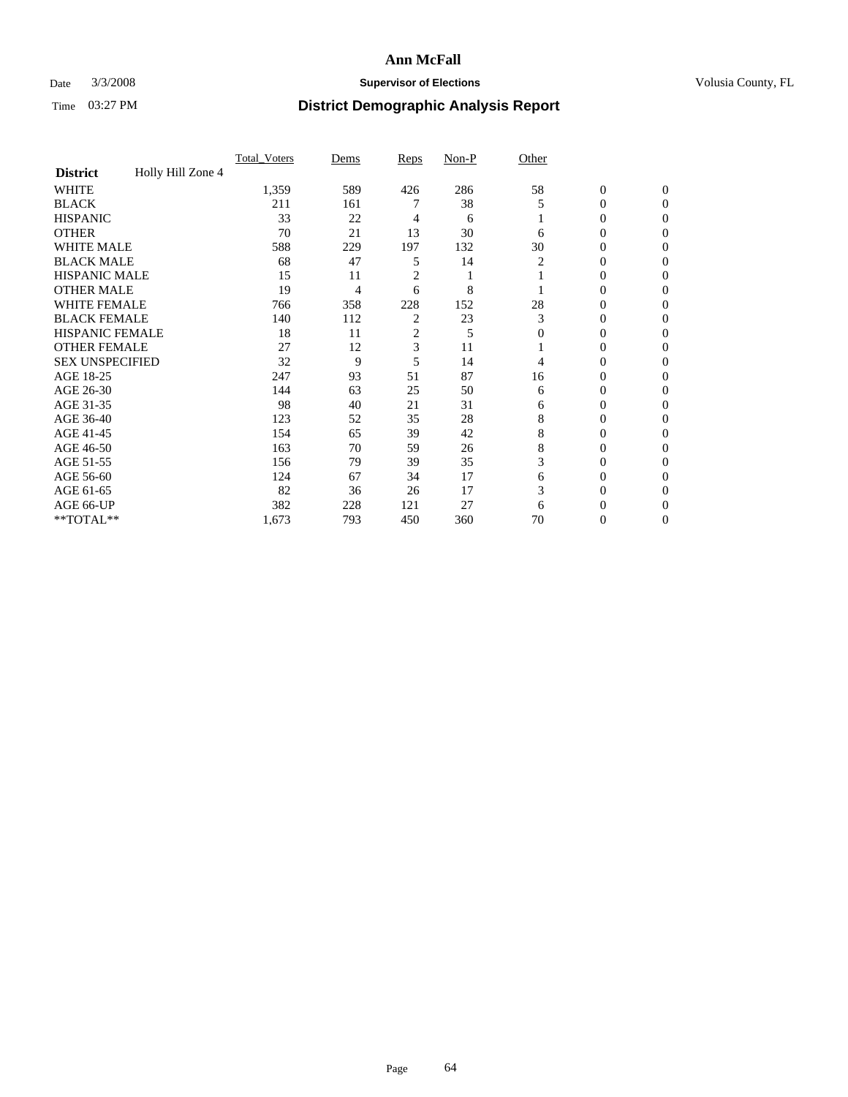### Date  $3/3/2008$  **Supervisor of Elections Supervisor of Elections** Volusia County, FL

|                        |                   | Total Voters | Dems | <b>Reps</b>    | Non-P | Other    |                  |                |  |
|------------------------|-------------------|--------------|------|----------------|-------|----------|------------------|----------------|--|
| <b>District</b>        | Holly Hill Zone 4 |              |      |                |       |          |                  |                |  |
| <b>WHITE</b>           |                   | 1,359        | 589  | 426            | 286   | 58       | $\boldsymbol{0}$ | $\mathbf{0}$   |  |
| <b>BLACK</b>           |                   | 211          | 161  |                | 38    | 5        | 0                | $\mathbf{0}$   |  |
| <b>HISPANIC</b>        |                   | 33           | 22   | 4              | 6     |          | 0                | $\Omega$       |  |
| <b>OTHER</b>           |                   | 70           | 21   | 13             | 30    | 6        | $\overline{0}$   | $\Omega$       |  |
| <b>WHITE MALE</b>      |                   | 588          | 229  | 197            | 132   | 30       | 0                | 0              |  |
| <b>BLACK MALE</b>      |                   | 68           | 47   | 5              | 14    | 2        | 0                | 0              |  |
| <b>HISPANIC MALE</b>   |                   | 15           | 11   | 2              |       |          | 0                | 0              |  |
| <b>OTHER MALE</b>      |                   | 19           | 4    | 6              | 8     |          | $\overline{0}$   | 0              |  |
| WHITE FEMALE           |                   | 766          | 358  | 228            | 152   | 28       | 0                | 0              |  |
| <b>BLACK FEMALE</b>    |                   | 140          | 112  | $\overline{c}$ | 23    | 3        | 0                | 0              |  |
| <b>HISPANIC FEMALE</b> |                   | 18           | 11   | $\overline{c}$ | 5     | $\Omega$ | 0                | $\Omega$       |  |
| <b>OTHER FEMALE</b>    |                   | 27           | 12   | 3              | 11    |          | 0                | $\Omega$       |  |
| <b>SEX UNSPECIFIED</b> |                   | 32           | 9    | 5              | 14    | 4        | 0                | $\Omega$       |  |
| AGE 18-25              |                   | 247          | 93   | 51             | 87    | 16       | 0                | 0              |  |
| AGE 26-30              |                   | 144          | 63   | 25             | 50    | 6        | 0                | 0              |  |
| AGE 31-35              |                   | 98           | 40   | 21             | 31    | 6        | 0                | 0              |  |
| AGE 36-40              |                   | 123          | 52   | 35             | 28    | 8        | 0                | 0              |  |
| AGE 41-45              |                   | 154          | 65   | 39             | 42    | 8        | 0                | 0              |  |
| AGE 46-50              |                   | 163          | 70   | 59             | 26    | 8        | 0                | $\Omega$       |  |
| AGE 51-55              |                   | 156          | 79   | 39             | 35    | 3        | 0                | $\Omega$       |  |
| AGE 56-60              |                   | 124          | 67   | 34             | 17    | 6        | 0                | $\Omega$       |  |
| AGE 61-65              |                   | 82           | 36   | 26             | 17    | 3        | 0                | 0              |  |
| AGE 66-UP              |                   | 382          | 228  | 121            | 27    | 6        | 0                | $\theta$       |  |
| **TOTAL**              |                   | 1,673        | 793  | 450            | 360   | 70       | 0                | $\overline{0}$ |  |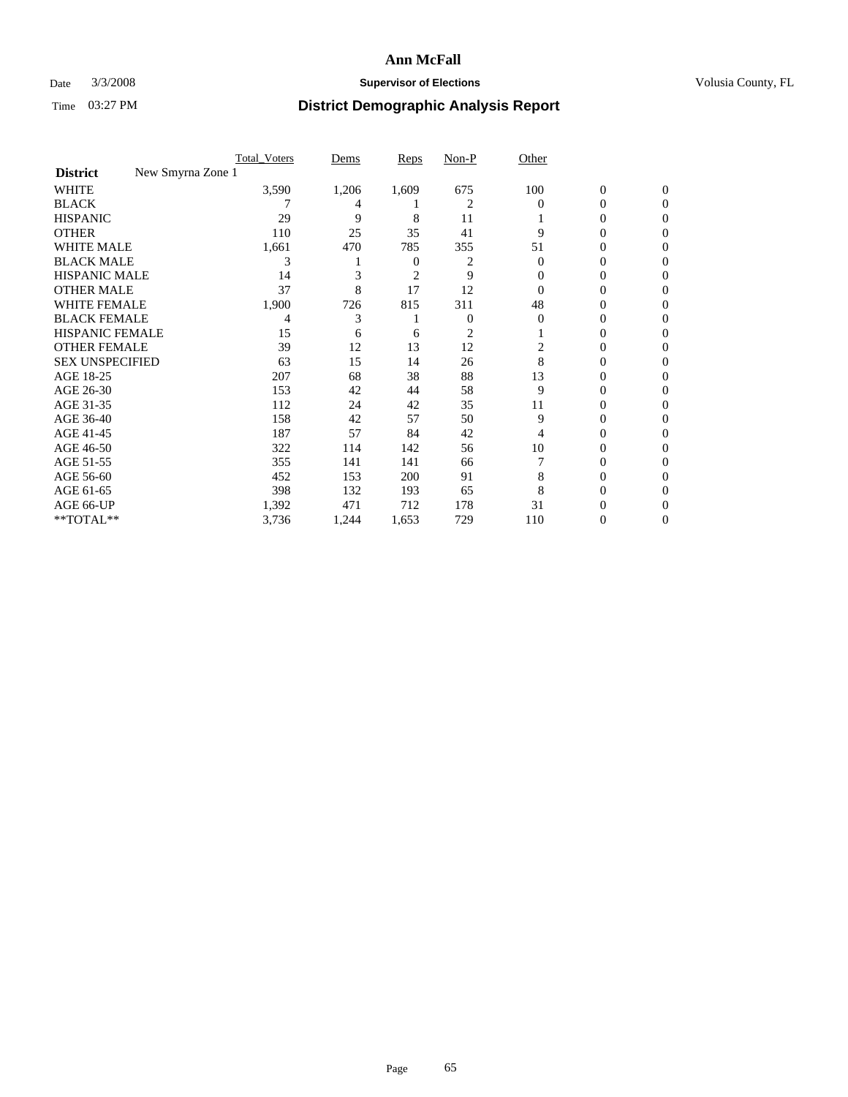### Date  $3/3/2008$  **Supervisor of Elections Supervisor of Elections** Volusia County, FL

|                                      | Total Voters | Dems  | <b>Reps</b>    | Non-P        | Other    |                  |              |  |
|--------------------------------------|--------------|-------|----------------|--------------|----------|------------------|--------------|--|
| New Smyrna Zone 1<br><b>District</b> |              |       |                |              |          |                  |              |  |
| <b>WHITE</b>                         | 3,590        | 1,206 | 1,609          | 675          | 100      | $\boldsymbol{0}$ | $\mathbf{0}$ |  |
| <b>BLACK</b>                         |              | 4     |                | 2            | $\Omega$ | 0                | $\Omega$     |  |
| <b>HISPANIC</b>                      | 29           | 9     | 8              | 11           |          | 0                | $\Omega$     |  |
| <b>OTHER</b>                         | 110          | 25    | 35             | 41           | 9        | 0                | 0            |  |
| <b>WHITE MALE</b>                    | 1,661        | 470   | 785            | 355          | 51       | 0                | 0            |  |
| <b>BLACK MALE</b>                    | 3            |       | 0              | 2            | 0        | 0                | 0            |  |
| <b>HISPANIC MALE</b>                 | 14           |       | $\overline{c}$ | 9            | $_{0}$   | 0                |              |  |
| <b>OTHER MALE</b>                    | 37           | 8     | 17             | 12           |          | 0                | 0            |  |
| WHITE FEMALE                         | 1,900        | 726   | 815            | 311          | 48       | 0                | 0            |  |
| <b>BLACK FEMALE</b>                  | 4            | 3     |                | $\mathbf{0}$ | 0        | 0                | 0            |  |
| <b>HISPANIC FEMALE</b>               | 15           | 6     | 6              | 2            |          | $\theta$         | 0            |  |
| <b>OTHER FEMALE</b>                  | 39           | 12    | 13             | 12           | 2        | 0                | 0            |  |
| <b>SEX UNSPECIFIED</b>               | 63           | 15    | 14             | 26           | 8        | 0                | 0            |  |
| AGE 18-25                            | 207          | 68    | 38             | 88           | 13       | 0                | $\theta$     |  |
| AGE 26-30                            | 153          | 42    | 44             | 58           | 9        | 0                | 0            |  |
| AGE 31-35                            | 112          | 24    | 42             | 35           | 11       | 0                | 0            |  |
| AGE 36-40                            | 158          | 42    | 57             | 50           | 9        | 0                | 0            |  |
| AGE 41-45                            | 187          | 57    | 84             | 42           | 4        | 0                | 0            |  |
| AGE 46-50                            | 322          | 114   | 142            | 56           | 10       | 0                | 0            |  |
| AGE 51-55                            | 355          | 141   | 141            | 66           |          | 0                | $\Omega$     |  |
| AGE 56-60                            | 452          | 153   | 200            | 91           | 8        | 0                | 0            |  |
| AGE 61-65                            | 398          | 132   | 193            | 65           | 8        | 0                | $\theta$     |  |
| AGE 66-UP                            | 1,392        | 471   | 712            | 178          | 31       |                  |              |  |
| **TOTAL**                            | 3,736        | 1,244 | 1,653          | 729          | 110      | 0                | 0            |  |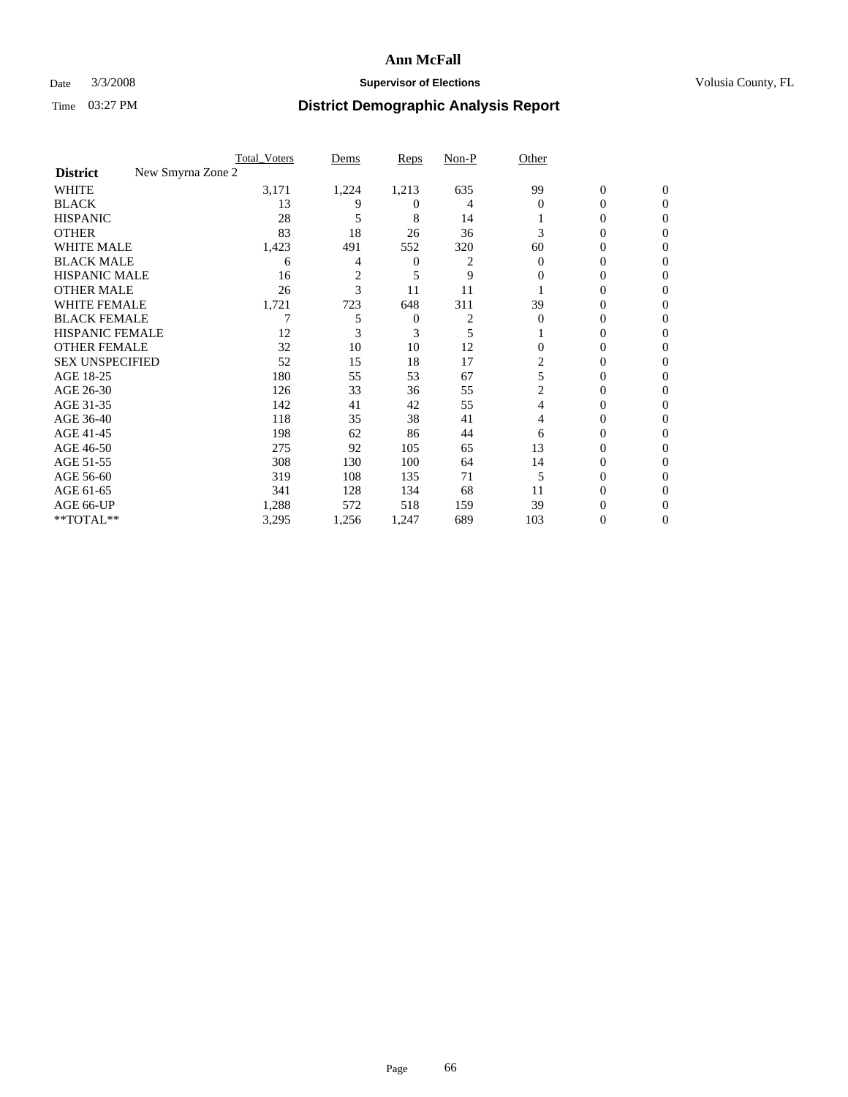### Date  $3/3/2008$  **Supervisor of Elections Supervisor of Elections** Volusia County, FL

|                                      | <b>Total Voters</b> | Dems           | Reps     | Non-P | Other    |                  |              |  |
|--------------------------------------|---------------------|----------------|----------|-------|----------|------------------|--------------|--|
| New Smyrna Zone 2<br><b>District</b> |                     |                |          |       |          |                  |              |  |
| <b>WHITE</b>                         | 3,171               | 1,224          | 1,213    | 635   | 99       | $\boldsymbol{0}$ | $\mathbf{0}$ |  |
| <b>BLACK</b>                         | 13                  | 9              | $^{(1)}$ | 4     | $\Omega$ | 0                | $\mathbf{0}$ |  |
| <b>HISPANIC</b>                      | 28                  | 5              | 8        | 14    |          | 0                | $\Omega$     |  |
| <b>OTHER</b>                         | 83                  | 18             | 26       | 36    | 3        | $\overline{0}$   | $\theta$     |  |
| <b>WHITE MALE</b>                    | 1,423               | 491            | 552      | 320   | 60       | 0                | 0            |  |
| <b>BLACK MALE</b>                    | 6                   | 4              | 0        | 2     | $\Omega$ | 0                | 0            |  |
| <b>HISPANIC MALE</b>                 | 16                  | $\overline{2}$ | 5        | 9     | 0        | 0                |              |  |
| <b>OTHER MALE</b>                    | 26                  | 3              | 11       | 11    |          | 0                | 0            |  |
| WHITE FEMALE                         | 1,721               | 723            | 648      | 311   | 39       | 0                | 0            |  |
| <b>BLACK FEMALE</b>                  |                     | 5              | 0        | 2     | $\Omega$ | 0                | 0            |  |
| <b>HISPANIC FEMALE</b>               | 12                  |                | 3        | 5     |          | 0                | $\Omega$     |  |
| <b>OTHER FEMALE</b>                  | 32                  | 10             | 10       | 12    | $\Omega$ | 0                | $\theta$     |  |
| <b>SEX UNSPECIFIED</b>               | 52                  | 15             | 18       | 17    | 2        | 0                | $\theta$     |  |
| AGE 18-25                            | 180                 | 55             | 53       | 67    | 5        | 0                | $_{0}$       |  |
| AGE 26-30                            | 126                 | 33             | 36       | 55    | 2        | 0                | 0            |  |
| AGE 31-35                            | 142                 | 41             | 42       | 55    | 4        | 0                |              |  |
| AGE 36-40                            | 118                 | 35             | 38       | 41    | 4        | 0                | 0            |  |
| AGE 41-45                            | 198                 | 62             | 86       | 44    | 6        | 0                | 0            |  |
| AGE 46-50                            | 275                 | 92             | 105      | 65    | 13       | 0                | $\Omega$     |  |
| AGE 51-55                            | 308                 | 130            | 100      | 64    | 14       | 0                | $\theta$     |  |
| AGE 56-60                            | 319                 | 108            | 135      | 71    | 5        | 0                | $\theta$     |  |
| AGE 61-65                            | 341                 | 128            | 134      | 68    | 11       | 0                | 0            |  |
| AGE 66-UP                            | 1,288               | 572            | 518      | 159   | 39       | 0                |              |  |
| **TOTAL**                            | 3,295               | 1,256          | 1,247    | 689   | 103      | 0                | 0            |  |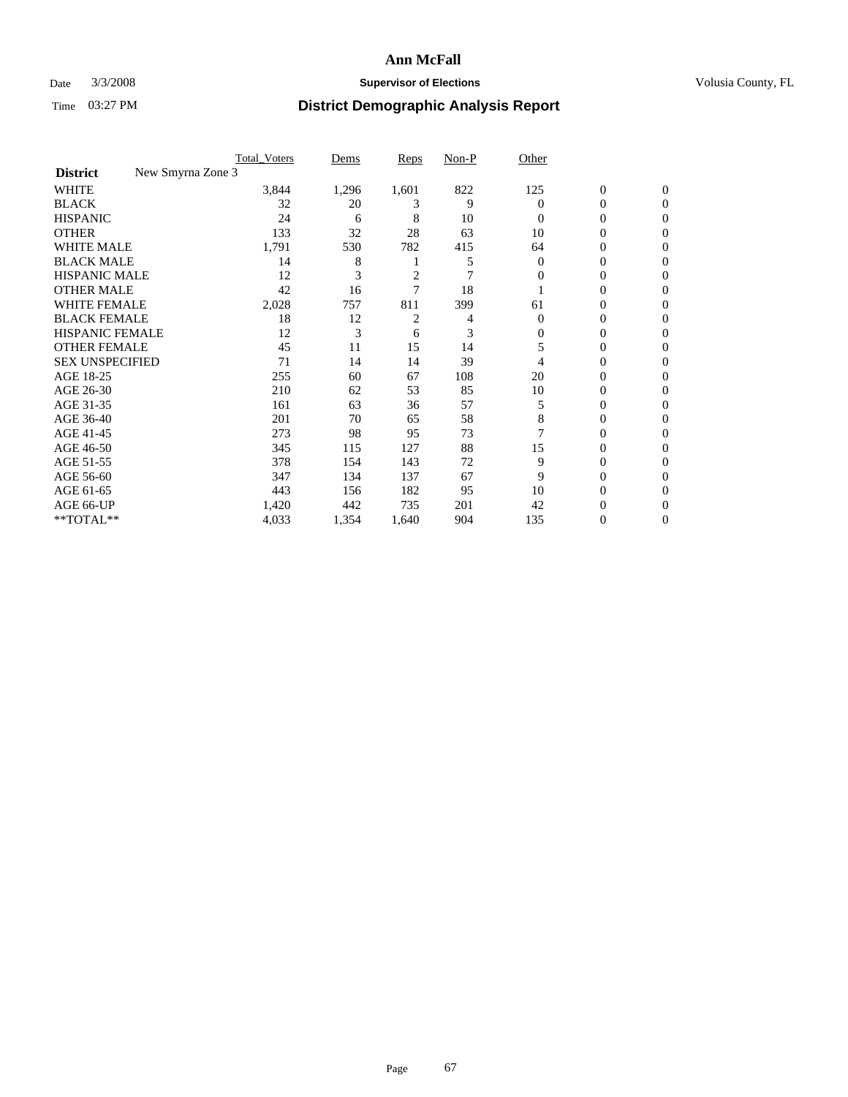### Date  $3/3/2008$  **Supervisor of Elections Supervisor of Elections** Volusia County, FL

|                                      | <b>Total Voters</b> | Dems  | Reps           | Non-P | Other    |                  |                  |  |
|--------------------------------------|---------------------|-------|----------------|-------|----------|------------------|------------------|--|
| New Smyrna Zone 3<br><b>District</b> |                     |       |                |       |          |                  |                  |  |
| <b>WHITE</b>                         | 3,844               | 1,296 | 1,601          | 822   | 125      | $\boldsymbol{0}$ | $\mathbf{0}$     |  |
| <b>BLACK</b>                         | 32                  | 20    | 3              | 9     | 0        | 0                | $\mathbf{0}$     |  |
| <b>HISPANIC</b>                      | 24                  | 6     | 8              | 10    | $\Omega$ | 0                | $\overline{0}$   |  |
| <b>OTHER</b>                         | 133                 | 32    | 28             | 63    | 10       | 0                | $\boldsymbol{0}$ |  |
| <b>WHITE MALE</b>                    | 1,791               | 530   | 782            | 415   | 64       | 0                | $\theta$         |  |
| <b>BLACK MALE</b>                    | 14                  | 8     |                | 5     | 0        | 0                | 0                |  |
| <b>HISPANIC MALE</b>                 | 12                  | 3     | $\overline{c}$ | 7     | $\Omega$ | 0                | 0                |  |
| <b>OTHER MALE</b>                    | 42                  | 16    |                | 18    |          | 0                | 0                |  |
| WHITE FEMALE                         | 2,028               | 757   | 811            | 399   | 61       | 0                | 0                |  |
| <b>BLACK FEMALE</b>                  | 18                  | 12    | 2              | 4     | $\Omega$ | 0                | $\overline{0}$   |  |
| <b>HISPANIC FEMALE</b>               | 12                  | 3     | 6              | 3     | 0        | 0                | $\Omega$         |  |
| <b>OTHER FEMALE</b>                  | 45                  | 11    | 15             | 14    | 5        | 0                | $\theta$         |  |
| <b>SEX UNSPECIFIED</b>               | 71                  | 14    | 14             | 39    | 4        | 0                | $\Omega$         |  |
| AGE 18-25                            | 255                 | 60    | 67             | 108   | 20       | 0                | 0                |  |
| AGE 26-30                            | 210                 | 62    | 53             | 85    | 10       | 0                | $\Omega$         |  |
| AGE 31-35                            | 161                 | 63    | 36             | 57    | 5        | 0                | 0                |  |
| AGE 36-40                            | 201                 | 70    | 65             | 58    | 8        | 0                | 0                |  |
| AGE 41-45                            | 273                 | 98    | 95             | 73    |          | 0                | 0                |  |
| AGE 46-50                            | 345                 | 115   | 127            | 88    | 15       | 0                | $\mathbf{0}$     |  |
| AGE 51-55                            | 378                 | 154   | 143            | 72    | 9        | 0                | $\Omega$         |  |
| AGE 56-60                            | 347                 | 134   | 137            | 67    | 9        | 0                | $\theta$         |  |
| AGE 61-65                            | 443                 | 156   | 182            | 95    | 10       | 0                | 0                |  |
| AGE 66-UP                            | 1,420               | 442   | 735            | 201   | 42       | 0                | $_{0}$           |  |
| **TOTAL**                            | 4,033               | 1,354 | 1,640          | 904   | 135      | 0                | $\mathbf{0}$     |  |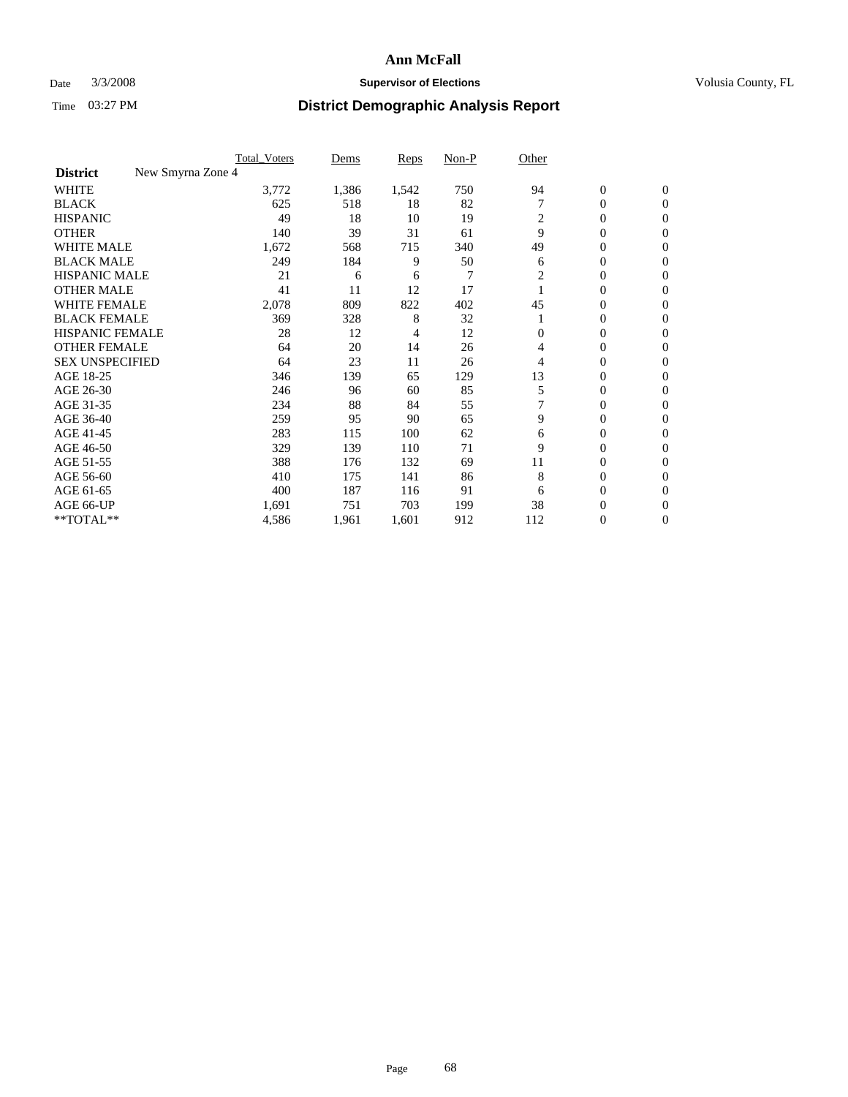### Date  $3/3/2008$  **Supervisor of Elections Supervisor of Elections** Volusia County, FL

|                                      | <b>Total Voters</b> | Dems  | Reps  | Non-P | Other    |                  |                |  |
|--------------------------------------|---------------------|-------|-------|-------|----------|------------------|----------------|--|
| New Smyrna Zone 4<br><b>District</b> |                     |       |       |       |          |                  |                |  |
| <b>WHITE</b>                         | 3,772               | 1,386 | 1,542 | 750   | 94       | $\boldsymbol{0}$ | $\mathbf{0}$   |  |
| <b>BLACK</b>                         | 625                 | 518   | 18    | 82    |          | 0                | $\mathbf{0}$   |  |
| <b>HISPANIC</b>                      | 49                  | 18    | 10    | 19    | 2        | 0                | $\mathbf{0}$   |  |
| <b>OTHER</b>                         | 140                 | 39    | 31    | 61    | 9        | 0                | $\overline{0}$ |  |
| <b>WHITE MALE</b>                    | 1,672               | 568   | 715   | 340   | 49       | 0                | $\mathbf{0}$   |  |
| <b>BLACK MALE</b>                    | 249                 | 184   | 9     | 50    | 6        | 0                | $\mathbf{0}$   |  |
| <b>HISPANIC MALE</b>                 | 21                  | 6     | 6     | 7     | 2        | 0                | $\Omega$       |  |
| <b>OTHER MALE</b>                    | 41                  | 11    | 12    | 17    |          | 0                | 0              |  |
| WHITE FEMALE                         | 2,078               | 809   | 822   | 402   | 45       | 0                | $\Omega$       |  |
| <b>BLACK FEMALE</b>                  | 369                 | 328   | 8     | 32    |          | 0                | $\mathbf{0}$   |  |
| <b>HISPANIC FEMALE</b>               | 28                  | 12    | 4     | 12    | $\Omega$ | 0                | $\mathbf{0}$   |  |
| <b>OTHER FEMALE</b>                  | 64                  | 20    | 14    | 26    | 4        | 0                | $\mathbf{0}$   |  |
| <b>SEX UNSPECIFIED</b>               | 64                  | 23    | 11    | 26    | 4        | 0                | $\mathbf{0}$   |  |
| AGE 18-25                            | 346                 | 139   | 65    | 129   | 13       | 0                | 0              |  |
| AGE 26-30                            | 246                 | 96    | 60    | 85    | 5        | 0                | $\Omega$       |  |
| AGE 31-35                            | 234                 | 88    | 84    | 55    |          | 0                | 0              |  |
| AGE 36-40                            | 259                 | 95    | 90    | 65    | 9        | 0                | $\mathbf{0}$   |  |
| AGE 41-45                            | 283                 | 115   | 100   | 62    | 6        | 0                | $\mathbf{0}$   |  |
| AGE 46-50                            | 329                 | 139   | 110   | 71    | 9        | 0                | $\mathbf{0}$   |  |
| AGE 51-55                            | 388                 | 176   | 132   | 69    | 11       | 0                | $\mathbf{0}$   |  |
| AGE 56-60                            | 410                 | 175   | 141   | 86    | 8        | 0                | $\mathbf{0}$   |  |
| AGE 61-65                            | 400                 | 187   | 116   | 91    | 6        | 0                | $\Omega$       |  |
| AGE 66-UP                            | 1,691               | 751   | 703   | 199   | 38       | 0                | 0              |  |
| **TOTAL**                            | 4,586               | 1,961 | 1,601 | 912   | 112      | 0                | 0              |  |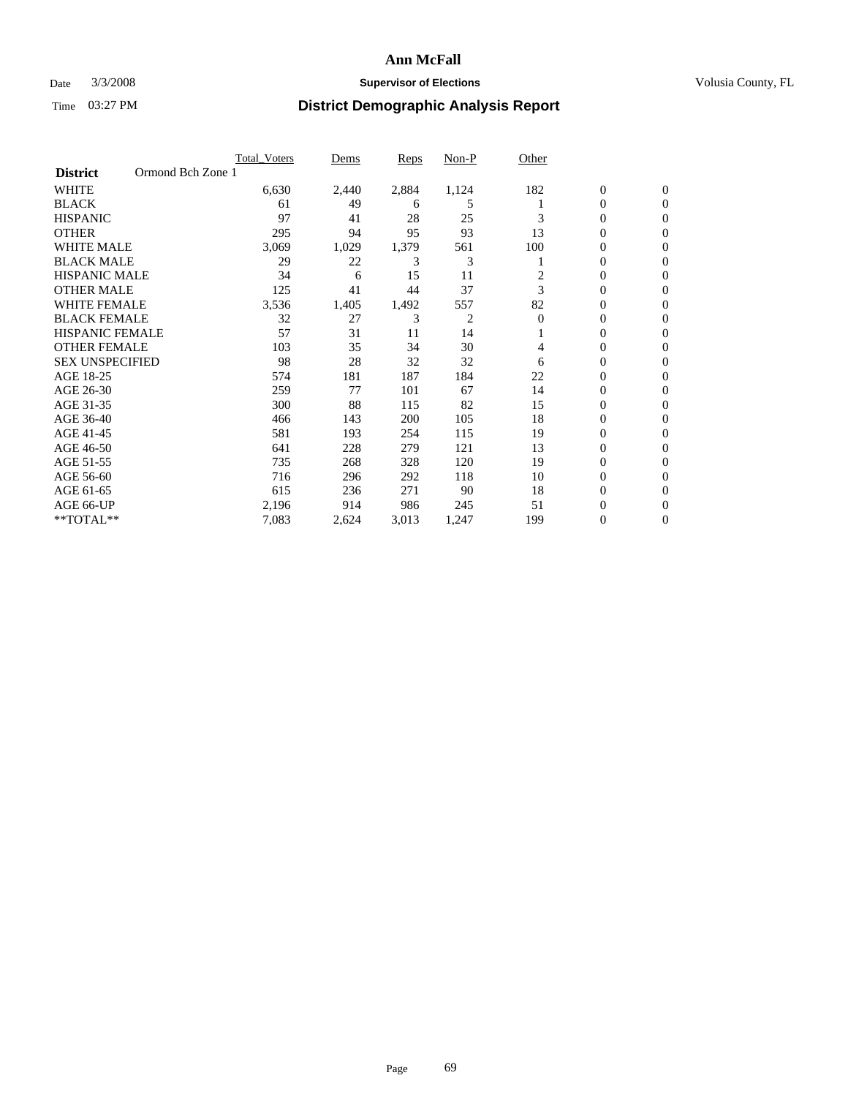### Date  $3/3/2008$  **Supervisor of Elections Supervisor of Elections** Volusia County, FL

|                        |                   | <b>Total_Voters</b> | Dems  | Reps  | Non-P | Other    |                  |                |  |
|------------------------|-------------------|---------------------|-------|-------|-------|----------|------------------|----------------|--|
| <b>District</b>        | Ormond Bch Zone 1 |                     |       |       |       |          |                  |                |  |
| <b>WHITE</b>           |                   | 6,630               | 2,440 | 2,884 | 1,124 | 182      | $\boldsymbol{0}$ | $\mathbf{0}$   |  |
| <b>BLACK</b>           |                   | 61                  | 49    | 6     | 5     |          | $\overline{0}$   | $\mathbf{0}$   |  |
| <b>HISPANIC</b>        |                   | 97                  | 41    | 28    | 25    | 3        | $\overline{0}$   | $\mathbf{0}$   |  |
| <b>OTHER</b>           |                   | 295                 | 94    | 95    | 93    | 13       | $\overline{0}$   | $\overline{0}$ |  |
| <b>WHITE MALE</b>      |                   | 3,069               | 1,029 | 1,379 | 561   | 100      | $\mathbf{0}$     | $\mathbf{0}$   |  |
| <b>BLACK MALE</b>      |                   | 29                  | 22    | 3     | 3     |          | 0                | $\overline{0}$ |  |
| <b>HISPANIC MALE</b>   |                   | 34                  | 6     | 15    | 11    | 2        | $\overline{0}$   | $\Omega$       |  |
| <b>OTHER MALE</b>      |                   | 125                 | 41    | 44    | 37    | 3        | $\overline{0}$   | 0              |  |
| <b>WHITE FEMALE</b>    |                   | 3,536               | 1,405 | 1,492 | 557   | 82       | $\overline{0}$   | 0              |  |
| <b>BLACK FEMALE</b>    |                   | 32                  | 27    | 3     | 2     | $\Omega$ | $\overline{0}$   | $\mathbf{0}$   |  |
| <b>HISPANIC FEMALE</b> |                   | 57                  | 31    | 11    | 14    |          | $\overline{0}$   | $\mathbf{0}$   |  |
| <b>OTHER FEMALE</b>    |                   | 103                 | 35    | 34    | 30    | 4        | $\overline{0}$   | $\overline{0}$ |  |
| <b>SEX UNSPECIFIED</b> |                   | 98                  | 28    | 32    | 32    | 6        | $\boldsymbol{0}$ | $\overline{0}$ |  |
| AGE 18-25              |                   | 574                 | 181   | 187   | 184   | 22       | $\overline{0}$   | 0              |  |
| AGE 26-30              |                   | 259                 | 77    | 101   | 67    | 14       | $\boldsymbol{0}$ | $\overline{0}$ |  |
| AGE 31-35              |                   | 300                 | 88    | 115   | 82    | 15       | $\overline{0}$   | 0              |  |
| AGE 36-40              |                   | 466                 | 143   | 200   | 105   | 18       | $\overline{0}$   | $\overline{0}$ |  |
| AGE 41-45              |                   | 581                 | 193   | 254   | 115   | 19       | $\overline{0}$   | $\overline{0}$ |  |
| AGE 46-50              |                   | 641                 | 228   | 279   | 121   | 13       | $\overline{0}$   | $\mathbf{0}$   |  |
| AGE 51-55              |                   | 735                 | 268   | 328   | 120   | 19       | $\overline{0}$   | $\mathbf{0}$   |  |
| AGE 56-60              |                   | 716                 | 296   | 292   | 118   | 10       | $\overline{0}$   | $\mathbf{0}$   |  |
| AGE 61-65              |                   | 615                 | 236   | 271   | 90    | 18       | $\boldsymbol{0}$ | $\mathbf{0}$   |  |
| AGE 66-UP              |                   | 2,196               | 914   | 986   | 245   | 51       | $\mathbf{0}$     | 0              |  |
| **TOTAL**              |                   | 7,083               | 2,624 | 3,013 | 1,247 | 199      | $\boldsymbol{0}$ | 0              |  |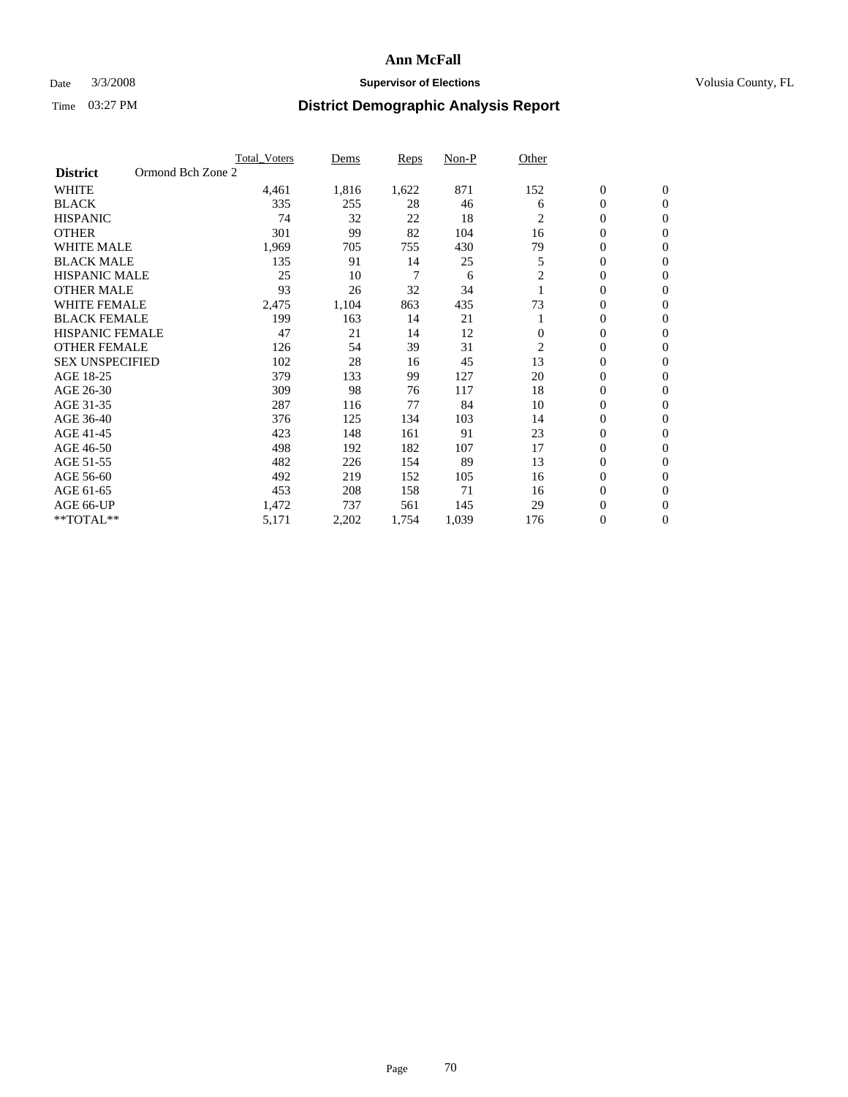### Date  $3/3/2008$  **Supervisor of Elections Supervisor of Elections** Volusia County, FL

|                        |                   | <b>Total Voters</b> | Dems  | Reps  | Non-P | Other          |                  |                  |
|------------------------|-------------------|---------------------|-------|-------|-------|----------------|------------------|------------------|
| <b>District</b>        | Ormond Bch Zone 2 |                     |       |       |       |                |                  |                  |
| <b>WHITE</b>           |                   | 4,461               | 1,816 | 1,622 | 871   | 152            | $\boldsymbol{0}$ | $\boldsymbol{0}$ |
| <b>BLACK</b>           |                   | 335                 | 255   | 28    | 46    | 6              | $\mathbf{0}$     | $\mathbf{0}$     |
| <b>HISPANIC</b>        |                   | 74                  | 32    | 22    | 18    | 2              | $\mathbf{0}$     | $\mathbf{0}$     |
| <b>OTHER</b>           |                   | 301                 | 99    | 82    | 104   | 16             | 0                | $\overline{0}$   |
| <b>WHITE MALE</b>      |                   | 1,969               | 705   | 755   | 430   | 79             | 0                | $\mathbf{0}$     |
| <b>BLACK MALE</b>      |                   | 135                 | 91    | 14    | 25    | 5              | 0                | 0                |
| <b>HISPANIC MALE</b>   |                   | 25                  | 10    | 7     | 6     | 2              | 0                | $\mathbf{0}$     |
| <b>OTHER MALE</b>      |                   | 93                  | 26    | 32    | 34    |                | 0                | $\mathbf{0}$     |
| <b>WHITE FEMALE</b>    |                   | 2,475               | 1,104 | 863   | 435   | 73             | 0                | $\mathbf{0}$     |
| <b>BLACK FEMALE</b>    |                   | 199                 | 163   | 14    | 21    |                | $\mathbf{0}$     | $\mathbf{0}$     |
| <b>HISPANIC FEMALE</b> |                   | 47                  | 21    | 14    | 12    | $\Omega$       | 0                | $\mathbf{0}$     |
| <b>OTHER FEMALE</b>    |                   | 126                 | 54    | 39    | 31    | $\overline{2}$ | 0                | $\mathbf{0}$     |
| <b>SEX UNSPECIFIED</b> |                   | 102                 | 28    | 16    | 45    | 13             | $\boldsymbol{0}$ | $\mathbf{0}$     |
| AGE 18-25              |                   | 379                 | 133   | 99    | 127   | 20             | 0                | $\mathbf{0}$     |
| AGE 26-30              |                   | 309                 | 98    | 76    | 117   | 18             | 0                | $\mathbf{0}$     |
| AGE 31-35              |                   | 287                 | 116   | 77    | 84    | 10             | 0                | $\mathbf{0}$     |
| AGE 36-40              |                   | 376                 | 125   | 134   | 103   | 14             | $\boldsymbol{0}$ | $\mathbf{0}$     |
| AGE 41-45              |                   | 423                 | 148   | 161   | 91    | 23             | 0                | $\mathbf{0}$     |
| AGE 46-50              |                   | 498                 | 192   | 182   | 107   | 17             | $\mathbf{0}$     | $\mathbf{0}$     |
| AGE 51-55              |                   | 482                 | 226   | 154   | 89    | 13             | 0                | $\mathbf{0}$     |
| AGE 56-60              |                   | 492                 | 219   | 152   | 105   | 16             | 0                | $\mathbf{0}$     |
| AGE 61-65              |                   | 453                 | 208   | 158   | 71    | 16             | 0                | $\mathbf{0}$     |
| AGE 66-UP              |                   | 1,472               | 737   | 561   | 145   | 29             | 0                | 0                |
| **TOTAL**              |                   | 5,171               | 2,202 | 1,754 | 1,039 | 176            | 0                | $\boldsymbol{0}$ |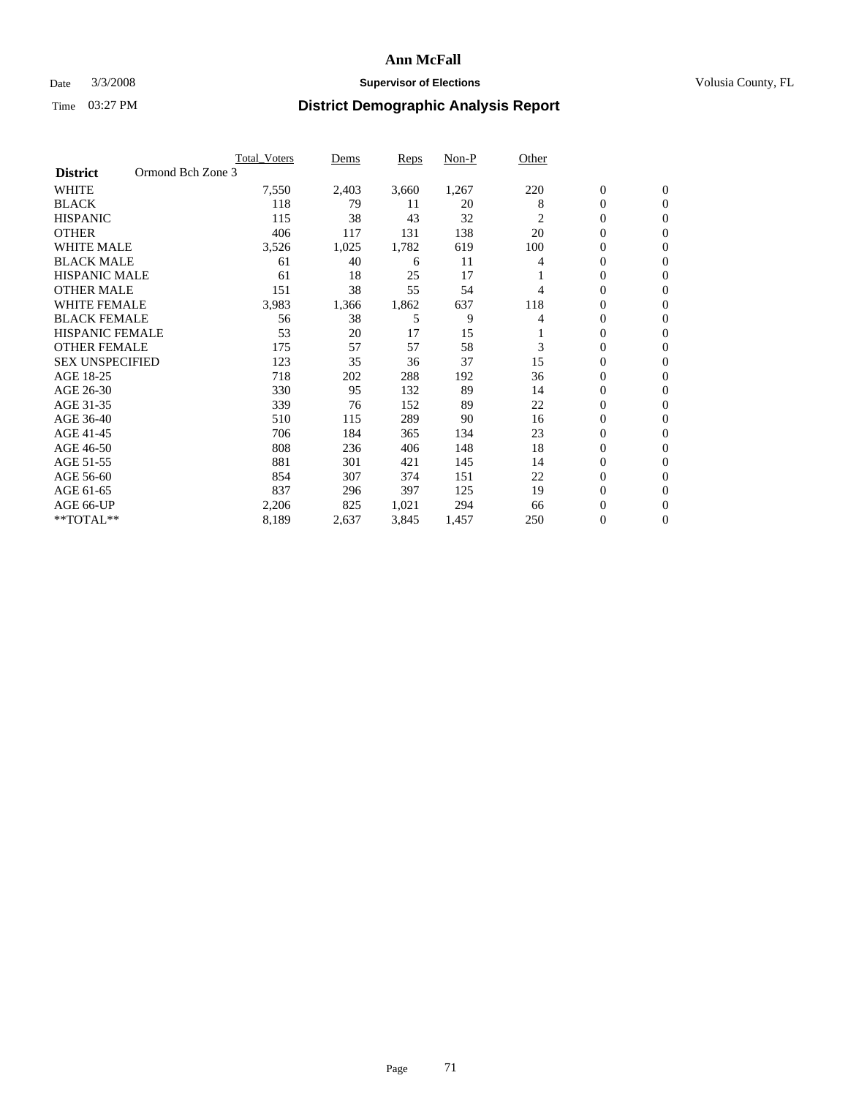#### Date  $3/3/2008$  **Supervisor of Elections** Volusia County, FL

| Ormond Bch Zone 3<br><b>District</b><br><b>WHITE</b><br>220<br>$\mathbf{0}$<br>$\mathbf{0}$<br>7,550<br>2,403<br>3,660<br>1,267<br><b>BLACK</b><br>118<br>8<br>0<br>$\mathbf{0}$<br>79<br>11<br>20<br>38<br>32<br><b>HISPANIC</b><br>115<br>43<br>$\overline{c}$<br>0<br>$\mathbf{0}$<br><b>OTHER</b><br>138<br>20<br>406<br>117<br>131<br>0<br>$\mathbf{0}$<br><b>WHITE MALE</b><br>1,782<br>619<br>100<br>0<br>3,526<br>1,025<br>$\mathbf{0}$<br><b>BLACK MALE</b><br>40<br>0<br>61<br>11<br>4<br>$\mathbf{0}$<br>6<br><b>HISPANIC MALE</b><br>25<br>17<br>61<br>18<br>0<br>$\mathbf{0}$<br>38<br>55<br>54<br><b>OTHER MALE</b><br>151<br>$\mathbf{0}$<br>$\mathbf{0}$<br>4<br><b>WHITE FEMALE</b><br>3,983<br>1,862<br>637<br>118<br>0<br>1,366<br>$\mathbf{0}$<br><b>BLACK FEMALE</b><br>38<br>5<br>9<br>0<br>56<br>$\mathbf{0}$<br>4<br><b>HISPANIC FEMALE</b><br>53<br>17<br>15<br>20<br>0<br>$\mathbf{0}$<br>3<br><b>OTHER FEMALE</b><br>57<br>57<br>58<br>0<br>175<br>$\mathbf{0}$<br><b>SEX UNSPECIFIED</b><br>37<br>15<br>123<br>35<br>36<br>0<br>0<br>AGE 18-25<br>718<br>36<br>0<br>202<br>288<br>192<br>$\mathbf{0}$<br>330<br>95<br>89<br>$\mathbf{0}$<br>AGE 26-30<br>132<br>14<br>$\mathbf{0}$<br>AGE 31-35<br>339<br>22<br>0<br>152<br>89<br>$\mathbf{0}$<br>76<br>AGE 36-40<br>510<br>16<br>0<br>115<br>289<br>90<br>$\mathbf{0}$<br>0<br>AGE 41-45<br>706<br>184<br>134<br>23<br>365<br>$\mathbf{0}$<br>18<br>AGE 46-50<br>148<br>0<br>808<br>236<br>406<br>$\Omega$<br>AGE 51-55<br>881<br>145<br>$\boldsymbol{0}$<br>301<br>14<br>421<br>$\mathbf{0}$<br>AGE 56-60<br>151<br>22<br>854<br>307<br>374<br>0<br>$\mathbf{0}$ |           | <b>Total Voters</b> | Dems | Reps | Non-P | Other |                |              |
|------------------------------------------------------------------------------------------------------------------------------------------------------------------------------------------------------------------------------------------------------------------------------------------------------------------------------------------------------------------------------------------------------------------------------------------------------------------------------------------------------------------------------------------------------------------------------------------------------------------------------------------------------------------------------------------------------------------------------------------------------------------------------------------------------------------------------------------------------------------------------------------------------------------------------------------------------------------------------------------------------------------------------------------------------------------------------------------------------------------------------------------------------------------------------------------------------------------------------------------------------------------------------------------------------------------------------------------------------------------------------------------------------------------------------------------------------------------------------------------------------------------------------------------------------------------------------------------------------------------------------------------------|-----------|---------------------|------|------|-------|-------|----------------|--------------|
|                                                                                                                                                                                                                                                                                                                                                                                                                                                                                                                                                                                                                                                                                                                                                                                                                                                                                                                                                                                                                                                                                                                                                                                                                                                                                                                                                                                                                                                                                                                                                                                                                                                |           |                     |      |      |       |       |                |              |
|                                                                                                                                                                                                                                                                                                                                                                                                                                                                                                                                                                                                                                                                                                                                                                                                                                                                                                                                                                                                                                                                                                                                                                                                                                                                                                                                                                                                                                                                                                                                                                                                                                                |           |                     |      |      |       |       |                |              |
|                                                                                                                                                                                                                                                                                                                                                                                                                                                                                                                                                                                                                                                                                                                                                                                                                                                                                                                                                                                                                                                                                                                                                                                                                                                                                                                                                                                                                                                                                                                                                                                                                                                |           |                     |      |      |       |       |                |              |
|                                                                                                                                                                                                                                                                                                                                                                                                                                                                                                                                                                                                                                                                                                                                                                                                                                                                                                                                                                                                                                                                                                                                                                                                                                                                                                                                                                                                                                                                                                                                                                                                                                                |           |                     |      |      |       |       |                |              |
|                                                                                                                                                                                                                                                                                                                                                                                                                                                                                                                                                                                                                                                                                                                                                                                                                                                                                                                                                                                                                                                                                                                                                                                                                                                                                                                                                                                                                                                                                                                                                                                                                                                |           |                     |      |      |       |       |                |              |
|                                                                                                                                                                                                                                                                                                                                                                                                                                                                                                                                                                                                                                                                                                                                                                                                                                                                                                                                                                                                                                                                                                                                                                                                                                                                                                                                                                                                                                                                                                                                                                                                                                                |           |                     |      |      |       |       |                |              |
|                                                                                                                                                                                                                                                                                                                                                                                                                                                                                                                                                                                                                                                                                                                                                                                                                                                                                                                                                                                                                                                                                                                                                                                                                                                                                                                                                                                                                                                                                                                                                                                                                                                |           |                     |      |      |       |       |                |              |
|                                                                                                                                                                                                                                                                                                                                                                                                                                                                                                                                                                                                                                                                                                                                                                                                                                                                                                                                                                                                                                                                                                                                                                                                                                                                                                                                                                                                                                                                                                                                                                                                                                                |           |                     |      |      |       |       |                |              |
|                                                                                                                                                                                                                                                                                                                                                                                                                                                                                                                                                                                                                                                                                                                                                                                                                                                                                                                                                                                                                                                                                                                                                                                                                                                                                                                                                                                                                                                                                                                                                                                                                                                |           |                     |      |      |       |       |                |              |
|                                                                                                                                                                                                                                                                                                                                                                                                                                                                                                                                                                                                                                                                                                                                                                                                                                                                                                                                                                                                                                                                                                                                                                                                                                                                                                                                                                                                                                                                                                                                                                                                                                                |           |                     |      |      |       |       |                |              |
|                                                                                                                                                                                                                                                                                                                                                                                                                                                                                                                                                                                                                                                                                                                                                                                                                                                                                                                                                                                                                                                                                                                                                                                                                                                                                                                                                                                                                                                                                                                                                                                                                                                |           |                     |      |      |       |       |                |              |
|                                                                                                                                                                                                                                                                                                                                                                                                                                                                                                                                                                                                                                                                                                                                                                                                                                                                                                                                                                                                                                                                                                                                                                                                                                                                                                                                                                                                                                                                                                                                                                                                                                                |           |                     |      |      |       |       |                |              |
|                                                                                                                                                                                                                                                                                                                                                                                                                                                                                                                                                                                                                                                                                                                                                                                                                                                                                                                                                                                                                                                                                                                                                                                                                                                                                                                                                                                                                                                                                                                                                                                                                                                |           |                     |      |      |       |       |                |              |
|                                                                                                                                                                                                                                                                                                                                                                                                                                                                                                                                                                                                                                                                                                                                                                                                                                                                                                                                                                                                                                                                                                                                                                                                                                                                                                                                                                                                                                                                                                                                                                                                                                                |           |                     |      |      |       |       |                |              |
|                                                                                                                                                                                                                                                                                                                                                                                                                                                                                                                                                                                                                                                                                                                                                                                                                                                                                                                                                                                                                                                                                                                                                                                                                                                                                                                                                                                                                                                                                                                                                                                                                                                |           |                     |      |      |       |       |                |              |
|                                                                                                                                                                                                                                                                                                                                                                                                                                                                                                                                                                                                                                                                                                                                                                                                                                                                                                                                                                                                                                                                                                                                                                                                                                                                                                                                                                                                                                                                                                                                                                                                                                                |           |                     |      |      |       |       |                |              |
|                                                                                                                                                                                                                                                                                                                                                                                                                                                                                                                                                                                                                                                                                                                                                                                                                                                                                                                                                                                                                                                                                                                                                                                                                                                                                                                                                                                                                                                                                                                                                                                                                                                |           |                     |      |      |       |       |                |              |
|                                                                                                                                                                                                                                                                                                                                                                                                                                                                                                                                                                                                                                                                                                                                                                                                                                                                                                                                                                                                                                                                                                                                                                                                                                                                                                                                                                                                                                                                                                                                                                                                                                                |           |                     |      |      |       |       |                |              |
|                                                                                                                                                                                                                                                                                                                                                                                                                                                                                                                                                                                                                                                                                                                                                                                                                                                                                                                                                                                                                                                                                                                                                                                                                                                                                                                                                                                                                                                                                                                                                                                                                                                |           |                     |      |      |       |       |                |              |
|                                                                                                                                                                                                                                                                                                                                                                                                                                                                                                                                                                                                                                                                                                                                                                                                                                                                                                                                                                                                                                                                                                                                                                                                                                                                                                                                                                                                                                                                                                                                                                                                                                                |           |                     |      |      |       |       |                |              |
|                                                                                                                                                                                                                                                                                                                                                                                                                                                                                                                                                                                                                                                                                                                                                                                                                                                                                                                                                                                                                                                                                                                                                                                                                                                                                                                                                                                                                                                                                                                                                                                                                                                |           |                     |      |      |       |       |                |              |
|                                                                                                                                                                                                                                                                                                                                                                                                                                                                                                                                                                                                                                                                                                                                                                                                                                                                                                                                                                                                                                                                                                                                                                                                                                                                                                                                                                                                                                                                                                                                                                                                                                                |           |                     |      |      |       |       |                |              |
|                                                                                                                                                                                                                                                                                                                                                                                                                                                                                                                                                                                                                                                                                                                                                                                                                                                                                                                                                                                                                                                                                                                                                                                                                                                                                                                                                                                                                                                                                                                                                                                                                                                | AGE 61-65 | 837                 | 296  | 397  | 125   | 19    | $\overline{0}$ | $\mathbf{0}$ |
| AGE 66-UP<br>825<br>0<br>2,206<br>1,021<br>294<br>66<br>$\boldsymbol{0}$                                                                                                                                                                                                                                                                                                                                                                                                                                                                                                                                                                                                                                                                                                                                                                                                                                                                                                                                                                                                                                                                                                                                                                                                                                                                                                                                                                                                                                                                                                                                                                       |           |                     |      |      |       |       |                |              |
| **TOTAL**<br>8,189<br>0<br>2,637<br>3,845<br>1,457<br>250<br>$\boldsymbol{0}$                                                                                                                                                                                                                                                                                                                                                                                                                                                                                                                                                                                                                                                                                                                                                                                                                                                                                                                                                                                                                                                                                                                                                                                                                                                                                                                                                                                                                                                                                                                                                                  |           |                     |      |      |       |       |                |              |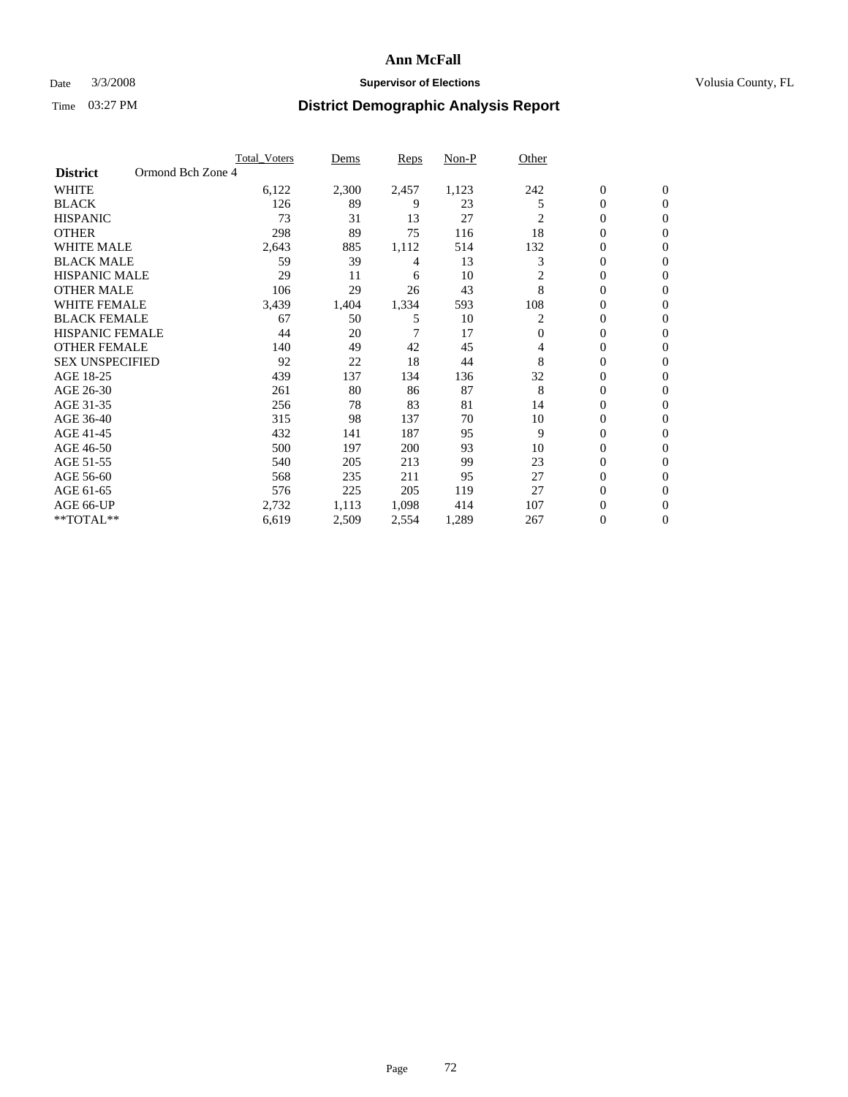### Date  $3/3/2008$  **Supervisor of Elections Supervisor of Elections** Volusia County, FL

|                        |                   | <b>Total Voters</b> | Dems  | Reps  | Non-P | Other        |                  |                  |  |
|------------------------|-------------------|---------------------|-------|-------|-------|--------------|------------------|------------------|--|
| <b>District</b>        | Ormond Bch Zone 4 |                     |       |       |       |              |                  |                  |  |
| <b>WHITE</b>           |                   | 6,122               | 2,300 | 2,457 | 1,123 | 242          | $\mathbf{0}$     | $\mathbf{0}$     |  |
| <b>BLACK</b>           |                   | 126                 | 89    | 9     | 23    | 5            | 0                | $\mathbf{0}$     |  |
| <b>HISPANIC</b>        |                   | 73                  | 31    | 13    | 27    | 2            | 0                | $\mathbf{0}$     |  |
| <b>OTHER</b>           |                   | 298                 | 89    | 75    | 116   | 18           | 0                | $\mathbf{0}$     |  |
| <b>WHITE MALE</b>      |                   | 2,643               | 885   | 1,112 | 514   | 132          | 0                | $\mathbf{0}$     |  |
| <b>BLACK MALE</b>      |                   | 59                  | 39    | 4     | 13    | 3            | 0                | $\mathbf{0}$     |  |
| <b>HISPANIC MALE</b>   |                   | 29                  | 11    | 6     | 10    | 2            | 0                | $\mathbf{0}$     |  |
| <b>OTHER MALE</b>      |                   | 106                 | 29    | 26    | 43    | 8            | $\mathbf{0}$     | $\mathbf{0}$     |  |
| <b>WHITE FEMALE</b>    |                   | 3,439               | 1,404 | 1,334 | 593   | 108          | 0                | $\mathbf{0}$     |  |
| <b>BLACK FEMALE</b>    |                   | 67                  | 50    | 5     | 10    | 2            | 0                | $\mathbf{0}$     |  |
| <b>HISPANIC FEMALE</b> |                   | 44                  | 20    | 7     | 17    | $\mathbf{0}$ | 0                | $\mathbf{0}$     |  |
| <b>OTHER FEMALE</b>    |                   | 140                 | 49    | 42    | 45    | 4            | 0                | $\Omega$         |  |
| <b>SEX UNSPECIFIED</b> |                   | 92                  | 22    | 18    | 44    | 8            | 0                | 0                |  |
| AGE 18-25              |                   | 439                 | 137   | 134   | 136   | 32           | 0                | $\Omega$         |  |
| AGE 26-30              |                   | 261                 | 80    | 86    | 87    | 8            | $\mathbf{0}$     | $\mathbf{0}$     |  |
| AGE 31-35              |                   | 256                 | 78    | 83    | 81    | 14           | 0                | $\mathbf{0}$     |  |
| AGE 36-40              |                   | 315                 | 98    | 137   | 70    | 10           | 0                | $\Omega$         |  |
| AGE 41-45              |                   | 432                 | 141   | 187   | 95    | 9            | 0                | $\mathbf{0}$     |  |
| AGE 46-50              |                   | 500                 | 197   | 200   | 93    | 10           | 0                | $\Omega$         |  |
| AGE 51-55              |                   | 540                 | 205   | 213   | 99    | 23           | $\boldsymbol{0}$ | $\mathbf{0}$     |  |
| AGE 56-60              |                   | 568                 | 235   | 211   | 95    | 27           | 0                | $\mathbf{0}$     |  |
| AGE 61-65              |                   | 576                 | 225   | 205   | 119   | 27           | $\overline{0}$   | $\mathbf{0}$     |  |
| AGE 66-UP              |                   | 2,732               | 1,113 | 1,098 | 414   | 107          | 0                | $\mathbf{0}$     |  |
| **TOTAL**              |                   | 6,619               | 2,509 | 2,554 | 1,289 | 267          | 0                | $\boldsymbol{0}$ |  |
|                        |                   |                     |       |       |       |              |                  |                  |  |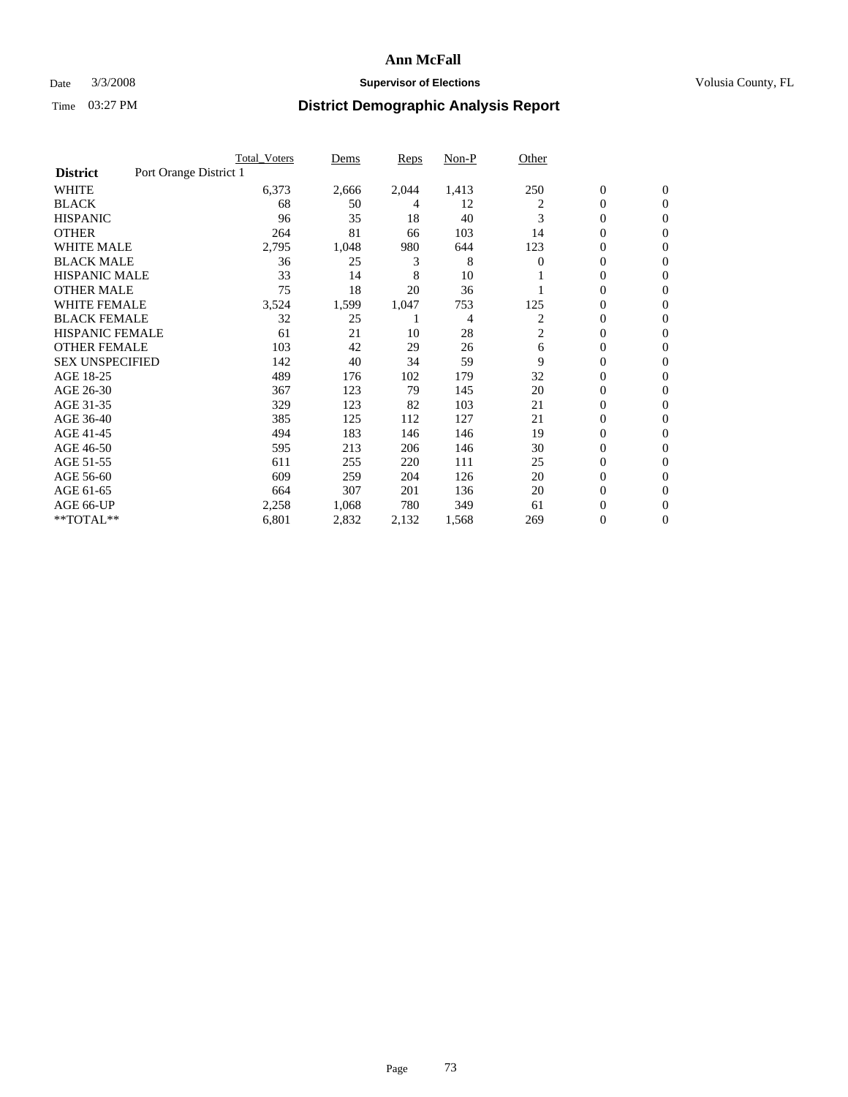## Date  $3/3/2008$  **Supervisor of Elections Supervisor of Elections** Volusia County, FL

|                                           | <b>Total_Voters</b> | Dems  | Reps  | Non-P | Other |                  |                  |  |
|-------------------------------------------|---------------------|-------|-------|-------|-------|------------------|------------------|--|
| Port Orange District 1<br><b>District</b> |                     |       |       |       |       |                  |                  |  |
| <b>WHITE</b>                              | 6,373               | 2,666 | 2,044 | 1,413 | 250   | $\boldsymbol{0}$ | $\mathbf{0}$     |  |
| <b>BLACK</b>                              | 68                  | 50    | 4     | 12    | 2     | $\overline{0}$   | $\mathbf{0}$     |  |
| <b>HISPANIC</b>                           | 96                  | 35    | 18    | 40    | 3     | $\overline{0}$   | $\mathbf{0}$     |  |
| <b>OTHER</b>                              | 264                 | 81    | 66    | 103   | 14    | 0                | $\overline{0}$   |  |
| <b>WHITE MALE</b>                         | 2,795               | 1,048 | 980   | 644   | 123   | 0                | $\mathbf{0}$     |  |
| <b>BLACK MALE</b>                         | 36                  | 25    | 3     | 8     | 0     | 0                | $\mathbf{0}$     |  |
| <b>HISPANIC MALE</b>                      | 33                  | 14    | 8     | 10    |       | 0                | $\Omega$         |  |
| <b>OTHER MALE</b>                         | 75                  | 18    | 20    | 36    |       | 0                | $\mathbf{0}$     |  |
| WHITE FEMALE                              | 3,524               | 1,599 | 1,047 | 753   | 125   | 0                | $\Omega$         |  |
| <b>BLACK FEMALE</b>                       | 32                  | 25    |       | 4     | 2     | $\overline{0}$   | $\mathbf{0}$     |  |
| <b>HISPANIC FEMALE</b>                    | 61                  | 21    | 10    | 28    | 2     | 0                | $\mathbf{0}$     |  |
| <b>OTHER FEMALE</b>                       | 103                 | 42    | 29    | 26    | 6     | 0                | $\overline{0}$   |  |
| <b>SEX UNSPECIFIED</b>                    | 142                 | 40    | 34    | 59    | 9     | $\boldsymbol{0}$ | $\mathbf{0}$     |  |
| AGE 18-25                                 | 489                 | 176   | 102   | 179   | 32    | 0                | $\mathbf{0}$     |  |
| AGE 26-30                                 | 367                 | 123   | 79    | 145   | 20    | 0                | $\mathbf{0}$     |  |
| AGE 31-35                                 | 329                 | 123   | 82    | 103   | 21    | 0                | $\mathbf{0}$     |  |
| AGE 36-40                                 | 385                 | 125   | 112   | 127   | 21    | $\overline{0}$   | $\mathbf{0}$     |  |
| AGE 41-45                                 | 494                 | 183   | 146   | 146   | 19    | $\mathbf{0}$     | $\mathbf{0}$     |  |
| AGE 46-50                                 | 595                 | 213   | 206   | 146   | 30    | $\overline{0}$   | $\mathbf{0}$     |  |
| AGE 51-55                                 | 611                 | 255   | 220   | 111   | 25    | 0                | $\mathbf{0}$     |  |
| AGE 56-60                                 | 609                 | 259   | 204   | 126   | 20    | $\boldsymbol{0}$ | $\overline{0}$   |  |
| AGE 61-65                                 | 664                 | 307   | 201   | 136   | 20    | 0                | $\mathbf{0}$     |  |
| AGE 66-UP                                 | 2,258               | 1,068 | 780   | 349   | 61    | 0                | 0                |  |
| **TOTAL**                                 | 6,801               | 2,832 | 2,132 | 1,568 | 269   | 0                | $\boldsymbol{0}$ |  |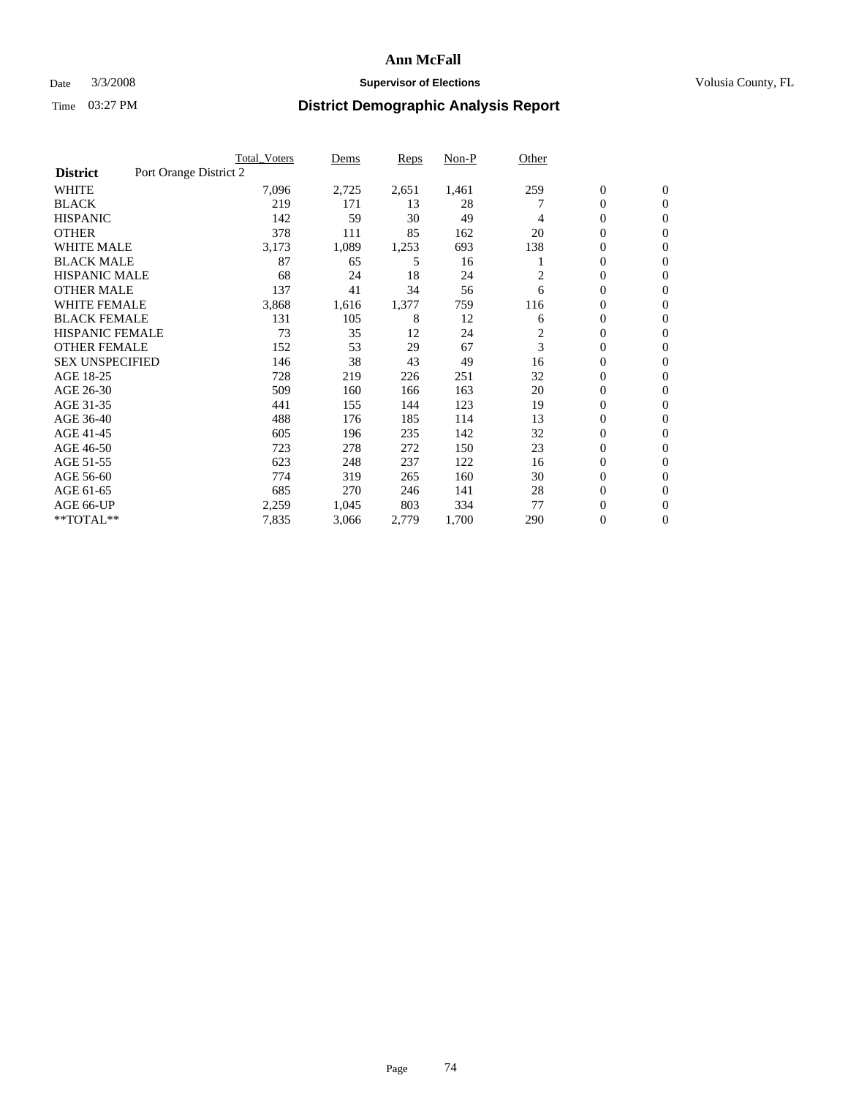## Date  $3/3/2008$  **Supervisor of Elections Supervisor of Elections** Volusia County, FL

|                        | <b>Total Voters</b>    | Dems       | Reps  | Non-P | Other |                  |                  |  |
|------------------------|------------------------|------------|-------|-------|-------|------------------|------------------|--|
| <b>District</b>        | Port Orange District 2 |            |       |       |       |                  |                  |  |
| <b>WHITE</b>           | 7,096                  | 2,725      | 2,651 | 1,461 | 259   | $\boldsymbol{0}$ | $\mathbf{0}$     |  |
| <b>BLACK</b>           |                        | 219<br>171 | 13    | 28    |       | $\mathbf{0}$     | $\mathbf{0}$     |  |
| <b>HISPANIC</b>        |                        | 142<br>59  | 30    | 49    | 4     | 0                | $\mathbf{0}$     |  |
| <b>OTHER</b>           |                        | 378<br>111 | 85    | 162   | 20    | 0                | $\mathbf{0}$     |  |
| <b>WHITE MALE</b>      | 3,173                  | 1,089      | 1,253 | 693   | 138   | 0                | $\mathbf{0}$     |  |
| <b>BLACK MALE</b>      |                        | 87<br>65   | 5     | 16    |       | 0                | $\mathbf{0}$     |  |
| <b>HISPANIC MALE</b>   |                        | 68<br>24   | 18    | 24    | 2     | 0                | $\mathbf{0}$     |  |
| <b>OTHER MALE</b>      |                        | 137<br>41  | 34    | 56    | 6     | $\mathbf{0}$     | $\mathbf{0}$     |  |
| <b>WHITE FEMALE</b>    | 3,868                  | 1,616      | 1,377 | 759   | 116   | 0                | $\mathbf{0}$     |  |
| <b>BLACK FEMALE</b>    |                        | 131<br>105 | 8     | 12    | 6     | $\boldsymbol{0}$ | $\mathbf{0}$     |  |
| <b>HISPANIC FEMALE</b> |                        | 73<br>35   | 12    | 24    | 2     | 0                | $\mathbf{0}$     |  |
| <b>OTHER FEMALE</b>    |                        | 53<br>152  | 29    | 67    | 3     | 0                | $\mathbf{0}$     |  |
| <b>SEX UNSPECIFIED</b> |                        | 38<br>146  | 43    | 49    | 16    | 0                | $\mathbf{0}$     |  |
| AGE 18-25              |                        | 728<br>219 | 226   | 251   | 32    | 0                | $\mathbf{0}$     |  |
| AGE 26-30              |                        | 509<br>160 | 166   | 163   | 20    | $\mathbf{0}$     | $\mathbf{0}$     |  |
| AGE 31-35              |                        | 441<br>155 | 144   | 123   | 19    | 0                | $\mathbf{0}$     |  |
| AGE 36-40              |                        | 488<br>176 | 185   | 114   | 13    | 0                | $\mathbf{0}$     |  |
| AGE 41-45              |                        | 605<br>196 | 235   | 142   | 32    | 0                | $\mathbf{0}$     |  |
| AGE 46-50              |                        | 723<br>278 | 272   | 150   | 23    | 0                | $\mathbf{0}$     |  |
| AGE 51-55              |                        | 623<br>248 | 237   | 122   | 16    | $\boldsymbol{0}$ | $\boldsymbol{0}$ |  |
| AGE 56-60              |                        | 774<br>319 | 265   | 160   | 30    | 0                | $\mathbf{0}$     |  |
| AGE 61-65              |                        | 685<br>270 | 246   | 141   | 28    | $\mathbf{0}$     | $\mathbf{0}$     |  |
| AGE 66-UP              | 2,259                  | 1,045      | 803   | 334   | 77    | $\boldsymbol{0}$ | $\boldsymbol{0}$ |  |
| **TOTAL**              | 7,835                  | 3,066      | 2,779 | 1,700 | 290   | 0                | $\boldsymbol{0}$ |  |
|                        |                        |            |       |       |       |                  |                  |  |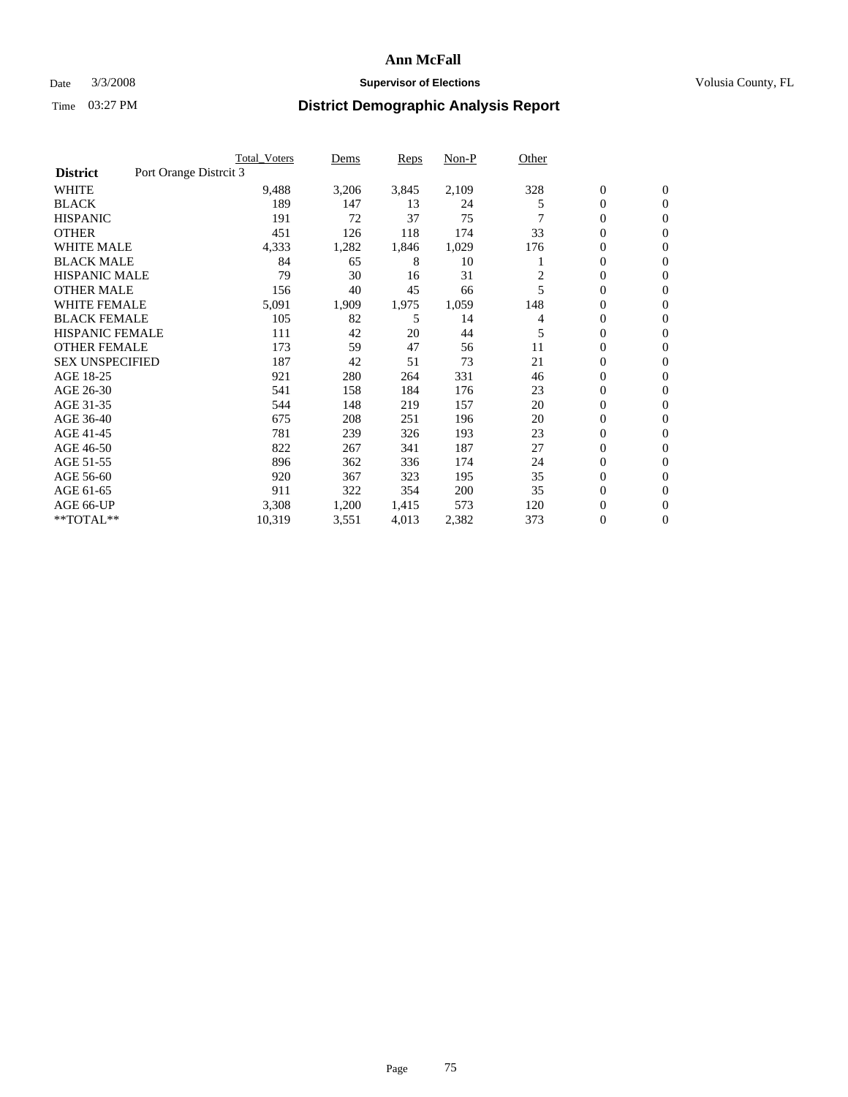### Date  $3/3/2008$  **Supervisor of Elections** Volusia County, FL

|                        |                        | <b>Total_Voters</b> | Dems  | <b>Reps</b> | Non-P | Other |                  |                  |
|------------------------|------------------------|---------------------|-------|-------------|-------|-------|------------------|------------------|
| <b>District</b>        | Port Orange Distrcit 3 |                     |       |             |       |       |                  |                  |
| <b>WHITE</b>           |                        | 9,488               | 3,206 | 3,845       | 2,109 | 328   | $\boldsymbol{0}$ | $\mathbf{0}$     |
| <b>BLACK</b>           |                        | 189                 | 147   | 13          | 24    | 5     | $\overline{0}$   | $\mathbf{0}$     |
| <b>HISPANIC</b>        |                        | 191                 | 72    | 37          | 75    |       | $\overline{0}$   | $\mathbf{0}$     |
| <b>OTHER</b>           |                        | 451                 | 126   | 118         | 174   | 33    | 0                | $\mathbf{0}$     |
| <b>WHITE MALE</b>      |                        | 4,333               | 1,282 | 1,846       | 1,029 | 176   | 0                | $\mathbf{0}$     |
| <b>BLACK MALE</b>      |                        | 84                  | 65    | 8           | 10    |       | $\boldsymbol{0}$ | $\boldsymbol{0}$ |
| <b>HISPANIC MALE</b>   |                        | 79                  | 30    | 16          | 31    |       | $\overline{0}$   | $\mathbf{0}$     |
| <b>OTHER MALE</b>      |                        | 156                 | 40    | 45          | 66    | 5     | $\overline{0}$   | $\mathbf{0}$     |
| <b>WHITE FEMALE</b>    |                        | 5,091               | 1,909 | 1,975       | 1,059 | 148   | 0                | $\mathbf{0}$     |
| <b>BLACK FEMALE</b>    |                        | 105                 | 82    | 5           | 14    | 4     | $\overline{0}$   | $\mathbf{0}$     |
| <b>HISPANIC FEMALE</b> |                        | 111                 | 42    | 20          | 44    | 5     | $\boldsymbol{0}$ | $\mathbf{0}$     |
| <b>OTHER FEMALE</b>    |                        | 173                 | 59    | 47          | 56    | 11    | 0                | $\mathbf{0}$     |
| <b>SEX UNSPECIFIED</b> |                        | 187                 | 42    | 51          | 73    | 21    | $\overline{0}$   | $\mathbf{0}$     |
| AGE 18-25              |                        | 921                 | 280   | 264         | 331   | 46    | $\boldsymbol{0}$ | $\mathbf{0}$     |
| AGE 26-30              |                        | 541                 | 158   | 184         | 176   | 23    | $\overline{0}$   | $\mathbf{0}$     |
| AGE 31-35              |                        | 544                 | 148   | 219         | 157   | 20    | $\overline{0}$   | $\mathbf{0}$     |
| AGE 36-40              |                        | 675                 | 208   | 251         | 196   | 20    | $\boldsymbol{0}$ | $\mathbf{0}$     |
| AGE 41-45              |                        | 781                 | 239   | 326         | 193   | 23    | $\boldsymbol{0}$ | $\mathbf{0}$     |
| AGE 46-50              |                        | 822                 | 267   | 341         | 187   | 27    | $\boldsymbol{0}$ | $\Omega$         |
| AGE 51-55              |                        | 896                 | 362   | 336         | 174   | 24    | $\boldsymbol{0}$ | $\mathbf{0}$     |
| AGE 56-60              |                        | 920                 | 367   | 323         | 195   | 35    | $\overline{0}$   | $\mathbf{0}$     |
| AGE 61-65              |                        | 911                 | 322   | 354         | 200   | 35    | $\mathbf{0}$     | $\mathbf{0}$     |
| AGE 66-UP              |                        | 3,308               | 1,200 | 1,415       | 573   | 120   | 0                | $\mathbf{0}$     |
| **TOTAL**              |                        | 10,319              | 3,551 | 4,013       | 2,382 | 373   | $\boldsymbol{0}$ | $\overline{0}$   |
|                        |                        |                     |       |             |       |       |                  |                  |